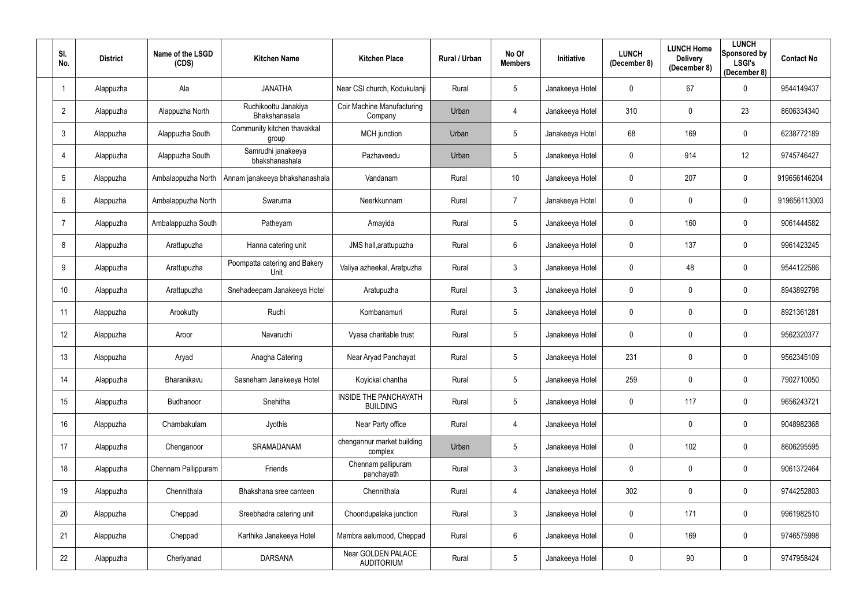| SI.<br>No.     | <b>District</b> | Name of the LSGD<br>(CDS) | <b>Kitchen Name</b>                   | <b>Kitchen Place</b>                     | <b>Rural / Urban</b> | No Of<br><b>Members</b> | Initiative      | <b>LUNCH</b><br>(December 8) | <b>LUNCH Home</b><br><b>Delivery</b><br>(December 8) | <b>LUNCH</b><br>Sponsored by<br><b>LSGI's</b><br>(December 8) | <b>Contact No</b> |
|----------------|-----------------|---------------------------|---------------------------------------|------------------------------------------|----------------------|-------------------------|-----------------|------------------------------|------------------------------------------------------|---------------------------------------------------------------|-------------------|
|                | Alappuzha       | Ala                       | <b>JANATHA</b>                        | Near CSI church, Kodukulanji             | Rural                | $5\phantom{.0}$         | Janakeeya Hotel | 0                            | 67                                                   | $\mathbf 0$                                                   | 9544149437        |
| $\overline{2}$ | Alappuzha       | Alappuzha North           | Ruchikoottu Janakiya<br>Bhakshanasala | Coir Machine Manufacturing<br>Company    | Urban                | 4                       | Janakeeya Hotel | 310                          | $\mathbf 0$                                          | 23                                                            | 8606334340        |
| 3              | Alappuzha       | Alappuzha South           | Community kitchen thavakkal<br>group  | MCH junction                             | Urban                | $5\phantom{.0}$         | Janakeeya Hotel | 68                           | 169                                                  | $\mathbf 0$                                                   | 6238772189        |
|                | Alappuzha       | Alappuzha South           | Samrudhi janakeeya<br>bhakshanashala  | Pazhaveedu                               | Urban                | 5 <sub>5</sub>          | Janakeeya Hotel | 0                            | 914                                                  | 12                                                            | 9745746427        |
| 5              | Alappuzha       | Ambalappuzha North        | Annam janakeeya bhakshanashala        | Vandanam                                 | Rural                | 10 <sup>°</sup>         | Janakeeya Hotel | 0                            | 207                                                  | $\overline{0}$                                                | 919656146204      |
| 6              | Alappuzha       | Ambalappuzha North        | Swaruma                               | Neerkkunnam                              | Rural                | $\overline{7}$          | Janakeeya Hotel | 0                            | $\mathbf 0$                                          | $\mathbf 0$                                                   | 919656113003      |
|                | Alappuzha       | Ambalappuzha South        | Patheyam                              | Amayida                                  | Rural                | 5 <sub>5</sub>          | Janakeeya Hotel | 0                            | 160                                                  | $\mathbf 0$                                                   | 9061444582        |
| 8              | Alappuzha       | Arattupuzha               | Hanna catering unit                   | JMS hall, arattupuzha                    | Rural                | 6                       | Janakeeya Hotel | 0                            | 137                                                  | $\mathbf 0$                                                   | 9961423245        |
| 9              | Alappuzha       | Arattupuzha               | Poompatta catering and Bakery<br>Unit | Valiya azheekal, Aratpuzha               | Rural                | $\mathfrak{Z}$          | Janakeeya Hotel | 0                            | 48                                                   | $\mathbf 0$                                                   | 9544122586        |
| 10             | Alappuzha       | Arattupuzha               | Snehadeepam Janakeeya Hotel           | Aratupuzha                               | Rural                | $\mathfrak{Z}$          | Janakeeya Hotel | 0                            | $\pmb{0}$                                            | $\mathbf 0$                                                   | 8943892798        |
| 11             | Alappuzha       | Arookutty                 | Ruchi                                 | Kombanamuri                              | Rural                | $5\phantom{.0}$         | Janakeeya Hotel | 0                            | $\mathbf 0$                                          | $\mathbf 0$                                                   | 8921361281        |
| 12             | Alappuzha       | Aroor                     | Navaruchi                             | Vyasa charitable trust                   | Rural                | 5                       | Janakeeya Hotel | 0                            | $\mathbf 0$                                          | $\mathbf 0$                                                   | 9562320377        |
| 13             | Alappuzha       | Aryad                     | Anagha Catering                       | Near Aryad Panchayat                     | Rural                | 5 <sub>5</sub>          | Janakeeya Hotel | 231                          | $\mathbf 0$                                          | $\mathbf 0$                                                   | 9562345109        |
| 14             | Alappuzha       | Bharanikavu               | Sasneham Janakeeya Hotel              | Koyickal chantha                         | Rural                | 5                       | Janakeeya Hotel | 259                          | $\mathbf 0$                                          | $\mathbf 0$                                                   | 7902710050        |
| 15             | Alappuzha       | Budhanoor                 | Snehitha                              | INSIDE THE PANCHAYATH<br><b>BUILDING</b> | Rural                | 5                       | Janakeeya Hotel | $\mathbf 0$                  | 117                                                  | $\overline{0}$                                                | 9656243721        |
| 16             | Alappuzha       | Chambakulam               | Jyothis                               | Near Party office                        | Rural                | 4                       | Janakeeya Hotel |                              | $\mathbf 0$                                          | $\mathbf 0$                                                   | 9048982368        |
| 17             | Alappuzha       | Chenganoor                | SRAMADANAM                            | chengannur market building<br>complex    | Urban                | 5                       | Janakeeya Hotel | 0                            | 102                                                  | $\mathbf 0$                                                   | 8606295595        |
| 18             | Alappuzha       | Chennam Pallippuram       | Friends                               | Chennam pallipuram<br>panchayath         | Rural                | $\mathfrak{Z}$          | Janakeeya Hotel | $\mathbf 0$                  | $\pmb{0}$                                            | $\mathbf 0$                                                   | 9061372464        |
| 19             | Alappuzha       | Chennithala               | Bhakshana sree canteen                | Chennithala                              | Rural                | 4                       | Janakeeya Hotel | 302                          | $\mathbf 0$                                          | $\mathbf 0$                                                   | 9744252803        |
| 20             | Alappuzha       | Cheppad                   | Sreebhadra catering unit              | Choondupalaka junction                   | Rural                | $\mathfrak{Z}$          | Janakeeya Hotel | $\mathbf 0$                  | 171                                                  | $\mathbf 0$                                                   | 9961982510        |
| 21             | Alappuzha       | Cheppad                   | Karthika Janakeeya Hotel              | Mambra aalumood, Cheppad                 | Rural                | 6                       | Janakeeya Hotel | $\mathbf 0$                  | 169                                                  | $\mathbf 0$                                                   | 9746575998        |
| 22             | Alappuzha       | Cheriyanad                | <b>DARSANA</b>                        | Near GOLDEN PALACE<br><b>AUDITORIUM</b>  | Rural                | 5                       | Janakeeya Hotel | 0                            | 90                                                   | $\overline{0}$                                                | 9747958424        |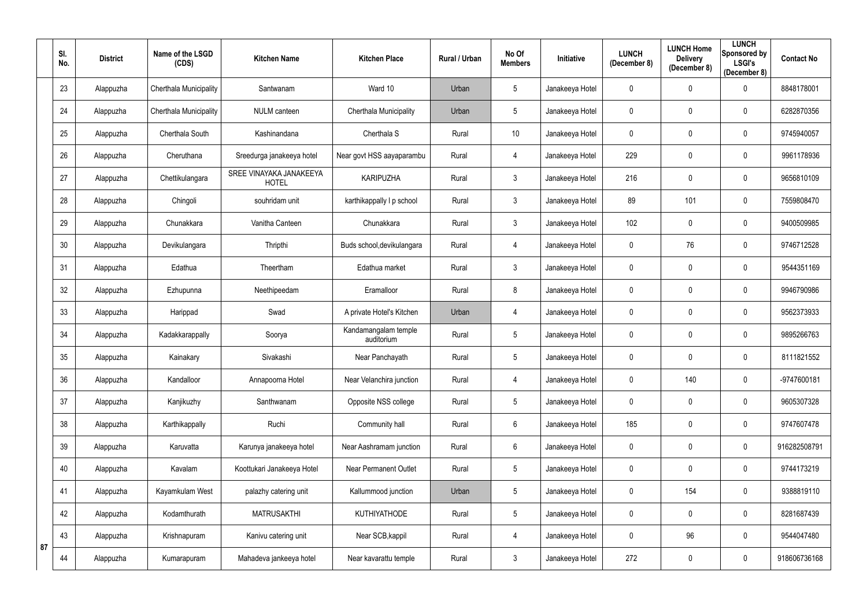|    | SI.<br>No. | <b>District</b> | Name of the LSGD<br>(CDS) | <b>Kitchen Name</b>                     | <b>Kitchen Place</b>               | Rural / Urban | No Of<br><b>Members</b> | Initiative      | <b>LUNCH</b><br>(December 8) | <b>LUNCH Home</b><br><b>Delivery</b><br>(December 8) | <b>LUNCH</b><br>Sponsored by<br><b>LSGI's</b><br>(December 8) | <b>Contact No</b> |
|----|------------|-----------------|---------------------------|-----------------------------------------|------------------------------------|---------------|-------------------------|-----------------|------------------------------|------------------------------------------------------|---------------------------------------------------------------|-------------------|
|    | 23         | Alappuzha       | Cherthala Municipality    | Santwanam                               | Ward 10                            | Urban         | $5\phantom{.0}$         | Janakeeya Hotel | 0                            | $\mathbf 0$                                          | $\mathbf 0$                                                   | 8848178001        |
|    | 24         | Alappuzha       | Cherthala Municipality    | <b>NULM</b> canteen                     | Cherthala Municipality             | Urban         | $5\phantom{.0}$         | Janakeeya Hotel | 0                            | $\mathbf 0$                                          | $\mathbf 0$                                                   | 6282870356        |
|    | 25         | Alappuzha       | Cherthala South           | Kashinandana                            | Cherthala S                        | Rural         | 10 <sup>°</sup>         | Janakeeya Hotel | 0                            | $\mathbf 0$                                          | $\overline{0}$                                                | 9745940057        |
|    | 26         | Alappuzha       | Cheruthana                | Sreedurga janakeeya hotel               | Near govt HSS aayaparambu          | Rural         | 4                       | Janakeeya Hotel | 229                          | $\overline{0}$                                       | $\mathbf 0$                                                   | 9961178936        |
|    | 27         | Alappuzha       | Chettikulangara           | SREE VINAYAKA JANAKEEYA<br><b>HOTEL</b> | <b>KARIPUZHA</b>                   | Rural         | $\mathfrak{Z}$          | Janakeeya Hotel | 216                          | $\mathbf 0$                                          | $\overline{0}$                                                | 9656810109        |
|    | 28         | Alappuzha       | Chingoli                  | souhridam unit                          | karthikappally I p school          | Rural         | $\mathfrak{Z}$          | Janakeeya Hotel | 89                           | 101                                                  | $\boldsymbol{0}$                                              | 7559808470        |
|    | 29         | Alappuzha       | Chunakkara                | Vanitha Canteen                         | Chunakkara                         | Rural         | $\mathfrak{Z}$          | Janakeeya Hotel | 102                          | $\mathbf 0$                                          | $\mathbf 0$                                                   | 9400509985        |
|    | 30         | Alappuzha       | Devikulangara             | Thripthi                                | Buds school, devikulangara         | Rural         | 4                       | Janakeeya Hotel | 0                            | 76                                                   | $\mathbf 0$                                                   | 9746712528        |
|    | 31         | Alappuzha       | Edathua                   | Theertham                               | Edathua market                     | Rural         | $\mathbf{3}$            | Janakeeya Hotel | 0                            | $\mathbf 0$                                          | $\mathbf 0$                                                   | 9544351169        |
|    | 32         | Alappuzha       | Ezhupunna                 | Neethipeedam                            | Eramalloor                         | Rural         | 8                       | Janakeeya Hotel | $\mathbf 0$                  | $\mathbf 0$                                          | $\mathbf 0$                                                   | 9946790986        |
|    | 33         | Alappuzha       | Harippad                  | Swad                                    | A private Hotel's Kitchen          | Urban         | 4                       | Janakeeya Hotel | 0                            | $\mathbf 0$                                          | $\mathbf 0$                                                   | 9562373933        |
|    | 34         | Alappuzha       | Kadakkarappally           | Soorya                                  | Kandamangalam temple<br>auditorium | Rural         | $5\phantom{.0}$         | Janakeeya Hotel | 0                            | $\mathbf 0$                                          | $\overline{0}$                                                | 9895266763        |
|    | 35         | Alappuzha       | Kainakary                 | Sivakashi                               | Near Panchayath                    | Rural         | $5\phantom{.0}$         | Janakeeya Hotel | 0                            | $\mathbf 0$                                          | $\mathbf 0$                                                   | 8111821552        |
|    | 36         | Alappuzha       | Kandalloor                | Annapoorna Hotel                        | Near Velanchira junction           | Rural         | 4                       | Janakeeya Hotel | 0                            | 140                                                  | $\overline{0}$                                                | -9747600181       |
|    | 37         | Alappuzha       | Kanjikuzhy                | Santhwanam                              | Opposite NSS college               | Rural         | $5\phantom{.0}$         | Janakeeya Hotel | $\mathbf 0$                  | $\mathbf 0$                                          | $\overline{0}$                                                | 9605307328        |
|    | 38         | Alappuzha       | Karthikappally            | Ruchi                                   | Community hall                     | Rural         | $6\,$                   | Janakeeya Hotel | 185                          | $\mathbf 0$                                          | $\mathbf 0$                                                   | 9747607478        |
|    | 39         | Alappuzha       | Karuvatta                 | Karunya janakeeya hotel                 | Near Aashramam junction            | Rural         | $6\phantom{.}$          | Janakeeya Hotel | 0                            | $\mathbf 0$                                          | $\mathbf 0$                                                   | 916282508791      |
|    | 40         | Alappuzha       | Kavalam                   | Koottukari Janakeeya Hotel              | <b>Near Permanent Outlet</b>       | Rural         | $5\phantom{.0}$         | Janakeeya Hotel | $\mathbf 0$                  | $\mathbf 0$                                          | $\mathbf 0$                                                   | 9744173219        |
|    | 41         | Alappuzha       | Kayamkulam West           | palazhy catering unit                   | Kallummood junction                | Urban         | $5\phantom{.0}$         | Janakeeya Hotel | $\mathbf 0$                  | 154                                                  | $\overline{0}$                                                | 9388819110        |
|    | 42         | Alappuzha       | Kodamthurath              | <b>MATRUSAKTHI</b>                      | KUTHIYATHODE                       | Rural         | $\overline{5}$          | Janakeeya Hotel | 0                            | $\mathbf 0$                                          | $\mathbf 0$                                                   | 8281687439        |
| 87 | 43         | Alappuzha       | Krishnapuram              | Kanivu catering unit                    | Near SCB, kappil                   | Rural         | 4                       | Janakeeya Hotel | $\pmb{0}$                    | 96                                                   | $\mathbf 0$                                                   | 9544047480        |
|    | 44         | Alappuzha       | Kumarapuram               | Mahadeva jankeeya hotel                 | Near kavarattu temple              | Rural         | $\mathfrak{Z}$          | Janakeeya Hotel | 272                          | $\overline{0}$                                       | $\mathbf 0$                                                   | 918606736168      |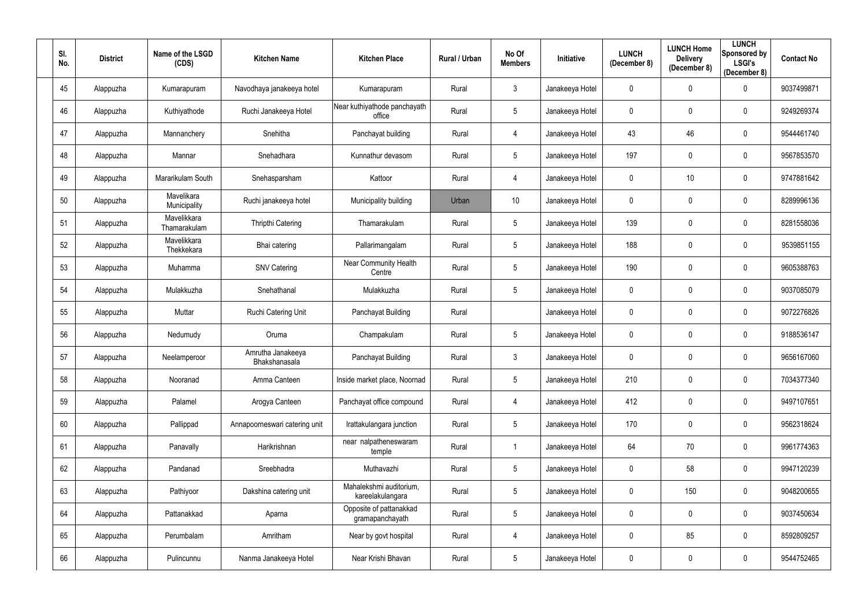| SI.<br>No. | <b>District</b> | Name of the LSGD<br>(CDS)   | <b>Kitchen Name</b>                | <b>Kitchen Place</b>                        | Rural / Urban | No Of<br><b>Members</b> | Initiative      | <b>LUNCH</b><br>(December 8) | <b>LUNCH Home</b><br><b>Delivery</b><br>(December 8) | <b>LUNCH</b><br><b>Sponsored by</b><br><b>LSGI's</b><br>(December 8) | <b>Contact No</b> |
|------------|-----------------|-----------------------------|------------------------------------|---------------------------------------------|---------------|-------------------------|-----------------|------------------------------|------------------------------------------------------|----------------------------------------------------------------------|-------------------|
| 45         | Alappuzha       | Kumarapuram                 | Navodhaya janakeeya hotel          | Kumarapuram                                 | Rural         | $\mathbf{3}$            | Janakeeya Hotel | 0                            | $\boldsymbol{0}$                                     | 0                                                                    | 9037499871        |
| 46         | Alappuzha       | Kuthiyathode                | Ruchi Janakeeya Hotel              | Near kuthiyathode panchayath<br>office      | Rural         | 5                       | Janakeeya Hotel | 0                            | $\mathbf 0$                                          | 0                                                                    | 9249269374        |
| 47         | Alappuzha       | Mannanchery                 | Snehitha                           | Panchayat building                          | Rural         | 4                       | Janakeeya Hotel | 43                           | 46                                                   | $\mathbf 0$                                                          | 9544461740        |
| 48         | Alappuzha       | Mannar                      | Snehadhara                         | Kunnathur devasom                           | Rural         | 5                       | Janakeeya Hotel | 197                          | $\mathbf 0$                                          | $\mathbf 0$                                                          | 9567853570        |
| 49         | Alappuzha       | Mararikulam South           | Snehasparsham                      | Kattoor                                     | Rural         | 4                       | Janakeeya Hotel | 0                            | 10                                                   | $\mathbf 0$                                                          | 9747881642        |
| 50         | Alappuzha       | Mavelikara<br>Municipality  | Ruchi janakeeya hotel              | Municipality building                       | Urban         | 10 <sup>°</sup>         | Janakeeya Hotel | 0                            | $\mathbf 0$                                          | 0                                                                    | 8289996136        |
| 51         | Alappuzha       | Mavelikkara<br>Thamarakulam | <b>Thripthi Catering</b>           | Thamarakulam                                | Rural         | 5                       | Janakeeya Hotel | 139                          | $\mathbf 0$                                          | $\mathbf 0$                                                          | 8281558036        |
| 52         | Alappuzha       | Mavelikkara<br>Thekkekara   | Bhai catering                      | Pallarimangalam                             | Rural         | 5                       | Janakeeya Hotel | 188                          | $\mathbf 0$                                          | $\mathbf 0$                                                          | 9539851155        |
| 53         | Alappuzha       | Muhamma                     | <b>SNV Catering</b>                | Near Community Health<br>Centre             | Rural         | 5                       | Janakeeya Hotel | 190                          | $\mathbf 0$                                          | $\mathbf 0$                                                          | 9605388763        |
| 54         | Alappuzha       | Mulakkuzha                  | Snehathanal                        | Mulakkuzha                                  | Rural         | 5                       | Janakeeya Hotel | 0                            | $\mathbf 0$                                          | $\mathbf 0$                                                          | 9037085079        |
| 55         | Alappuzha       | Muttar                      | Ruchi Catering Unit                | Panchayat Building                          | Rural         |                         | Janakeeya Hotel | 0                            | $\mathbf 0$                                          | 0                                                                    | 9072276826        |
| 56         | Alappuzha       | Nedumudy                    | Oruma                              | Champakulam                                 | Rural         | 5                       | Janakeeya Hotel | 0                            | $\mathbf 0$                                          | $\mathbf 0$                                                          | 9188536147        |
| 57         | Alappuzha       | Neelamperoor                | Amrutha Janakeeya<br>Bhakshanasala | Panchayat Building                          | Rural         | 3                       | Janakeeya Hotel | 0                            | $\mathbf 0$                                          | 0                                                                    | 9656167060        |
| 58         | Alappuzha       | Nooranad                    | Amma Canteen                       | Inside market place, Noornad                | Rural         | 5                       | Janakeeya Hotel | 210                          | $\mathbf 0$                                          | $\mathbf 0$                                                          | 7034377340        |
| 59         | Alappuzha       | Palamel                     | Arogya Canteen                     | Panchayat office compound                   | Rural         | 4                       | Janakeeya Hotel | 412                          | $\pmb{0}$                                            | $\overline{0}$                                                       | 9497107651        |
| 60         | Alappuzha       | Pallippad                   | Annapoorneswari catering unit      | Irattakulangara junction                    | Rural         | $5\phantom{.0}$         | Janakeeya Hotel | 170                          | $\pmb{0}$                                            | $\mathbf 0$                                                          | 9562318624        |
| 61         | Alappuzha       | Panavally                   | Harikrishnan                       | near nalpatheneswaram<br>temple             | Rural         |                         | Janakeeya Hotel | 64                           | $70\,$                                               | $\mathbf 0$                                                          | 9961774363        |
| 62         | Alappuzha       | Pandanad                    | Sreebhadra                         | Muthavazhi                                  | Rural         | 5                       | Janakeeya Hotel | 0                            | 58                                                   | $\mathbf 0$                                                          | 9947120239        |
| 63         | Alappuzha       | Pathiyoor                   | Dakshina catering unit             | Mahalekshmi auditorium,<br>kareelakulangara | Rural         | $5\phantom{.0}$         | Janakeeya Hotel | 0                            | 150                                                  | $\mathbf 0$                                                          | 9048200655        |
| 64         | Alappuzha       | Pattanakkad                 | Aparna                             | Opposite of pattanakkad<br>gramapanchayath  | Rural         | $5\phantom{.0}$         | Janakeeya Hotel | 0                            | $\pmb{0}$                                            | $\overline{0}$                                                       | 9037450634        |
| 65         | Alappuzha       | Perumbalam                  | Amritham                           | Near by govt hospital                       | Rural         | 4                       | Janakeeya Hotel | 0                            | 85                                                   | $\mathbf 0$                                                          | 8592809257        |
| 66         | Alappuzha       | Pulincunnu                  | Nanma Janakeeya Hotel              | Near Krishi Bhavan                          | Rural         | $5\phantom{.0}$         | Janakeeya Hotel | 0                            | $\boldsymbol{0}$                                     | $\boldsymbol{0}$                                                     | 9544752465        |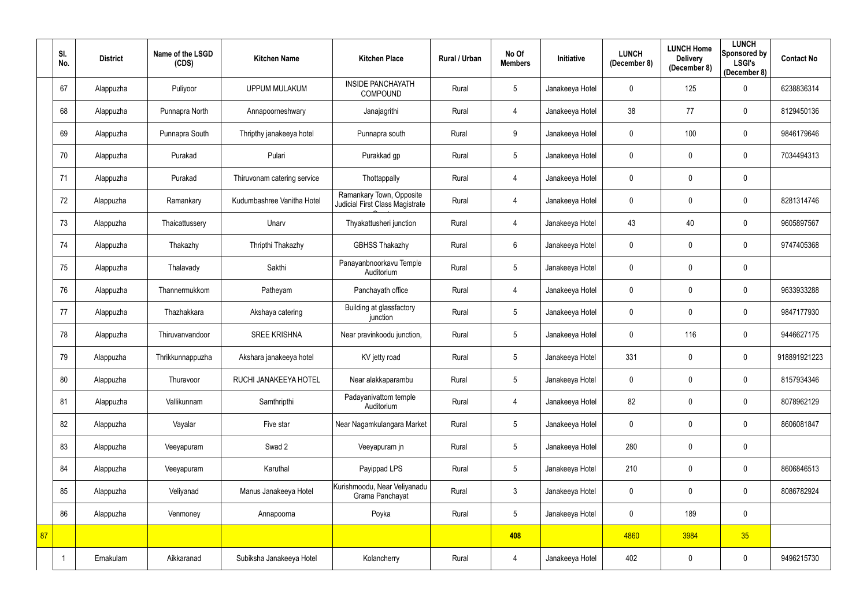|    | SI.<br>No. | <b>District</b> | Name of the LSGD<br>(CDS) | <b>Kitchen Name</b>         | <b>Kitchen Place</b>                                        | <b>Rural / Urban</b> | No Of<br><b>Members</b> | Initiative      | <b>LUNCH</b><br>(December 8) | <b>LUNCH Home</b><br><b>Delivery</b><br>(December 8) | <b>LUNCH</b><br>Sponsored by<br><b>LSGI's</b><br>(December 8) | <b>Contact No</b> |
|----|------------|-----------------|---------------------------|-----------------------------|-------------------------------------------------------------|----------------------|-------------------------|-----------------|------------------------------|------------------------------------------------------|---------------------------------------------------------------|-------------------|
|    | 67         | Alappuzha       | Puliyoor                  | <b>UPPUM MULAKUM</b>        | <b>INSIDE PANCHAYATH</b><br><b>COMPOUND</b>                 | Rural                | $5\,$                   | Janakeeya Hotel | $\mathbf 0$                  | 125                                                  | $\mathbf 0$                                                   | 6238836314        |
|    | 68         | Alappuzha       | Punnapra North            | Annapoorneshwary            | Janajagrithi                                                | Rural                | 4                       | Janakeeya Hotel | 38                           | 77                                                   | $\mathbf 0$                                                   | 8129450136        |
|    | 69         | Alappuzha       | Punnapra South            | Thripthy janakeeya hotel    | Punnapra south                                              | Rural                | 9                       | Janakeeya Hotel | $\mathbf 0$                  | 100                                                  | $\pmb{0}$                                                     | 9846179646        |
|    | 70         | Alappuzha       | Purakad                   | Pulari                      | Purakkad gp                                                 | Rural                | $\overline{5}$          | Janakeeya Hotel | $\mathbf 0$                  | $\mathbf 0$                                          | $\mathbf 0$                                                   | 7034494313        |
|    | 71         | Alappuzha       | Purakad                   | Thiruvonam catering service | Thottappally                                                | Rural                | 4                       | Janakeeya Hotel | $\mathbf 0$                  | $\mathbf{0}$                                         | $\pmb{0}$                                                     |                   |
|    | 72         | Alappuzha       | Ramankary                 | Kudumbashree Vanitha Hotel  | Ramankary Town, Opposite<br>Judicial First Class Magistrate | Rural                | 4                       | Janakeeya Hotel | 0                            | $\mathbf 0$                                          | $\mathbf 0$                                                   | 8281314746        |
|    | 73         | Alappuzha       | Thaicattussery            | Unarv                       | Thyakattusheri junction                                     | Rural                | 4                       | Janakeeya Hotel | 43                           | 40                                                   | $\mathbf 0$                                                   | 9605897567        |
|    | 74         | Alappuzha       | Thakazhy                  | Thripthi Thakazhy           | <b>GBHSS Thakazhy</b>                                       | Rural                | $6\,$                   | Janakeeya Hotel | $\mathbf 0$                  | $\mathbf 0$                                          | $\mathbf 0$                                                   | 9747405368        |
|    | 75         | Alappuzha       | Thalavady                 | Sakthi                      | Panayanbnoorkavu Temple<br>Auditorium                       | Rural                | $\overline{5}$          | Janakeeya Hotel | $\mathbf 0$                  | $\mathbf 0$                                          | $\pmb{0}$                                                     |                   |
|    | 76         | Alappuzha       | Thannermukkom             | Patheyam                    | Panchayath office                                           | Rural                | 4                       | Janakeeya Hotel | $\mathbf 0$                  | $\mathbf 0$                                          | $\pmb{0}$                                                     | 9633933288        |
|    | 77         | Alappuzha       | Thazhakkara               | Akshaya catering            | Building at glassfactory<br>junction                        | Rural                | $\overline{5}$          | Janakeeya Hotel | $\mathbf 0$                  | $\mathbf 0$                                          | $\mathbf 0$                                                   | 9847177930        |
|    | 78         | Alappuzha       | Thiruvanvandoor           | <b>SREE KRISHNA</b>         | Near pravinkoodu junction,                                  | Rural                | $\overline{5}$          | Janakeeya Hotel | $\mathbf 0$                  | 116                                                  | $\mathbf 0$                                                   | 9446627175        |
|    | 79         | Alappuzha       | Thrikkunnappuzha          | Akshara janakeeya hotel     | KV jetty road                                               | Rural                | $5\phantom{.0}$         | Janakeeya Hotel | 331                          | $\mathbf 0$                                          | $\mathbf 0$                                                   | 918891921223      |
|    | 80         | Alappuzha       | Thuravoor                 | RUCHI JANAKEEYA HOTEL       | Near alakkaparambu                                          | Rural                | $\sqrt{5}$              | Janakeeya Hotel | $\mathbf 0$                  | $\mathbf 0$                                          | $\mathbf 0$                                                   | 8157934346        |
|    | 81         | Alappuzha       | Vallikunnam               | Samthripthi                 | Padayanivattom temple<br>Auditorium                         | Rural                | 4                       | Janakeeya Hotel | 82                           | $\mathbf 0$                                          | $\mathbf 0$                                                   | 8078962129        |
|    | 82         | Alappuzha       | Vayalar                   | Five star                   | Near Nagamkulangara Market                                  | Rural                | $\sqrt{5}$              | Janakeeya Hotel | 0                            | $\boldsymbol{0}$                                     | $\mathbf 0$                                                   | 8606081847        |
|    | 83         | Alappuzha       | Veeyapuram                | Swad 2                      | Veeyapuram jn                                               | Rural                | $\sqrt{5}$              | Janakeeya Hotel | 280                          | $\mathbf 0$                                          | $\pmb{0}$                                                     |                   |
|    | 84         | Alappuzha       | Veeyapuram                | Karuthal                    | Payippad LPS                                                | Rural                | $\sqrt{5}$              | Janakeeya Hotel | 210                          | $\mathbf 0$                                          | $\mathbf 0$                                                   | 8606846513        |
|    | 85         | Alappuzha       | Veliyanad                 | Manus Janakeeya Hotel       | Kurishmoodu, Near Veliyanadu<br>Grama Panchayat             | Rural                | $\mathfrak{Z}$          | Janakeeya Hotel | 0                            | $\mathbf 0$                                          | $\mathbf 0$                                                   | 8086782924        |
|    | 86         | Alappuzha       | Venmoney                  | Annapoorna                  | Poyka                                                       | Rural                | $5\phantom{.0}$         | Janakeeya Hotel | $\mathbf 0$                  | 189                                                  | $\pmb{0}$                                                     |                   |
| 87 |            |                 |                           |                             |                                                             |                      | 408                     |                 | 4860                         | 3984                                                 | 35                                                            |                   |
|    |            | Ernakulam       | Aikkaranad                | Subiksha Janakeeya Hotel    | Kolancherry                                                 | Rural                | 4                       | Janakeeya Hotel | 402                          | $\boldsymbol{0}$                                     | $\mathbf 0$                                                   | 9496215730        |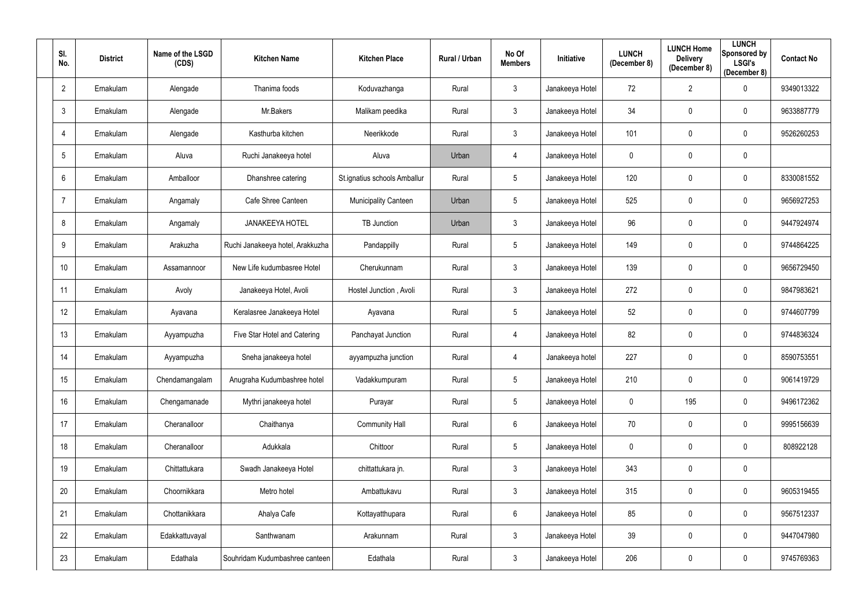| SI.<br>No.     | <b>District</b> | Name of the LSGD<br>(CDS) | <b>Kitchen Name</b>              | <b>Kitchen Place</b>         | <b>Rural / Urban</b> | No Of<br><b>Members</b> | Initiative      | <b>LUNCH</b><br>(December 8) | <b>LUNCH Home</b><br><b>Delivery</b><br>(December 8) | <b>LUNCH</b><br>Sponsored by<br><b>LSGI's</b><br>(December 8) | <b>Contact No</b> |
|----------------|-----------------|---------------------------|----------------------------------|------------------------------|----------------------|-------------------------|-----------------|------------------------------|------------------------------------------------------|---------------------------------------------------------------|-------------------|
| $\overline{2}$ | Ernakulam       | Alengade                  | Thanima foods                    | Koduvazhanga                 | Rural                | $\mathfrak{Z}$          | Janakeeya Hotel | 72                           | $\overline{2}$                                       | $\mathbf 0$                                                   | 9349013322        |
| $\mathbf{3}$   | Ernakulam       | Alengade                  | Mr.Bakers                        | Malikam peedika              | Rural                | $\mathfrak{Z}$          | Janakeeya Hotel | 34                           | $\mathbf 0$                                          | 0                                                             | 9633887779        |
| 4              | Ernakulam       | Alengade                  | Kasthurba kitchen                | Neerikkode                   | Rural                | $\mathbf{3}$            | Janakeeya Hotel | 101                          | $\boldsymbol{0}$                                     | $\mathbf 0$                                                   | 9526260253        |
| 5              | Ernakulam       | Aluva                     | Ruchi Janakeeya hotel            | Aluva                        | Urban                | 4                       | Janakeeya Hotel | 0                            | $\boldsymbol{0}$                                     | $\mathbf 0$                                                   |                   |
| 6              | Ernakulam       | Amballoor                 | Dhanshree catering               | St.ignatius schools Amballur | Rural                | 5                       | Janakeeya Hotel | 120                          | $\boldsymbol{0}$                                     | $\mathbf 0$                                                   | 8330081552        |
| -7             | Ernakulam       | Angamaly                  | Cafe Shree Canteen               | <b>Municipality Canteen</b>  | Urban                | 5                       | Janakeeya Hotel | 525                          | $\mathbf 0$                                          | $\mathbf 0$                                                   | 9656927253        |
| 8              | Ernakulam       | Angamaly                  | <b>JANAKEEYA HOTEL</b>           | <b>TB Junction</b>           | Urban                | $\mathbf{3}$            | Janakeeya Hotel | 96                           | $\mathbf 0$                                          | $\mathbf 0$                                                   | 9447924974        |
| 9              | Ernakulam       | Arakuzha                  | Ruchi Janakeeya hotel, Arakkuzha | Pandappilly                  | Rural                | 5                       | Janakeeya Hotel | 149                          | $\boldsymbol{0}$                                     | $\mathbf 0$                                                   | 9744864225        |
| 10             | Ernakulam       | Assamannoor               | New Life kudumbasree Hotel       | Cherukunnam                  | Rural                | $\mathbf{3}$            | Janakeeya Hotel | 139                          | $\boldsymbol{0}$                                     | $\mathbf 0$                                                   | 9656729450        |
| 11             | Ernakulam       | Avoly                     | Janakeeya Hotel, Avoli           | Hostel Junction, Avoli       | Rural                | $\mathfrak{Z}$          | Janakeeya Hotel | 272                          | $\pmb{0}$                                            | $\mathbf 0$                                                   | 9847983621        |
| 12             | Ernakulam       | Ayavana                   | Keralasree Janakeeya Hotel       | Ayavana                      | Rural                | 5                       | Janakeeya Hotel | 52                           | $\mathbf 0$                                          | $\mathbf 0$                                                   | 9744607799        |
| 13             | Ernakulam       | Ayyampuzha                | Five Star Hotel and Catering     | Panchayat Junction           | Rural                | 4                       | Janakeeya Hotel | 82                           | $\boldsymbol{0}$                                     | $\mathbf 0$                                                   | 9744836324        |
| 14             | Ernakulam       | Ayyampuzha                | Sneha janakeeya hotel            | ayyampuzha junction          | Rural                | 4                       | Janakeeya hotel | 227                          | $\mathbf 0$                                          | 0                                                             | 8590753551        |
| 15             | Ernakulam       | Chendamangalam            | Anugraha Kudumbashree hotel      | Vadakkumpuram                | Rural                | 5                       | Janakeeya Hotel | 210                          | $\mathbf 0$                                          | $\bf{0}$                                                      | 9061419729        |
| 16             | Ernakulam       | Chengamanade              | Mythri janakeeya hotel           | Purayar                      | Rural                | $5\phantom{.0}$         | Janakeeya Hotel | $\mathbf 0$                  | 195                                                  | $\overline{0}$                                                | 9496172362        |
| 17             | Ernakulam       | Cheranalloor              | Chaithanya                       | <b>Community Hall</b>        | Rural                | $6\phantom{.}$          | Janakeeya Hotel | 70                           | $\boldsymbol{0}$                                     | $\mathbf 0$                                                   | 9995156639        |
| 18             | Ernakulam       | Cheranalloor              | Adukkala                         | Chittoor                     | Rural                | 5                       | Janakeeya Hotel | 0                            | $\pmb{0}$                                            | $\mathbf 0$                                                   | 808922128         |
| 19             | Ernakulam       | Chittattukara             | Swadh Janakeeya Hotel            | chittattukara jn.            | Rural                | $\mathfrak{S}$          | Janakeeya Hotel | 343                          | $\pmb{0}$                                            | $\mathbf 0$                                                   |                   |
| 20             | Ernakulam       | Choornikkara              | Metro hotel                      | Ambattukavu                  | Rural                | $\mathbf{3}$            | Janakeeya Hotel | 315                          | $\boldsymbol{0}$                                     | $\overline{0}$                                                | 9605319455        |
| 21             | Ernakulam       | Chottanikkara             | Ahalya Cafe                      | Kottayatthupara              | Rural                | $6\phantom{.}$          | Janakeeya Hotel | 85                           | $\boldsymbol{0}$                                     | $\overline{0}$                                                | 9567512337        |
| 22             | Ernakulam       | Edakkattuvayal            | Santhwanam                       | Arakunnam                    | Rural                | $\mathfrak{Z}$          | Janakeeya Hotel | 39                           | $\pmb{0}$                                            | $\overline{0}$                                                | 9447047980        |
| 23             | Ernakulam       | Edathala                  | Souhridam Kudumbashree canteen   | Edathala                     | Rural                | $\mathfrak{S}$          | Janakeeya Hotel | 206                          | $\boldsymbol{0}$                                     | $\overline{0}$                                                | 9745769363        |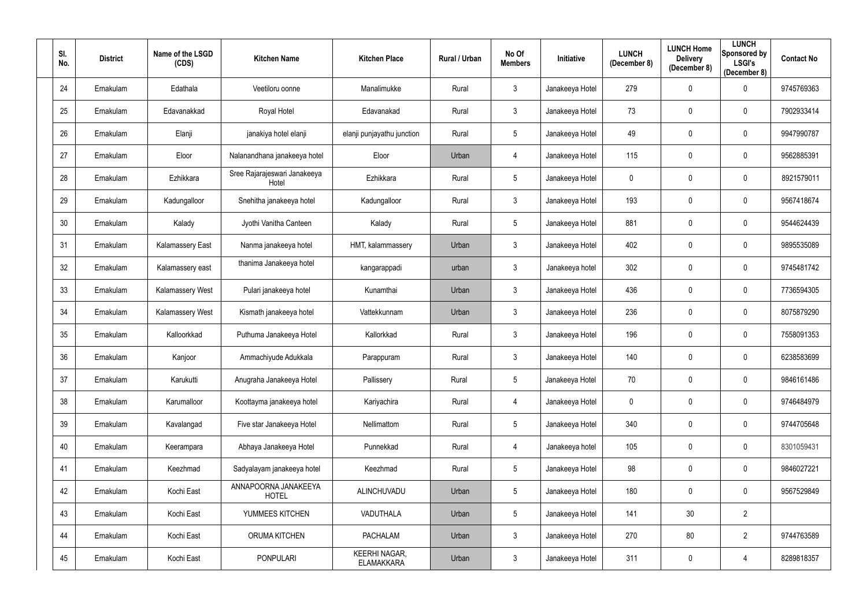| SI.<br>No. | <b>District</b> | Name of the LSGD<br>(CDS) | <b>Kitchen Name</b>                   | <b>Kitchen Place</b>                      | <b>Rural / Urban</b> | No Of<br><b>Members</b> | Initiative      | <b>LUNCH</b><br>(December 8) | <b>LUNCH Home</b><br><b>Delivery</b><br>(December 8) | <b>LUNCH</b><br>Sponsored by<br><b>LSGI's</b><br>(December 8) | <b>Contact No</b> |
|------------|-----------------|---------------------------|---------------------------------------|-------------------------------------------|----------------------|-------------------------|-----------------|------------------------------|------------------------------------------------------|---------------------------------------------------------------|-------------------|
| 24         | Ernakulam       | Edathala                  | Veetiloru oonne                       | Manalimukke                               | Rural                | $\mathfrak{Z}$          | Janakeeya Hotel | 279                          | $\mathbf 0$                                          | $\mathbf 0$                                                   | 9745769363        |
| 25         | Ernakulam       | Edavanakkad               | Royal Hotel                           | Edavanakad                                | Rural                | $\mathfrak{Z}$          | Janakeeya Hotel | 73                           | $\mathbf 0$                                          | $\mathbf 0$                                                   | 7902933414        |
| 26         | Ernakulam       | Elanji                    | janakiya hotel elanji                 | elanji punjayathu junction                | Rural                | 5                       | Janakeeya Hotel | 49                           | $\mathbf 0$                                          | $\mathbf 0$                                                   | 9947990787        |
| 27         | Ernakulam       | Eloor                     | Nalanandhana janakeeya hotel          | Eloor                                     | Urban                | 4                       | Janakeeya Hotel | 115                          | $\boldsymbol{0}$                                     | $\mathbf 0$                                                   | 9562885391        |
| 28         | Ernakulam       | Ezhikkara                 | Sree Rajarajeswari Janakeeya<br>Hotel | Ezhikkara                                 | Rural                | 5                       | Janakeeya Hotel | 0                            | $\mathbf 0$                                          | $\mathbf 0$                                                   | 8921579011        |
| 29         | Ernakulam       | Kadungalloor              | Snehitha janakeeya hotel              | Kadungalloor                              | Rural                | $\mathfrak{Z}$          | Janakeeya Hotel | 193                          | $\mathbf 0$                                          | $\mathbf 0$                                                   | 9567418674        |
| 30         | Ernakulam       | Kalady                    | Jyothi Vanitha Canteen                | Kalady                                    | Rural                | 5                       | Janakeeya Hotel | 881                          | $\mathbf 0$                                          | $\mathbf 0$                                                   | 9544624439        |
| 31         | Ernakulam       | Kalamassery East          | Nanma janakeeya hotel                 | HMT, kalammassery                         | Urban                | $\mathfrak{Z}$          | Janakeeya Hotel | 402                          | $\boldsymbol{0}$                                     | $\mathbf 0$                                                   | 9895535089        |
| 32         | Ernakulam       | Kalamassery east          | thanima Janakeeya hotel               | kangarappadi                              | urban                | $\mathfrak{Z}$          | Janakeeya hotel | 302                          | $\boldsymbol{0}$                                     | $\mathbf 0$                                                   | 9745481742        |
| 33         | Ernakulam       | <b>Kalamassery West</b>   | Pulari janakeeya hotel                | Kunamthai                                 | Urban                | $\mathfrak{Z}$          | Janakeeya Hotel | 436                          | $\pmb{0}$                                            | $\mathbf 0$                                                   | 7736594305        |
| 34         | Ernakulam       | Kalamassery West          | Kismath janakeeya hotel               | Vattekkunnam                              | Urban                | $\mathfrak{Z}$          | Janakeeya Hotel | 236                          | $\mathbf 0$                                          | $\mathbf 0$                                                   | 8075879290        |
| 35         | Ernakulam       | Kalloorkkad               | Puthuma Janakeeya Hotel               | Kallorkkad                                | Rural                | $\mathfrak{Z}$          | Janakeeya Hotel | 196                          | $\mathbf 0$                                          | $\mathbf 0$                                                   | 7558091353        |
| 36         | Ernakulam       | Kanjoor                   | Ammachiyude Adukkala                  | Parappuram                                | Rural                | 3                       | Janakeeya Hotel | 140                          | $\mathbf 0$                                          | 0                                                             | 6238583699        |
| 37         | Ernakulam       | Karukutti                 | Anugraha Janakeeya Hotel              | Pallissery                                | Rural                | 5                       | Janakeeya Hotel | 70                           | $\mathbf 0$                                          | $\mathbf 0$                                                   | 9846161486        |
| 38         | Ernakulam       | Karumalloor               | Koottayma janakeeya hotel             | Kariyachira                               | Rural                | 4                       | Janakeeya Hotel | $\mathbf 0$                  | $\pmb{0}$                                            | $\mathbf 0$                                                   | 9746484979        |
| 39         | Ernakulam       | Kavalangad                | Five star Janakeeya Hotel             | Nellimattom                               | Rural                | 5                       | Janakeeya Hotel | 340                          | $\pmb{0}$                                            | $\mathbf 0$                                                   | 9744705648        |
| 40         | Ernakulam       | Keerampara                | Abhaya Janakeeya Hotel                | Punnekkad                                 | Rural                | 4                       | Janakeeya hotel | 105                          | $\pmb{0}$                                            | $\mathbf 0$                                                   | 8301059431        |
| 41         | Ernakulam       | Keezhmad                  | Sadyalayam janakeeya hotel            | Keezhmad                                  | Rural                | 5                       | Janakeeya Hotel | 98                           | $\pmb{0}$                                            | $\mathbf 0$                                                   | 9846027221        |
| 42         | Ernakulam       | Kochi East                | ANNAPOORNA JANAKEEYA<br><b>HOTEL</b>  | ALINCHUVADU                               | Urban                | 5                       | Janakeeya Hotel | 180                          | $\boldsymbol{0}$                                     | $\mathbf 0$                                                   | 9567529849        |
| 43         | Ernakulam       | Kochi East                | YUMMEES KITCHEN                       | VADUTHALA                                 | Urban                | 5                       | Janakeeya Hotel | 141                          | 30                                                   | $\overline{2}$                                                |                   |
| 44         | Ernakulam       | Kochi East                | <b>ORUMA KITCHEN</b>                  | <b>PACHALAM</b>                           | Urban                | $\mathfrak{Z}$          | Janakeeya Hotel | 270                          | 80                                                   | $\overline{2}$                                                | 9744763589        |
| 45         | Ernakulam       | Kochi East                | <b>PONPULARI</b>                      | <b>KEERHI NAGAR,</b><br><b>ELAMAKKARA</b> | Urban                | $\mathfrak{S}$          | Janakeeya Hotel | 311                          | $\boldsymbol{0}$                                     | $\overline{4}$                                                | 8289818357        |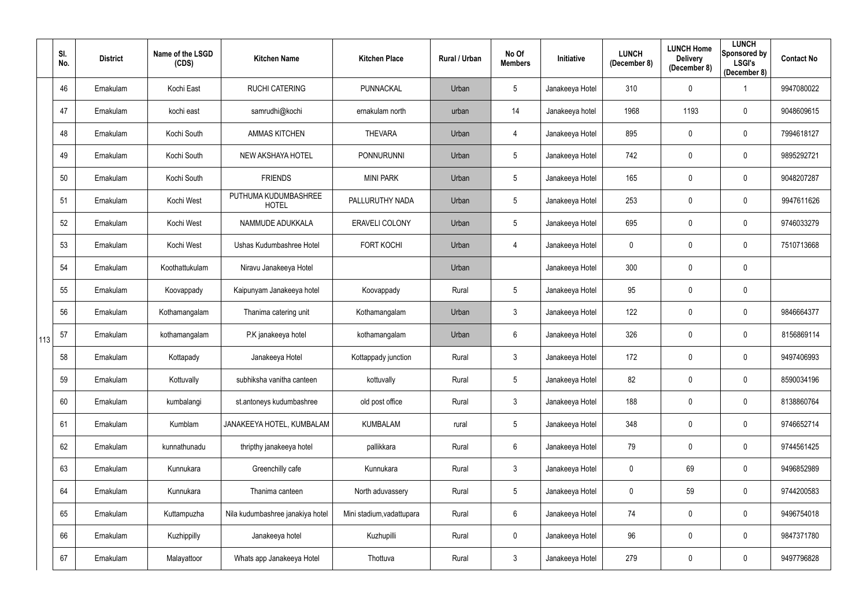|     | SI.<br>No. | <b>District</b> | Name of the LSGD<br>(CDS) | <b>Kitchen Name</b>                  | <b>Kitchen Place</b>      | Rural / Urban | No Of<br><b>Members</b> | Initiative      | <b>LUNCH</b><br>(December 8) | <b>LUNCH Home</b><br><b>Delivery</b><br>(December 8) | <b>LUNCH</b><br>Sponsored by<br><b>LSGI's</b><br>(December 8) | <b>Contact No</b> |
|-----|------------|-----------------|---------------------------|--------------------------------------|---------------------------|---------------|-------------------------|-----------------|------------------------------|------------------------------------------------------|---------------------------------------------------------------|-------------------|
|     | 46         | Ernakulam       | Kochi East                | <b>RUCHI CATERING</b>                | PUNNACKAL                 | Urban         | $5\phantom{.0}$         | Janakeeya Hotel | 310                          | $\overline{0}$                                       |                                                               | 9947080022        |
|     | 47         | Ernakulam       | kochi east                | samrudhi@kochi                       | ernakulam north           | urban         | 14                      | Janakeeya hotel | 1968                         | 1193                                                 | $\mathbf 0$                                                   | 9048609615        |
|     | 48         | Ernakulam       | Kochi South               | <b>AMMAS KITCHEN</b>                 | <b>THEVARA</b>            | Urban         | 4                       | Janakeeya Hotel | 895                          | $\mathbf 0$                                          | $\overline{0}$                                                | 7994618127        |
|     | 49         | Ernakulam       | Kochi South               | NEW AKSHAYA HOTEL                    | <b>PONNURUNNI</b>         | Urban         | $5\phantom{.0}$         | Janakeeya Hotel | 742                          | $\overline{0}$                                       | $\overline{0}$                                                | 9895292721        |
|     | 50         | Ernakulam       | Kochi South               | <b>FRIENDS</b>                       | <b>MINI PARK</b>          | Urban         | $5\phantom{.0}$         | Janakeeya Hotel | 165                          | $\mathbf 0$                                          | $\overline{0}$                                                | 9048207287        |
|     | 51         | Ernakulam       | Kochi West                | PUTHUMA KUDUMBASHREE<br><b>HOTEL</b> | PALLURUTHY NADA           | Urban         | $5\phantom{.0}$         | Janakeeya Hotel | 253                          | $\mathbf 0$                                          | $\boldsymbol{0}$                                              | 9947611626        |
|     | 52         | Ernakulam       | Kochi West                | NAMMUDE ADUKKALA                     | ERAVELI COLONY            | Urban         | $5\phantom{.0}$         | Janakeeya Hotel | 695                          | $\mathbf 0$                                          | $\overline{0}$                                                | 9746033279        |
|     | 53         | Ernakulam       | Kochi West                | Ushas Kudumbashree Hotel             | <b>FORT KOCHI</b>         | Urban         | 4                       | Janakeeya Hotel | 0                            | $\mathbf 0$                                          | $\overline{0}$                                                | 7510713668        |
|     | 54         | Ernakulam       | Koothattukulam            | Niravu Janakeeya Hotel               |                           | Urban         |                         | Janakeeya Hotel | 300                          | $\mathbf 0$                                          | $\overline{0}$                                                |                   |
|     | 55         | Ernakulam       | Koovappady                | Kaipunyam Janakeeya hotel            | Koovappady                | Rural         | $5\phantom{.0}$         | Janakeeya Hotel | 95                           | $\mathbf 0$                                          | $\boldsymbol{0}$                                              |                   |
|     | 56         | Ernakulam       | Kothamangalam             | Thanima catering unit                | Kothamangalam             | Urban         | $\mathbf{3}$            | Janakeeya Hotel | 122                          | $\mathbf 0$                                          | $\overline{0}$                                                | 9846664377        |
| 113 | 57         | Ernakulam       | kothamangalam             | P.K janakeeya hotel                  | kothamangalam             | Urban         | $6\phantom{.}$          | Janakeeya Hotel | 326                          | $\mathbf 0$                                          | $\overline{0}$                                                | 8156869114        |
|     | 58         | Ernakulam       | Kottapady                 | Janakeeya Hotel                      | Kottappady junction       | Rural         | $\mathbf{3}$            | Janakeeya Hotel | 172                          | $\mathbf 0$                                          | $\mathbf 0$                                                   | 9497406993        |
|     | 59         | Ernakulam       | Kottuvally                | subhiksha vanitha canteen            | kottuvally                | Rural         | $5\phantom{.0}$         | Janakeeya Hotel | 82                           | $\mathbf 0$                                          | $\mathbf 0$                                                   | 8590034196        |
|     | 60         | Ernakulam       | kumbalangi                | st.antoneys kudumbashree             | old post office           | Rural         | $\mathfrak{Z}$          | Janakeeya Hotel | 188                          | $\pmb{0}$                                            | $\overline{0}$                                                | 8138860764        |
|     | 61         | Ernakulam       | Kumblam                   | JANAKEEYA HOTEL, KUMBALAM            | <b>KUMBALAM</b>           | rural         | $\overline{5}$          | Janakeeya Hotel | 348                          | $\mathbf 0$                                          | $\mathbf 0$                                                   | 9746652714        |
|     | 62         | Ernakulam       | kunnathunadu              | thripthy janakeeya hotel             | pallikkara                | Rural         | $6\phantom{.0}$         | Janakeeya Hotel | 79                           | $\mathbf 0$                                          | $\mathbf 0$                                                   | 9744561425        |
|     | 63         | Ernakulam       | Kunnukara                 | Greenchilly cafe                     | Kunnukara                 | Rural         | $\mathfrak{Z}$          | Janakeeya Hotel | $\mathbf 0$                  | 69                                                   | $\mathbf 0$                                                   | 9496852989        |
|     | 64         | Ernakulam       | Kunnukara                 | Thanima canteen                      | North aduvassery          | Rural         | $5\phantom{.0}$         | Janakeeya Hotel | $\mathbf 0$                  | 59                                                   | $\overline{0}$                                                | 9744200583        |
|     | 65         | Ernakulam       | Kuttampuzha               | Nila kudumbashree janakiya hotel     | Mini stadium, vadattupara | Rural         | $6\phantom{.}$          | Janakeeya Hotel | 74                           | $\mathbf 0$                                          | $\mathbf 0$                                                   | 9496754018        |
|     | 66         | Ernakulam       | Kuzhippilly               | Janakeeya hotel                      | Kuzhupilli                | Rural         | $\mathbf 0$             | Janakeeya Hotel | 96                           | $\overline{0}$                                       | $\mathbf 0$                                                   | 9847371780        |
|     | 67         | Ernakulam       | Malayattoor               | Whats app Janakeeya Hotel            | Thottuva                  | Rural         | $\mathfrak{Z}$          | Janakeeya Hotel | 279                          | $\mathbf 0$                                          | $\overline{0}$                                                | 9497796828        |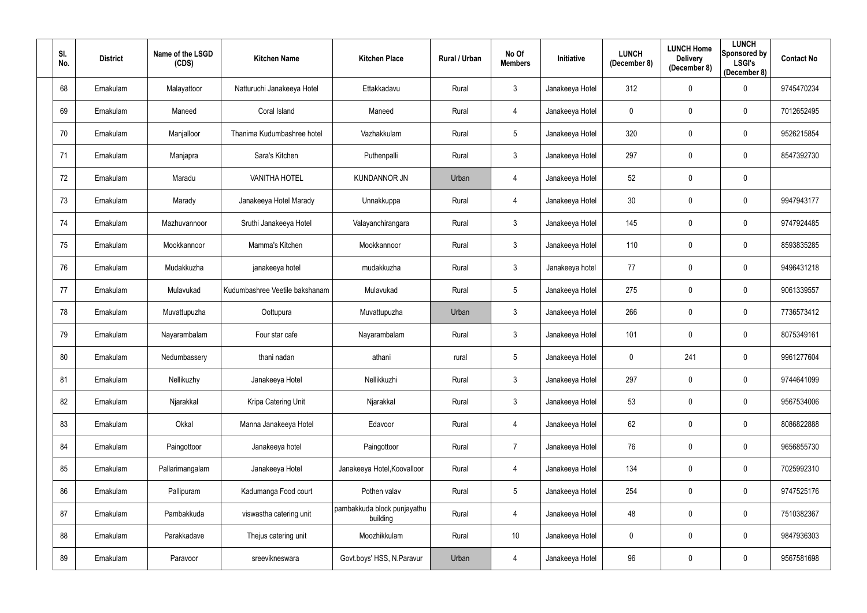| SI.<br>No. | <b>District</b> | Name of the LSGD<br>(CDS) | <b>Kitchen Name</b>            | <b>Kitchen Place</b>                    | <b>Rural / Urban</b> | No Of<br><b>Members</b> | Initiative      | <b>LUNCH</b><br>(December 8) | <b>LUNCH Home</b><br><b>Delivery</b><br>(December 8) | <b>LUNCH</b><br>Sponsored by<br><b>LSGI's</b><br>(December 8) | <b>Contact No</b> |
|------------|-----------------|---------------------------|--------------------------------|-----------------------------------------|----------------------|-------------------------|-----------------|------------------------------|------------------------------------------------------|---------------------------------------------------------------|-------------------|
| 68         | Ernakulam       | Malayattoor               | Natturuchi Janakeeya Hotel     | Ettakkadavu                             | Rural                | $\mathfrak{Z}$          | Janakeeya Hotel | 312                          | $\boldsymbol{0}$                                     | $\mathbf 0$                                                   | 9745470234        |
| 69         | Ernakulam       | Maneed                    | Coral Island                   | Maneed                                  | Rural                | 4                       | Janakeeya Hotel | 0                            | $\mathbf 0$                                          | $\mathbf 0$                                                   | 7012652495        |
| 70         | Ernakulam       | Manjalloor                | Thanima Kudumbashree hotel     | Vazhakkulam                             | Rural                | 5                       | Janakeeya Hotel | 320                          | $\mathbf 0$                                          | $\mathbf 0$                                                   | 9526215854        |
| 71         | Ernakulam       | Manjapra                  | Sara's Kitchen                 | Puthenpalli                             | Rural                | $\mathfrak{Z}$          | Janakeeya Hotel | 297                          | $\boldsymbol{0}$                                     | $\mathbf 0$                                                   | 8547392730        |
| 72         | Ernakulam       | Maradu                    | <b>VANITHA HOTEL</b>           | <b>KUNDANNOR JN</b>                     | Urban                | 4                       | Janakeeya Hotel | 52                           | $\mathbf 0$                                          | $\mathbf 0$                                                   |                   |
| 73         | Ernakulam       | Marady                    | Janakeeya Hotel Marady         | Unnakkuppa                              | Rural                | 4                       | Janakeeya Hotel | 30                           | $\mathbf 0$                                          | $\mathbf 0$                                                   | 9947943177        |
| 74         | Ernakulam       | Mazhuvannoor              | Sruthi Janakeeya Hotel         | Valayanchirangara                       | Rural                | $\mathbf{3}$            | Janakeeya Hotel | 145                          | $\mathbf 0$                                          | $\mathbf 0$                                                   | 9747924485        |
| 75         | Ernakulam       | Mookkannoor               | Mamma's Kitchen                | Mookkannoor                             | Rural                | $\mathfrak{Z}$          | Janakeeya Hotel | 110                          | $\boldsymbol{0}$                                     | $\mathbf 0$                                                   | 8593835285        |
| 76         | Ernakulam       | Mudakkuzha                | janakeeya hotel                | mudakkuzha                              | Rural                | $\mathbf{3}$            | Janakeeya hotel | 77                           | $\boldsymbol{0}$                                     | $\mathbf 0$                                                   | 9496431218        |
| 77         | Ernakulam       | Mulavukad                 | Kudumbashree Veetile bakshanam | Mulavukad                               | Rural                | 5                       | Janakeeya Hotel | 275                          | $\boldsymbol{0}$                                     | $\mathbf 0$                                                   | 9061339557        |
| 78         | Ernakulam       | Muvattupuzha              | Oottupura                      | Muvattupuzha                            | Urban                | $\mathbf{3}$            | Janakeeya Hotel | 266                          | $\mathbf 0$                                          | $\mathbf 0$                                                   | 7736573412        |
| 79         | Ernakulam       | Nayarambalam              | Four star cafe                 | Nayarambalam                            | Rural                | $\mathfrak{Z}$          | Janakeeya Hotel | 101                          | $\mathbf 0$                                          | $\mathbf 0$                                                   | 8075349161        |
| 80         | Ernakulam       | Nedumbassery              | thani nadan                    | athani                                  | rural                | 5                       | Janakeeya Hotel | 0                            | 241                                                  | 0                                                             | 9961277604        |
| 81         | Ernakulam       | Nellikuzhy                | Janakeeya Hotel                | Nellikkuzhi                             | Rural                | $\mathfrak{S}$          | Janakeeya Hotel | 297                          | $\mathbf 0$                                          | $\mathbf 0$                                                   | 9744641099        |
| 82         | Ernakulam       | Njarakkal                 | Kripa Catering Unit            | Njarakkal                               | Rural                | 3 <sup>1</sup>          | Janakeeya Hotel | 53                           | $\pmb{0}$                                            | $\overline{0}$                                                | 9567534006        |
| 83         | Ernakulam       | Okkal                     | Manna Janakeeya Hotel          | Edavoor                                 | Rural                | 4                       | Janakeeya Hotel | 62                           | $\pmb{0}$                                            | $\mathbf 0$                                                   | 8086822888        |
| 84         | Ernakulam       | Paingottoor               | Janakeeya hotel                | Paingottoor                             | Rural                | $\overline{7}$          | Janakeeya Hotel | 76                           | $\pmb{0}$                                            | $\bf{0}$                                                      | 9656855730        |
| 85         | Ernakulam       | Pallarimangalam           | Janakeeya Hotel                | Janakeeya Hotel, Koovalloor             | Rural                | 4                       | Janakeeya Hotel | 134                          | $\pmb{0}$                                            | $\bf{0}$                                                      | 7025992310        |
| 86         | Ernakulam       | Pallipuram                | Kadumanga Food court           | Pothen valav                            | Rural                | 5                       | Janakeeya Hotel | 254                          | $\boldsymbol{0}$                                     | $\mathbf 0$                                                   | 9747525176        |
| 87         | Ernakulam       | Pambakkuda                | viswastha catering unit        | pambakkuda block punjayathu<br>building | Rural                | 4                       | Janakeeya Hotel | 48                           | $\pmb{0}$                                            | $\overline{0}$                                                | 7510382367        |
| 88         | Ernakulam       | Parakkadave               | Thejus catering unit           | Moozhikkulam                            | Rural                | 10                      | Janakeeya Hotel | $\mathbf 0$                  | $\pmb{0}$                                            | $\overline{0}$                                                | 9847936303        |
| 89         | Ernakulam       | Paravoor                  | sreevikneswara                 | Govt.boys' HSS, N.Paravur               | Urban                | 4                       | Janakeeya Hotel | 96                           | $\boldsymbol{0}$                                     | $\bf{0}$                                                      | 9567581698        |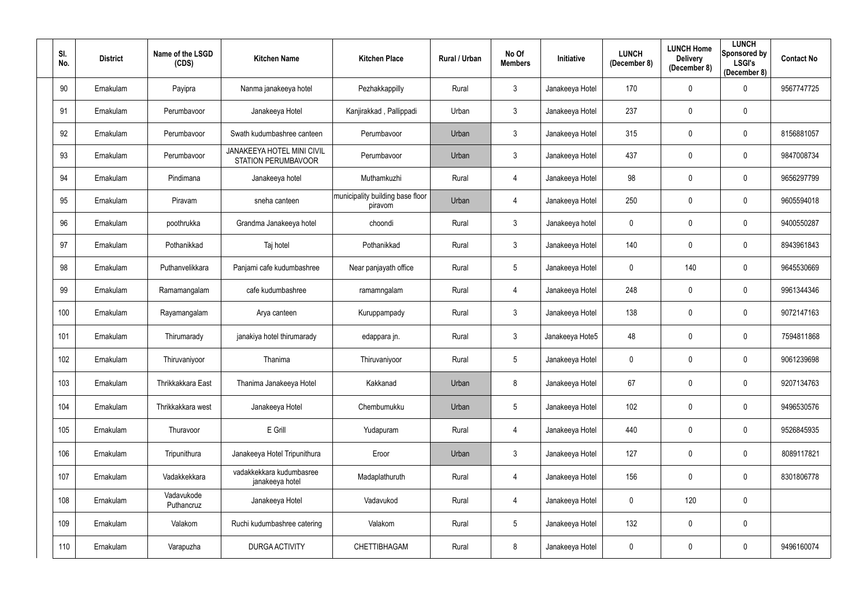| SI.<br>No. | <b>District</b> | Name of the LSGD<br>(CDS) | <b>Kitchen Name</b>                                             | <b>Kitchen Place</b>                        | Rural / Urban | No Of<br><b>Members</b> | Initiative      | <b>LUNCH</b><br>(December 8) | <b>LUNCH Home</b><br><b>Delivery</b><br>(December 8) | <b>LUNCH</b><br>Sponsored by<br><b>LSGI's</b><br>(December 8) | <b>Contact No</b> |
|------------|-----------------|---------------------------|-----------------------------------------------------------------|---------------------------------------------|---------------|-------------------------|-----------------|------------------------------|------------------------------------------------------|---------------------------------------------------------------|-------------------|
| 90         | Ernakulam       | Payipra                   | Nanma janakeeya hotel                                           | Pezhakkappilly                              | Rural         | $\mathfrak{Z}$          | Janakeeya Hotel | 170                          | $\mathbf 0$                                          | $\overline{0}$                                                | 9567747725        |
| 91         | Ernakulam       | Perumbavoor               | Janakeeya Hotel                                                 | Kanjirakkad, Pallippadi                     | Urban         | $\mathfrak{Z}$          | Janakeeya Hotel | 237                          | $\mathbf 0$                                          | $\overline{0}$                                                |                   |
| 92         | Ernakulam       | Perumbavoor               | Swath kudumbashree canteen                                      | Perumbavoor                                 | Urban         | $\mathfrak{Z}$          | Janakeeya Hotel | 315                          | $\mathbf 0$                                          | $\overline{0}$                                                | 8156881057        |
| 93         | Ernakulam       | Perumbavoor               | <b>JANAKEEYA HOTEL MINI CIVIL</b><br><b>STATION PERUMBAVOOR</b> | Perumbavoor                                 | Urban         | $\mathfrak{Z}$          | Janakeeya Hotel | 437                          | $\overline{0}$                                       | $\overline{0}$                                                | 9847008734        |
| 94         | Ernakulam       | Pindimana                 | Janakeeya hotel                                                 | Muthamkuzhi                                 | Rural         | 4                       | Janakeeya Hotel | 98                           | $\mathbf 0$                                          | $\overline{0}$                                                | 9656297799        |
| 95         | Ernakulam       | Piravam                   | sneha canteen                                                   | municipality building base floor<br>piravom | Urban         | 4                       | Janakeeya Hotel | 250                          | $\overline{0}$                                       | $\overline{0}$                                                | 9605594018        |
| 96         | Ernakulam       | poothrukka                | Grandma Janakeeya hotel                                         | choondi                                     | Rural         | $\mathfrak{Z}$          | Janakeeya hotel | 0                            | $\mathbf 0$                                          | $\overline{0}$                                                | 9400550287        |
| 97         | Ernakulam       | Pothanikkad               | Taj hotel                                                       | Pothanikkad                                 | Rural         | $\mathfrak{Z}$          | Janakeeya Hotel | 140                          | $\overline{0}$                                       | $\overline{0}$                                                | 8943961843        |
| 98         | Ernakulam       | Puthanvelikkara           | Panjami cafe kudumbashree                                       | Near panjayath office                       | Rural         | 5                       | Janakeeya Hotel | 0                            | 140                                                  | $\overline{0}$                                                | 9645530669        |
| 99         | Ernakulam       | Ramamangalam              | cafe kudumbashree                                               | ramamngalam                                 | Rural         | 4                       | Janakeeya Hotel | 248                          | $\overline{0}$                                       | $\overline{0}$                                                | 9961344346        |
| 100        | Ernakulam       | Rayamangalam              | Arya canteen                                                    | Kuruppampady                                | Rural         | $\mathfrak{Z}$          | Janakeeya Hotel | 138                          | $\overline{0}$                                       | $\mathbf 0$                                                   | 9072147163        |
| 101        | Ernakulam       | Thirumarady               | janakiya hotel thirumarady                                      | edappara jn.                                | Rural         | $\mathfrak{Z}$          | Janakeeya Hote5 | 48                           | $\overline{0}$                                       | $\overline{0}$                                                | 7594811868        |
| 102        | Ernakulam       | Thiruvaniyoor             | Thanima                                                         | Thiruvaniyoor                               | Rural         | 5                       | Janakeeya Hotel | 0                            | $\mathbf 0$                                          | $\mathbf 0$                                                   | 9061239698        |
| 103        | Ernakulam       | Thrikkakkara East         | Thanima Janakeeya Hotel                                         | Kakkanad                                    | Urban         | 8                       | Janakeeya Hotel | 67                           | $\mathbf 0$                                          | $\mathbf 0$                                                   | 9207134763        |
| 104        | Ernakulam       | Thrikkakkara west         | Janakeeya Hotel                                                 | Chembumukku                                 | Urban         | $5\phantom{.0}$         | Janakeeya Hotel | 102                          | $\mathbf 0$                                          | $\mathbf 0$                                                   | 9496530576        |
| 105        | Ernakulam       | Thuravoor                 | E Grill                                                         | Yudapuram                                   | Rural         | 4                       | Janakeeya Hotel | 440                          | $\mathbf 0$                                          | $\overline{0}$                                                | 9526845935        |
| 106        | Ernakulam       | Tripunithura              | Janakeeya Hotel Tripunithura                                    | Eroor                                       | Urban         | $\mathfrak{Z}$          | Janakeeya Hotel | 127                          | $\mathbf 0$                                          | $\overline{0}$                                                | 8089117821        |
| 107        | Ernakulam       | Vadakkekkara              | vadakkekkara kudumbasree<br>janakeeya hotel                     | Madaplathuruth                              | Rural         | 4                       | Janakeeya Hotel | 156                          | $\mathbf 0$                                          | $\mathbf 0$                                                   | 8301806778        |
| 108        | Ernakulam       | Vadavukode<br>Puthancruz  | Janakeeya Hotel                                                 | Vadavukod                                   | Rural         | 4                       | Janakeeya Hotel | $\pmb{0}$                    | 120                                                  | $\overline{0}$                                                |                   |
| 109        | Ernakulam       | Valakom                   | Ruchi kudumbashree catering                                     | Valakom                                     | Rural         | 5                       | Janakeeya Hotel | 132                          | $\pmb{0}$                                            | $\mathbf 0$                                                   |                   |
| 110        | Ernakulam       | Varapuzha                 | <b>DURGA ACTIVITY</b>                                           | CHETTIBHAGAM                                | Rural         | $8\phantom{.}$          | Janakeeya Hotel | $\pmb{0}$                    | $\boldsymbol{0}$                                     | $\mathbf 0$                                                   | 9496160074        |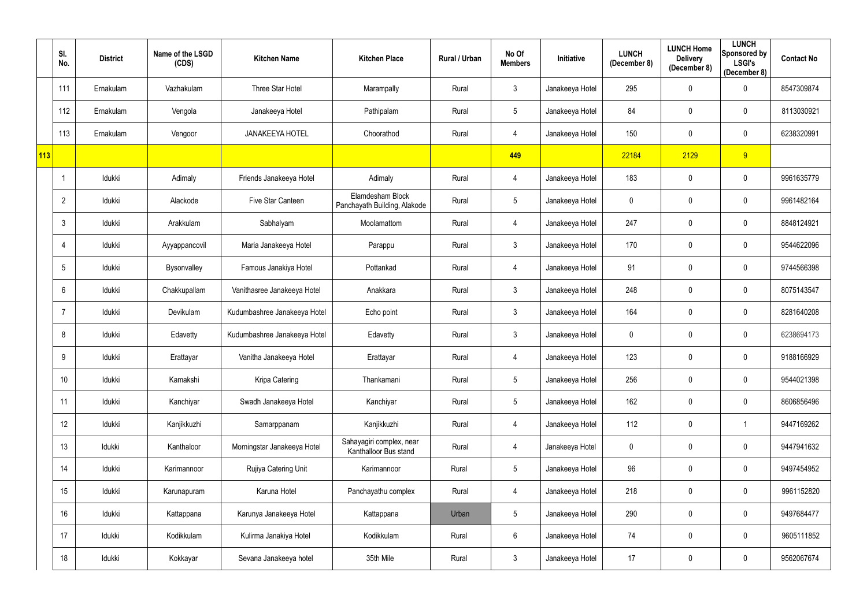|     | SI.<br>No.      | <b>District</b> | Name of the LSGD<br>(CDS) | <b>Kitchen Name</b>          | <b>Kitchen Place</b>                              | Rural / Urban | No Of<br><b>Members</b> | <b>Initiative</b> | <b>LUNCH</b><br>(December 8) | <b>LUNCH Home</b><br><b>Delivery</b><br>(December 8) | <b>LUNCH</b><br>Sponsored by<br><b>LSGI's</b><br>(December 8) | <b>Contact No</b> |
|-----|-----------------|-----------------|---------------------------|------------------------------|---------------------------------------------------|---------------|-------------------------|-------------------|------------------------------|------------------------------------------------------|---------------------------------------------------------------|-------------------|
|     | 111             | Ernakulam       | Vazhakulam                | Three Star Hotel             | Marampally                                        | Rural         | $\mathbf{3}$            | Janakeeya Hotel   | 295                          | $\mathbf 0$                                          | $\mathbf 0$                                                   | 8547309874        |
|     | 112             | Ernakulam       | Vengola                   | Janakeeya Hotel              | Pathipalam                                        | Rural         | $5\phantom{.0}$         | Janakeeya Hotel   | 84                           | $\mathbf 0$                                          | $\mathbf 0$                                                   | 8113030921        |
|     | 113             | Ernakulam       | Vengoor                   | <b>JANAKEEYA HOTEL</b>       | Choorathod                                        | Rural         | 4                       | Janakeeya Hotel   | 150                          | $\mathbf 0$                                          | $\overline{0}$                                                | 6238320991        |
| 113 |                 |                 |                           |                              |                                                   |               | 449                     |                   | 22184                        | 2129                                                 | 9                                                             |                   |
|     |                 | Idukki          | Adimaly                   | Friends Janakeeya Hotel      | Adimaly                                           | Rural         | 4                       | Janakeeya Hotel   | 183                          | $\mathbf 0$                                          | $\overline{0}$                                                | 9961635779        |
|     | $\overline{2}$  | Idukki          | Alackode                  | Five Star Canteen            | Elamdesham Block<br>Panchayath Building, Alakode  | Rural         | $5\phantom{.0}$         | Janakeeya Hotel   | $\mathbf 0$                  | $\mathbf 0$                                          | $\mathbf 0$                                                   | 9961482164        |
|     | 3               | Idukki          | Arakkulam                 | Sabhalyam                    | Moolamattom                                       | Rural         | 4                       | Janakeeya Hotel   | 247                          | $\mathbf 0$                                          | $\mathbf 0$                                                   | 8848124921        |
|     | 4               | Idukki          | Ayyappancovil             | Maria Janakeeya Hotel        | Parappu                                           | Rural         | $\mathfrak{Z}$          | Janakeeya Hotel   | 170                          | $\mathbf 0$                                          | $\mathbf 0$                                                   | 9544622096        |
|     | 5               | Idukki          | Bysonvalley               | Famous Janakiya Hotel        | Pottankad                                         | Rural         | 4                       | Janakeeya Hotel   | 91                           | $\mathbf 0$                                          | $\mathbf 0$                                                   | 9744566398        |
|     | 6               | Idukki          | Chakkupallam              | Vanithasree Janakeeya Hotel  | Anakkara                                          | Rural         | $\mathfrak{Z}$          | Janakeeya Hotel   | 248                          | $\mathbf 0$                                          | $\mathbf 0$                                                   | 8075143547        |
|     |                 | Idukki          | Devikulam                 | Kudumbashree Janakeeya Hotel | Echo point                                        | Rural         | $\mathfrak{Z}$          | Janakeeya Hotel   | 164                          | $\mathbf 0$                                          | $\mathbf 0$                                                   | 8281640208        |
|     | 8               | Idukki          | Edavetty                  | Kudumbashree Janakeeya Hotel | Edavetty                                          | Rural         | $\mathfrak{Z}$          | Janakeeya Hotel   | 0                            | $\mathbf 0$                                          | $\mathbf 0$                                                   | 6238694173        |
|     | 9               | Idukki          | Erattayar                 | Vanitha Janakeeya Hotel      | Erattayar                                         | Rural         | 4                       | Janakeeya Hotel   | 123                          | $\mathbf 0$                                          | $\mathbf 0$                                                   | 9188166929        |
|     | 10 <sup>°</sup> | Idukki          | Kamakshi                  | Kripa Catering               | Thankamani                                        | Rural         | $5\phantom{.0}$         | Janakeeya Hotel   | 256                          | $\mathbf 0$                                          | $\mathbf 0$                                                   | 9544021398        |
|     | 11              | ldukki          | Kanchiyar                 | Swadh Janakeeya Hotel        | Kanchiyar                                         | Rural         | $5\phantom{.0}$         | Janakeeya Hotel   | 162                          | $\mathbf 0$                                          | $\mathbf 0$                                                   | 8606856496        |
|     | 12              | Idukki          | Kanjikkuzhi               | Samarppanam                  | Kanjikkuzhi                                       | Rural         | 4                       | Janakeeya Hotel   | 112                          | $\mathbf 0$                                          |                                                               | 9447169262        |
|     | 13              | Idukki          | Kanthaloor                | Morningstar Janakeeya Hotel  | Sahayagiri complex, near<br>Kanthalloor Bus stand | Rural         | 4                       | Janakeeya Hotel   | $\mathbf 0$                  | $\mathbf 0$                                          | $\mathbf 0$                                                   | 9447941632        |
|     | 14              | Idukki          | Karimannoor               | Rujiya Catering Unit         | Karimannoor                                       | Rural         | $5\phantom{.0}$         | Janakeeya Hotel   | 96                           | $\mathbf 0$                                          | $\mathbf 0$                                                   | 9497454952        |
|     | 15              | Idukki          | Karunapuram               | Karuna Hotel                 | Panchayathu complex                               | Rural         | 4                       | Janakeeya Hotel   | 218                          | $\mathbf 0$                                          | $\overline{0}$                                                | 9961152820        |
|     | 16              | Idukki          | Kattappana                | Karunya Janakeeya Hotel      | Kattappana                                        | Urban         | $5\phantom{.0}$         | Janakeeya Hotel   | 290                          | $\mathbf 0$                                          | $\mathbf 0$                                                   | 9497684477        |
|     | 17              | Idukki          | Kodikkulam                | Kulirma Janakiya Hotel       | Kodikkulam                                        | Rural         | $6\,$                   | Janakeeya Hotel   | 74                           | $\pmb{0}$                                            | $\mathbf 0$                                                   | 9605111852        |
|     | 18              | Idukki          | Kokkayar                  | Sevana Janakeeya hotel       | 35th Mile                                         | Rural         | $\mathfrak{Z}$          | Janakeeya Hotel   | 17                           | $\pmb{0}$                                            | $\overline{0}$                                                | 9562067674        |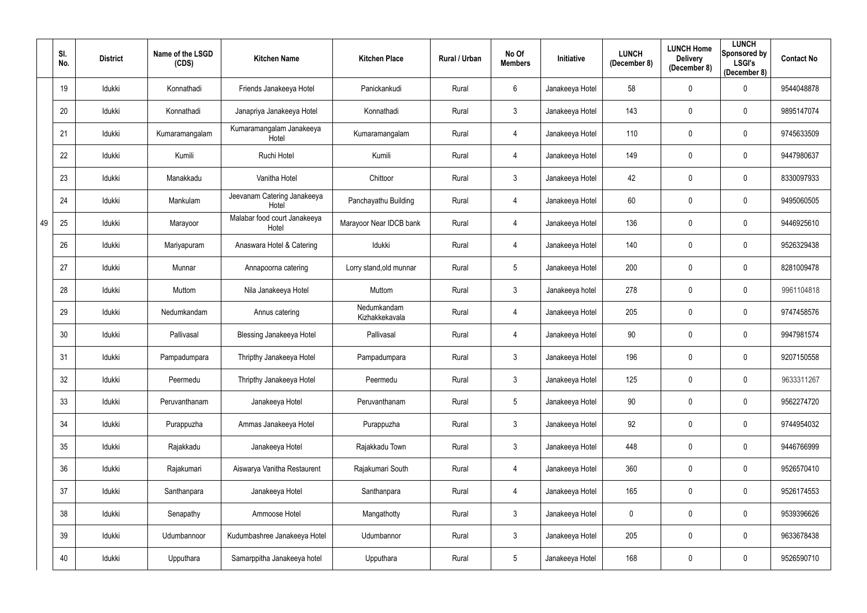|    | SI.<br>No. | <b>District</b> | Name of the LSGD<br>(CDS) | <b>Kitchen Name</b>                   | <b>Kitchen Place</b>          | Rural / Urban | No Of<br><b>Members</b> | <b>Initiative</b> | <b>LUNCH</b><br>(December 8) | <b>LUNCH Home</b><br><b>Delivery</b><br>(December 8) | <b>LUNCH</b><br>Sponsored by<br><b>LSGI's</b><br>(December 8) | <b>Contact No</b> |
|----|------------|-----------------|---------------------------|---------------------------------------|-------------------------------|---------------|-------------------------|-------------------|------------------------------|------------------------------------------------------|---------------------------------------------------------------|-------------------|
|    | 19         | Idukki          | Konnathadi                | Friends Janakeeya Hotel               | Panickankudi                  | Rural         | 6                       | Janakeeya Hotel   | 58                           | $\mathbf 0$                                          | $\mathbf 0$                                                   | 9544048878        |
|    | 20         | Idukki          | Konnathadi                | Janapriya Janakeeya Hotel             | Konnathadi                    | Rural         | $\mathfrak{Z}$          | Janakeeya Hotel   | 143                          | $\mathbf 0$                                          | $\mathbf 0$                                                   | 9895147074        |
|    | 21         | Idukki          | Kumaramangalam            | Kumaramangalam Janakeeya<br>Hotel     | Kumaramangalam                | Rural         | 4                       | Janakeeya Hotel   | 110                          | $\mathbf 0$                                          | $\overline{0}$                                                | 9745633509        |
|    | 22         | Idukki          | Kumili                    | Ruchi Hotel                           | Kumili                        | Rural         | 4                       | Janakeeya Hotel   | 149                          | $\mathbf 0$                                          | $\mathbf 0$                                                   | 9447980637        |
|    | 23         | Idukki          | Manakkadu                 | Vanitha Hotel                         | Chittoor                      | Rural         | $\mathfrak{Z}$          | Janakeeya Hotel   | 42                           | $\mathbf 0$                                          | $\overline{0}$                                                | 8330097933        |
|    | 24         | Idukki          | Mankulam                  | Jeevanam Catering Janakeeya<br>Hotel  | Panchayathu Building          | Rural         | 4                       | Janakeeya Hotel   | 60                           | $\mathbf 0$                                          | $\mathbf 0$                                                   | 9495060505        |
| 49 | 25         | Idukki          | Marayoor                  | Malabar food court Janakeeya<br>Hotel | Marayoor Near IDCB bank       | Rural         | 4                       | Janakeeya Hotel   | 136                          | $\mathbf 0$                                          | $\mathbf 0$                                                   | 9446925610        |
|    | 26         | Idukki          | Mariyapuram               | Anaswara Hotel & Catering             | Idukki                        | Rural         | 4                       | Janakeeya Hotel   | 140                          | $\overline{0}$                                       | $\overline{0}$                                                | 9526329438        |
|    | 27         | Idukki          | Munnar                    | Annapoorna catering                   | Lorry stand, old munnar       | Rural         | $5\phantom{.0}$         | Janakeeya Hotel   | 200                          | $\mathbf 0$                                          | $\mathbf 0$                                                   | 8281009478        |
|    | 28         | Idukki          | Muttom                    | Nila Janakeeya Hotel                  | Muttom                        | Rural         | $\mathfrak{Z}$          | Janakeeya hotel   | 278                          | $\mathbf 0$                                          | $\mathbf 0$                                                   | 9961104818        |
|    | 29         | Idukki          | Nedumkandam               | Annus catering                        | Nedumkandam<br>Kizhakkekavala | Rural         | 4                       | Janakeeya Hotel   | 205                          | $\mathbf 0$                                          | $\mathbf 0$                                                   | 9747458576        |
|    | 30         | Idukki          | Pallivasal                | <b>Blessing Janakeeya Hotel</b>       | Pallivasal                    | Rural         | 4                       | Janakeeya Hotel   | 90                           | $\mathbf 0$                                          | $\overline{0}$                                                | 9947981574        |
|    | 31         | Idukki          | Pampadumpara              | Thripthy Janakeeya Hotel              | Pampadumpara                  | Rural         | $\mathfrak{Z}$          | Janakeeya Hotel   | 196                          | $\mathbf 0$                                          | $\mathbf 0$                                                   | 9207150558        |
|    | 32         | Idukki          | Peermedu                  | Thripthy Janakeeya Hotel              | Peermedu                      | Rural         | $\mathfrak{Z}$          | Janakeeya Hotel   | 125                          | $\mathbf 0$                                          | $\mathbf 0$                                                   | 9633311267        |
|    | 33         | Idukki          | Peruvanthanam             | Janakeeya Hotel                       | Peruvanthanam                 | Rural         | $5\phantom{.0}$         | Janakeeya Hotel   | 90                           | $\mathbf 0$                                          | $\overline{0}$                                                | 9562274720        |
|    | 34         | Idukki          | Purappuzha                | Ammas Janakeeya Hotel                 | Purappuzha                    | Rural         | $\mathfrak{Z}$          | Janakeeya Hotel   | 92                           | $\mathbf 0$                                          | $\mathbf 0$                                                   | 9744954032        |
|    | 35         | Idukki          | Rajakkadu                 | Janakeeya Hotel                       | Rajakkadu Town                | Rural         | $\mathbf{3}$            | Janakeeya Hotel   | 448                          | $\pmb{0}$                                            | $\mathbf 0$                                                   | 9446766999        |
|    | 36         | Idukki          | Rajakumari                | Aiswarya Vanitha Restaurent           | Rajakumari South              | Rural         | 4                       | Janakeeya Hotel   | 360                          | $\mathbf 0$                                          | $\mathbf 0$                                                   | 9526570410        |
|    | 37         | Idukki          | Santhanpara               | Janakeeya Hotel                       | Santhanpara                   | Rural         | 4                       | Janakeeya Hotel   | 165                          | $\mathbf 0$                                          | $\mathbf 0$                                                   | 9526174553        |
|    | 38         | Idukki          | Senapathy                 | Ammoose Hotel                         | Mangathotty                   | Rural         | $\mathfrak{Z}$          | Janakeeya Hotel   | $\mathbf 0$                  | $\mathbf 0$                                          | $\mathbf 0$                                                   | 9539396626        |
|    | 39         | Idukki          | Udumbannoor               | Kudumbashree Janakeeya Hotel          | Udumbannor                    | Rural         | $\mathfrak{Z}$          | Janakeeya Hotel   | 205                          | $\pmb{0}$                                            | $\mathbf 0$                                                   | 9633678438        |
|    | 40         | Idukki          | Upputhara                 | Samarppitha Janakeeya hotel           | Upputhara                     | Rural         | $\sqrt{5}$              | Janakeeya Hotel   | 168                          | $\pmb{0}$                                            | $\mathbf 0$                                                   | 9526590710        |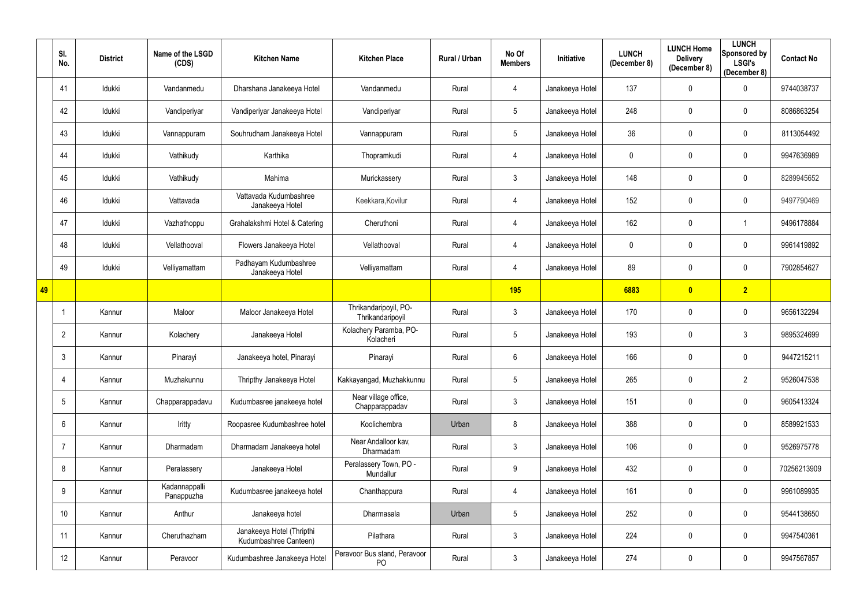|    | SI.<br>No.      | <b>District</b> | Name of the LSGD<br>(CDS)   | <b>Kitchen Name</b>                                | <b>Kitchen Place</b>                      | Rural / Urban | No Of<br><b>Members</b> | <b>Initiative</b> | <b>LUNCH</b><br>(December 8) | <b>LUNCH Home</b><br><b>Delivery</b><br>(December 8) | <b>LUNCH</b><br>Sponsored by<br><b>LSGI's</b><br>(December 8) | <b>Contact No</b> |
|----|-----------------|-----------------|-----------------------------|----------------------------------------------------|-------------------------------------------|---------------|-------------------------|-------------------|------------------------------|------------------------------------------------------|---------------------------------------------------------------|-------------------|
|    | 41              | Idukki          | Vandanmedu                  | Dharshana Janakeeya Hotel                          | Vandanmedu                                | Rural         | 4                       | Janakeeya Hotel   | 137                          | $\mathbf 0$                                          | $\mathbf 0$                                                   | 9744038737        |
|    | 42              | Idukki          | Vandiperiyar                | Vandiperiyar Janakeeya Hotel                       | Vandiperiyar                              | Rural         | $5\phantom{.0}$         | Janakeeya Hotel   | 248                          | $\mathbf 0$                                          | $\mathbf 0$                                                   | 8086863254        |
|    | 43              | Idukki          | Vannappuram                 | Souhrudham Janakeeya Hotel                         | Vannappuram                               | Rural         | $5\phantom{.0}$         | Janakeeya Hotel   | 36                           | $\mathbf{0}$                                         | $\mathbf 0$                                                   | 8113054492        |
|    | 44              | Idukki          | Vathikudy                   | Karthika                                           | Thopramkudi                               | Rural         | 4                       | Janakeeya Hotel   | 0                            | $\mathbf 0$                                          | $\mathbf 0$                                                   | 9947636989        |
|    | 45              | Idukki          | Vathikudy                   | Mahima                                             | Murickassery                              | Rural         | $\mathfrak{Z}$          | Janakeeya Hotel   | 148                          | $\mathbf 0$                                          | $\mathbf 0$                                                   | 8289945652        |
|    | 46              | Idukki          | Vattavada                   | Vattavada Kudumbashree<br>Janakeeya Hotel          | Keekkara, Kovilur                         | Rural         | 4                       | Janakeeya Hotel   | 152                          | $\mathbf 0$                                          | $\mathbf 0$                                                   | 9497790469        |
|    | 47              | Idukki          | Vazhathoppu                 | Grahalakshmi Hotel & Catering                      | Cheruthoni                                | Rural         | 4                       | Janakeeya Hotel   | 162                          | $\mathbf 0$                                          |                                                               | 9496178884        |
|    | 48              | Idukki          | Vellathooval                | Flowers Janakeeya Hotel                            | Vellathooval                              | Rural         | 4                       | Janakeeya Hotel   | 0                            | $\mathbf 0$                                          | $\mathbf 0$                                                   | 9961419892        |
|    | 49              | Idukki          | Velliyamattam               | Padhayam Kudumbashree<br>Janakeeya Hotel           | Velliyamattam                             | Rural         | 4                       | Janakeeya Hotel   | 89                           | $\mathbf 0$                                          | $\mathbf 0$                                                   | 7902854627        |
| 49 |                 |                 |                             |                                                    |                                           |               | <b>195</b>              |                   | 6883                         | $\mathbf{0}$                                         | $\overline{2}$                                                |                   |
|    |                 | Kannur          | Maloor                      | Maloor Janakeeya Hotel                             | Thrikandaripoyil, PO-<br>Thrikandaripoyil | Rural         | $\mathfrak{Z}$          | Janakeeya Hotel   | 170                          | $\mathbf 0$                                          | $\mathbf 0$                                                   | 9656132294        |
|    | $\overline{2}$  | Kannur          | Kolachery                   | Janakeeya Hotel                                    | Kolachery Paramba, PO-<br>Kolacheri       | Rural         | $5\phantom{.0}$         | Janakeeya Hotel   | 193                          | $\mathbf 0$                                          | 3                                                             | 9895324699        |
|    | 3               | Kannur          | Pinarayi                    | Janakeeya hotel, Pinarayi                          | Pinarayi                                  | Rural         | 6                       | Janakeeya Hotel   | 166                          | $\mathbf 0$                                          | $\mathbf 0$                                                   | 9447215211        |
|    | 4               | Kannur          | Muzhakunnu                  | Thripthy Janakeeya Hotel                           | Kakkayangad, Muzhakkunnu                  | Rural         | $5\phantom{.0}$         | Janakeeya Hotel   | 265                          | $\mathbf 0$                                          | $\overline{2}$                                                | 9526047538        |
|    | $5\overline{)}$ | Kannur          | Chapparappadavu             | Kudumbasree janakeeya hotel                        | Near village office,<br>Chapparappadav    | Rural         | $\mathfrak{Z}$          | Janakeeya Hotel   | 151                          | $\mathbf 0$                                          | $\mathbf 0$                                                   | 9605413324        |
|    | 6               | Kannur          | Iritty                      | Roopasree Kudumbashree hotel                       | Koolichembra                              | Urban         | 8                       | Janakeeya Hotel   | 388                          | $\mathbf 0$                                          | $\mathbf 0$                                                   | 8589921533        |
|    | $\overline{7}$  | Kannur          | Dharmadam                   | Dharmadam Janakeeya hotel                          | Near Andalloor kav,<br>Dharmadam          | Rural         | $\mathfrak{Z}$          | Janakeeya Hotel   | 106                          | $\pmb{0}$                                            | $\mathbf 0$                                                   | 9526975778        |
|    | 8               | Kannur          | Peralassery                 | Janakeeya Hotel                                    | Peralassery Town, PO -<br>Mundallur       | Rural         | $9\,$                   | Janakeeya Hotel   | 432                          | $\mathbf 0$                                          | $\mathbf 0$                                                   | 70256213909       |
|    | 9               | Kannur          | Kadannappalli<br>Panappuzha | Kudumbasree janakeeya hotel                        | Chanthappura                              | Rural         | 4                       | Janakeeya Hotel   | 161                          | $\mathbf 0$                                          | $\overline{0}$                                                | 9961089935        |
|    | 10              | Kannur          | Anthur                      | Janakeeya hotel                                    | Dharmasala                                | Urban         | $5\phantom{.0}$         | Janakeeya Hotel   | 252                          | $\mathbf 0$                                          | $\mathbf 0$                                                   | 9544138650        |
|    | 11              | Kannur          | Cheruthazham                | Janakeeya Hotel (Thripthi<br>Kudumbashree Canteen) | Pilathara                                 | Rural         | $\mathbf{3}$            | Janakeeya Hotel   | 224                          | $\pmb{0}$                                            | $\mathbf 0$                                                   | 9947540361        |
|    | 12              | Kannur          | Peravoor                    | Kudumbashree Janakeeya Hotel                       | Peravoor Bus stand, Peravoor<br>PO        | Rural         | $\mathfrak{Z}$          | Janakeeya Hotel   | 274                          | $\pmb{0}$                                            | $\overline{0}$                                                | 9947567857        |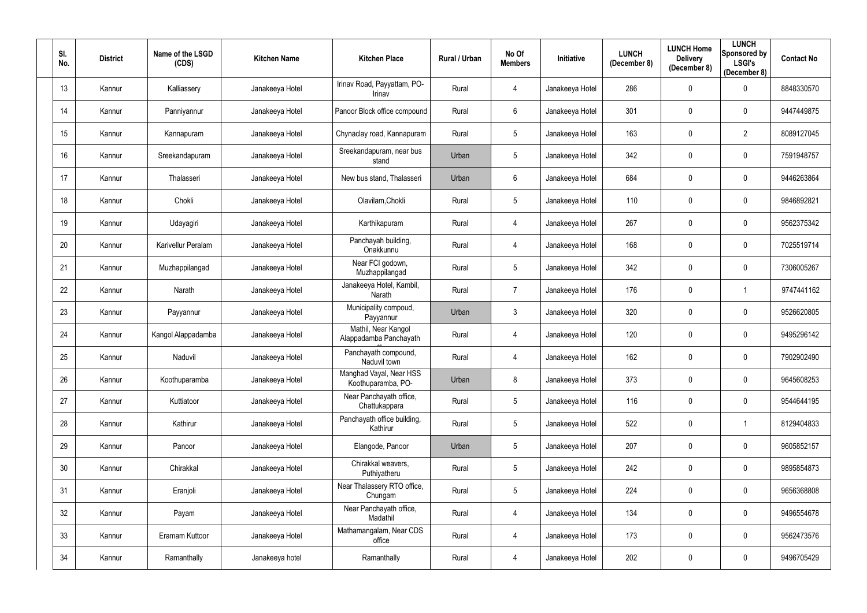| SI.<br>No. | <b>District</b> | Name of the LSGD<br>(CDS) | <b>Kitchen Name</b> | <b>Kitchen Place</b>                          | Rural / Urban | No Of<br><b>Members</b> | Initiative      | <b>LUNCH</b><br>(December 8) | <b>LUNCH Home</b><br><b>Delivery</b><br>(December 8) | <b>LUNCH</b><br>Sponsored by<br><b>LSGI's</b><br>(December 8) | <b>Contact No</b> |
|------------|-----------------|---------------------------|---------------------|-----------------------------------------------|---------------|-------------------------|-----------------|------------------------------|------------------------------------------------------|---------------------------------------------------------------|-------------------|
| 13         | Kannur          | Kalliassery               | Janakeeya Hotel     | Irinav Road, Payyattam, PO-<br>Irinav         | Rural         | 4                       | Janakeeya Hotel | 286                          | $\pmb{0}$                                            | $\mathbf 0$                                                   | 8848330570        |
| 14         | Kannur          | Panniyannur               | Janakeeya Hotel     | Panoor Block office compound                  | Rural         | $6\phantom{.0}$         | Janakeeya Hotel | 301                          | $\mathbf 0$                                          | $\mathbf 0$                                                   | 9447449875        |
| 15         | Kannur          | Kannapuram                | Janakeeya Hotel     | Chynaclay road, Kannapuram                    | Rural         | $5\phantom{.0}$         | Janakeeya Hotel | 163                          | $\pmb{0}$                                            | $\overline{2}$                                                | 8089127045        |
| 16         | Kannur          | Sreekandapuram            | Janakeeya Hotel     | Sreekandapuram, near bus<br>stand             | Urban         | 5                       | Janakeeya Hotel | 342                          | $\mathbf 0$                                          | $\mathbf 0$                                                   | 7591948757        |
| 17         | Kannur          | Thalasseri                | Janakeeya Hotel     | New bus stand, Thalasseri                     | Urban         | 6                       | Janakeeya Hotel | 684                          | $\mathbf 0$                                          | $\mathbf 0$                                                   | 9446263864        |
| 18         | Kannur          | Chokli                    | Janakeeya Hotel     | Olavilam, Chokli                              | Rural         | 5                       | Janakeeya Hotel | 110                          | $\mathbf 0$                                          | $\boldsymbol{0}$                                              | 9846892821        |
| 19         | Kannur          | Udayagiri                 | Janakeeya Hotel     | Karthikapuram                                 | Rural         | 4                       | Janakeeya Hotel | 267                          | $\mathbf 0$                                          | $\mathbf 0$                                                   | 9562375342        |
| 20         | Kannur          | Karivellur Peralam        | Janakeeya Hotel     | Panchayah building,<br>Onakkunnu              | Rural         | 4                       | Janakeeya Hotel | 168                          | $\mathbf 0$                                          | $\mathbf 0$                                                   | 7025519714        |
| 21         | Kannur          | Muzhappilangad            | Janakeeya Hotel     | Near FCI godown,<br>Muzhappilangad            | Rural         | 5                       | Janakeeya Hotel | 342                          | $\mathbf 0$                                          | $\mathbf 0$                                                   | 7306005267        |
| 22         | Kannur          | Narath                    | Janakeeya Hotel     | Janakeeya Hotel, Kambil,<br>Narath            | Rural         | $\overline{7}$          | Janakeeya Hotel | 176                          | $\pmb{0}$                                            |                                                               | 9747441162        |
| 23         | Kannur          | Payyannur                 | Janakeeya Hotel     | Municipality compoud,<br>Payyannur            | Urban         | $\mathfrak{Z}$          | Janakeeya Hotel | 320                          | $\pmb{0}$                                            | $\mathbf 0$                                                   | 9526620805        |
| 24         | Kannur          | Kangol Alappadamba        | Janakeeya Hotel     | Mathil, Near Kangol<br>Alappadamba Panchayath | Rural         | 4                       | Janakeeya Hotel | 120                          | $\mathbf 0$                                          | $\mathbf 0$                                                   | 9495296142        |
| 25         | Kannur          | Naduvil                   | Janakeeya Hotel     | Panchayath compound,<br>Naduvil town          | Rural         | 4                       | Janakeeya Hotel | 162                          | $\mathbf 0$                                          | $\mathbf 0$                                                   | 7902902490        |
| 26         | Kannur          | Koothuparamba             | Janakeeya Hotel     | Manghad Vayal, Near HSS<br>Koothuparamba, PO- | Urban         | 8                       | Janakeeya Hotel | 373                          | $\overline{0}$                                       | $\bf{0}$                                                      | 9645608253        |
| 27         | Kannur          | Kuttiatoor                | Janakeeya Hotel     | Near Panchayath office,<br>Chattukappara      | Rural         | $5\phantom{.0}$         | Janakeeya Hotel | 116                          | $\mathbf 0$                                          | $\mathbf 0$                                                   | 9544644195        |
| 28         | Kannur          | Kathirur                  | Janakeeya Hotel     | Panchayath office building,<br>Kathirur       | Rural         | $5\phantom{.0}$         | Janakeeya Hotel | 522                          | $\pmb{0}$                                            |                                                               | 8129404833        |
| 29         | Kannur          | Panoor                    | Janakeeya Hotel     | Elangode, Panoor                              | Urban         | $5\phantom{.0}$         | Janakeeya Hotel | 207                          | $\pmb{0}$                                            | $\mathbf 0$                                                   | 9605852157        |
| 30         | Kannur          | Chirakkal                 | Janakeeya Hotel     | Chirakkal weavers,<br>Puthiyatheru            | Rural         | $5\phantom{.0}$         | Janakeeya Hotel | 242                          | $\mathbf 0$                                          | $\mathbf 0$                                                   | 9895854873        |
| 31         | Kannur          | Eranjoli                  | Janakeeya Hotel     | Near Thalassery RTO office,<br>Chungam        | Rural         | 5                       | Janakeeya Hotel | 224                          | $\pmb{0}$                                            | $\mathbf 0$                                                   | 9656368808        |
| 32         | Kannur          | Payam                     | Janakeeya Hotel     | Near Panchayath office,<br>Madathil           | Rural         | 4                       | Janakeeya Hotel | 134                          | $\pmb{0}$                                            | $\mathbf 0$                                                   | 9496554678        |
| 33         | Kannur          | Eramam Kuttoor            | Janakeeya Hotel     | Mathamangalam, Near CDS<br>office             | Rural         | 4                       | Janakeeya Hotel | 173                          | $\overline{0}$                                       | $\mathbf 0$                                                   | 9562473576        |
| 34         | Kannur          | Ramanthally               | Janakeeya hotel     | Ramanthally                                   | Rural         | 4                       | Janakeeya Hotel | 202                          | $\boldsymbol{0}$                                     | $\overline{0}$                                                | 9496705429        |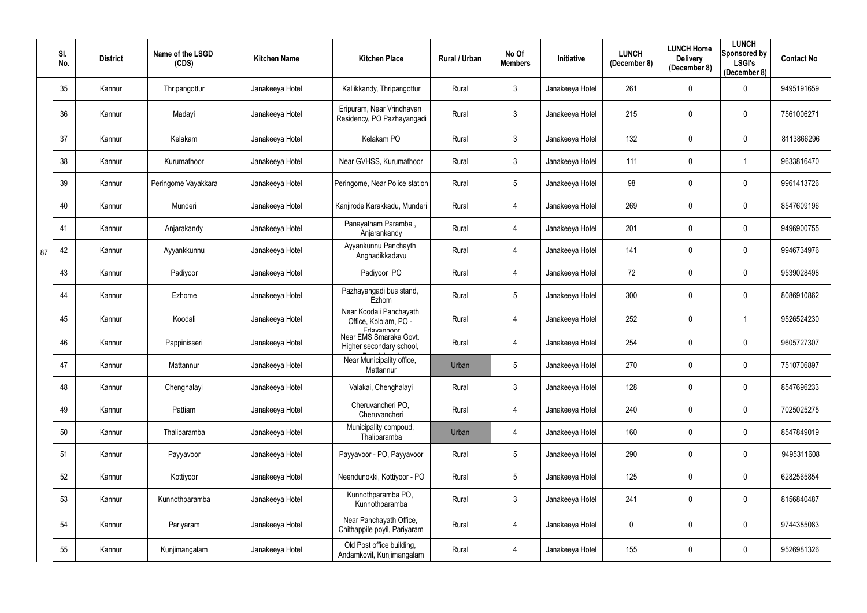|    | SI.<br>No. | <b>District</b> | Name of the LSGD<br>(CDS) | <b>Kitchen Name</b> | <b>Kitchen Place</b>                                             | Rural / Urban | No Of<br><b>Members</b> | Initiative      | <b>LUNCH</b><br>(December 8) | <b>LUNCH Home</b><br><b>Delivery</b><br>(December 8) | <b>LUNCH</b><br>Sponsored by<br><b>LSGI's</b><br>(December 8) | <b>Contact No</b> |
|----|------------|-----------------|---------------------------|---------------------|------------------------------------------------------------------|---------------|-------------------------|-----------------|------------------------------|------------------------------------------------------|---------------------------------------------------------------|-------------------|
|    | 35         | Kannur          | Thripangottur             | Janakeeya Hotel     | Kallikkandy, Thripangottur                                       | Rural         | $\mathbf{3}$            | Janakeeya Hotel | 261                          | $\mathbf 0$                                          | $\mathbf 0$                                                   | 9495191659        |
|    | 36         | Kannur          | Madayi                    | Janakeeya Hotel     | Eripuram, Near Vrindhavan<br>Residency, PO Pazhayangadi          | Rural         | $\mathbf{3}$            | Janakeeya Hotel | 215                          | $\theta$                                             | $\mathbf 0$                                                   | 7561006271        |
|    | 37         | Kannur          | Kelakam                   | Janakeeya Hotel     | Kelakam PO                                                       | Rural         | $\mathfrak{Z}$          | Janakeeya Hotel | 132                          | $\mathbf 0$                                          | $\mathbf 0$                                                   | 8113866296        |
|    | 38         | Kannur          | Kurumathoor               | Janakeeya Hotel     | Near GVHSS, Kurumathoor                                          | Rural         | $\mathbf{3}$            | Janakeeya Hotel | 111                          | $\mathbf 0$                                          |                                                               | 9633816470        |
|    | 39         | Kannur          | Peringome Vayakkara       | Janakeeya Hotel     | Peringome, Near Police station                                   | Rural         | $5\phantom{.0}$         | Janakeeya Hotel | 98                           | $\mathbf 0$                                          | $\mathbf 0$                                                   | 9961413726        |
|    | 40         | Kannur          | Munderi                   | Janakeeya Hotel     | Kanjirode Karakkadu, Munderi                                     | Rural         | 4                       | Janakeeya Hotel | 269                          | $\mathbf 0$                                          | $\mathbf 0$                                                   | 8547609196        |
|    | 41         | Kannur          | Anjarakandy               | Janakeeya Hotel     | Panayatham Paramba,<br>Anjarankandy                              | Rural         | 4                       | Janakeeya Hotel | 201                          | $\mathbf 0$                                          | $\mathbf 0$                                                   | 9496900755        |
| 87 | 42         | Kannur          | Ayyankkunnu               | Janakeeya Hotel     | Ayyankunnu Panchayth<br>Anghadikkadavu                           | Rural         | 4                       | Janakeeya Hotel | 141                          | $\mathbf 0$                                          | $\mathbf 0$                                                   | 9946734976        |
|    | 43         | Kannur          | Padiyoor                  | Janakeeya Hotel     | Padiyoor PO                                                      | Rural         | 4                       | Janakeeya Hotel | 72                           | $\mathbf 0$                                          | $\mathbf 0$                                                   | 9539028498        |
|    | 44         | Kannur          | Ezhome                    | Janakeeya Hotel     | Pazhayangadi bus stand,<br>Ezhom                                 | Rural         | $5\phantom{.0}$         | Janakeeya Hotel | 300                          | $\mathbf 0$                                          | $\overline{0}$                                                | 8086910862        |
|    | 45         | Kannur          | Koodali                   | Janakeeya Hotel     | Near Koodali Panchayath<br>Office, Kololam, PO -                 | Rural         | 4                       | Janakeeya Hotel | 252                          | $\boldsymbol{0}$                                     |                                                               | 9526524230        |
|    | 46         | Kannur          | Pappinisseri              | Janakeeya Hotel     | Edayannoor<br>Near EMS Smaraka Govt.<br>Higher secondary school, | Rural         | 4                       | Janakeeya Hotel | 254                          | $\mathbf 0$                                          | $\mathbf 0$                                                   | 9605727307        |
|    | 47         | Kannur          | Mattannur                 | Janakeeya Hotel     | Near Municipality office,<br>Mattannur                           | Urban         | $5\overline{)}$         | Janakeeya Hotel | 270                          | $\mathbf 0$                                          | $\mathbf 0$                                                   | 7510706897        |
|    | 48         | Kannur          | Chenghalayi               | Janakeeya Hotel     | Valakai, Chenghalayi                                             | Rural         | $\mathbf{3}$            | Janakeeya Hotel | 128                          | $\pmb{0}$                                            | $\mathbf 0$                                                   | 8547696233        |
|    | 49         | Kannur          | Pattiam                   | Janakeeya Hotel     | Cheruvancheri PO.<br>Cheruvancheri                               | Rural         | 4                       | Janakeeya Hotel | 240                          | $\mathbf 0$                                          | $\mathbf 0$                                                   | 7025025275        |
|    | 50         | Kannur          | Thaliparamba              | Janakeeya Hotel     | Municipality compoud,<br>Thaliparamba                            | Urban         | 4                       | Janakeeya Hotel | 160                          | $\pmb{0}$                                            | $\mathbf 0$                                                   | 8547849019        |
|    | 51         | Kannur          | Payyavoor                 | Janakeeya Hotel     | Payyavoor - PO, Payyavoor                                        | Rural         | $5\phantom{.0}$         | Janakeeya Hotel | 290                          | $\mathbf 0$                                          | $\mathbf 0$                                                   | 9495311608        |
|    | 52         | Kannur          | Kottiyoor                 | Janakeeya Hotel     | Neendunokki, Kottiyoor - PO                                      | Rural         | $5\phantom{.0}$         | Janakeeya Hotel | 125                          | $\mathbf 0$                                          | $\mathbf 0$                                                   | 6282565854        |
|    | 53         | Kannur          | Kunnothparamba            | Janakeeya Hotel     | Kunnothparamba PO,<br>Kunnothparamba                             | Rural         | $\mathfrak{Z}$          | Janakeeya Hotel | 241                          | $\mathbf 0$                                          | $\mathbf 0$                                                   | 8156840487        |
|    | 54         | Kannur          | Pariyaram                 | Janakeeya Hotel     | Near Panchayath Office,<br>Chithappile poyil, Pariyaram          | Rural         | 4                       | Janakeeya Hotel | 0                            | $\boldsymbol{0}$                                     | $\mathbf 0$                                                   | 9744385083        |
|    | 55         | Kannur          | Kunjimangalam             | Janakeeya Hotel     | Old Post office building,<br>Andamkovil, Kunjimangalam           | Rural         | 4                       | Janakeeya Hotel | 155                          | $\boldsymbol{0}$                                     | $\overline{0}$                                                | 9526981326        |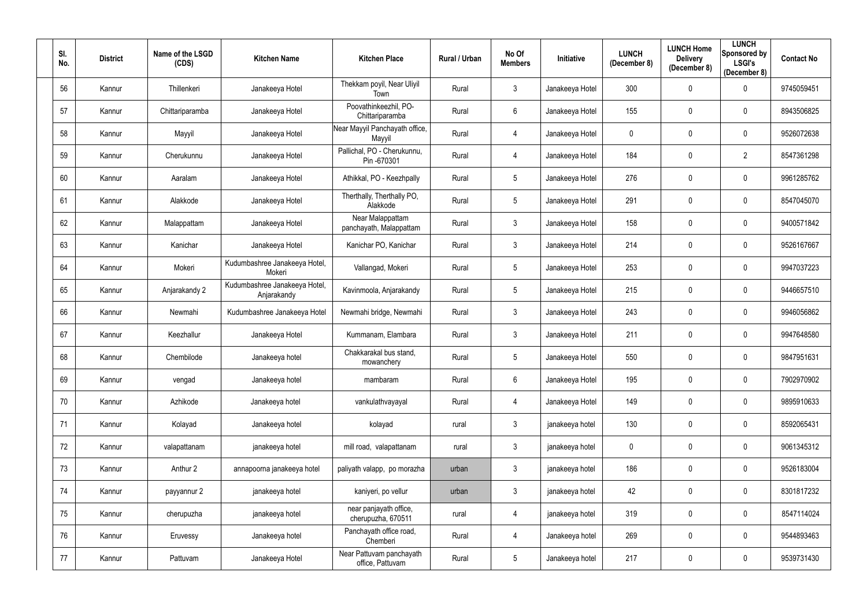| SI.<br>No. | <b>District</b> | Name of the LSGD<br>(CDS) | <b>Kitchen Name</b>                          | <b>Kitchen Place</b>                         | Rural / Urban | No Of<br><b>Members</b> | Initiative      | <b>LUNCH</b><br>(December 8) | <b>LUNCH Home</b><br><b>Delivery</b><br>(December 8) | <b>LUNCH</b><br>Sponsored by<br><b>LSGI's</b><br>(December 8) | <b>Contact No</b> |
|------------|-----------------|---------------------------|----------------------------------------------|----------------------------------------------|---------------|-------------------------|-----------------|------------------------------|------------------------------------------------------|---------------------------------------------------------------|-------------------|
| 56         | Kannur          | Thillenkeri               | Janakeeya Hotel                              | Thekkam poyil, Near Uliyil<br>Town           | Rural         | $\mathfrak{Z}$          | Janakeeya Hotel | 300                          | $\mathbf 0$                                          | $\mathbf 0$                                                   | 9745059451        |
| 57         | Kannur          | Chittariparamba           | Janakeeya Hotel                              | Poovathinkeezhil, PO-<br>Chittariparamba     | Rural         | $6\phantom{.0}$         | Janakeeya Hotel | 155                          | $\mathbf 0$                                          | $\mathbf 0$                                                   | 8943506825        |
| 58         | Kannur          | Mayyil                    | Janakeeya Hotel                              | Near Mayyil Panchayath office,<br>Mayyil     | Rural         | 4                       | Janakeeya Hotel | 0                            | $\pmb{0}$                                            | $\mathbf 0$                                                   | 9526072638        |
| 59         | Kannur          | Cherukunnu                | Janakeeya Hotel                              | Pallichal, PO - Cherukunnu,<br>Pin -670301   | Rural         | 4                       | Janakeeya Hotel | 184                          | $\mathbf 0$                                          | $\overline{2}$                                                | 8547361298        |
| 60         | Kannur          | Aaralam                   | Janakeeya Hotel                              | Athikkal, PO - Keezhpally                    | Rural         | $5\phantom{.0}$         | Janakeeya Hotel | 276                          | $\mathbf 0$                                          | $\mathbf 0$                                                   | 9961285762        |
| 61         | Kannur          | Alakkode                  | Janakeeya Hotel                              | Therthally, Therthally PO,<br>Alakkode       | Rural         | 5 <sub>5</sub>          | Janakeeya Hotel | 291                          | $\mathbf 0$                                          | $\boldsymbol{0}$                                              | 8547045070        |
| 62         | Kannur          | Malappattam               | Janakeeya Hotel                              | Near Malappattam<br>panchayath, Malappattam  | Rural         | $\mathfrak{Z}$          | Janakeeya Hotel | 158                          | $\mathbf{0}$                                         | $\mathbf 0$                                                   | 9400571842        |
| 63         | Kannur          | Kanichar                  | Janakeeya Hotel                              | Kanichar PO, Kanichar                        | Rural         | $\mathfrak{Z}$          | Janakeeya Hotel | 214                          | $\mathbf 0$                                          | $\mathbf 0$                                                   | 9526167667        |
| 64         | Kannur          | Mokeri                    | Kudumbashree Janakeeya Hotel,<br>Mokeri      | Vallangad, Mokeri                            | Rural         | $5\phantom{.0}$         | Janakeeya Hotel | 253                          | $\mathbf 0$                                          | $\mathbf 0$                                                   | 9947037223        |
| 65         | Kannur          | Anjarakandy 2             | Kudumbashree Janakeeya Hotel,<br>Anjarakandy | Kavinmoola, Anjarakandy                      | Rural         | 5 <sub>5</sub>          | Janakeeya Hotel | 215                          | $\mathbf 0$                                          | $\mathbf 0$                                                   | 9446657510        |
| 66         | Kannur          | Newmahi                   | Kudumbashree Janakeeya Hotel                 | Newmahi bridge, Newmahi                      | Rural         | $\mathfrak{Z}$          | Janakeeya Hotel | 243                          | $\pmb{0}$                                            | $\mathbf 0$                                                   | 9946056862        |
| 67         | Kannur          | Keezhallur                | Janakeeya Hotel                              | Kummanam, Elambara                           | Rural         | $\mathfrak{Z}$          | Janakeeya Hotel | 211                          | $\mathbf 0$                                          | $\mathbf 0$                                                   | 9947648580        |
| 68         | Kannur          | Chembilode                | Janakeeya hotel                              | Chakkarakal bus stand,<br>mowanchery         | Rural         | $5\phantom{.0}$         | Janakeeya Hotel | 550                          | $\mathbf 0$                                          | 0                                                             | 9847951631        |
| 69         | Kannur          | vengad                    | Janakeeya hotel                              | mambaram                                     | Rural         | 6                       | Janakeeya Hotel | 195                          | $\mathbf 0$                                          | $\mathbf 0$                                                   | 7902970902        |
| 70         | Kannur          | Azhikode                  | Janakeeya hotel                              | vankulathvayayal                             | Rural         | 4                       | Janakeeya Hotel | 149                          | $\pmb{0}$                                            | $\mathbf 0$                                                   | 9895910633        |
| 71         | Kannur          | Kolayad                   | Janakeeya hotel                              | kolayad                                      | rural         | $\mathfrak{Z}$          | janakeeya hotel | 130                          | $\mathbf 0$                                          | $\overline{0}$                                                | 8592065431        |
| 72         | Kannur          | valapattanam              | janakeeya hotel                              | mill road, valapattanam                      | rural         | $\mathfrak{Z}$          | janakeeya hotel | 0                            | $\pmb{0}$                                            | $\mathbf 0$                                                   | 9061345312        |
| 73         | Kannur          | Anthur 2                  | annapoorna janakeeya hotel                   | paliyath valapp, po morazha                  | urban         | $\mathfrak{Z}$          | janakeeya hotel | 186                          | $\mathbf 0$                                          | $\mathbf 0$                                                   | 9526183004        |
| 74         | Kannur          | payyannur 2               | janakeeya hotel                              | kaniyeri, po vellur                          | urban         | $\mathfrak{Z}$          | janakeeya hotel | 42                           | $\pmb{0}$                                            | $\mathbf 0$                                                   | 8301817232        |
| 75         | Kannur          | cherupuzha                | janakeeya hotel                              | near panjayath office,<br>cherupuzha, 670511 | rural         | 4                       | janakeeya hotel | 319                          | $\mathbf 0$                                          | $\overline{0}$                                                | 8547114024        |
| 76         | Kannur          | Eruvessy                  | Janakeeya hotel                              | Panchayath office road,<br>Chemberi          | Rural         | 4                       | Janakeeya hotel | 269                          | $\overline{0}$                                       | $\overline{0}$                                                | 9544893463        |
| 77         | Kannur          | Pattuvam                  | Janakeeya Hotel                              | Near Pattuvam panchayath<br>office, Pattuvam | Rural         | $5\phantom{.0}$         | Janakeeya hotel | 217                          | $\pmb{0}$                                            | $\mathbf 0$                                                   | 9539731430        |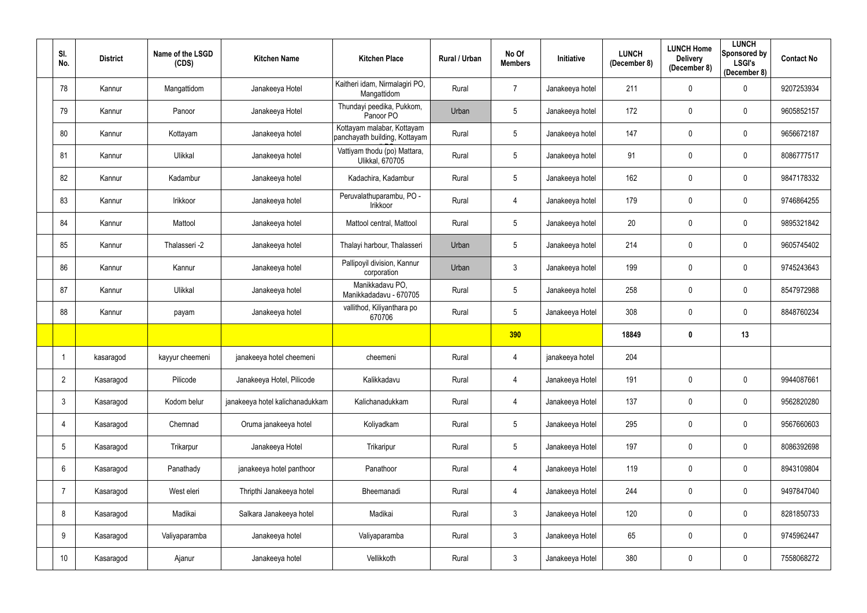| SI.<br>No.      | <b>District</b> | Name of the LSGD<br>(CDS) | <b>Kitchen Name</b>             | <b>Kitchen Place</b>                                        | Rural / Urban | No Of<br><b>Members</b> | Initiative      | <b>LUNCH</b><br>(December 8) | <b>LUNCH Home</b><br><b>Delivery</b><br>(December 8) | <b>LUNCH</b><br>Sponsored by<br><b>LSGI's</b><br>(December 8) | <b>Contact No</b> |
|-----------------|-----------------|---------------------------|---------------------------------|-------------------------------------------------------------|---------------|-------------------------|-----------------|------------------------------|------------------------------------------------------|---------------------------------------------------------------|-------------------|
| 78              | Kannur          | Mangattidom               | Janakeeya Hotel                 | Kaitheri idam, Nirmalagiri PO,<br>Mangattidom               | Rural         | $\overline{7}$          | Janakeeya hotel | 211                          | $\mathbf 0$                                          | $\overline{0}$                                                | 9207253934        |
| 79              | Kannur          | Panoor                    | Janakeeya Hotel                 | Thundayi peedika, Pukkom,<br>Panoor PO                      | Urban         | 5                       | Janakeeya hotel | 172                          | $\mathbf 0$                                          | $\mathbf 0$                                                   | 9605852157        |
| 80              | Kannur          | Kottayam                  | Janakeeya hotel                 | Kottayam malabar, Kottayam<br>panchayath building, Kottayam | Rural         | $5\phantom{.0}$         | Janakeeya hotel | 147                          | $\mathbf 0$                                          | $\overline{0}$                                                | 9656672187        |
| 81              | Kannur          | Ulikkal                   | Janakeeya hotel                 | Vattiyam thodu (po) Mattara,<br>Ulikkal, 670705             | Rural         | $5\phantom{.0}$         | Janakeeya hotel | 91                           | $\mathbf 0$                                          | $\mathbf 0$                                                   | 8086777517        |
| 82              | Kannur          | Kadambur                  | Janakeeya hotel                 | Kadachira, Kadambur                                         | Rural         | $5\phantom{.0}$         | Janakeeya hotel | 162                          | $\mathbf{0}$                                         | $\overline{0}$                                                | 9847178332        |
| 83              | Kannur          | Irikkoor                  | Janakeeya hotel                 | Peruvalathuparambu, PO -<br>Irikkoor                        | Rural         | 4                       | Janakeeya hotel | 179                          | $\mathbf 0$                                          | $\mathbf 0$                                                   | 9746864255        |
| 84              | Kannur          | Mattool                   | Janakeeya hotel                 | Mattool central, Mattool                                    | Rural         | $5\phantom{.0}$         | Janakeeya hotel | 20                           | $\mathbf 0$                                          | $\mathbf 0$                                                   | 9895321842        |
| 85              | Kannur          | Thalasseri -2             | Janakeeya hotel                 | Thalayi harbour, Thalasseri                                 | Urban         | $5\phantom{.0}$         | Janakeeya hotel | 214                          | $\mathbf 0$                                          | $\overline{0}$                                                | 9605745402        |
| 86              | Kannur          | Kannur                    | Janakeeya hotel                 | Pallipoyil division, Kannur<br>corporation                  | Urban         | $\mathbf{3}$            | Janakeeya hotel | 199                          | $\mathbf 0$                                          | $\mathbf 0$                                                   | 9745243643        |
| 87              | Kannur          | Ulikkal                   | Janakeeya hotel                 | Manikkadavu PO,<br>Manikkadadavu - 670705                   | Rural         | $\overline{5}$          | Janakeeya hotel | 258                          | $\mathbf 0$                                          | $\mathbf 0$                                                   | 8547972988        |
| 88              | Kannur          | payam                     | Janakeeya hotel                 | vallithod, Kiliyanthara po<br>670706                        | Rural         | $5\phantom{.0}$         | Janakeeya Hotel | 308                          | $\mathbf 0$                                          | $\mathbf 0$                                                   | 8848760234        |
|                 |                 |                           |                                 |                                                             |               | 390                     |                 | 18849                        | 0                                                    | 13                                                            |                   |
|                 | kasaragod       | kayyur cheemeni           | janakeeya hotel cheemeni        | cheemeni                                                    | Rural         | 4                       | janakeeya hotel | 204                          |                                                      |                                                               |                   |
| $\overline{2}$  | Kasaragod       | Pilicode                  | Janakeeya Hotel, Pilicode       | Kalikkadavu                                                 | Rural         | $\overline{4}$          | Janakeeya Hotel | 191                          | $\mathbf 0$                                          | $\mathbf 0$                                                   | 9944087661        |
| $\mathbf{3}$    | Kasaragod       | Kodom belur               | janakeeya hotel kalichanadukkam | Kalichanadukkam                                             | Rural         | $\overline{4}$          | Janakeeya Hotel | 137                          | $\mathbf 0$                                          | $\mathbf 0$                                                   | 9562820280        |
| $\overline{4}$  | Kasaragod       | Chemnad                   | Oruma janakeeya hotel           | Koliyadkam                                                  | Rural         | $\sqrt{5}$              | Janakeeya Hotel | 295                          | $\pmb{0}$                                            | $\mathbf 0$                                                   | 9567660603        |
| $5\phantom{.0}$ | Kasaragod       | Trikarpur                 | Janakeeya Hotel                 | Trikaripur                                                  | Rural         | $5\phantom{.0}$         | Janakeeya Hotel | 197                          | $\mathbf 0$                                          | $\mathbf 0$                                                   | 8086392698        |
| $6\phantom{.}6$ | Kasaragod       | Panathady                 | janakeeya hotel panthoor        | Panathoor                                                   | Rural         | $\overline{4}$          | Janakeeya Hotel | 119                          | $\mathbf 0$                                          | $\mathbf 0$                                                   | 8943109804        |
| $\overline{7}$  | Kasaragod       | West eleri                | Thripthi Janakeeya hotel        | Bheemanadi                                                  | Rural         | $\overline{4}$          | Janakeeya Hotel | 244                          | $\mathbf 0$                                          | $\mathbf 0$                                                   | 9497847040        |
| 8               | Kasaragod       | Madikai                   | Salkara Janakeeya hotel         | Madikai                                                     | Rural         | $\mathfrak{Z}$          | Janakeeya Hotel | 120                          | $\pmb{0}$                                            | $\mathbf 0$                                                   | 8281850733        |
| 9               | Kasaragod       | Valiyaparamba             | Janakeeya hotel                 | Valiyaparamba                                               | Rural         | $\mathbf{3}$            | Janakeeya Hotel | 65                           | $\mathbf 0$                                          | $\mathbf 0$                                                   | 9745962447        |
| 10              | Kasaragod       | Ajanur                    | Janakeeya hotel                 | Vellikkoth                                                  | Rural         | $\mathfrak{Z}$          | Janakeeya Hotel | 380                          | $\boldsymbol{0}$                                     | $\pmb{0}$                                                     | 7558068272        |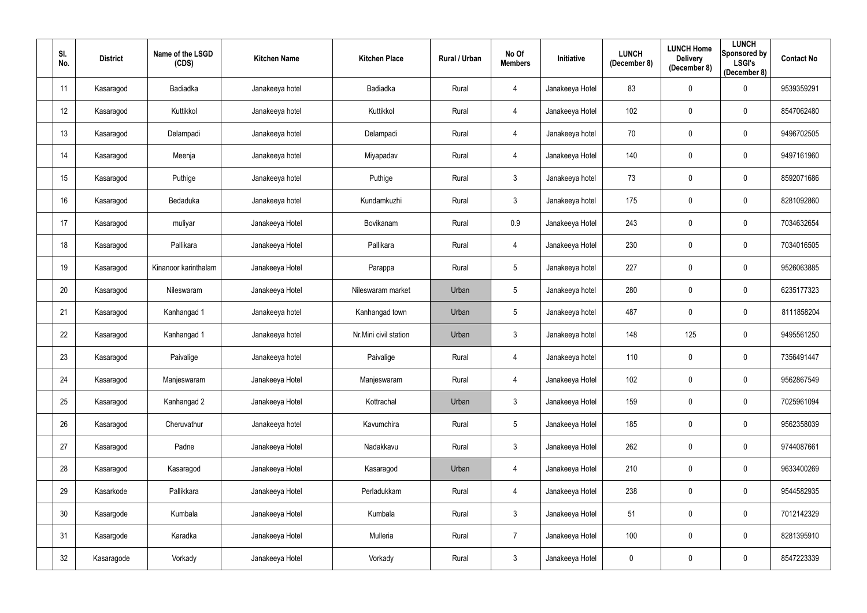| SI.<br>No. | <b>District</b> | Name of the LSGD<br>(CDS) | <b>Kitchen Name</b> | <b>Kitchen Place</b>  | Rural / Urban | No Of<br><b>Members</b> | Initiative      | <b>LUNCH</b><br>(December 8) | <b>LUNCH Home</b><br><b>Delivery</b><br>(December 8) | <b>LUNCH</b><br>Sponsored by<br><b>LSGI's</b><br>(December 8) | <b>Contact No</b> |
|------------|-----------------|---------------------------|---------------------|-----------------------|---------------|-------------------------|-----------------|------------------------------|------------------------------------------------------|---------------------------------------------------------------|-------------------|
| 11         | Kasaragod       | Badiadka                  | Janakeeya hotel     | Badiadka              | Rural         | 4                       | Janakeeya Hotel | 83                           | $\mathbf 0$                                          | $\overline{0}$                                                | 9539359291        |
| 12         | Kasaragod       | Kuttikkol                 | Janakeeya hotel     | Kuttikkol             | Rural         | 4                       | Janakeeya Hotel | 102                          | $\mathbf 0$                                          | $\overline{0}$                                                | 8547062480        |
| 13         | Kasaragod       | Delampadi                 | Janakeeya hotel     | Delampadi             | Rural         | 4                       | Janakeeya hotel | 70                           | $\mathbf 0$                                          | $\overline{0}$                                                | 9496702505        |
| 14         | Kasaragod       | Meenja                    | Janakeeya hotel     | Miyapadav             | Rural         | 4                       | Janakeeya Hotel | 140                          | $\mathbf 0$                                          | $\overline{0}$                                                | 9497161960        |
| 15         | Kasaragod       | Puthige                   | Janakeeya hotel     | Puthige               | Rural         | $\mathfrak{Z}$          | Janakeeya hotel | 73                           | $\mathbf 0$                                          | $\overline{0}$                                                | 8592071686        |
| 16         | Kasaragod       | Bedaduka                  | Janakeeya hotel     | Kundamkuzhi           | Rural         | $\mathfrak{Z}$          | Janakeeya hotel | 175                          | $\mathbf 0$                                          | $\pmb{0}$                                                     | 8281092860        |
| 17         | Kasaragod       | muliyar                   | Janakeeya Hotel     | Bovikanam             | Rural         | 0.9                     | Janakeeya Hotel | 243                          | $\mathbf 0$                                          | $\overline{0}$                                                | 7034632654        |
| 18         | Kasaragod       | Pallikara                 | Janakeeya Hotel     | Pallikara             | Rural         | $\overline{4}$          | Janakeeya Hotel | 230                          | $\mathbf 0$                                          | $\overline{0}$                                                | 7034016505        |
| 19         | Kasaragod       | Kinanoor karinthalam      | Janakeeya Hotel     | Parappa               | Rural         | $\overline{5}$          | Janakeeya hotel | 227                          | $\mathbf 0$                                          | $\overline{0}$                                                | 9526063885        |
| 20         | Kasaragod       | Nileswaram                | Janakeeya Hotel     | Nileswaram market     | Urban         | $\overline{5}$          | Janakeeya hotel | 280                          | $\mathbf 0$                                          | $\overline{0}$                                                | 6235177323        |
| 21         | Kasaragod       | Kanhangad 1               | Janakeeya hotel     | Kanhangad town        | Urban         | $\overline{5}$          | Janakeeya hotel | 487                          | $\boldsymbol{0}$                                     | $\overline{0}$                                                | 8111858204        |
| 22         | Kasaragod       | Kanhangad 1               | Janakeeya hotel     | Nr.Mini civil station | Urban         | $\mathfrak{Z}$          | Janakeeya hotel | 148                          | 125                                                  | $\overline{0}$                                                | 9495561250        |
| 23         | Kasaragod       | Paivalige                 | Janakeeya hotel     | Paivalige             | Rural         | 4                       | Janakeeya hotel | 110                          | $\mathbf 0$                                          | $\mathbf 0$                                                   | 7356491447        |
| 24         | Kasaragod       | Manjeswaram               | Janakeeya Hotel     | Manjeswaram           | Rural         | $\overline{4}$          | Janakeeya Hotel | 102                          | $\mathbf 0$                                          | $\overline{0}$                                                | 9562867549        |
| 25         | Kasaragod       | Kanhangad 2               | Janakeeya Hotel     | Kottrachal            | Urban         | $\mathfrak{Z}$          | Janakeeya Hotel | 159                          | $\mathbf 0$                                          | $\mathbf 0$                                                   | 7025961094        |
| 26         | Kasaragod       | Cheruvathur               | Janakeeya hotel     | Kavumchira            | Rural         | $\sqrt{5}$              | Janakeeya Hotel | 185                          | $\pmb{0}$                                            | $\overline{0}$                                                | 9562358039        |
| 27         | Kasaragod       | Padne                     | Janakeeya Hotel     | Nadakkavu             | Rural         | $\mathfrak{Z}$          | Janakeeya Hotel | 262                          | $\boldsymbol{0}$                                     | $\overline{0}$                                                | 9744087661        |
| 28         | Kasaragod       | Kasaragod                 | Janakeeya Hotel     | Kasaragod             | Urban         | $\overline{4}$          | Janakeeya Hotel | 210                          | $\boldsymbol{0}$                                     | $\mathbf 0$                                                   | 9633400269        |
| 29         | Kasarkode       | Pallikkara                | Janakeeya Hotel     | Perladukkam           | Rural         | $\overline{4}$          | Janakeeya Hotel | 238                          | $\mathbf 0$                                          | $\mathbf 0$                                                   | 9544582935        |
| 30         | Kasargode       | Kumbala                   | Janakeeya Hotel     | Kumbala               | Rural         | $\mathbf{3}$            | Janakeeya Hotel | 51                           | $\pmb{0}$                                            | $\overline{0}$                                                | 7012142329        |
| 31         | Kasargode       | Karadka                   | Janakeeya Hotel     | Mulleria              | Rural         | $\overline{7}$          | Janakeeya Hotel | 100                          | $\boldsymbol{0}$                                     | $\mathbf 0$                                                   | 8281395910        |
| 32         | Kasaragode      | Vorkady                   | Janakeeya Hotel     | Vorkady               | Rural         | $\mathfrak{Z}$          | Janakeeya Hotel | 0                            | $\boldsymbol{0}$                                     | $\overline{0}$                                                | 8547223339        |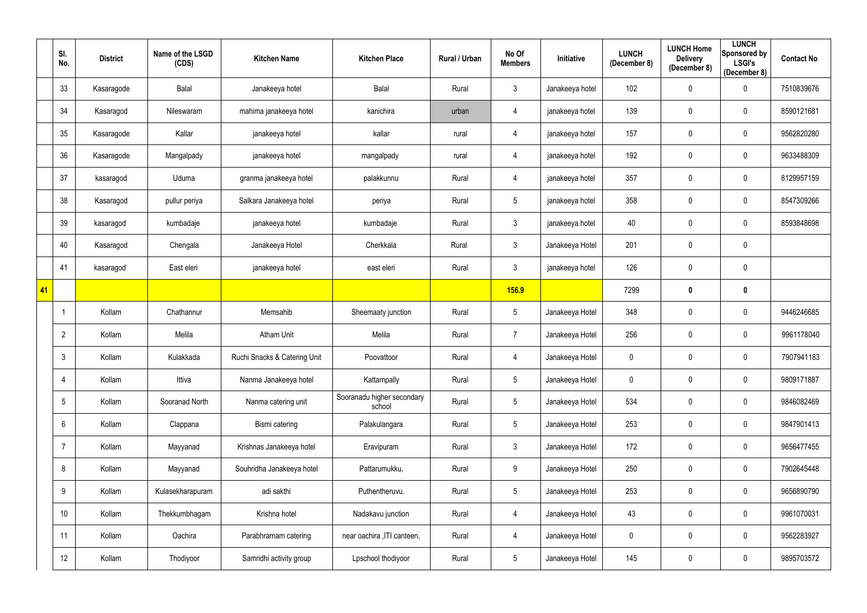|    | SI.<br>No.        | <b>District</b> | Name of the LSGD<br>(CDS) | <b>Kitchen Name</b>          | <b>Kitchen Place</b>                 | Rural / Urban | No Of<br><b>Members</b> | Initiative      | <b>LUNCH</b><br>(December 8) | <b>LUNCH Home</b><br><b>Delivery</b><br>(December 8) | <b>LUNCH</b><br>Sponsored by<br><b>LSGI's</b><br>(December 8) | <b>Contact No</b> |
|----|-------------------|-----------------|---------------------------|------------------------------|--------------------------------------|---------------|-------------------------|-----------------|------------------------------|------------------------------------------------------|---------------------------------------------------------------|-------------------|
|    | 33                | Kasaragode      | Balal                     | Janakeeya hotel              | <b>Balal</b>                         | Rural         | $\mathfrak{Z}$          | Janakeeya hotel | 102                          | $\mathbf 0$                                          | $\mathbf 0$                                                   | 7510839676        |
|    | 34                | Kasaragod       | Nileswaram                | mahima janakeeya hotel       | kanichira                            | urban         | 4                       | janakeeya hotel | 139                          | $\mathbf 0$                                          | $\mathbf 0$                                                   | 8590121681        |
|    | 35                | Kasaragode      | Kallar                    | janakeeya hotel              | kallar                               | rural         | 4                       | janakeeya hotel | 157                          | $\mathbf 0$                                          | $\overline{0}$                                                | 9562820280        |
|    | 36                | Kasaragode      | Mangalpady                | janakeeya hotel              | mangalpady                           | rural         | 4                       | janakeeya hotel | 192                          | $\mathbf 0$                                          | $\mathbf 0$                                                   | 9633488309        |
|    | 37                | kasaragod       | Uduma                     | granma janakeeya hotel       | palakkunnu                           | Rural         | 4                       | janakeeya hotel | 357                          | $\mathbf 0$                                          | $\overline{0}$                                                | 8129957159        |
|    | 38                | Kasaragod       | pullur periya             | Salkara Janakeeya hotel      | periya                               | Rural         | $5\phantom{.0}$         | janakeeya hotel | 358                          | $\mathbf 0$                                          | $\mathbf 0$                                                   | 8547309266        |
|    | 39                | kasaragod       | kumbadaje                 | janakeeya hotel              | kumbadaje                            | Rural         | $\mathfrak{Z}$          | janakeeya hotel | 40                           | $\mathbf 0$                                          | $\overline{0}$                                                | 8593848698        |
|    | 40                | Kasaragod       | Chengala                  | Janakeeya Hotel              | Cherkkala                            | Rural         | $\mathfrak{Z}$          | Janakeeya Hotel | 201                          | $\overline{0}$                                       | $\overline{0}$                                                |                   |
|    | 41                | kasaragod       | East eleri                | janakeeya hotel              | east eleri                           | Rural         | $\mathfrak{Z}$          | janakeeya hotel | 126                          | $\mathbf 0$                                          | $\overline{0}$                                                |                   |
| 41 |                   |                 |                           |                              |                                      |               | <b>156.9</b>            |                 | 7299                         | $\boldsymbol{0}$                                     | $\mathbf 0$                                                   |                   |
|    | -1                | Kollam          | Chathannur                | Memsahib                     | Sheemaaty junction                   | Rural         | $5\phantom{.0}$         | Janakeeya Hotel | 348                          | $\mathbf 0$                                          | $\mathbf 0$                                                   | 9446246685        |
|    | $\overline{2}$    | Kollam          | Melila                    | <b>Atham Unit</b>            | Melila                               | Rural         | $\overline{7}$          | Janakeeya Hotel | 256                          | $\mathbf 0$                                          | $\mathbf 0$                                                   | 9961178040        |
|    | 3                 | Kollam          | Kulakkada                 | Ruchi Snacks & Catering Unit | Poovattoor                           | Rural         | 4                       | Janakeeya Hotel | 0                            | $\mathbf 0$                                          | $\mathbf 0$                                                   | 7907941183        |
|    | 4                 | Kollam          | Ittiva                    | Nanma Janakeeya hotel        | Kattampally                          | Rural         | $5\phantom{.0}$         | Janakeeya Hotel | $\mathbf 0$                  | $\mathbf 0$                                          | $\mathbf 0$                                                   | 9809171887        |
|    | 5                 | Kollam          | Sooranad North            | Nanma catering unit          | Sooranadu higher secondary<br>school | Rural         | $5\phantom{.0}$         | Janakeeya Hotel | 534                          | $\mathbf 0$                                          | $\overline{0}$                                                | 9846082469        |
|    | $6\phantom{.}$    | Kollam          | Clappana                  | Bismi catering               | Palakulangara                        | Rural         | $5\,$                   | Janakeeya Hotel | 253                          | $\mathbf 0$                                          | $\mathbf 0$                                                   | 9847901413        |
|    | 7                 | Kollam          | Mayyanad                  | Krishnas Janakeeya hotel     | Eravipuram                           | Rural         | $\mathfrak{Z}$          | Janakeeya Hotel | 172                          | $\pmb{0}$                                            | $\mathbf 0$                                                   | 9656477455        |
|    | 8                 | Kollam          | Mayyanad                  | Souhridha Janakeeya hotel    | Pattarumukku,                        | Rural         | $9\,$                   | Janakeeya Hotel | 250                          | $\mathbf 0$                                          | $\mathbf 0$                                                   | 7902645448        |
|    | 9                 | Kollam          | Kulasekharapuram          | adi sakthi                   | Puthentheruvu.                       | Rural         | $5\phantom{.0}$         | Janakeeya Hotel | 253                          | $\mathbf 0$                                          | $\overline{0}$                                                | 9656890790        |
|    | 10                | Kollam          | Thekkumbhagam             | Krishna hotel                | Nadakavu junction                    | Rural         | 4                       | Janakeeya Hotel | 43                           | $\mathbf 0$                                          | $\overline{0}$                                                | 9961070031        |
|    | 11                | Kollam          | Oachira                   | Parabhramam catering         | near oachira , ITI canteen,          | Rural         | 4                       | Janakeeya Hotel | $\boldsymbol{0}$             | $\pmb{0}$                                            | $\overline{0}$                                                | 9562283927        |
|    | $12 \overline{ }$ | Kollam          | Thodiyoor                 | Samridhi activity group      | Lpschool thodiyoor                   | Rural         | $\sqrt{5}$              | Janakeeya Hotel | 145                          | $\pmb{0}$                                            | $\overline{0}$                                                | 9895703572        |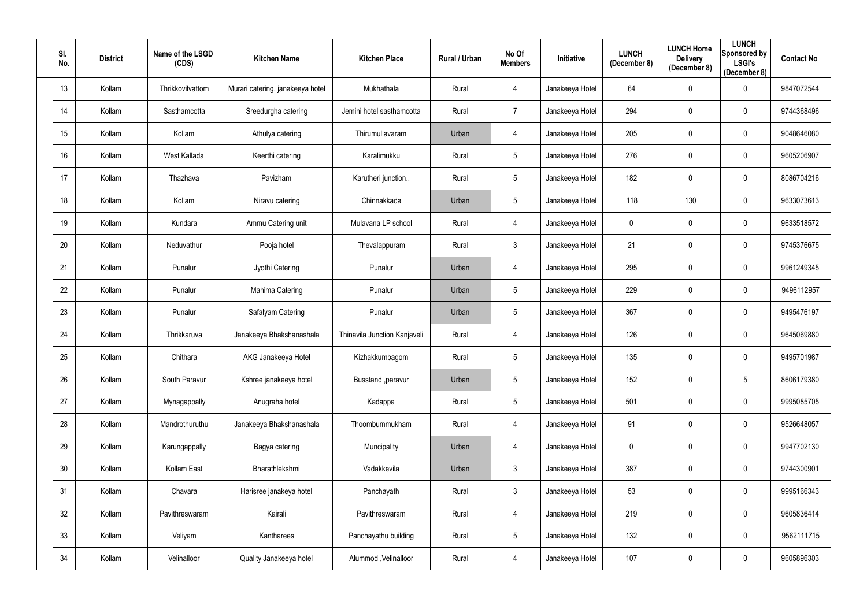| SI.<br>No.      | <b>District</b> | Name of the LSGD<br>(CDS) | <b>Kitchen Name</b>              | <b>Kitchen Place</b>         | <b>Rural / Urban</b> | No Of<br><b>Members</b> | Initiative      | <b>LUNCH</b><br>(December 8) | <b>LUNCH Home</b><br><b>Delivery</b><br>(December 8) | <b>LUNCH</b><br>Sponsored by<br><b>LSGI's</b><br>(December 8) | <b>Contact No</b> |
|-----------------|-----------------|---------------------------|----------------------------------|------------------------------|----------------------|-------------------------|-----------------|------------------------------|------------------------------------------------------|---------------------------------------------------------------|-------------------|
| 13              | Kollam          | Thrikkovilvattom          | Murari catering, janakeeya hotel | Mukhathala                   | Rural                | 4                       | Janakeeya Hotel | 64                           | $\pmb{0}$                                            | $\mathbf 0$                                                   | 9847072544        |
| 14              | Kollam          | Sasthamcotta              | Sreedurgha catering              | Jemini hotel sasthamcotta    | Rural                | $\overline{7}$          | Janakeeya Hotel | 294                          | $\mathbf 0$                                          | $\mathbf 0$                                                   | 9744368496        |
| 15              | Kollam          | Kollam                    | Athulya catering                 | Thirumullavaram              | Urban                | 4                       | Janakeeya Hotel | 205                          | $\pmb{0}$                                            | $\overline{0}$                                                | 9048646080        |
| 16              | Kollam          | West Kallada              | Keerthi catering                 | Karalimukku                  | Rural                | $5\phantom{.0}$         | Janakeeya Hotel | 276                          | $\mathbf 0$                                          | $\overline{0}$                                                | 9605206907        |
| 17              | Kollam          | Thazhava                  | Pavizham                         | Karutheri junction           | Rural                | $5\phantom{.0}$         | Janakeeya Hotel | 182                          | $\mathbf 0$                                          | $\overline{0}$                                                | 8086704216        |
| 18              | Kollam          | Kollam                    | Niravu catering                  | Chinnakkada                  | Urban                | 5                       | Janakeeya Hotel | 118                          | 130                                                  | $\mathbf 0$                                                   | 9633073613        |
| 19              | Kollam          | Kundara                   | Ammu Catering unit               | Mulavana LP school           | Rural                | 4                       | Janakeeya Hotel | $\mathbf 0$                  | $\mathbf 0$                                          | $\mathbf 0$                                                   | 9633518572        |
| 20              | Kollam          | Neduvathur                | Pooja hotel                      | Thevalappuram                | Rural                | 3 <sup>1</sup>          | Janakeeya Hotel | 21                           | $\mathbf 0$                                          | $\mathbf 0$                                                   | 9745376675        |
| 21              | Kollam          | Punalur                   | Jyothi Catering                  | Punalur                      | Urban                | 4                       | Janakeeya Hotel | 295                          | $\mathbf 0$                                          | $\mathbf 0$                                                   | 9961249345        |
| 22              | Kollam          | Punalur                   | Mahima Catering                  | Punalur                      | Urban                | 5 <sub>5</sub>          | Janakeeya Hotel | 229                          | $\pmb{0}$                                            | $\overline{0}$                                                | 9496112957        |
| 23              | Kollam          | Punalur                   | Safalyam Catering                | Punalur                      | Urban                | $5\phantom{.0}$         | Janakeeya Hotel | 367                          | $\mathbf 0$                                          | $\mathbf 0$                                                   | 9495476197        |
| 24              | Kollam          | Thrikkaruva               | Janakeeya Bhakshanashala         | Thinavila Junction Kanjaveli | Rural                | 4                       | Janakeeya Hotel | 126                          | $\mathbf 0$                                          | $\overline{0}$                                                | 9645069880        |
| 25              | Kollam          | Chithara                  | AKG Janakeeya Hotel              | Kizhakkumbagom               | Rural                | $5\phantom{.0}$         | Janakeeya Hotel | 135                          | $\mathbf 0$                                          | $\mathbf 0$                                                   | 9495701987        |
| 26              | Kollam          | South Paravur             | Kshree janakeeya hotel           | Busstand , paravur           | Urban                | 5                       | Janakeeya Hotel | 152                          | $\mathbf 0$                                          | $\sqrt{5}$                                                    | 8606179380        |
| 27              | Kollam          | Mynagappally              | Anugraha hotel                   | Kadappa                      | Rural                | $5\phantom{.0}$         | Janakeeya Hotel | 501                          | $\pmb{0}$                                            | $\overline{0}$                                                | 9995085705        |
| 28              | Kollam          | Mandrothuruthu            | Janakeeya Bhakshanashala         | Thoombummukham               | Rural                | $\overline{4}$          | Janakeeya Hotel | 91                           | $\pmb{0}$                                            | $\mathbf 0$                                                   | 9526648057        |
| 29              | Kollam          | Karungappally             | Bagya catering                   | Muncipality                  | Urban                | 4                       | Janakeeya Hotel | 0                            | $\pmb{0}$                                            | $\overline{0}$                                                | 9947702130        |
| 30 <sup>°</sup> | Kollam          | Kollam East               | Bharathlekshmi                   | Vadakkevila                  | Urban                | $\mathfrak{Z}$          | Janakeeya Hotel | 387                          | $\pmb{0}$                                            | $\overline{0}$                                                | 9744300901        |
| 31              | Kollam          | Chavara                   | Harisree janakeya hotel          | Panchayath                   | Rural                | $\mathbf{3}$            | Janakeeya Hotel | 53                           | $\pmb{0}$                                            | $\mathbf 0$                                                   | 9995166343        |
| 32              | Kollam          | Pavithreswaram            | Kairali                          | Pavithreswaram               | Rural                | 4                       | Janakeeya Hotel | 219                          | $\pmb{0}$                                            | $\mathbf 0$                                                   | 9605836414        |
| 33              | Kollam          | Veliyam                   | Kantharees                       | Panchayathu building         | Rural                | $5\phantom{.0}$         | Janakeeya Hotel | 132                          | $\pmb{0}$                                            | $\mathbf 0$                                                   | 9562111715        |
| 34              | Kollam          | Velinalloor               | Quality Janakeeya hotel          | Alummod, Velinalloor         | Rural                | 4                       | Janakeeya Hotel | 107                          | $\boldsymbol{0}$                                     | $\overline{0}$                                                | 9605896303        |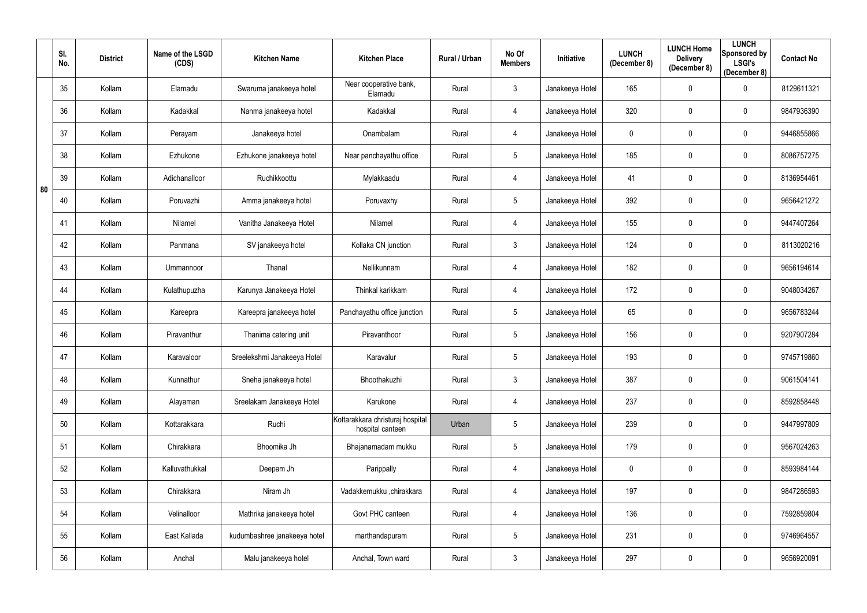|    | SI.<br>No. | <b>District</b> | Name of the LSGD<br>(CDS) | <b>Kitchen Name</b>          | <b>Kitchen Place</b>                                 | Rural / Urban | No Of<br><b>Members</b> | Initiative      | <b>LUNCH</b><br>(December 8) | <b>LUNCH Home</b><br><b>Delivery</b><br>(December 8) | <b>LUNCH</b><br>Sponsored by<br><b>LSGI's</b><br>(December 8) | <b>Contact No</b> |
|----|------------|-----------------|---------------------------|------------------------------|------------------------------------------------------|---------------|-------------------------|-----------------|------------------------------|------------------------------------------------------|---------------------------------------------------------------|-------------------|
|    | 35         | Kollam          | Elamadu                   | Swaruma janakeeya hotel      | Near cooperative bank,<br>Elamadu                    | Rural         | $\mathfrak{Z}$          | Janakeeya Hotel | 165                          | $\mathbf 0$                                          | $\mathbf 0$                                                   | 8129611321        |
|    | 36         | Kollam          | Kadakkal                  | Nanma janakeeya hotel        | Kadakkal                                             | Rural         | 4                       | Janakeeya Hotel | 320                          | $\mathbf 0$                                          | $\mathbf 0$                                                   | 9847936390        |
|    | 37         | Kollam          | Perayam                   | Janakeeya hotel              | Onambalam                                            | Rural         | 4                       | Janakeeya Hotel | 0                            | $\pmb{0}$                                            | $\mathbf 0$                                                   | 9446855866        |
|    | 38         | Kollam          | Ezhukone                  | Ezhukone janakeeya hotel     | Near panchayathu office                              | Rural         | 5                       | Janakeeya Hotel | 185                          | $\mathbf 0$                                          | $\mathbf 0$                                                   | 8086757275        |
| 80 | 39         | Kollam          | Adichanalloor             | Ruchikkoottu                 | Mylakkaadu                                           | Rural         | 4                       | Janakeeya Hotel | 41                           | $\mathbf 0$                                          | $\overline{0}$                                                | 8136954461        |
|    | 40         | Kollam          | Poruvazhi                 | Amma janakeeya hotel         | Poruvaxhy                                            | Rural         | $5\phantom{.0}$         | Janakeeya Hotel | 392                          | $\mathbf 0$                                          | $\boldsymbol{0}$                                              | 9656421272        |
|    | 41         | Kollam          | Nilamel                   | Vanitha Janakeeya Hotel      | Nilamel                                              | Rural         | 4                       | Janakeeya Hotel | 155                          | $\mathbf 0$                                          | $\mathbf 0$                                                   | 9447407264        |
|    | 42         | Kollam          | Panmana                   | SV janakeeya hotel           | Kollaka CN junction                                  | Rural         | $\mathfrak{Z}$          | Janakeeya Hotel | 124                          | $\mathbf 0$                                          | $\mathbf 0$                                                   | 8113020216        |
|    | 43         | Kollam          | Ummannoor                 | Thanal                       | Nellikunnam                                          | Rural         | 4                       | Janakeeya Hotel | 182                          | $\boldsymbol{0}$                                     | $\mathbf 0$                                                   | 9656194614        |
|    | 44         | Kollam          | Kulathupuzha              | Karunya Janakeeya Hotel      | Thinkal karikkam                                     | Rural         | 4                       | Janakeeya Hotel | 172                          | $\mathbf 0$                                          | $\mathbf 0$                                                   | 9048034267        |
|    | 45         | Kollam          | Kareepra                  | Kareepra janakeeya hotel     | Panchayathu office junction                          | Rural         | $5\phantom{.0}$         | Janakeeya Hotel | 65                           | $\pmb{0}$                                            | $\mathbf 0$                                                   | 9656783244        |
|    | 46         | Kollam          | Piravanthur               | Thanima catering unit        | Piravanthoor                                         | Rural         | 5                       | Janakeeya Hotel | 156                          | $\mathbf 0$                                          | $\mathbf 0$                                                   | 9207907284        |
|    | 47         | Kollam          | Karavaloor                | Sreelekshmi Janakeeya Hotel  | Karavalur                                            | Rural         | $5\phantom{.0}$         | Janakeeya Hotel | 193                          | $\mathbf 0$                                          | $\mathbf 0$                                                   | 9745719860        |
|    | 48         | Kollam          | Kunnathur                 | Sneha janakeeya hotel        | Bhoothakuzhi                                         | Rural         | $\mathfrak{Z}$          | Janakeeya Hotel | 387                          | $\mathbf 0$                                          | $\mathbf 0$                                                   | 9061504141        |
|    | 49         | Kollam          | Alayaman                  | Sreelakam Janakeeya Hotel    | Karukone                                             | Rural         | 4                       | Janakeeya Hotel | 237                          | $\pmb{0}$                                            | $\overline{0}$                                                | 8592858448        |
|    | 50         | Kollam          | Kottarakkara              | Ruchi                        | Kottarakkara christuraj hospital<br>hospital canteen | Urban         | $5\phantom{.0}$         | Janakeeya Hotel | 239                          | $\mathbf 0$                                          | $\mathbf 0$                                                   | 9447997809        |
|    | 51         | Kollam          | Chirakkara                | Bhoomika Jh                  | Bhajanamadam mukku                                   | Rural         | $5\phantom{.0}$         | Janakeeya Hotel | 179                          | $\pmb{0}$                                            | $\overline{0}$                                                | 9567024263        |
|    | 52         | Kollam          | Kalluvathukkal            | Deepam Jh                    | Parippally                                           | Rural         | 4                       | Janakeeya Hotel | $\mathbf 0$                  | $\mathbf 0$                                          | $\mathbf 0$                                                   | 8593984144        |
|    | 53         | Kollam          | Chirakkara                | Niram Jh                     | Vadakkemukku ,chirakkara                             | Rural         | 4                       | Janakeeya Hotel | 197                          | $\pmb{0}$                                            | $\mathbf 0$                                                   | 9847286593        |
|    | 54         | Kollam          | Velinalloor               | Mathrika janakeeya hotel     | Govt PHC canteen                                     | Rural         | 4                       | Janakeeya Hotel | 136                          | $\mathbf 0$                                          | $\mathbf 0$                                                   | 7592859804        |
|    | 55         | Kollam          | East Kallada              | kudumbashree janakeeya hotel | marthandapuram                                       | Rural         | $5\phantom{.0}$         | Janakeeya Hotel | 231                          | $\mathbf 0$                                          | $\mathbf 0$                                                   | 9746964557        |
|    | 56         | Kollam          | Anchal                    | Malu janakeeya hotel         | Anchal, Town ward                                    | Rural         | $\mathfrak{Z}$          | Janakeeya Hotel | 297                          | $\boldsymbol{0}$                                     | $\overline{0}$                                                | 9656920091        |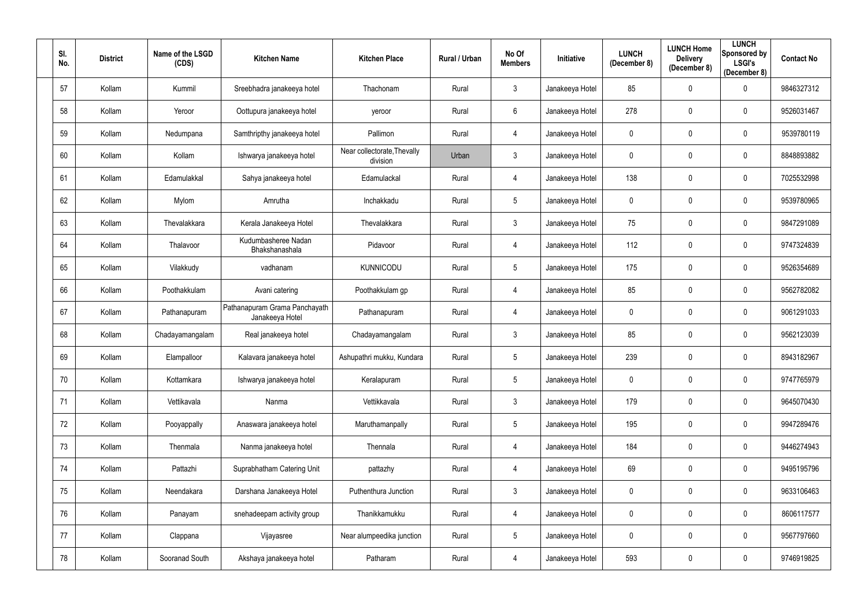| SI.<br>No. | <b>District</b> | Name of the LSGD<br>(CDS) | <b>Kitchen Name</b>                              | <b>Kitchen Place</b>                    | Rural / Urban | No Of<br><b>Members</b> | Initiative      | <b>LUNCH</b><br>(December 8) | <b>LUNCH Home</b><br><b>Delivery</b><br>(December 8) | <b>LUNCH</b><br>Sponsored by<br><b>LSGI's</b><br>(December 8) | <b>Contact No</b> |
|------------|-----------------|---------------------------|--------------------------------------------------|-----------------------------------------|---------------|-------------------------|-----------------|------------------------------|------------------------------------------------------|---------------------------------------------------------------|-------------------|
| 57         | Kollam          | Kummil                    | Sreebhadra janakeeya hotel                       | Thachonam                               | Rural         | $\mathfrak{Z}$          | Janakeeya Hotel | 85                           | $\overline{0}$                                       | $\mathbf 0$                                                   | 9846327312        |
| 58         | Kollam          | Yeroor                    | Oottupura janakeeya hotel                        | yeroor                                  | Rural         | $6\phantom{.}$          | Janakeeya Hotel | 278                          | $\mathbf 0$                                          | $\mathbf 0$                                                   | 9526031467        |
| 59         | Kollam          | Nedumpana                 | Samthripthy janakeeya hotel                      | Pallimon                                | Rural         | 4                       | Janakeeya Hotel | $\mathbf 0$                  | $\pmb{0}$                                            | $\overline{0}$                                                | 9539780119        |
| 60         | Kollam          | Kollam                    | Ishwarya janakeeya hotel                         | Near collectorate, Thevally<br>division | Urban         | $\mathfrak{Z}$          | Janakeeya Hotel | 0                            | $\overline{0}$                                       | $\mathbf 0$                                                   | 8848893882        |
| 61         | Kollam          | Edamulakkal               | Sahya janakeeya hotel                            | Edamulackal                             | Rural         | 4                       | Janakeeya Hotel | 138                          | $\mathbf 0$                                          | $\overline{0}$                                                | 7025532998        |
| 62         | Kollam          | Mylom                     | Amrutha                                          | Inchakkadu                              | Rural         | $5\phantom{.0}$         | Janakeeya Hotel | 0                            | $\overline{0}$                                       | $\boldsymbol{0}$                                              | 9539780965        |
| 63         | Kollam          | Thevalakkara              | Kerala Janakeeya Hotel                           | Thevalakkara                            | Rural         | $\mathfrak{Z}$          | Janakeeya Hotel | 75                           | $\mathbf 0$                                          | $\mathbf 0$                                                   | 9847291089        |
| 64         | Kollam          | Thalavoor                 | Kudumbasheree Nadan<br>Bhakshanashala            | Pidavoor                                | Rural         | 4                       | Janakeeya Hotel | 112                          | $\overline{0}$                                       | $\overline{0}$                                                | 9747324839        |
| 65         | Kollam          | Vilakkudy                 | vadhanam                                         | <b>KUNNICODU</b>                        | Rural         | $5\phantom{.0}$         | Janakeeya Hotel | 175                          | $\mathbf 0$                                          | $\mathbf 0$                                                   | 9526354689        |
| 66         | Kollam          | Poothakkulam              | Avani catering                                   | Poothakkulam gp                         | Rural         | 4                       | Janakeeya Hotel | 85                           | $\mathbf 0$                                          | $\mathbf 0$                                                   | 9562782082        |
| 67         | Kollam          | Pathanapuram              | Pathanapuram Grama Panchayath<br>Janakeeya Hotel | Pathanapuram                            | Rural         | 4                       | Janakeeya Hotel | 0                            | $\mathbf 0$                                          | $\mathbf 0$                                                   | 9061291033        |
| 68         | Kollam          | Chadayamangalam           | Real janakeeya hotel                             | Chadayamangalam                         | Rural         | $\mathfrak{Z}$          | Janakeeya Hotel | 85                           | $\mathbf 0$                                          | $\overline{0}$                                                | 9562123039        |
| 69         | Kollam          | Elampalloor               | Kalavara janakeeya hotel                         | Ashupathri mukku, Kundara               | Rural         | $5\phantom{.0}$         | Janakeeya Hotel | 239                          | $\mathbf 0$                                          | $\mathbf 0$                                                   | 8943182967        |
| 70         | Kollam          | Kottamkara                | Ishwarya janakeeya hotel                         | Keralapuram                             | Rural         | $5\phantom{.0}$         | Janakeeya Hotel | $\mathbf 0$                  | $\overline{0}$                                       | $\mathbf 0$                                                   | 9747765979        |
| 71         | Kollam          | Vettikavala               | Nanma                                            | Vettikkavala                            | Rural         | $\mathfrak{Z}$          | Janakeeya Hotel | 179                          | $\mathbf 0$                                          | $\overline{0}$                                                | 9645070430        |
| 72         | Kollam          | Pooyappally               | Anaswara janakeeya hotel                         | Maruthamanpally                         | Rural         | $\overline{5}$          | Janakeeya Hotel | 195                          | $\mathbf 0$                                          | $\overline{0}$                                                | 9947289476        |
| 73         | Kollam          | Thenmala                  | Nanma janakeeya hotel                            | Thennala                                | Rural         | 4                       | Janakeeya Hotel | 184                          | $\mathbf 0$                                          | $\mathbf 0$                                                   | 9446274943        |
| 74         | Kollam          | Pattazhi                  | Suprabhatham Catering Unit                       | pattazhy                                | Rural         | 4                       | Janakeeya Hotel | 69                           | $\mathbf 0$                                          | $\mathbf 0$                                                   | 9495195796        |
| 75         | Kollam          | Neendakara                | Darshana Janakeeya Hotel                         | Puthenthura Junction                    | Rural         | $\mathfrak{Z}$          | Janakeeya Hotel | $\mathbf 0$                  | $\mathbf 0$                                          | $\mathbf 0$                                                   | 9633106463        |
| 76         | Kollam          | Panayam                   | snehadeepam activity group                       | Thanikkamukku                           | Rural         | 4                       | Janakeeya Hotel | $\pmb{0}$                    | $\mathbf 0$                                          | $\mathbf 0$                                                   | 8606117577        |
| 77         | Kollam          | Clappana                  | Vijayasree                                       | Near alumpeedika junction               | Rural         | $\overline{5}$          | Janakeeya Hotel | $\pmb{0}$                    | $\overline{0}$                                       | $\overline{0}$                                                | 9567797660        |
| 78         | Kollam          | Sooranad South            | Akshaya janakeeya hotel                          | Patharam                                | Rural         | 4                       | Janakeeya Hotel | 593                          | $\overline{0}$                                       | $\overline{0}$                                                | 9746919825        |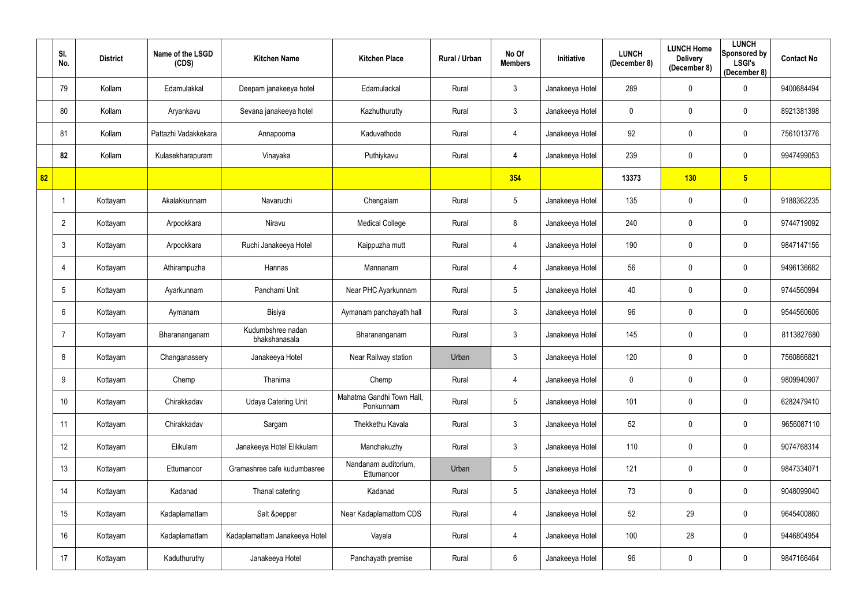|    | SI.<br>No. | <b>District</b> | Name of the LSGD<br>(CDS) | <b>Kitchen Name</b>                | <b>Kitchen Place</b>                   | Rural / Urban | No Of<br><b>Members</b> | Initiative      | <b>LUNCH</b><br>(December 8) | <b>LUNCH Home</b><br><b>Delivery</b><br>(December 8) | <b>LUNCH</b><br>Sponsored by<br><b>LSGI's</b><br>(December 8) | <b>Contact No</b> |
|----|------------|-----------------|---------------------------|------------------------------------|----------------------------------------|---------------|-------------------------|-----------------|------------------------------|------------------------------------------------------|---------------------------------------------------------------|-------------------|
|    | 79         | Kollam          | Edamulakkal               | Deepam janakeeya hotel             | Edamulackal                            | Rural         | $\mathfrak{Z}$          | Janakeeya Hotel | 289                          | $\mathbf 0$                                          | $\mathbf 0$                                                   | 9400684494        |
|    | 80         | Kollam          | Aryankavu                 | Sevana janakeeya hotel             | Kazhuthurutty                          | Rural         | $\mathfrak{Z}$          | Janakeeya Hotel | 0                            | $\mathbf 0$                                          | $\mathbf 0$                                                   | 8921381398        |
|    | 81         | Kollam          | Pattazhi Vadakkekara      | Annapoorna                         | Kaduvathode                            | Rural         | 4                       | Janakeeya Hotel | 92                           | $\mathbf 0$                                          | $\mathbf 0$                                                   | 7561013776        |
|    | 82         | Kollam          | Kulasekharapuram          | Vinayaka                           | Puthiykavu                             | Rural         | 4                       | Janakeeya Hotel | 239                          | $\mathbf 0$                                          | $\mathbf 0$                                                   | 9947499053        |
| 82 |            |                 |                           |                                    |                                        |               | 354                     |                 | 13373                        | 130                                                  | 5 <sub>5</sub>                                                |                   |
|    |            | Kottayam        | Akalakkunnam              | Navaruchi                          | Chengalam                              | Rural         | $5\phantom{.0}$         | Janakeeya Hotel | 135                          | $\mathbf 0$                                          | $\mathbf 0$                                                   | 9188362235        |
|    | 2          | Kottayam        | Arpookkara                | Niravu                             | <b>Medical College</b>                 | Rural         | 8                       | Janakeeya Hotel | 240                          | $\mathbf 0$                                          | $\overline{0}$                                                | 9744719092        |
|    | 3          | Kottayam        | Arpookkara                | Ruchi Janakeeya Hotel              | Kaippuzha mutt                         | Rural         | 4                       | Janakeeya Hotel | 190                          | $\mathbf 0$                                          | $\overline{0}$                                                | 9847147156        |
|    | 4          | Kottayam        | Athirampuzha              | Hannas                             | Mannanam                               | Rural         | 4                       | Janakeeya Hotel | 56                           | $\mathbf 0$                                          | $\mathbf 0$                                                   | 9496136682        |
|    | 5          | Kottayam        | Ayarkunnam                | Panchami Unit                      | Near PHC Ayarkunnam                    | Rural         | $5\phantom{.0}$         | Janakeeya Hotel | 40                           | $\mathbf 0$                                          | $\mathbf 0$                                                   | 9744560994        |
|    | 6          | Kottayam        | Aymanam                   | Bisiya                             | Aymanam panchayath hall                | Rural         | $\mathfrak{Z}$          | Janakeeya Hotel | 96                           | $\boldsymbol{0}$                                     | $\mathbf 0$                                                   | 9544560606        |
|    |            | Kottayam        | Bharananganam             | Kudumbshree nadan<br>bhakshanasala | Bharananganam                          | Rural         | $\mathfrak{Z}$          | Janakeeya Hotel | 145                          | $\mathbf 0$                                          | $\mathbf 0$                                                   | 8113827680        |
|    | 8          | Kottayam        | Changanassery             | Janakeeya Hotel                    | Near Railway station                   | Urban         | 3                       | Janakeeya Hotel | 120                          | $\mathbf 0$                                          | $\mathbf 0$                                                   | 7560866821        |
|    | 9          | Kottayam        | Chemp                     | Thanima                            | Chemp                                  | Rural         | 4                       | Janakeeya Hotel | $\mathbf 0$                  | $\mathbf 0$                                          | $\mathbf 0$                                                   | 9809940907        |
|    | 10         | Kottayam        | Chirakkadav               | <b>Udaya Catering Unit</b>         | Mahatma Gandhi Town Hall,<br>Ponkunnam | Rural         | 5                       | Janakeeya Hotel | 101                          | $\mathbf 0$                                          | $\mathbf 0$                                                   | 6282479410        |
|    | 11         | Kottayam        | Chirakkadav               | Sargam                             | Thekkethu Kavala                       | Rural         | $\mathfrak{Z}$          | Janakeeya Hotel | 52                           | $\pmb{0}$                                            | $\mathbf 0$                                                   | 9656087110        |
|    | 12         | Kottayam        | Elikulam                  | Janakeeya Hotel Elikkulam          | Manchakuzhy                            | Rural         | $\mathbf{3}$            | Janakeeya Hotel | 110                          | $\mathbf 0$                                          | $\mathbf 0$                                                   | 9074768314        |
|    | 13         | Kottayam        | Ettumanoor                | Gramashree cafe kudumbasree        | Nandanam auditorium,<br>Ettumanoor     | Urban         | 5                       | Janakeeya Hotel | 121                          | $\mathbf 0$                                          | $\mathbf 0$                                                   | 9847334071        |
|    | 14         | Kottayam        | Kadanad                   | Thanal catering                    | Kadanad                                | Rural         | $5\phantom{.0}$         | Janakeeya Hotel | 73                           | $\mathbf 0$                                          | $\mathbf 0$                                                   | 9048099040        |
|    | 15         | Kottayam        | Kadaplamattam             | Salt &pepper                       | Near Kadaplamattom CDS                 | Rural         | 4                       | Janakeeya Hotel | 52                           | 29                                                   | $\mathbf 0$                                                   | 9645400860        |
|    | 16         | Kottayam        | Kadaplamattam             | Kadaplamattam Janakeeya Hotel      | Vayala                                 | Rural         | 4                       | Janakeeya Hotel | 100                          | 28                                                   | $\mathbf 0$                                                   | 9446804954        |
|    | 17         | Kottayam        | Kaduthuruthy              | Janakeeya Hotel                    | Panchayath premise                     | Rural         | $6\phantom{.}$          | Janakeeya Hotel | 96                           | $\boldsymbol{0}$                                     | $\mathbf 0$                                                   | 9847166464        |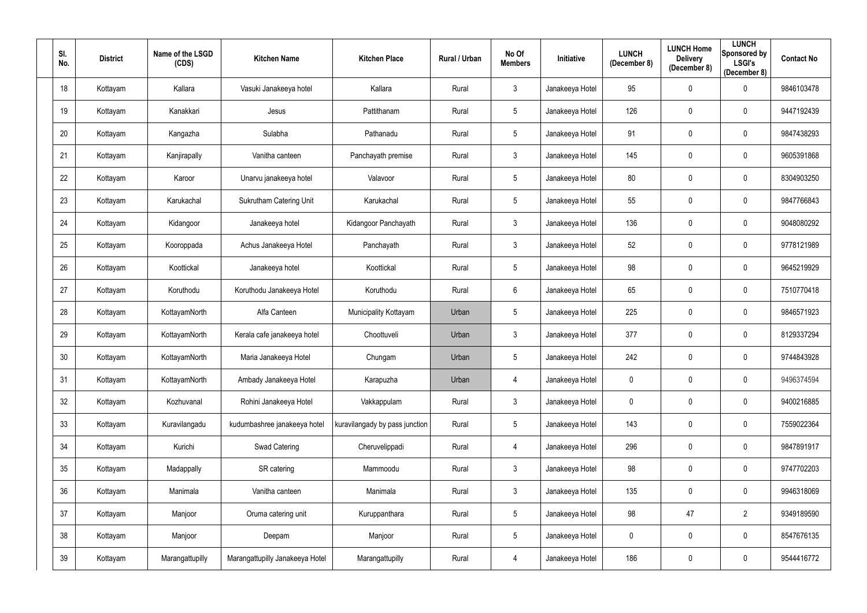| SI.<br>No. | <b>District</b> | Name of the LSGD<br>(CDS) | <b>Kitchen Name</b>             | <b>Kitchen Place</b>           | <b>Rural / Urban</b> | No Of<br><b>Members</b> | Initiative      | <b>LUNCH</b><br>(December 8) | <b>LUNCH Home</b><br><b>Delivery</b><br>(December 8) | <b>LUNCH</b><br>Sponsored by<br><b>LSGI's</b><br>(December 8) | <b>Contact No</b> |
|------------|-----------------|---------------------------|---------------------------------|--------------------------------|----------------------|-------------------------|-----------------|------------------------------|------------------------------------------------------|---------------------------------------------------------------|-------------------|
| 18         | Kottayam        | Kallara                   | Vasuki Janakeeya hotel          | Kallara                        | Rural                | $\mathfrak{Z}$          | Janakeeya Hotel | 95                           | $\boldsymbol{0}$                                     | $\mathbf 0$                                                   | 9846103478        |
| 19         | Kottayam        | Kanakkari                 | Jesus                           | Pattithanam                    | Rural                | $5\overline{)}$         | Janakeeya Hotel | 126                          | $\mathbf 0$                                          | $\mathbf 0$                                                   | 9447192439        |
| 20         | Kottayam        | Kangazha                  | Sulabha                         | Pathanadu                      | Rural                | $5\phantom{.0}$         | Janakeeya Hotel | 91                           | $\pmb{0}$                                            | $\overline{0}$                                                | 9847438293        |
| 21         | Kottayam        | Kanjirapally              | Vanitha canteen                 | Panchayath premise             | Rural                | $\mathfrak{Z}$          | Janakeeya Hotel | 145                          | $\mathbf 0$                                          | $\mathbf 0$                                                   | 9605391868        |
| 22         | Kottayam        | Karoor                    | Unarvu janakeeya hotel          | Valavoor                       | Rural                | 5                       | Janakeeya Hotel | 80                           | $\mathbf 0$                                          | $\overline{0}$                                                | 8304903250        |
| 23         | Kottayam        | Karukachal                | Sukrutham Catering Unit         | Karukachal                     | Rural                | 5                       | Janakeeya Hotel | 55                           | $\mathbf 0$                                          | $\mathbf 0$                                                   | 9847766843        |
| 24         | Kottayam        | Kidangoor                 | Janakeeya hotel                 | Kidangoor Panchayath           | Rural                | $\mathfrak{Z}$          | Janakeeya Hotel | 136                          | $\mathbf 0$                                          | $\mathbf 0$                                                   | 9048080292        |
| 25         | Kottayam        | Kooroppada                | Achus Janakeeya Hotel           | Panchayath                     | Rural                | 3 <sup>1</sup>          | Janakeeya Hotel | $52\,$                       | $\mathbf 0$                                          | $\mathbf 0$                                                   | 9778121989        |
| 26         | Kottayam        | Koottickal                | Janakeeya hotel                 | Koottickal                     | Rural                | $5\phantom{.0}$         | Janakeeya Hotel | 98                           | $\mathbf 0$                                          | $\mathbf 0$                                                   | 9645219929        |
| 27         | Kottayam        | Koruthodu                 | Koruthodu Janakeeya Hotel       | Koruthodu                      | Rural                | $6\phantom{.0}$         | Janakeeya Hotel | 65                           | $\pmb{0}$                                            | $\overline{0}$                                                | 7510770418        |
| 28         | Kottayam        | KottayamNorth             | Alfa Canteen                    | Municipality Kottayam          | Urban                | $5\phantom{.0}$         | Janakeeya Hotel | 225                          | $\pmb{0}$                                            | $\mathbf 0$                                                   | 9846571923        |
| 29         | Kottayam        | KottayamNorth             | Kerala cafe janakeeya hotel     | Choottuveli                    | Urban                | $\mathfrak{Z}$          | Janakeeya Hotel | 377                          | $\mathbf 0$                                          | $\mathbf 0$                                                   | 8129337294        |
| 30         | Kottayam        | KottayamNorth             | Maria Janakeeya Hotel           | Chungam                        | Urban                | $5\phantom{.0}$         | Janakeeya Hotel | 242                          | $\mathbf 0$                                          | $\mathbf 0$                                                   | 9744843928        |
| 31         | Kottayam        | KottayamNorth             | Ambady Janakeeya Hotel          | Karapuzha                      | Urban                | 4                       | Janakeeya Hotel | 0                            | $\mathbf 0$                                          | $\mathbf 0$                                                   | 9496374594        |
| 32         | Kottayam        | Kozhuvanal                | Rohini Janakeeya Hotel          | Vakkappulam                    | Rural                | 3 <sup>1</sup>          | Janakeeya Hotel | $\mathbf 0$                  | $\pmb{0}$                                            | $\overline{0}$                                                | 9400216885        |
| 33         | Kottayam        | Kuravilangadu             | kudumbashree janakeeya hotel    | kuravilangady by pass junction | Rural                | $5\phantom{.0}$         | Janakeeya Hotel | 143                          | $\pmb{0}$                                            | $\mathbf 0$                                                   | 7559022364        |
| 34         | Kottayam        | Kurichi                   | Swad Catering                   | Cheruvelippadi                 | Rural                | 4                       | Janakeeya Hotel | 296                          | $\pmb{0}$                                            | $\overline{0}$                                                | 9847891917        |
| 35         | Kottayam        | Madappally                | SR catering                     | Mammoodu                       | Rural                | $\mathfrak{Z}$          | Janakeeya Hotel | 98                           | $\pmb{0}$                                            | $\mathbf 0$                                                   | 9747702203        |
| 36         | Kottayam        | Manimala                  | Vanitha canteen                 | Manimala                       | Rural                | $\mathbf{3}$            | Janakeeya Hotel | 135                          | $\pmb{0}$                                            | $\mathbf 0$                                                   | 9946318069        |
| 37         | Kottayam        | Manjoor                   | Oruma catering unit             | Kuruppanthara                  | Rural                | $5\phantom{.0}$         | Janakeeya Hotel | 98                           | 47                                                   | $\overline{2}$                                                | 9349189590        |
| 38         | Kottayam        | Manjoor                   | Deepam                          | Manjoor                        | Rural                | $5\phantom{.0}$         | Janakeeya Hotel | $\mathbf 0$                  | $\pmb{0}$                                            | $\mathbf 0$                                                   | 8547676135        |
| 39         | Kottayam        | Marangattupilly           | Marangattupilly Janakeeya Hotel | Marangattupilly                | Rural                | 4                       | Janakeeya Hotel | 186                          | $\boldsymbol{0}$                                     | $\overline{0}$                                                | 9544416772        |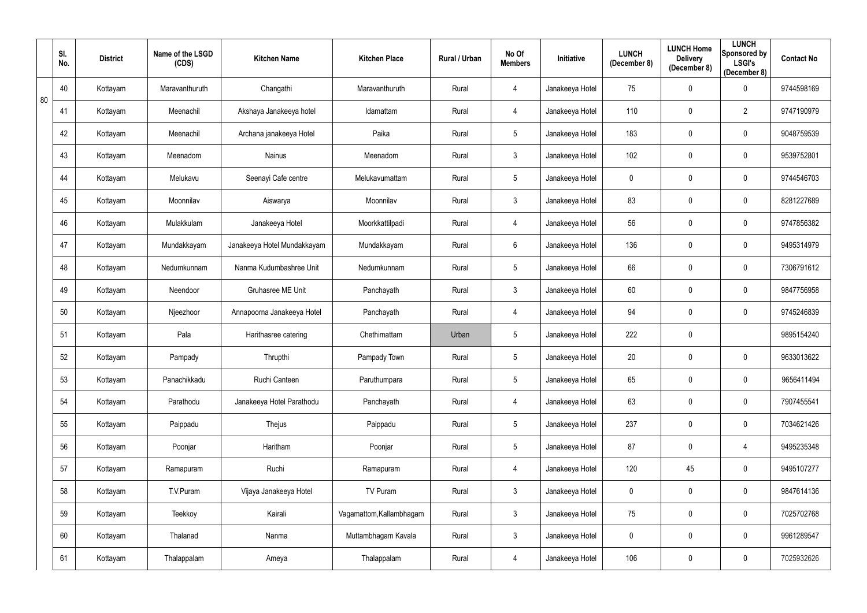|    | SI.<br>No. | <b>District</b> | Name of the LSGD<br>(CDS) | <b>Kitchen Name</b>         | <b>Kitchen Place</b>     | Rural / Urban | No Of<br><b>Members</b> | Initiative      | <b>LUNCH</b><br>(December 8) | <b>LUNCH Home</b><br><b>Delivery</b><br>(December 8) | <b>LUNCH</b><br>Sponsored by<br><b>LSGI's</b><br>(December 8) | <b>Contact No</b> |
|----|------------|-----------------|---------------------------|-----------------------------|--------------------------|---------------|-------------------------|-----------------|------------------------------|------------------------------------------------------|---------------------------------------------------------------|-------------------|
| 80 | 40         | Kottayam        | Maravanthuruth            | Changathi                   | Maravanthuruth           | Rural         | 4                       | Janakeeya Hotel | 75                           | $\pmb{0}$                                            | $\mathbf 0$                                                   | 9744598169        |
|    | 41         | Kottayam        | Meenachil                 | Akshaya Janakeeya hotel     | Idamattam                | Rural         | 4                       | Janakeeya Hotel | 110                          | $\mathbf 0$                                          | $\overline{2}$                                                | 9747190979        |
|    | 42         | Kottayam        | Meenachil                 | Archana janakeeya Hotel     | Paika                    | Rural         | $5\phantom{.0}$         | Janakeeya Hotel | 183                          | $\mathbf 0$                                          | $\overline{0}$                                                | 9048759539        |
|    | 43         | Kottayam        | Meenadom                  | Nainus                      | Meenadom                 | Rural         | $\mathfrak{Z}$          | Janakeeya Hotel | 102                          | $\mathbf 0$                                          | $\overline{0}$                                                | 9539752801        |
|    | 44         | Kottayam        | Melukavu                  | Seenayi Cafe centre         | Melukavumattam           | Rural         | $5\phantom{.0}$         | Janakeeya Hotel | $\mathbf 0$                  | $\mathbf 0$                                          | $\overline{0}$                                                | 9744546703        |
|    | 45         | Kottayam        | Moonnilav                 | Aiswarya                    | Moonnilav                | Rural         | $\mathfrak{Z}$          | Janakeeya Hotel | 83                           | $\mathbf 0$                                          | $\mathbf 0$                                                   | 8281227689        |
|    | 46         | Kottayam        | Mulakkulam                | Janakeeya Hotel             | Moorkkattilpadi          | Rural         | 4                       | Janakeeya Hotel | 56                           | $\mathbf 0$                                          | $\mathbf 0$                                                   | 9747856382        |
|    | 47         | Kottayam        | Mundakkayam               | Janakeeya Hotel Mundakkayam | Mundakkayam              | Rural         | 6                       | Janakeeya Hotel | 136                          | $\mathbf 0$                                          | $\mathbf 0$                                                   | 9495314979        |
|    | 48         | Kottayam        | Nedumkunnam               | Nanma Kudumbashree Unit     | Nedumkunnam              | Rural         | $5\phantom{.0}$         | Janakeeya Hotel | 66                           | $\mathbf 0$                                          | $\mathbf 0$                                                   | 7306791612        |
|    | 49         | Kottayam        | Neendoor                  | Gruhasree ME Unit           | Panchayath               | Rural         | $\mathfrak{Z}$          | Janakeeya Hotel | 60                           | $\pmb{0}$                                            | $\overline{0}$                                                | 9847756958        |
|    | 50         | Kottayam        | Njeezhoor                 | Annapoorna Janakeeya Hotel  | Panchayath               | Rural         | 4                       | Janakeeya Hotel | 94                           | $\mathbf 0$                                          | $\mathbf 0$                                                   | 9745246839        |
|    | 51         | Kottayam        | Pala                      | Harithasree catering        | Chethimattam             | Urban         | 5                       | Janakeeya Hotel | 222                          | $\mathbf 0$                                          |                                                               | 9895154240        |
|    | 52         | Kottayam        | Pampady                   | Thrupthi                    | Pampady Town             | Rural         | $5\phantom{.0}$         | Janakeeya Hotel | 20                           | $\mathbf 0$                                          | $\mathbf 0$                                                   | 9633013622        |
|    | 53         | Kottayam        | Panachikkadu              | Ruchi Canteen               | Paruthumpara             | Rural         | 5                       | Janakeeya Hotel | 65                           | $\mathbf 0$                                          | $\mathbf 0$                                                   | 9656411494        |
|    | 54         | Kottayam        | Parathodu                 | Janakeeya Hotel Parathodu   | Panchayath               | Rural         | 4                       | Janakeeya Hotel | 63                           | $\pmb{0}$                                            | $\mathbf 0$                                                   | 7907455541        |
|    | 55         | Kottayam        | Paippadu                  | Thejus                      | Paippadu                 | Rural         | 5                       | Janakeeya Hotel | 237                          | $\mathbf 0$                                          | $\mathbf 0$                                                   | 7034621426        |
|    | 56         | Kottayam        | Poonjar                   | Haritham                    | Poonjar                  | Rural         | $5\phantom{.0}$         | Janakeeya Hotel | 87                           | $\pmb{0}$                                            | $\overline{4}$                                                | 9495235348        |
|    | 57         | Kottayam        | Ramapuram                 | Ruchi                       | Ramapuram                | Rural         | 4                       | Janakeeya Hotel | 120                          | 45                                                   | $\mathbf 0$                                                   | 9495107277        |
|    | 58         | Kottayam        | T.V.Puram                 | Vijaya Janakeeya Hotel      | TV Puram                 | Rural         | $\mathbf{3}$            | Janakeeya Hotel | $\mathbf 0$                  | $\pmb{0}$                                            | $\mathbf 0$                                                   | 9847614136        |
|    | 59         | Kottayam        | Teekkoy                   | Kairali                     | Vagamattom, Kallambhagam | Rural         | 3 <sup>1</sup>          | Janakeeya Hotel | 75                           | $\pmb{0}$                                            | $\mathbf 0$                                                   | 7025702768        |
|    | 60         | Kottayam        | Thalanad                  | Nanma                       | Muttambhagam Kavala      | Rural         | $\mathfrak{Z}$          | Janakeeya Hotel | $\mathbf 0$                  | $\pmb{0}$                                            | $\mathbf 0$                                                   | 9961289547        |
|    | 61         | Kottayam        | Thalappalam               | Ameya                       | Thalappalam              | Rural         | 4                       | Janakeeya Hotel | 106                          | $\boldsymbol{0}$                                     | $\overline{0}$                                                | 7025932626        |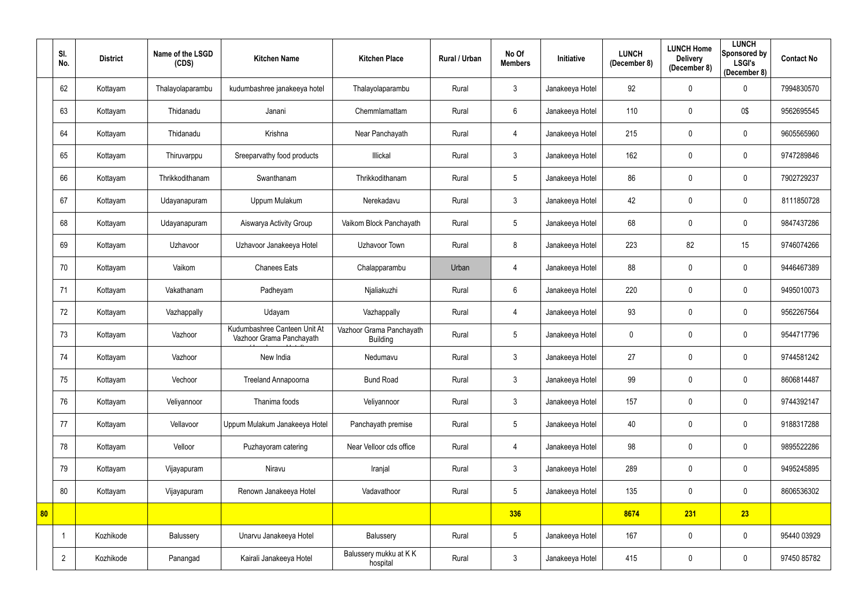|    | SI.<br>No.     | <b>District</b> | Name of the LSGD<br>(CDS) | <b>Kitchen Name</b>                                      | <b>Kitchen Place</b>                        | Rural / Urban | No Of<br><b>Members</b> | <b>Initiative</b> | <b>LUNCH</b><br>(December 8) | <b>LUNCH Home</b><br><b>Delivery</b><br>(December 8) | <b>LUNCH</b><br>Sponsored by<br><b>LSGI's</b><br>(December 8) | <b>Contact No</b> |
|----|----------------|-----------------|---------------------------|----------------------------------------------------------|---------------------------------------------|---------------|-------------------------|-------------------|------------------------------|------------------------------------------------------|---------------------------------------------------------------|-------------------|
|    | 62             | Kottayam        | Thalayolaparambu          | kudumbashree janakeeya hotel                             | Thalayolaparambu                            | Rural         | $\mathfrak{Z}$          | Janakeeya Hotel   | 92                           | $\mathbf 0$                                          | $\overline{0}$                                                | 7994830570        |
|    | 63             | Kottayam        | Thidanadu                 | Janani                                                   | Chemmlamattam                               | Rural         | $6\phantom{.}$          | Janakeeya Hotel   | 110                          | $\mathbf 0$                                          | 0\$                                                           | 9562695545        |
|    | 64             | Kottayam        | Thidanadu                 | Krishna                                                  | Near Panchayath                             | Rural         | 4                       | Janakeeya Hotel   | 215                          | $\mathbf{0}$                                         | $\overline{0}$                                                | 9605565960        |
|    | 65             | Kottayam        | Thiruvarppu               | Sreeparvathy food products                               | Illickal                                    | Rural         | $\mathfrak{Z}$          | Janakeeya Hotel   | 162                          | $\mathbf 0$                                          | $\mathbf 0$                                                   | 9747289846        |
|    | 66             | Kottayam        | Thrikkodithanam           | Swanthanam                                               | Thrikkodithanam                             | Rural         | 5                       | Janakeeya Hotel   | 86                           | $\mathbf{0}$                                         | $\overline{0}$                                                | 7902729237        |
|    | 67             | Kottayam        | Udayanapuram              | Uppum Mulakum                                            | Nerekadavu                                  | Rural         | $\mathfrak{Z}$          | Janakeeya Hotel   | 42                           | $\mathbf{0}$                                         | 0                                                             | 8111850728        |
|    | 68             | Kottayam        | Udayanapuram              | Aiswarya Activity Group                                  | Vaikom Block Panchayath                     | Rural         | 5                       | Janakeeya Hotel   | 68                           | $\mathbf{0}$                                         | $\mathbf 0$                                                   | 9847437286        |
|    | 69             | Kottayam        | Uzhavoor                  | Uzhavoor Janakeeya Hotel                                 | Uzhavoor Town                               | Rural         | 8                       | Janakeeya Hotel   | 223                          | 82                                                   | 15                                                            | 9746074266        |
|    | 70             | Kottayam        | Vaikom                    | <b>Chanees Eats</b>                                      | Chalapparambu                               | Urban         | 4                       | Janakeeya Hotel   | 88                           | $\mathbf 0$                                          | $\overline{0}$                                                | 9446467389        |
|    | 71             | Kottayam        | Vakathanam                | Padheyam                                                 | Njaliakuzhi                                 | Rural         | $6\phantom{.}$          | Janakeeya Hotel   | 220                          | $\mathbf 0$                                          | $\overline{0}$                                                | 9495010073        |
|    | 72             | Kottayam        | Vazhappally               | Udayam                                                   | Vazhappally                                 | Rural         | 4                       | Janakeeya Hotel   | 93                           | $\mathbf{0}$                                         | $\mathbf 0$                                                   | 9562267564        |
|    | 73             | Kottayam        | Vazhoor                   | Kudumbashree Canteen Unit At<br>Vazhoor Grama Panchayath | Vazhoor Grama Panchayath<br><b>Building</b> | Rural         | 5                       | Janakeeya Hotel   | 0                            | $\mathbf{0}$                                         | $\overline{0}$                                                | 9544717796        |
|    | 74             | Kottayam        | Vazhoor                   | New India                                                | Nedumavu                                    | Rural         | $\mathbf{3}$            | Janakeeya Hotel   | 27                           | $\mathbf 0$                                          | $\mathbf 0$                                                   | 9744581242        |
|    | 75             | Kottayam        | Vechoor                   | Treeland Annapoorna                                      | <b>Bund Road</b>                            | Rural         | $\mathfrak{Z}$          | Janakeeya Hotel   | 99                           | $\mathbf 0$                                          | $\overline{0}$                                                | 8606814487        |
|    | 76             | Kottayam        | Veliyannoor               | Thanima foods                                            | Veliyannoor                                 | Rural         | $\mathfrak{Z}$          | Janakeeya Hotel   | 157                          | $\mathbf 0$                                          | $\overline{0}$                                                | 9744392147        |
|    | 77             | Kottayam        | Vellavoor                 | Uppum Mulakum Janakeeya Hotel                            | Panchayath premise                          | Rural         | $5\,$                   | Janakeeya Hotel   | 40                           | $\mathbf 0$                                          | $\mathbf 0$                                                   | 9188317288        |
|    | 78             | Kottayam        | Velloor                   | Puzhayoram catering                                      | Near Velloor cds office                     | Rural         | 4                       | Janakeeya Hotel   | 98                           | $\mathbf 0$                                          | $\mathbf 0$                                                   | 9895522286        |
|    | 79             | Kottayam        | Vijayapuram               | Niravu                                                   | Iranjal                                     | Rural         | $\mathfrak{Z}$          | Janakeeya Hotel   | 289                          | $\mathbf 0$                                          | $\mathbf 0$                                                   | 9495245895        |
|    | 80             | Kottayam        | Vijayapuram               | Renown Janakeeya Hotel                                   | Vadavathoor                                 | Rural         | 5                       | Janakeeya Hotel   | 135                          | $\mathbf 0$                                          | $\overline{0}$                                                | 8606536302        |
| 80 |                |                 |                           |                                                          |                                             |               | 336                     |                   | 8674                         | 231                                                  | 23                                                            |                   |
|    |                | Kozhikode       | Balussery                 | Unarvu Janakeeya Hotel                                   | Balussery                                   | Rural         | $5\phantom{.0}$         | Janakeeya Hotel   | 167                          | $\pmb{0}$                                            | $\overline{0}$                                                | 95440 03929       |
|    | $\overline{2}$ | Kozhikode       | Panangad                  | Kairali Janakeeya Hotel                                  | Balussery mukku at KK<br>hospital           | Rural         | $\mathfrak{Z}$          | Janakeeya Hotel   | 415                          | $\mathbf 0$                                          | $\overline{0}$                                                | 97450 85782       |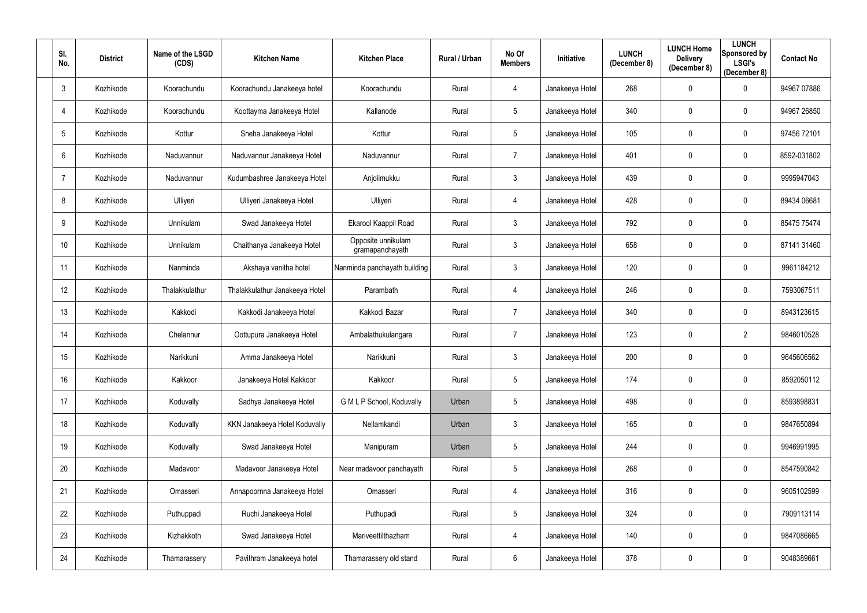| SI.<br>No.      | <b>District</b> | Name of the LSGD<br>(CDS) | <b>Kitchen Name</b>            | <b>Kitchen Place</b>                  | Rural / Urban | No Of<br><b>Members</b> | Initiative      | <b>LUNCH</b><br>(December 8) | <b>LUNCH Home</b><br><b>Delivery</b><br>(December 8) | <b>LUNCH</b><br><b>Sponsored by</b><br><b>LSGI's</b><br>(December 8) | <b>Contact No</b> |
|-----------------|-----------------|---------------------------|--------------------------------|---------------------------------------|---------------|-------------------------|-----------------|------------------------------|------------------------------------------------------|----------------------------------------------------------------------|-------------------|
| $\mathbf{3}$    | Kozhikode       | Koorachundu               | Koorachundu Janakeeya hotel    | Koorachundu                           | Rural         | 4                       | Janakeeya Hotel | 268                          | $\mathbf 0$                                          | 0                                                                    | 94967 07886       |
| $\overline{4}$  | Kozhikode       | Koorachundu               | Koottayma Janakeeya Hotel      | Kallanode                             | Rural         | 5                       | Janakeeya Hotel | 340                          | $\mathbf 0$                                          | 0                                                                    | 94967 26850       |
| $5\phantom{.0}$ | Kozhikode       | Kottur                    | Sneha Janakeeya Hotel          | Kottur                                | Rural         | 5 <sup>5</sup>          | Janakeeya Hotel | 105                          | $\mathbf 0$                                          | $\mathbf 0$                                                          | 97456 72101       |
| 6               | Kozhikode       | Naduvannur                | Naduvannur Janakeeya Hotel     | Naduvannur                            | Rural         | 7                       | Janakeeya Hotel | 401                          | $\mathbf 0$                                          | $\mathbf 0$                                                          | 8592-031802       |
| $\overline{7}$  | Kozhikode       | Naduvannur                | Kudumbashree Janakeeya Hotel   | Anjolimukku                           | Rural         | $\mathfrak{Z}$          | Janakeeya Hotel | 439                          | $\mathbf 0$                                          | $\mathbf 0$                                                          | 9995947043        |
| 8               | Kozhikode       | Ulliyeri                  | Ulliyeri Janakeeya Hotel       | Ulliyeri                              | Rural         | 4                       | Janakeeya Hotel | 428                          | $\mathbf 0$                                          | $\mathbf 0$                                                          | 89434 06681       |
| 9               | Kozhikode       | Unnikulam                 | Swad Janakeeya Hotel           | Ekarool Kaappil Road                  | Rural         | 3 <sup>1</sup>          | Janakeeya Hotel | 792                          | $\mathbf 0$                                          | $\mathbf 0$                                                          | 85475 75474       |
| 10 <sup>°</sup> | Kozhikode       | Unnikulam                 | Chaithanya Janakeeya Hotel     | Opposite unnikulam<br>gramapanchayath | Rural         | $\mathfrak{Z}$          | Janakeeya Hotel | 658                          | $\mathbf 0$                                          | $\mathbf 0$                                                          | 87141 31460       |
| 11              | Kozhikode       | Nanminda                  | Akshaya vanitha hotel          | Nanminda panchayath building          | Rural         | 3 <sup>1</sup>          | Janakeeya Hotel | 120                          | $\mathbf 0$                                          | $\mathbf 0$                                                          | 9961184212        |
| 12              | Kozhikode       | Thalakkulathur            | Thalakkulathur Janakeeya Hotel | Parambath                             | Rural         | 4                       | Janakeeya Hotel | 246                          | $\mathbf 0$                                          | $\mathbf 0$                                                          | 7593067511        |
| 13              | Kozhikode       | Kakkodi                   | Kakkodi Janakeeya Hotel        | Kakkodi Bazar                         | Rural         | $\overline{7}$          | Janakeeya Hotel | 340                          | $\mathbf 0$                                          | $\mathbf 0$                                                          | 8943123615        |
| 14              | Kozhikode       | Chelannur                 | Oottupura Janakeeya Hotel      | Ambalathukulangara                    | Rural         | 7                       | Janakeeya Hotel | 123                          | $\mathbf 0$                                          | $\overline{2}$                                                       | 9846010528        |
| 15              | Kozhikode       | Narikkuni                 | Amma Janakeeya Hotel           | Narikkuni                             | Rural         | 3                       | Janakeeya Hotel | 200                          | $\mathbf 0$                                          | 0                                                                    | 9645606562        |
| 16              | Kozhikode       | Kakkoor                   | Janakeeya Hotel Kakkoor        | Kakkoor                               | Rural         | 5                       | Janakeeya Hotel | 174                          | $\mathbf 0$                                          | 0                                                                    | 8592050112        |
| 17              | Kozhikode       | Koduvally                 | Sadhya Janakeeya Hotel         | G M L P School, Koduvally             | Urban         | 5 <sup>5</sup>          | Janakeeya Hotel | 498                          | $\mathbf 0$                                          | $\mathbf 0$                                                          | 8593898831        |
| 18              | Kozhikode       | Koduvally                 | KKN Janakeeya Hotel Koduvally  | Nellamkandi                           | Urban         | 3 <sup>1</sup>          | Janakeeya Hotel | 165                          | $\pmb{0}$                                            | $\mathbf 0$                                                          | 9847650894        |
| 19              | Kozhikode       | Koduvally                 | Swad Janakeeya Hotel           | Manipuram                             | Urban         | 5                       | Janakeeya Hotel | 244                          | $\pmb{0}$                                            | $\mathbf 0$                                                          | 9946991995        |
| 20              | Kozhikode       | Madavoor                  | Madavoor Janakeeya Hotel       | Near madavoor panchayath              | Rural         | 5                       | Janakeeya Hotel | 268                          | $\pmb{0}$                                            | $\bf{0}$                                                             | 8547590842        |
| 21              | Kozhikode       | Omasseri                  | Annapoornna Janakeeya Hotel    | Omasseri                              | Rural         | 4                       | Janakeeya Hotel | 316                          | $\boldsymbol{0}$                                     | $\mathbf 0$                                                          | 9605102599        |
| 22              | Kozhikode       | Puthuppadi                | Ruchi Janakeeya Hotel          | Puthupadi                             | Rural         | $5\phantom{.0}$         | Janakeeya Hotel | 324                          | $\mathbf 0$                                          | $\overline{0}$                                                       | 7909113114        |
| 23              | Kozhikode       | Kizhakkoth                | Swad Janakeeya Hotel           | Mariveettilthazham                    | Rural         | 4                       | Janakeeya Hotel | 140                          | $\boldsymbol{0}$                                     | $\bf{0}$                                                             | 9847086665        |
| 24              | Kozhikode       | Thamarassery              | Pavithram Janakeeya hotel      | Thamarassery old stand                | Rural         | $6\overline{6}$         | Janakeeya Hotel | 378                          | $\boldsymbol{0}$                                     | $\bf{0}$                                                             | 9048389661        |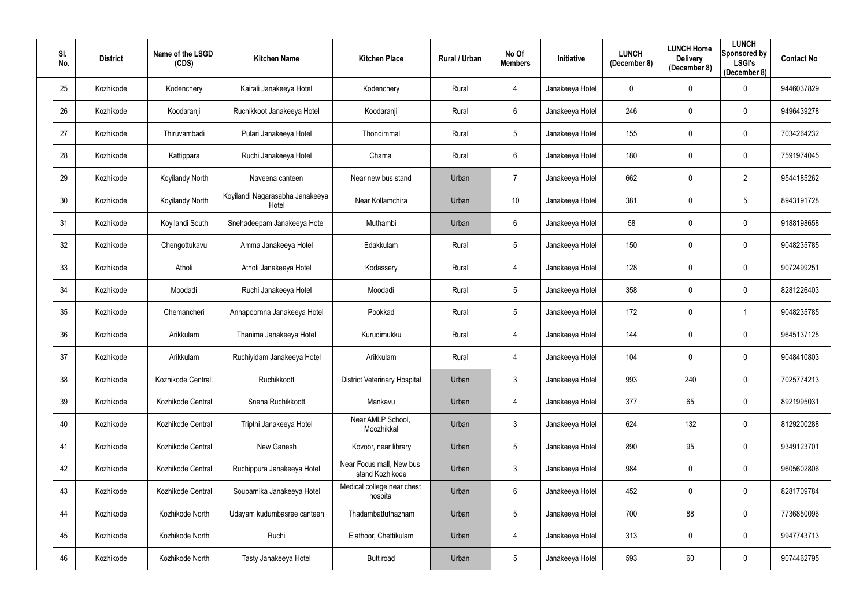| SI.<br>No. | <b>District</b> | Name of the LSGD<br>(CDS) | <b>Kitchen Name</b>                      | <b>Kitchen Place</b>                        | Rural / Urban | No Of<br><b>Members</b> | Initiative      | <b>LUNCH</b><br>(December 8) | <b>LUNCH Home</b><br><b>Delivery</b><br>(December 8) | <b>LUNCH</b><br><b>Sponsored by</b><br><b>LSGI's</b><br>(December 8) | <b>Contact No</b> |
|------------|-----------------|---------------------------|------------------------------------------|---------------------------------------------|---------------|-------------------------|-----------------|------------------------------|------------------------------------------------------|----------------------------------------------------------------------|-------------------|
| 25         | Kozhikode       | Kodenchery                | Kairali Janakeeya Hotel                  | Kodenchery                                  | Rural         | 4                       | Janakeeya Hotel | 0                            | $\mathbf 0$                                          | 0                                                                    | 9446037829        |
| 26         | Kozhikode       | Koodaranji                | Ruchikkoot Janakeeya Hotel               | Koodaranji                                  | Rural         | 6                       | Janakeeya Hotel | 246                          | $\mathbf 0$                                          | 0                                                                    | 9496439278        |
| 27         | Kozhikode       | Thiruvambadi              | Pulari Janakeeya Hotel                   | Thondimmal                                  | Rural         | 5 <sup>5</sup>          | Janakeeya Hotel | 155                          | $\mathbf{0}$                                         | $\mathbf 0$                                                          | 7034264232        |
| 28         | Kozhikode       | Kattippara                | Ruchi Janakeeya Hotel                    | Chamal                                      | Rural         | $6^{\circ}$             | Janakeeya Hotel | 180                          | $\mathbf 0$                                          | $\mathbf 0$                                                          | 7591974045        |
| 29         | Kozhikode       | Koyilandy North           | Naveena canteen                          | Near new bus stand                          | Urban         | $\overline{7}$          | Janakeeya Hotel | 662                          | $\mathbf 0$                                          | $\overline{2}$                                                       | 9544185262        |
| 30         | Kozhikode       | Koyilandy North           | Koyilandi Nagarasabha Janakeeya<br>Hotel | Near Kollamchira                            | Urban         | 10 <sup>°</sup>         | Janakeeya Hotel | 381                          | $\mathbf 0$                                          | 5                                                                    | 8943191728        |
| 31         | Kozhikode       | Koyilandi South           | Snehadeepam Janakeeya Hotel              | Muthambi                                    | Urban         | $6^{\circ}$             | Janakeeya Hotel | 58                           | $\mathbf 0$                                          | $\mathbf 0$                                                          | 9188198658        |
| 32         | Kozhikode       | Chengottukavu             | Amma Janakeeya Hotel                     | Edakkulam                                   | Rural         | 5                       | Janakeeya Hotel | 150                          | $\mathbf 0$                                          | $\mathbf 0$                                                          | 9048235785        |
| 33         | Kozhikode       | Atholi                    | Atholi Janakeeya Hotel                   | Kodassery                                   | Rural         | 4                       | Janakeeya Hotel | 128                          | $\mathbf 0$                                          | $\mathbf 0$                                                          | 9072499251        |
| 34         | Kozhikode       | Moodadi                   | Ruchi Janakeeya Hotel                    | Moodadi                                     | Rural         | 5                       | Janakeeya Hotel | 358                          | $\mathbf 0$                                          | $\mathbf 0$                                                          | 8281226403        |
| 35         | Kozhikode       | Chemancheri               | Annapoornna Janakeeya Hotel              | Pookkad                                     | Rural         | 5                       | Janakeeya Hotel | 172                          | $\mathbf 0$                                          |                                                                      | 9048235785        |
| 36         | Kozhikode       | Arikkulam                 | Thanima Janakeeya Hotel                  | Kurudimukku                                 | Rural         | 4                       | Janakeeya Hotel | 144                          | 0                                                    | $\mathbf 0$                                                          | 9645137125        |
| 37         | Kozhikode       | Arikkulam                 | Ruchiyidam Janakeeya Hotel               | Arikkulam                                   | Rural         | 4                       | Janakeeya Hotel | 104                          | $\mathbf 0$                                          | 0                                                                    | 9048410803        |
| 38         | Kozhikode       | Kozhikode Central.        | Ruchikkoott                              | <b>District Veterinary Hospital</b>         | Urban         | $\mathfrak{Z}$          | Janakeeya Hotel | 993                          | 240                                                  | $\mathbf 0$                                                          | 7025774213        |
| 39         | Kozhikode       | Kozhikode Central         | Sneha Ruchikkoott                        | Mankavu                                     | Urban         | $\overline{4}$          | Janakeeya Hotel | 377                          | 65                                                   | $\overline{0}$                                                       | 8921995031        |
| 40         | Kozhikode       | Kozhikode Central         | Tripthi Janakeeya Hotel                  | Near AMLP School,<br>Moozhikkal             | Urban         | 3 <sup>1</sup>          | Janakeeya Hotel | 624                          | 132                                                  | $\mathbf 0$                                                          | 8129200288        |
| 41         | Kozhikode       | Kozhikode Central         | New Ganesh                               | Kovoor, near library                        | Urban         | $5\phantom{.0}$         | Janakeeya Hotel | 890                          | 95                                                   | $\mathbf 0$                                                          | 9349123701        |
| 42         | Kozhikode       | Kozhikode Central         | Ruchippura Janakeeya Hotel               | Near Focus mall, New bus<br>stand Kozhikode | Urban         | $\mathbf{3}$            | Janakeeya Hotel | 984                          | $\boldsymbol{0}$                                     | $\mathbf 0$                                                          | 9605602806        |
| 43         | Kozhikode       | Kozhikode Central         | Souparnika Janakeeya Hotel               | Medical college near chest<br>hospital      | Urban         | 6                       | Janakeeya Hotel | 452                          | $\boldsymbol{0}$                                     | $\overline{0}$                                                       | 8281709784        |
| 44         | Kozhikode       | Kozhikode North           | Udayam kudumbasree canteen               | Thadambattuthazham                          | Urban         | $5\phantom{.0}$         | Janakeeya Hotel | 700                          | 88                                                   | $\overline{0}$                                                       | 7736850096        |
| 45         | Kozhikode       | Kozhikode North           | Ruchi                                    | Elathoor, Chettikulam                       | Urban         | 4                       | Janakeeya Hotel | 313                          | $\pmb{0}$                                            | $\overline{0}$                                                       | 9947743713        |
| 46         | Kozhikode       | Kozhikode North           | Tasty Janakeeya Hotel                    | Butt road                                   | Urban         | $5\phantom{.0}$         | Janakeeya Hotel | 593                          | 60                                                   | $\overline{0}$                                                       | 9074462795        |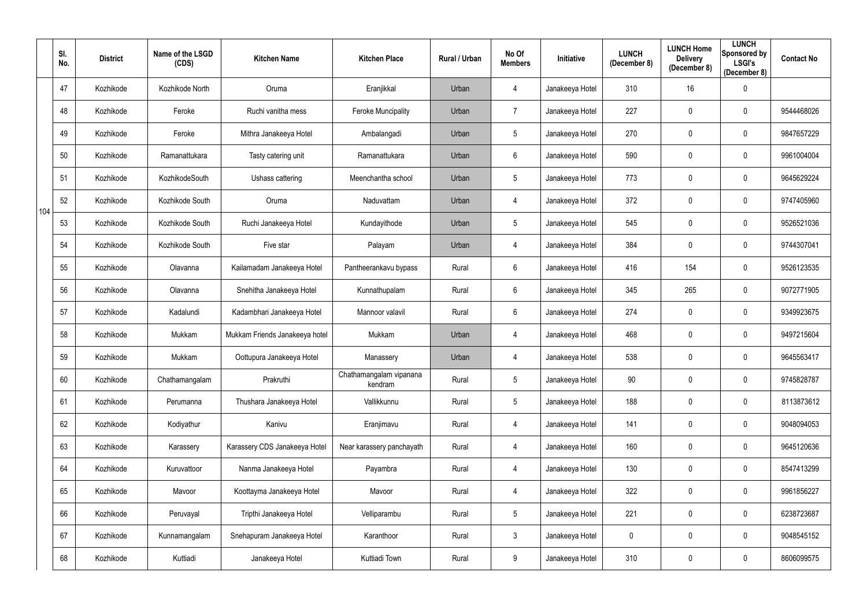|     | SI.<br>No. | <b>District</b> | Name of the LSGD<br>(CDS) | <b>Kitchen Name</b>            | <b>Kitchen Place</b>               | Rural / Urban | No Of<br><b>Members</b> | <b>Initiative</b> | <b>LUNCH</b><br>(December 8) | <b>LUNCH Home</b><br><b>Delivery</b><br>(December 8) | <b>LUNCH</b><br>Sponsored by<br><b>LSGI's</b><br>(December 8) | <b>Contact No</b> |
|-----|------------|-----------------|---------------------------|--------------------------------|------------------------------------|---------------|-------------------------|-------------------|------------------------------|------------------------------------------------------|---------------------------------------------------------------|-------------------|
|     | 47         | Kozhikode       | Kozhikode North           | Oruma                          | Eranjikkal                         | Urban         | 4                       | Janakeeya Hotel   | 310                          | 16                                                   | $\mathbf 0$                                                   |                   |
|     | 48         | Kozhikode       | Feroke                    | Ruchi vanitha mess             | <b>Feroke Muncipality</b>          | Urban         | 7                       | Janakeeya Hotel   | 227                          | $\mathbf 0$                                          | $\mathbf 0$                                                   | 9544468026        |
|     | 49         | Kozhikode       | Feroke                    | Mithra Janakeeya Hotel         | Ambalangadi                        | Urban         | $5\phantom{.0}$         | Janakeeya Hotel   | 270                          | $\mathbf 0$                                          | $\mathbf 0$                                                   | 9847657229        |
|     | 50         | Kozhikode       | Ramanattukara             | Tasty catering unit            | Ramanattukara                      | Urban         | $6\phantom{.}$          | Janakeeya Hotel   | 590                          | $\mathbf 0$                                          | $\mathbf 0$                                                   | 9961004004        |
|     | 51         | Kozhikode       | KozhikodeSouth            | Ushass cattering               | Meenchantha school                 | Urban         | $5\phantom{.0}$         | Janakeeya Hotel   | 773                          | $\mathbf 0$                                          | $\mathbf 0$                                                   | 9645629224        |
| 104 | 52         | Kozhikode       | Kozhikode South           | Oruma                          | Naduvattam                         | Urban         | 4                       | Janakeeya Hotel   | 372                          | $\mathbf 0$                                          | $\mathbf 0$                                                   | 9747405960        |
|     | 53         | Kozhikode       | Kozhikode South           | Ruchi Janakeeya Hotel          | Kundayithode                       | Urban         | $5\phantom{.0}$         | Janakeeya Hotel   | 545                          | $\mathbf 0$                                          | $\mathbf 0$                                                   | 9526521036        |
|     | 54         | Kozhikode       | Kozhikode South           | Five star                      | Palayam                            | Urban         | 4                       | Janakeeya Hotel   | 384                          | $\mathbf 0$                                          | $\mathbf 0$                                                   | 9744307041        |
|     | 55         | Kozhikode       | Olavanna                  | Kailamadam Janakeeya Hotel     | Pantheerankavu bypass              | Rural         | 6                       | Janakeeya Hotel   | 416                          | 154                                                  | $\overline{0}$                                                | 9526123535        |
|     | 56         | Kozhikode       | Olavanna                  | Snehitha Janakeeya Hotel       | Kunnathupalam                      | Rural         | $6\phantom{.}$          | Janakeeya Hotel   | 345                          | 265                                                  | $\mathbf 0$                                                   | 9072771905        |
|     | 57         | Kozhikode       | Kadalundi                 | Kadambhari Janakeeya Hotel     | Mannoor valavil                    | Rural         | $6\phantom{.}$          | Janakeeya Hotel   | 274                          | $\boldsymbol{0}$                                     | $\mathbf 0$                                                   | 9349923675        |
|     | 58         | Kozhikode       | Mukkam                    | Mukkam Friends Janakeeya hotel | Mukkam                             | Urban         | 4                       | Janakeeya Hotel   | 468                          | $\mathbf 0$                                          | $\mathbf 0$                                                   | 9497215604        |
|     | 59         | Kozhikode       | Mukkam                    | Oottupura Janakeeya Hotel      | Manassery                          | Urban         | 4                       | Janakeeya Hotel   | 538                          | $\mathbf 0$                                          | $\mathbf 0$                                                   | 9645563417        |
|     | 60         | Kozhikode       | Chathamangalam            | Prakruthi                      | Chathamangalam vipanana<br>kendram | Rural         | $5\phantom{.0}$         | Janakeeya Hotel   | 90                           | $\mathbf 0$                                          | $\mathbf 0$                                                   | 9745828787        |
|     | 61         | Kozhikode       | Perumanna                 | Thushara Janakeeya Hotel       | Vallikkunnu                        | Rural         | $5\phantom{.0}$         | Janakeeya Hotel   | 188                          | $\mathbf 0$                                          | $\mathbf 0$                                                   | 8113873612        |
|     | 62         | Kozhikode       | Kodiyathur                | Kanivu                         | Eranjimavu                         | Rural         | 4                       | Janakeeya Hotel   | 141                          | $\mathbf 0$                                          | $\mathbf 0$                                                   | 9048094053        |
|     | 63         | Kozhikode       | Karassery                 | Karassery CDS Janakeeya Hotel  | Near karassery panchayath          | Rural         | 4                       | Janakeeya Hotel   | 160                          | $\mathbf 0$                                          | $\mathbf 0$                                                   | 9645120636        |
|     | 64         | Kozhikode       | Kuruvattoor               | Nanma Janakeeya Hotel          | Payambra                           | Rural         | 4                       | Janakeeya Hotel   | 130                          | $\mathbf 0$                                          | $\mathbf 0$                                                   | 8547413299        |
|     | 65         | Kozhikode       | Mavoor                    | Koottayma Janakeeya Hotel      | Mavoor                             | Rural         | 4                       | Janakeeya Hotel   | 322                          | $\mathbf 0$                                          | $\mathbf 0$                                                   | 9961856227        |
|     | 66         | Kozhikode       | Peruvayal                 | Tripthi Janakeeya Hotel        | Velliparambu                       | Rural         | $\sqrt{5}$              | Janakeeya Hotel   | 221                          | $\mathbf 0$                                          | $\mathbf 0$                                                   | 6238723687        |
|     | 67         | Kozhikode       | Kunnamangalam             | Snehapuram Janakeeya Hotel     | Karanthoor                         | Rural         | $\mathbf{3}$            | Janakeeya Hotel   | $\mathbf 0$                  | $\boldsymbol{0}$                                     | $\mathbf 0$                                                   | 9048545152        |
|     | 68         | Kozhikode       | Kuttiadi                  | Janakeeya Hotel                | Kuttiadi Town                      | Rural         | 9                       | Janakeeya Hotel   | 310                          | $\boldsymbol{0}$                                     | $\overline{0}$                                                | 8606099575        |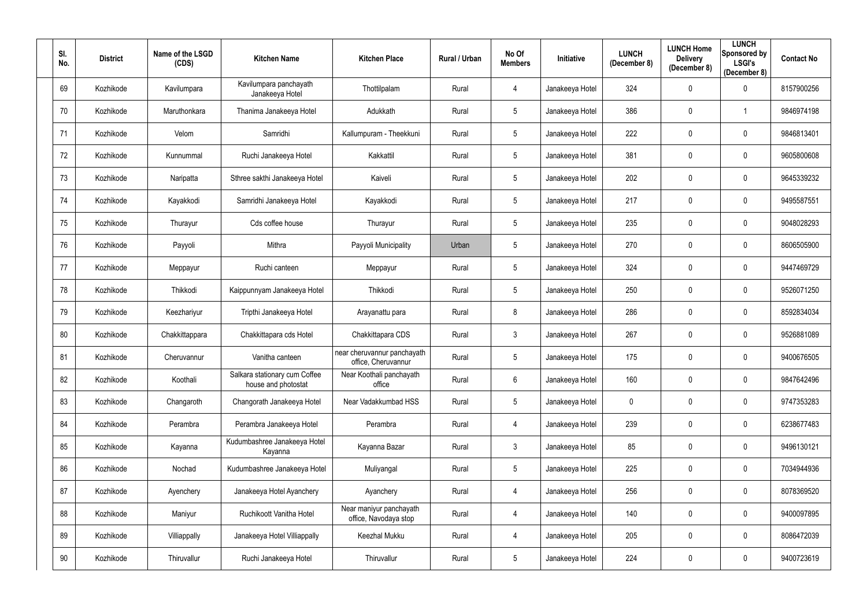| SI.<br>No. | <b>District</b> | Name of the LSGD<br>(CDS) | <b>Kitchen Name</b>                                  | <b>Kitchen Place</b>                               | Rural / Urban | No Of<br><b>Members</b> | Initiative      | <b>LUNCH</b><br>(December 8) | <b>LUNCH Home</b><br><b>Delivery</b><br>(December 8) | <b>LUNCH</b><br>Sponsored by<br><b>LSGI's</b><br>(December 8) | <b>Contact No</b> |
|------------|-----------------|---------------------------|------------------------------------------------------|----------------------------------------------------|---------------|-------------------------|-----------------|------------------------------|------------------------------------------------------|---------------------------------------------------------------|-------------------|
| 69         | Kozhikode       | Kavilumpara               | Kavilumpara panchayath<br>Janakeeya Hotel            | Thottilpalam                                       | Rural         | 4                       | Janakeeya Hotel | 324                          | $\boldsymbol{0}$                                     | $\mathbf 0$                                                   | 8157900256        |
| 70         | Kozhikode       | Maruthonkara              | Thanima Janakeeya Hotel                              | Adukkath                                           | Rural         | 5                       | Janakeeya Hotel | 386                          | $\mathbf 0$                                          |                                                               | 9846974198        |
| 71         | Kozhikode       | Velom                     | Samridhi                                             | Kallumpuram - Theekkuni                            | Rural         | 5                       | Janakeeya Hotel | 222                          | $\mathbf 0$                                          | $\mathbf 0$                                                   | 9846813401        |
| 72         | Kozhikode       | Kunnummal                 | Ruchi Janakeeya Hotel                                | Kakkattil                                          | Rural         | 5                       | Janakeeya Hotel | 381                          | $\mathbf 0$                                          | $\mathbf 0$                                                   | 9605800608        |
| 73         | Kozhikode       | Naripatta                 | Sthree sakthi Janakeeya Hotel                        | Kaiveli                                            | Rural         | 5                       | Janakeeya Hotel | 202                          | $\mathbf 0$                                          | $\mathbf 0$                                                   | 9645339232        |
| 74         | Kozhikode       | Kayakkodi                 | Samridhi Janakeeya Hotel                             | Kayakkodi                                          | Rural         | 5                       | Janakeeya Hotel | 217                          | $\mathbf 0$                                          | 0                                                             | 9495587551        |
| 75         | Kozhikode       | Thurayur                  | Cds coffee house                                     | Thurayur                                           | Rural         | 5                       | Janakeeya Hotel | 235                          | $\mathbf 0$                                          | $\mathbf 0$                                                   | 9048028293        |
| 76         | Kozhikode       | Payyoli                   | Mithra                                               | Payyoli Municipality                               | Urban         | 5                       | Janakeeya Hotel | 270                          | $\boldsymbol{0}$                                     | $\mathbf 0$                                                   | 8606505900        |
| 77         | Kozhikode       | Meppayur                  | Ruchi canteen                                        | Meppayur                                           | Rural         | 5                       | Janakeeya Hotel | 324                          | $\mathbf 0$                                          | $\mathbf 0$                                                   | 9447469729        |
| 78         | Kozhikode       | Thikkodi                  | Kaippunnyam Janakeeya Hotel                          | Thikkodi                                           | Rural         | 5                       | Janakeeya Hotel | 250                          | $\mathbf 0$                                          | $\mathbf 0$                                                   | 9526071250        |
| 79         | Kozhikode       | Keezhariyur               | Tripthi Janakeeya Hotel                              | Arayanattu para                                    | Rural         | 8                       | Janakeeya Hotel | 286                          | $\mathbf 0$                                          | $\mathbf 0$                                                   | 8592834034        |
| 80         | Kozhikode       | Chakkittappara            | Chakkittapara cds Hotel                              | Chakkittapara CDS                                  | Rural         | $\mathfrak{Z}$          | Janakeeya Hotel | 267                          | $\mathbf 0$                                          | $\mathbf 0$                                                   | 9526881089        |
| 81         | Kozhikode       | Cheruvannur               | Vanitha canteen                                      | near cheruvannur panchayath<br>office, Cheruvannur | Rural         | 5                       | Janakeeya Hotel | 175                          | $\mathbf 0$                                          | 0                                                             | 9400676505        |
| 82         | Kozhikode       | Koothali                  | Salkara stationary cum Coffee<br>house and photostat | Near Koothali panchayath<br>office                 | Rural         | $6\phantom{.}$          | Janakeeya Hotel | 160                          | $\mathbf 0$                                          | $\mathbf 0$                                                   | 9847642496        |
| 83         | Kozhikode       | Changaroth                | Changorath Janakeeya Hotel                           | Near Vadakkumbad HSS                               | Rural         | 5                       | Janakeeya Hotel | $\mathbf 0$                  | $\mathbf 0$                                          | $\overline{0}$                                                | 9747353283        |
| 84         | Kozhikode       | Perambra                  | Perambra Janakeeya Hotel                             | Perambra                                           | Rural         | 4                       | Janakeeya Hotel | 239                          | $\boldsymbol{0}$                                     | $\mathbf 0$                                                   | 6238677483        |
| 85         | Kozhikode       | Kayanna                   | Kudumbashree Janakeeya Hotel<br>Kayanna              | Kayanna Bazar                                      | Rural         | $\mathfrak{Z}$          | Janakeeya Hotel | 85                           | $\pmb{0}$                                            | $\mathbf 0$                                                   | 9496130121        |
| 86         | Kozhikode       | Nochad                    | Kudumbashree Janakeeya Hotel                         | Muliyangal                                         | Rural         | 5                       | Janakeeya Hotel | 225                          | $\boldsymbol{0}$                                     | $\mathbf 0$                                                   | 7034944936        |
| 87         | Kozhikode       | Ayenchery                 | Janakeeya Hotel Ayanchery                            | Ayanchery                                          | Rural         | 4                       | Janakeeya Hotel | 256                          | $\boldsymbol{0}$                                     | $\mathbf 0$                                                   | 8078369520        |
| 88         | Kozhikode       | Maniyur                   | Ruchikoott Vanitha Hotel                             | Near maniyur panchayath<br>office, Navodaya stop   | Rural         | 4                       | Janakeeya Hotel | 140                          | $\boldsymbol{0}$                                     | $\overline{0}$                                                | 9400097895        |
| 89         | Kozhikode       | Villiappally              | Janakeeya Hotel Villiappally                         | Keezhal Mukku                                      | Rural         | 4                       | Janakeeya Hotel | 205                          | $\boldsymbol{0}$                                     | $\overline{0}$                                                | 8086472039        |
| 90         | Kozhikode       | Thiruvallur               | Ruchi Janakeeya Hotel                                | Thiruvallur                                        | Rural         | $5\phantom{.0}$         | Janakeeya Hotel | 224                          | $\boldsymbol{0}$                                     | $\mathbf 0$                                                   | 9400723619        |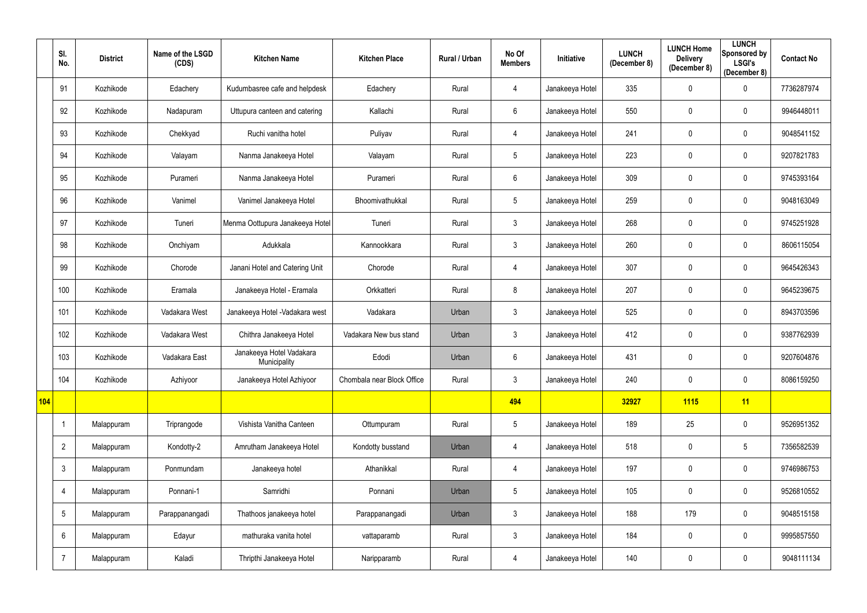|     | SI.<br>No.     | <b>District</b> | Name of the LSGD<br>(CDS) | <b>Kitchen Name</b>                      | <b>Kitchen Place</b>       | Rural / Urban | No Of<br><b>Members</b> | Initiative      | <b>LUNCH</b><br>(December 8) | <b>LUNCH Home</b><br><b>Delivery</b><br>(December 8) | <b>LUNCH</b><br>Sponsored by<br><b>LSGI's</b><br>(December 8) | <b>Contact No</b> |
|-----|----------------|-----------------|---------------------------|------------------------------------------|----------------------------|---------------|-------------------------|-----------------|------------------------------|------------------------------------------------------|---------------------------------------------------------------|-------------------|
|     | 91             | Kozhikode       | Edachery                  | Kudumbasree cafe and helpdesk            | Edachery                   | Rural         | $\overline{4}$          | Janakeeya Hotel | 335                          | $\mathbf 0$                                          | $\overline{0}$                                                | 7736287974        |
|     | 92             | Kozhikode       | Nadapuram                 | Uttupura canteen and catering            | Kallachi                   | Rural         | $6\,$                   | Janakeeya Hotel | 550                          | $\mathbf{0}$                                         | 0                                                             | 9946448011        |
|     | 93             | Kozhikode       | Chekkyad                  | Ruchi vanitha hotel                      | Puliyav                    | Rural         | 4                       | Janakeeya Hotel | 241                          | $\mathbf{0}$                                         | 0                                                             | 9048541152        |
|     | 94             | Kozhikode       | Valayam                   | Nanma Janakeeya Hotel                    | Valayam                    | Rural         | $5\phantom{.0}$         | Janakeeya Hotel | 223                          | $\mathbf 0$                                          | $\overline{0}$                                                | 9207821783        |
|     | 95             | Kozhikode       | Purameri                  | Nanma Janakeeya Hotel                    | Purameri                   | Rural         | $6\,$                   | Janakeeya Hotel | 309                          | $\mathbf 0$                                          | $\overline{0}$                                                | 9745393164        |
|     | 96             | Kozhikode       | Vanimel                   | Vanimel Janakeeya Hotel                  | Bhoomivathukkal            | Rural         | $5\,$                   | Janakeeya Hotel | 259                          | $\mathbf 0$                                          | $\mathbf 0$                                                   | 9048163049        |
|     | 97             | Kozhikode       | Tuneri                    | Menma Oottupura Janakeeya Hotel          | Tuneri                     | Rural         | $\mathfrak{Z}$          | Janakeeya Hotel | 268                          | $\mathbf 0$                                          | $\overline{0}$                                                | 9745251928        |
|     | 98             | Kozhikode       | Onchiyam                  | Adukkala                                 | Kannookkara                | Rural         | $\mathfrak{Z}$          | Janakeeya Hotel | 260                          | $\mathbf 0$                                          | $\overline{0}$                                                | 8606115054        |
|     | 99             | Kozhikode       | Chorode                   | Janani Hotel and Catering Unit           | Chorode                    | Rural         | $\overline{4}$          | Janakeeya Hotel | 307                          | $\mathbf 0$                                          | $\overline{0}$                                                | 9645426343        |
|     | 100            | Kozhikode       | Eramala                   | Janakeeya Hotel - Eramala                | Orkkatteri                 | Rural         | 8                       | Janakeeya Hotel | 207                          | $\mathbf 0$                                          | $\overline{0}$                                                | 9645239675        |
|     | 101            | Kozhikode       | Vadakara West             | Janakeeya Hotel - Vadakara west          | Vadakara                   | Urban         | $\mathfrak{Z}$          | Janakeeya Hotel | 525                          | $\mathbf 0$                                          | $\overline{0}$                                                | 8943703596        |
|     | 102            | Kozhikode       | Vadakara West             | Chithra Janakeeya Hotel                  | Vadakara New bus stand     | Urban         | $\mathfrak{Z}$          | Janakeeya Hotel | 412                          | $\mathbf 0$                                          | $\overline{0}$                                                | 9387762939        |
|     | 103            | Kozhikode       | Vadakara East             | Janakeeya Hotel Vadakara<br>Municipality | Edodi                      | Urban         | 6                       | Janakeeya Hotel | 431                          | $\mathbf 0$                                          | $\mathbf 0$                                                   | 9207604876        |
|     | 104            | Kozhikode       | Azhiyoor                  | Janakeeya Hotel Azhiyoor                 | Chombala near Block Office | Rural         | $\mathbf{3}$            | Janakeeya Hotel | 240                          | $\pmb{0}$                                            | $\overline{0}$                                                | 8086159250        |
| 104 |                |                 |                           |                                          |                            |               | 494                     |                 | 32927                        | <b>1115</b>                                          | 11                                                            |                   |
|     | $\mathbf{1}$   | Malappuram      | Triprangode               | Vishista Vanitha Canteen                 | Ottumpuram                 | Rural         | $\sqrt{5}$              | Janakeeya Hotel | 189                          | 25                                                   | $\mathbf 0$                                                   | 9526951352        |
|     | $\overline{2}$ | Malappuram      | Kondotty-2                | Amrutham Janakeeya Hotel                 | Kondotty busstand          | Urban         | $\overline{4}$          | Janakeeya Hotel | 518                          | $\mathbf 0$                                          | $5\phantom{.0}$                                               | 7356582539        |
|     | $\mathfrak{Z}$ | Malappuram      | Ponmundam                 | Janakeeya hotel                          | Athanikkal                 | Rural         | $\overline{4}$          | Janakeeya Hotel | 197                          | $\pmb{0}$                                            | $\mathbf 0$                                                   | 9746986753        |
|     | $\overline{4}$ | Malappuram      | Ponnani-1                 | Samridhi                                 | Ponnani                    | Urban         | $\overline{5}$          | Janakeeya Hotel | 105                          | $\mathbf 0$                                          | $\overline{0}$                                                | 9526810552        |
|     | $\sqrt{5}$     | Malappuram      | Parappanangadi            | Thathoos janakeeya hotel                 | Parappanangadi             | Urban         | $\mathfrak{Z}$          | Janakeeya Hotel | 188                          | 179                                                  | $\mathbf 0$                                                   | 9048515158        |
|     | $6\,$          | Malappuram      | Edayur                    | mathuraka vanita hotel                   | vattaparamb                | Rural         | $\mathbf{3}$            | Janakeeya Hotel | 184                          | $\pmb{0}$                                            | $\mathbf 0$                                                   | 9995857550        |
|     | $\overline{7}$ | Malappuram      | Kaladi                    | Thripthi Janakeeya Hotel                 | Naripparamb                | Rural         | 4                       | Janakeeya Hotel | 140                          | $\boldsymbol{0}$                                     | $\overline{0}$                                                | 9048111134        |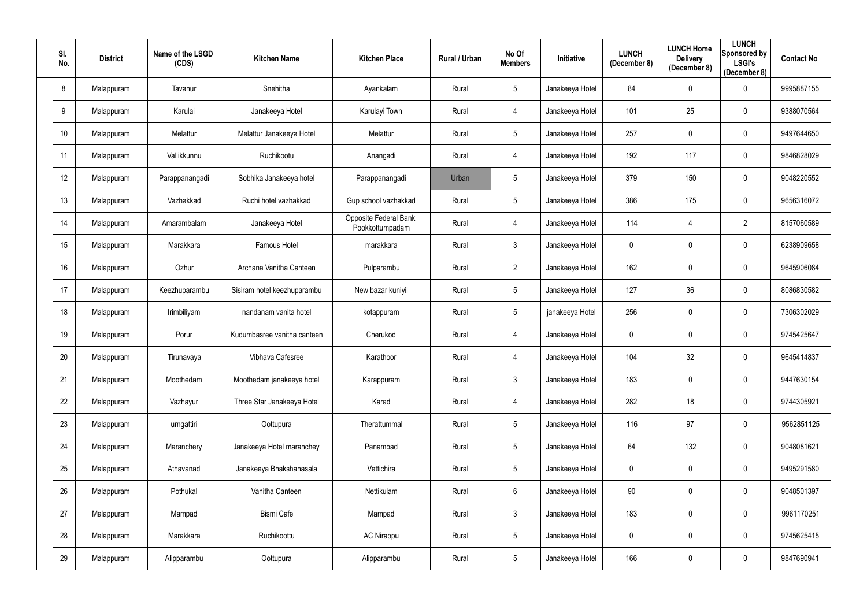| SI.<br>No.      | <b>District</b> | Name of the LSGD<br>(CDS) | <b>Kitchen Name</b>         | <b>Kitchen Place</b>                     | Rural / Urban | No Of<br><b>Members</b> | Initiative      | <b>LUNCH</b><br>(December 8) | <b>LUNCH Home</b><br><b>Delivery</b><br>(December 8) | <b>LUNCH</b><br><b>Sponsored by</b><br><b>LSGI's</b><br>(December 8) | <b>Contact No</b> |
|-----------------|-----------------|---------------------------|-----------------------------|------------------------------------------|---------------|-------------------------|-----------------|------------------------------|------------------------------------------------------|----------------------------------------------------------------------|-------------------|
| 8               | Malappuram      | Tavanur                   | Snehitha                    | Ayankalam                                | Rural         | 5                       | Janakeeya Hotel | 84                           | $\mathbf 0$                                          | 0                                                                    | 9995887155        |
| 9               | Malappuram      | Karulai                   | Janakeeya Hotel             | Karulayi Town                            | Rural         | 4                       | Janakeeya Hotel | 101                          | 25                                                   | 0                                                                    | 9388070564        |
| 10 <sup>°</sup> | Malappuram      | Melattur                  | Melattur Janakeeya Hotel    | Melattur                                 | Rural         | 5 <sup>5</sup>          | Janakeeya Hotel | 257                          | $\mathbf 0$                                          | $\mathbf 0$                                                          | 9497644650        |
| 11              | Malappuram      | Vallikkunnu               | Ruchikootu                  | Anangadi                                 | Rural         | 4                       | Janakeeya Hotel | 192                          | 117                                                  | $\mathbf 0$                                                          | 9846828029        |
| 12              | Malappuram      | Parappanangadi            | Sobhika Janakeeya hotel     | Parappanangadi                           | Urban         | 5 <sup>5</sup>          | Janakeeya Hotel | 379                          | 150                                                  | $\mathbf 0$                                                          | 9048220552        |
| 13              | Malappuram      | Vazhakkad                 | Ruchi hotel vazhakkad       | Gup school vazhakkad                     | Rural         | 5                       | Janakeeya Hotel | 386                          | 175                                                  | 0                                                                    | 9656316072        |
| 14              | Malappuram      | Amarambalam               | Janakeeya Hotel             | Opposite Federal Bank<br>Pookkottumpadam | Rural         | 4                       | Janakeeya Hotel | 114                          | 4                                                    | $\overline{2}$                                                       | 8157060589        |
| 15              | Malappuram      | Marakkara                 | Famous Hotel                | marakkara                                | Rural         | $\mathfrak{Z}$          | Janakeeya Hotel | 0                            | $\mathbf 0$                                          | $\mathbf 0$                                                          | 6238909658        |
| 16              | Malappuram      | Ozhur                     | Archana Vanitha Canteen     | Pulparambu                               | Rural         | $2^{\circ}$             | Janakeeya Hotel | 162                          | $\mathbf 0$                                          | $\mathbf 0$                                                          | 9645906084        |
| 17              | Malappuram      | Keezhuparambu             | Sisiram hotel keezhuparambu | New bazar kuniyil                        | Rural         | 5                       | Janakeeya Hotel | 127                          | 36                                                   | $\mathbf 0$                                                          | 8086830582        |
| 18              | Malappuram      | Irimbiliyam               | nandanam vanita hotel       | kotappuram                               | Rural         | 5                       | janakeeya Hotel | 256                          | $\mathbf 0$                                          | 0                                                                    | 7306302029        |
| 19              | Malappuram      | Porur                     | Kudumbasree vanitha canteen | Cherukod                                 | Rural         | 4                       | Janakeeya Hotel | 0                            | $\mathbf 0$                                          | $\mathbf 0$                                                          | 9745425647        |
| 20              | Malappuram      | Tirunavaya                | Vibhava Cafesree            | Karathoor                                | Rural         | 4                       | Janakeeya Hotel | 104                          | 32                                                   | 0                                                                    | 9645414837        |
| 21              | Malappuram      | Moothedam                 | Moothedam janakeeya hotel   | Karappuram                               | Rural         | $\mathfrak{Z}$          | Janakeeya Hotel | 183                          | $\pmb{0}$                                            | $\boldsymbol{0}$                                                     | 9447630154        |
| 22              | Malappuram      | Vazhayur                  | Three Star Janakeeya Hotel  | Karad                                    | Rural         | $\overline{4}$          | Janakeeya Hotel | 282                          | 18                                                   | $\overline{0}$                                                       | 9744305921        |
| 23              | Malappuram      | urngattiri                | Oottupura                   | Therattummal                             | Rural         | $5\phantom{.0}$         | Janakeeya Hotel | 116                          | 97                                                   | $\mathbf 0$                                                          | 9562851125        |
| 24              | Malappuram      | Maranchery                | Janakeeya Hotel maranchey   | Panambad                                 | Rural         | 5                       | Janakeeya Hotel | 64                           | 132                                                  | $\mathbf 0$                                                          | 9048081621        |
| 25              | Malappuram      | Athavanad                 | Janakeeya Bhakshanasala     | Vettichira                               | Rural         | $5\phantom{.0}$         | Janakeeya Hotel | 0                            | $\pmb{0}$                                            | $\mathbf 0$                                                          | 9495291580        |
| 26              | Malappuram      | Pothukal                  | Vanitha Canteen             | Nettikulam                               | Rural         | $6\overline{6}$         | Janakeeya Hotel | 90                           | $\pmb{0}$                                            | $\mathbf 0$                                                          | 9048501397        |
| 27              | Malappuram      | Mampad                    | <b>Bismi Cafe</b>           | Mampad                                   | Rural         | $\mathbf{3}$            | Janakeeya Hotel | 183                          | $\pmb{0}$                                            | $\overline{0}$                                                       | 9961170251        |
| 28              | Malappuram      | Marakkara                 | Ruchikoottu                 | <b>AC Nirappu</b>                        | Rural         | $5\phantom{.0}$         | Janakeeya Hotel | $\mathbf{0}$                 | $\pmb{0}$                                            | $\mathbf 0$                                                          | 9745625415        |
| 29              | Malappuram      | Alipparambu               | Oottupura                   | Alipparambu                              | Rural         | $5\phantom{.0}$         | Janakeeya Hotel | 166                          | $\boldsymbol{0}$                                     | $\overline{0}$                                                       | 9847690941        |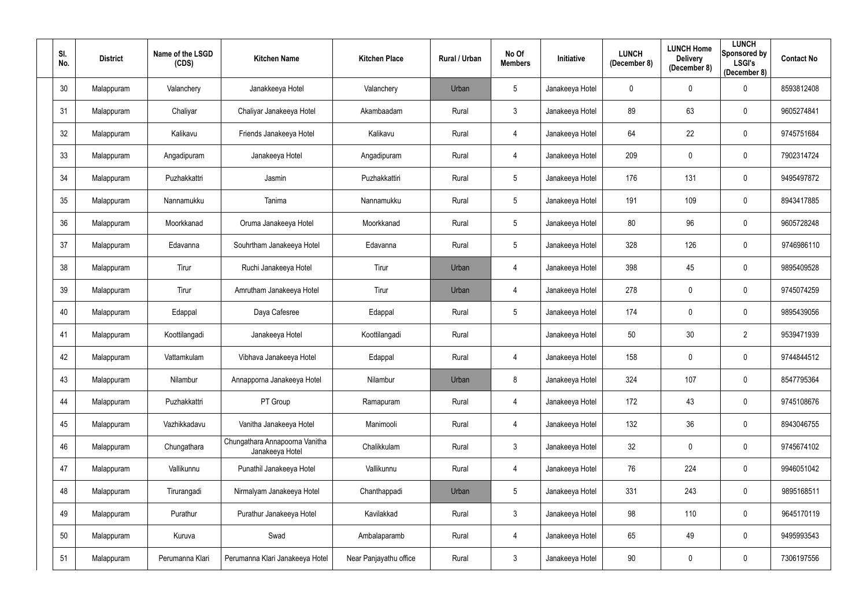| SI.<br>No. | <b>District</b> | Name of the LSGD<br>(CDS) | <b>Kitchen Name</b>                               | <b>Kitchen Place</b>   | Rural / Urban | No Of<br><b>Members</b> | Initiative      | <b>LUNCH</b><br>(December 8) | <b>LUNCH Home</b><br><b>Delivery</b><br>(December 8) | <b>LUNCH</b><br><b>Sponsored by</b><br><b>LSGI's</b><br>(December 8) | <b>Contact No</b> |
|------------|-----------------|---------------------------|---------------------------------------------------|------------------------|---------------|-------------------------|-----------------|------------------------------|------------------------------------------------------|----------------------------------------------------------------------|-------------------|
| 30         | Malappuram      | Valanchery                | Janakkeeya Hotel                                  | Valanchery             | Urban         | $5\phantom{.0}$         | Janakeeya Hotel | 0                            | $\mathbf 0$                                          | $\mathbf 0$                                                          | 8593812408        |
| 31         | Malappuram      | Chaliyar                  | Chaliyar Janakeeya Hotel                          | Akambaadam             | Rural         | $\mathbf{3}$            | Janakeeya Hotel | 89                           | 63                                                   | 0                                                                    | 9605274841        |
| 32         | Malappuram      | Kalikavu                  | Friends Janakeeya Hotel                           | Kalikavu               | Rural         | 4                       | Janakeeya Hotel | 64                           | 22                                                   | $\mathbf 0$                                                          | 9745751684        |
| 33         | Malappuram      | Angadipuram               | Janakeeya Hotel                                   | Angadipuram            | Rural         | 4                       | Janakeeya Hotel | 209                          | $\pmb{0}$                                            | $\mathbf 0$                                                          | 7902314724        |
| 34         | Malappuram      | Puzhakkattri              | Jasmin                                            | Puzhakkattiri          | Rural         | 5 <sup>5</sup>          | Janakeeya Hotel | 176                          | 131                                                  | $\mathbf 0$                                                          | 9495497872        |
| 35         | Malappuram      | Nannamukku                | Tanima                                            | Nannamukku             | Rural         | 5 <sup>5</sup>          | Janakeeya Hotel | 191                          | 109                                                  | $\mathbf 0$                                                          | 8943417885        |
| 36         | Malappuram      | Moorkkanad                | Oruma Janakeeya Hotel                             | Moorkkanad             | Rural         | 5 <sup>5</sup>          | Janakeeya Hotel | 80                           | 96                                                   | $\mathbf 0$                                                          | 9605728248        |
| 37         | Malappuram      | Edavanna                  | Souhrtham Janakeeya Hotel                         | Edavanna               | Rural         | 5                       | Janakeeya Hotel | 328                          | 126                                                  | $\mathbf 0$                                                          | 9746986110        |
| 38         | Malappuram      | Tirur                     | Ruchi Janakeeya Hotel                             | Tirur                  | Urban         | 4                       | Janakeeya Hotel | 398                          | 45                                                   | 0                                                                    | 9895409528        |
| 39         | Malappuram      | Tirur                     | Amrutham Janakeeya Hotel                          | Tirur                  | Urban         | 4                       | Janakeeya Hotel | 278                          | $\mathbf 0$                                          | $\mathbf 0$                                                          | 9745074259        |
| 40         | Malappuram      | Edappal                   | Daya Cafesree                                     | Edappal                | Rural         | 5 <sup>5</sup>          | Janakeeya Hotel | 174                          | $\mathbf 0$                                          | $\mathbf 0$                                                          | 9895439056        |
| 41         | Malappuram      | Koottilangadi             | Janakeeya Hotel                                   | Koottilangadi          | Rural         |                         | Janakeeya Hotel | 50                           | 30                                                   | $\overline{2}$                                                       | 9539471939        |
| 42         | Malappuram      | Vattamkulam               | Vibhava Janakeeya Hotel                           | Edappal                | Rural         | 4                       | Janakeeya Hotel | 158                          | $\mathbf 0$                                          | 0                                                                    | 9744844512        |
| 43         | Malappuram      | Nilambur                  | Annapporna Janakeeya Hotel                        | Nilambur               | Urban         | 8                       | Janakeeya Hotel | 324                          | 107                                                  | $\mathbf 0$                                                          | 8547795364        |
| 44         | Malappuram      | Puzhakkattri              | PT Group                                          | Ramapuram              | Rural         | $\overline{4}$          | Janakeeya Hotel | 172                          | 43                                                   | $\mathbf 0$                                                          | 9745108676        |
| 45         | Malappuram      | Vazhikkadavu              | Vanitha Janakeeya Hotel                           | Manimooli              | Rural         | $\overline{4}$          | Janakeeya Hotel | 132                          | 36                                                   | $\mathbf 0$                                                          | 8943046755        |
| 46         | Malappuram      | Chungathara               | Chungathara Annapoorna Vanitha<br>Janakeeya Hotel | Chalikkulam            | Rural         | $\mathfrak{Z}$          | Janakeeya Hotel | 32                           | $\pmb{0}$                                            | $\mathbf 0$                                                          | 9745674102        |
| 47         | Malappuram      | Vallikunnu                | Punathil Janakeeya Hotel                          | Vallikunnu             | Rural         | 4                       | Janakeeya Hotel | 76                           | 224                                                  | $\mathbf 0$                                                          | 9946051042        |
| 48         | Malappuram      | Tirurangadi               | Nirmalyam Janakeeya Hotel                         | Chanthappadi           | Urban         | 5 <sup>5</sup>          | Janakeeya Hotel | 331                          | 243                                                  | $\mathbf 0$                                                          | 9895168511        |
| 49         | Malappuram      | Purathur                  | Purathur Janakeeya Hotel                          | Kavilakkad             | Rural         | $\mathfrak{Z}$          | Janakeeya Hotel | 98                           | 110                                                  | $\overline{0}$                                                       | 9645170119        |
| 50         | Malappuram      | Kuruva                    | Swad                                              | Ambalaparamb           | Rural         | $\overline{4}$          | Janakeeya Hotel | 65                           | 49                                                   | $\mathbf 0$                                                          | 9495993543        |
| 51         | Malappuram      | Perumanna Klari           | Perumanna Klari Janakeeya Hotel                   | Near Panjayathu office | Rural         | $\mathbf{3}$            | Janakeeya Hotel | 90                           | $\boldsymbol{0}$                                     | $\overline{0}$                                                       | 7306197556        |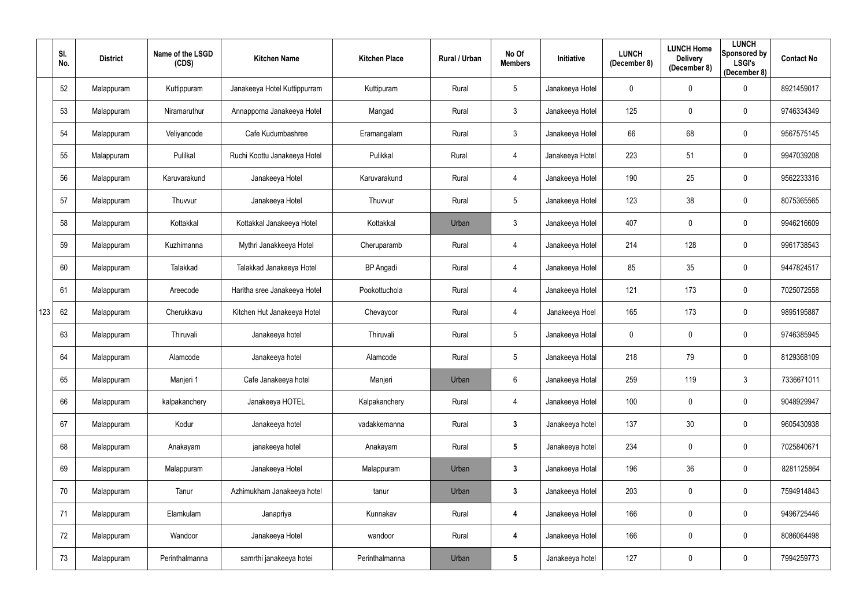|     | SI.<br>No. | <b>District</b> | Name of the LSGD<br>(CDS) | <b>Kitchen Name</b>          | <b>Kitchen Place</b> | Rural / Urban | No Of<br><b>Members</b> | Initiative      | <b>LUNCH</b><br>(December 8) | <b>LUNCH Home</b><br><b>Delivery</b><br>(December 8) | <b>LUNCH</b><br>Sponsored by<br><b>LSGI's</b><br>(December 8) | <b>Contact No</b> |
|-----|------------|-----------------|---------------------------|------------------------------|----------------------|---------------|-------------------------|-----------------|------------------------------|------------------------------------------------------|---------------------------------------------------------------|-------------------|
|     | 52         | Malappuram      | Kuttippuram               | Janakeeya Hotel Kuttippurram | Kuttipuram           | Rural         | $5\phantom{.0}$         | Janakeeya Hotel | 0                            | $\overline{0}$                                       | $\mathbf 0$                                                   | 8921459017        |
|     | 53         | Malappuram      | Niramaruthur              | Annapporna Janakeeya Hotel   | Mangad               | Rural         | $\mathfrak{Z}$          | Janakeeya Hotel | 125                          | $\mathbf 0$                                          | $\mathbf 0$                                                   | 9746334349        |
|     | 54         | Malappuram      | Veliyancode               | Cafe Kudumbashree            | Eramangalam          | Rural         | $\mathfrak{Z}$          | Janakeeya Hotel | 66                           | 68                                                   | $\overline{0}$                                                | 9567575145        |
|     | 55         | Malappuram      | Pulilkal                  | Ruchi Koottu Janakeeya Hotel | Pulikkal             | Rural         | 4                       | Janakeeya Hotel | 223                          | 51                                                   | $\mathbf 0$                                                   | 9947039208        |
|     | 56         | Malappuram      | Karuvarakund              | Janakeeya Hotel              | Karuvarakund         | Rural         | 4                       | Janakeeya Hotel | 190                          | 25                                                   | $\overline{0}$                                                | 9562233316        |
|     | 57         | Malappuram      | Thuvvur                   | Janakeeya Hotel              | Thuvvur              | Rural         | $5\phantom{.0}$         | Janakeeya Hotel | 123                          | 38                                                   | $\mathbf 0$                                                   | 8075365565        |
|     | 58         | Malappuram      | Kottakkal                 | Kottakkal Janakeeya Hotel    | Kottakkal            | Urban         | $\mathfrak{Z}$          | Janakeeya Hotel | 407                          | $\mathbf 0$                                          | $\mathbf 0$                                                   | 9946216609        |
|     | 59         | Malappuram      | Kuzhimanna                | Mythri Janakkeeya Hotel      | Cheruparamb          | Rural         | 4                       | Janakeeya Hotel | 214                          | 128                                                  | $\mathbf 0$                                                   | 9961738543        |
|     | 60         | Malappuram      | Talakkad                  | Talakkad Janakeeya Hotel     | <b>BP</b> Angadi     | Rural         | 4                       | Janakeeya Hotel | 85                           | 35                                                   | $\mathbf 0$                                                   | 9447824517        |
|     | 61         | Malappuram      | Areecode                  | Haritha sree Janakeeya Hotel | Pookottuchola        | Rural         | 4                       | Janakeeya Hotel | 121                          | 173                                                  | $\overline{0}$                                                | 7025072558        |
| 123 | 62         | Malappuram      | Cherukkavu                | Kitchen Hut Janakeeya Hotel  | Chevayoor            | Rural         | 4                       | Janakeeya Hoel  | 165                          | 173                                                  | $\mathbf 0$                                                   | 9895195887        |
|     | 63         | Malappuram      | Thiruvali                 | Janakeeya hotel              | Thiruvali            | Rural         | $5\phantom{.0}$         | Janakeeya Hotal | 0                            | $\overline{0}$                                       | $\overline{0}$                                                | 9746385945        |
|     | 64         | Malappuram      | Alamcode                  | Janakeeya hotel              | Alamcode             | Rural         | $5\phantom{.0}$         | Janakeeya Hotal | 218                          | 79                                                   | $\mathbf 0$                                                   | 8129368109        |
|     | 65         | Malappuram      | Manjeri 1                 | Cafe Janakeeya hotel         | Manjeri              | Urban         | $6\phantom{.0}$         | Janakeeya Hotal | 259                          | 119                                                  | $\mathbf{3}$                                                  | 7336671011        |
|     | 66         | Malappuram      | kalpakanchery             | Janakeeya HOTEL              | Kalpakanchery        | Rural         | 4                       | Janakeeya Hotel | 100                          | $\mathbf 0$                                          | $\overline{0}$                                                | 9048929947        |
|     | 67         | Malappuram      | Kodur                     | Janakeeya hotel              | vadakkemanna         | Rural         | 3 <sup>1</sup>          | Janakeeya hotel | 137                          | 30                                                   | $\overline{0}$                                                | 9605430938        |
|     | 68         | Malappuram      | Anakayam                  | janakeeya hotel              | Anakayam             | Rural         | $5\phantom{.0}$         | Janakeeya hotel | 234                          | $\mathbf 0$                                          | $\mathbf 0$                                                   | 7025840671        |
|     | 69         | Malappuram      | Malappuram                | Janakeeya Hotel              | Malappuram           | Urban         | $\mathbf{3}$            | Janakeeya Hotal | 196                          | 36                                                   | $\mathbf 0$                                                   | 8281125864        |
|     | 70         | Malappuram      | Tanur                     | Azhimukham Janakeeya hotel   | tanur                | Urban         | $\mathbf{3}$            | Janakeeya Hotel | 203                          | $\mathbf 0$                                          | $\overline{0}$                                                | 7594914843        |
|     | 71         | Malappuram      | Elamkulam                 | Janapriya                    | Kunnakav             | Rural         | 4                       | Janakeeya Hotel | 166                          | $\mathbf 0$                                          | $\mathbf 0$                                                   | 9496725446        |
|     | 72         | Malappuram      | Wandoor                   | Janakeeya Hotel              | wandoor              | Rural         | 4                       | Janakeeya Hotel | 166                          | $\mathbf 0$                                          | $\mathbf 0$                                                   | 8086064498        |
|     | 73         | Malappuram      | Perinthalmanna            | samrthi janakeeya hotei      | Perinthalmanna       | Urban         | $5\phantom{.0}$         | Janakeeya hotel | 127                          | $\pmb{0}$                                            | $\mathbf 0$                                                   | 7994259773        |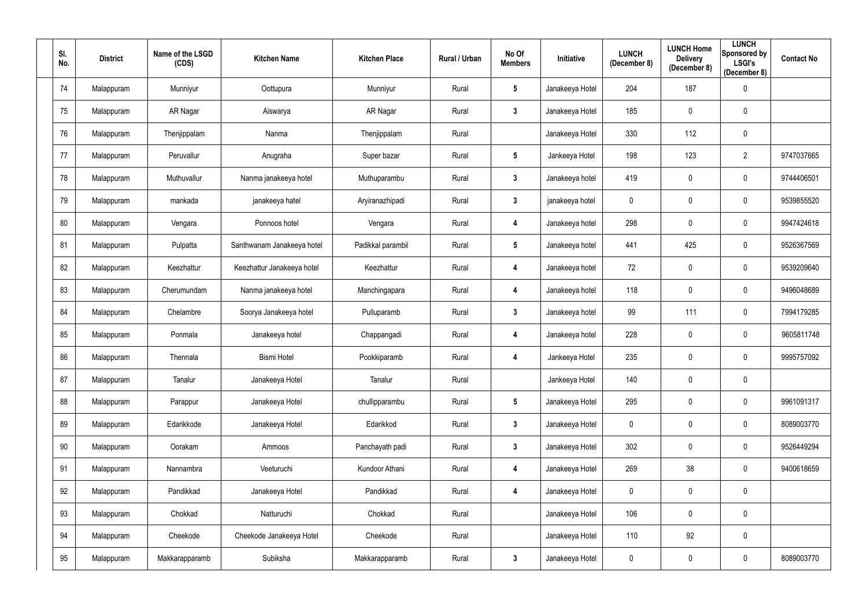| SI.<br>No. | <b>District</b> | Name of the LSGD<br>(CDS) | <b>Kitchen Name</b>        | <b>Kitchen Place</b> | Rural / Urban | No Of<br><b>Members</b> | Initiative      | <b>LUNCH</b><br>(December 8) | <b>LUNCH Home</b><br><b>Delivery</b><br>(December 8) | <b>LUNCH</b><br>Sponsored by<br><b>LSGI's</b><br>(December 8) | <b>Contact No</b> |
|------------|-----------------|---------------------------|----------------------------|----------------------|---------------|-------------------------|-----------------|------------------------------|------------------------------------------------------|---------------------------------------------------------------|-------------------|
| 74         | Malappuram      | Munniyur                  | Oottupura                  | Munniyur             | Rural         | $5\phantom{.0}$         | Janakeeya Hotel | 204                          | 187                                                  | $\overline{0}$                                                |                   |
| 75         | Malappuram      | AR Nagar                  | Aiswarya                   | AR Nagar             | Rural         | $\mathbf{3}$            | Janakeeya Hotel | 185                          | $\mathbf 0$                                          | $\mathbf 0$                                                   |                   |
| 76         | Malappuram      | Thenjippalam              | Nanma                      | Thenjippalam         | Rural         |                         | Janakeeya Hotel | 330                          | 112                                                  | $\mathbf 0$                                                   |                   |
| 77         | Malappuram      | Peruvallur                | Anugraha                   | Super bazar          | Rural         | $5\phantom{.0}$         | Jankeeya Hotel  | 198                          | 123                                                  | $\overline{2}$                                                | 9747037665        |
| 78         | Malappuram      | Muthuvallur               | Nanma janakeeya hotel      | Muthuparambu         | Rural         | $\mathbf{3}$            | Janakeeya hotel | 419                          | $\overline{0}$                                       | $\mathbf 0$                                                   | 9744406501        |
| 79         | Malappuram      | mankada                   | janakeeya hatel            | Aryiranazhipadi      | Rural         | 3 <sup>1</sup>          | janakeeya hotel | 0                            | $\overline{0}$                                       | $\overline{0}$                                                | 9539855520        |
| 80         | Malappuram      | Vengara                   | Ponnoos hotel              | Vengara              | Rural         | 4                       | Janakeeya hotel | 298                          | $\overline{0}$                                       | $\overline{0}$                                                | 9947424618        |
| 81         | Malappuram      | Pulpatta                  | Santhwanam Janakeeya hotel | Padikkal parambil    | Rural         | $5\phantom{.0}$         | Janakeeya hotel | 441                          | 425                                                  | $\overline{0}$                                                | 9526367569        |
| 82         | Malappuram      | Keezhattur                | Keezhattur Janakeeya hotel | Keezhattur           | Rural         | 4                       | Janakeeya hotel | 72                           | $\overline{0}$                                       | $\overline{0}$                                                | 9539209640        |
| 83         | Malappuram      | Cherumundam               | Nanma janakeeya hotel      | Manchingapara        | Rural         | 4                       | Janakeeya hotel | 118                          | $\mathbf 0$                                          | $\overline{0}$                                                | 9496048689        |
| 84         | Malappuram      | Chelambre                 | Soorya Janakeeya hotel     | Pulluparamb          | Rural         | $\mathbf{3}$            | Janakeeya hotel | 99                           | 111                                                  | $\overline{0}$                                                | 7994179285        |
| 85         | Malappuram      | Ponmala                   | Janakeeya hotel            | Chappangadi          | Rural         | 4                       | Janakeeya hotel | 228                          | $\mathbf 0$                                          | $\mathbf 0$                                                   | 9605811748        |
| 86         | Malappuram      | Thennala                  | <b>Bismi Hotel</b>         | Pookkiparamb         | Rural         | 4                       | Jankeeya Hotel  | 235                          | $\mathbf 0$                                          | $\overline{0}$                                                | 9995757092        |
| 87         | Malappuram      | Tanalur                   | Janakeeya Hotel            | Tanalur              | Rural         |                         | Jankeeya Hotel  | 140                          | $\mathbf 0$                                          | $\mathbf 0$                                                   |                   |
| 88         | Malappuram      | Parappur                  | Janakeeya Hotel            | chullipparambu       | Rural         | $5\phantom{.0}$         | Janakeeya Hotel | 295                          | $\mathbf 0$                                          | $\overline{0}$                                                | 9961091317        |
| 89         | Malappuram      | Edarikkode                | Janakeeya Hotel            | Edarikkod            | Rural         | 3 <sup>1</sup>          | Janakeeya Hotel | $\mathbf 0$                  | $\mathbf 0$                                          | $\mathbf 0$                                                   | 8089003770        |
| 90         | Malappuram      | Oorakam                   | Ammoos                     | Panchayath padi      | Rural         | $3\phantom{a}$          | Janakeeya Hotel | 302                          | $\overline{0}$                                       | $\mathbf 0$                                                   | 9526449294        |
| 91         | Malappuram      | Nannambra                 | Veeturuchi                 | Kundoor Athani       | Rural         | 4                       | Janakeeya Hotel | 269                          | 38                                                   | $\mathbf 0$                                                   | 9400618659        |
| 92         | Malappuram      | Pandikkad                 | Janakeeya Hotel            | Pandikkad            | Rural         | 4                       | Janakeeya Hotel | 0                            | $\mathbf 0$                                          | $\overline{0}$                                                |                   |
| 93         | Malappuram      | Chokkad                   | Natturuchi                 | Chokkad              | Rural         |                         | Janakeeya Hotel | 106                          | $\mathbf 0$                                          | $\mathbf 0$                                                   |                   |
| 94         | Malappuram      | Cheekode                  | Cheekode Janakeeya Hotel   | Cheekode             | Rural         |                         | Janakeeya Hotel | 110                          | 92                                                   | $\mathbf 0$                                                   |                   |
| 95         | Malappuram      | Makkarapparamb            | Subiksha                   | Makkarapparamb       | Rural         | $\mathbf{3}$            | Janakeeya Hotel | $\pmb{0}$                    | $\pmb{0}$                                            | $\boldsymbol{0}$                                              | 8089003770        |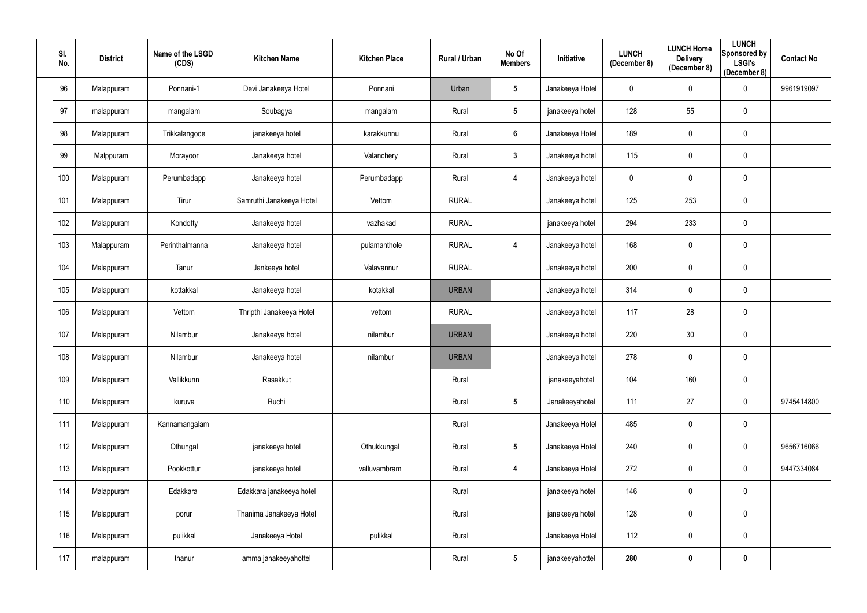| SI.<br>No. | <b>District</b> | Name of the LSGD<br>(CDS) | <b>Kitchen Name</b>      | <b>Kitchen Place</b> | Rural / Urban | No Of<br><b>Members</b> | Initiative      | <b>LUNCH</b><br>(December 8) | <b>LUNCH Home</b><br><b>Delivery</b><br>(December 8) | <b>LUNCH</b><br><b>Sponsored by</b><br><b>LSGI's</b><br>(December 8) | <b>Contact No</b> |
|------------|-----------------|---------------------------|--------------------------|----------------------|---------------|-------------------------|-----------------|------------------------------|------------------------------------------------------|----------------------------------------------------------------------|-------------------|
| 96         | Malappuram      | Ponnani-1                 | Devi Janakeeya Hotel     | Ponnani              | Urban         | $5\phantom{.0}$         | Janakeeya Hotel | 0                            | $\mathbf 0$                                          | $\mathbf 0$                                                          | 9961919097        |
| 97         | malappuram      | mangalam                  | Soubagya                 | mangalam             | Rural         | $5\phantom{.0}$         | janakeeya hotel | 128                          | 55                                                   | $\mathbf 0$                                                          |                   |
| 98         | Malappuram      | Trikkalangode             | janakeeya hotel          | karakkunnu           | Rural         | 6                       | Janakeeya Hotel | 189                          | $\pmb{0}$                                            | $\mathbf 0$                                                          |                   |
| 99         | Malppuram       | Morayoor                  | Janakeeya hotel          | Valanchery           | Rural         | $3\phantom{a}$          | Janakeeya hotel | 115                          | $\pmb{0}$                                            | $\mathbf 0$                                                          |                   |
| 100        | Malappuram      | Perumbadapp               | Janakeeya hotel          | Perumbadapp          | Rural         | 4                       | Janakeeya hotel | 0                            | $\pmb{0}$                                            | $\mathbf 0$                                                          |                   |
| 101        | Malappuram      | Tirur                     | Samruthi Janakeeya Hotel | Vettom               | <b>RURAL</b>  |                         | Janakeeya hotel | 125                          | 253                                                  | $\mathbf 0$                                                          |                   |
| 102        | Malappuram      | Kondotty                  | Janakeeya hotel          | vazhakad             | <b>RURAL</b>  |                         | janakeeya hotel | 294                          | 233                                                  | $\mathbf 0$                                                          |                   |
| 103        | Malappuram      | Perinthalmanna            | Janakeeya hotel          | pulamanthole         | <b>RURAL</b>  | 4                       | Janakeeya hotel | 168                          | $\pmb{0}$                                            | $\mathbf 0$                                                          |                   |
| 104        | Malappuram      | Tanur                     | Jankeeya hotel           | Valavannur           | <b>RURAL</b>  |                         | Janakeeya hotel | 200                          | $\pmb{0}$                                            | $\mathbf 0$                                                          |                   |
| 105        | Malappuram      | kottakkal                 | Janakeeya hotel          | kotakkal             | <b>URBAN</b>  |                         | Janakeeya hotel | 314                          | $\pmb{0}$                                            | $\mathbf 0$                                                          |                   |
| 106        | Malappuram      | Vettom                    | Thripthi Janakeeya Hotel | vettom               | <b>RURAL</b>  |                         | Janakeeya hotel | 117                          | 28                                                   | $\mathbf 0$                                                          |                   |
| 107        | Malappuram      | Nilambur                  | Janakeeya hotel          | nilambur             | <b>URBAN</b>  |                         | Janakeeya hotel | 220                          | 30                                                   | $\mathbf 0$                                                          |                   |
| 108        | Malappuram      | Nilambur                  | Janakeeya hotel          | nilambur             | <b>URBAN</b>  |                         | Janakeeya hotel | 278                          | $\pmb{0}$                                            | $\mathbf 0$                                                          |                   |
| 109        | Malappuram      | Vallikkunn                | Rasakkut                 |                      | Rural         |                         | janakeeyahotel  | 104                          | 160                                                  | $\mathbf 0$                                                          |                   |
| 110        | Malappuram      | kuruva                    | Ruchi                    |                      | Rural         | $5\phantom{.0}$         | Janakeeyahotel  | 111                          | 27                                                   | $\mathbf 0$                                                          | 9745414800        |
| 111        | Malappuram      | Kannamangalam             |                          |                      | Rural         |                         | Janakeeya Hotel | 485                          | $\pmb{0}$                                            | $\mathbf 0$                                                          |                   |
| 112        | Malappuram      | Othungal                  | janakeeya hotel          | Othukkungal          | Rural         | $5\phantom{.0}$         | Janakeeya Hotel | 240                          | $\pmb{0}$                                            | $\mathbf 0$                                                          | 9656716066        |
| 113        | Malappuram      | Pookkottur                | janakeeya hotel          | valluvambram         | Rural         | $\overline{\mathbf{4}}$ | Janakeeya Hotel | 272                          | $\pmb{0}$                                            | $\mathbf 0$                                                          | 9447334084        |
| 114        | Malappuram      | Edakkara                  | Edakkara janakeeya hotel |                      | Rural         |                         | janakeeya hotel | 146                          | $\pmb{0}$                                            | $\mathbf 0$                                                          |                   |
| 115        | Malappuram      | porur                     | Thanima Janakeeya Hotel  |                      | Rural         |                         | janakeeya hotel | 128                          | $\pmb{0}$                                            | $\mathbf 0$                                                          |                   |
| 116        | Malappuram      | pulikkal                  | Janakeeya Hotel          | pulikkal             | Rural         |                         | Janakeeya Hotel | 112                          | $\pmb{0}$                                            | $\mathbf 0$                                                          |                   |
| 117        | malappuram      | thanur                    | amma janakeeyahottel     |                      | Rural         | $5\phantom{.0}$         | janakeeyahottel | 280                          | $\pmb{0}$                                            | $\mathbf 0$                                                          |                   |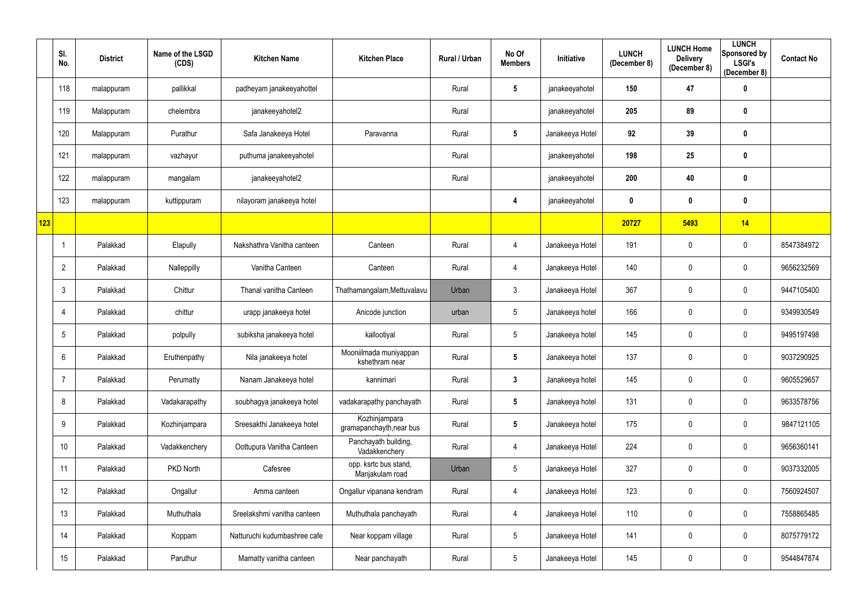|     | SI.<br>No.      | <b>District</b> | Name of the LSGD<br>(CDS) | <b>Kitchen Name</b>          | <b>Kitchen Place</b>                      | Rural / Urban | No Of<br><b>Members</b> | Initiative      | <b>LUNCH</b><br>(December 8) | <b>LUNCH Home</b><br><b>Delivery</b><br>(December 8) | <b>LUNCH</b><br>Sponsored by<br><b>LSGI's</b><br>(December 8) | <b>Contact No</b> |
|-----|-----------------|-----------------|---------------------------|------------------------------|-------------------------------------------|---------------|-------------------------|-----------------|------------------------------|------------------------------------------------------|---------------------------------------------------------------|-------------------|
|     | 118             | malappuram      | pallikkal                 | padheyam janakeeyahottel     |                                           | Rural         | $5\phantom{.0}$         | janakeeyahotel  | 150                          | 47                                                   | $\boldsymbol{0}$                                              |                   |
|     | 119             | Malappuram      | chelembra                 | janakeeyahotel2              |                                           | Rural         |                         | janakeeyahotel  | 205                          | 89                                                   | $\boldsymbol{0}$                                              |                   |
|     | 120             | Malappuram      | Purathur                  | Safa Janakeeya Hotel         | Paravanna                                 | Rural         | $5\phantom{.0}$         | Janakeeya Hotel | 92                           | 39                                                   | $\mathbf 0$                                                   |                   |
|     | 121             | malappuram      | vazhayur                  | puthuma janakeeyahotel       |                                           | Rural         |                         | janakeeyahotel  | 198                          | 25                                                   | $\bm{0}$                                                      |                   |
|     | 122             | malappuram      | mangalam                  | janakeeyahotel2              |                                           | Rural         |                         | janakeeyahotel  | 200                          | 40                                                   | $\boldsymbol{0}$                                              |                   |
|     | 123             | malappuram      | kuttippuram               | nilayoram janakeeya hotel    |                                           |               | 4                       | janakeeyahotel  | 0                            | $\boldsymbol{0}$                                     | $\boldsymbol{0}$                                              |                   |
| 123 |                 |                 |                           |                              |                                           |               |                         |                 | 20727                        | 5493                                                 | 14                                                            |                   |
|     | -1              | Palakkad        | Elapully                  | Nakshathra Vanitha canteen   | Canteen                                   | Rural         | 4                       | Janakeeya Hotel | 191                          | $\mathbf 0$                                          | $\mathbf 0$                                                   | 8547384972        |
|     | $\overline{2}$  | Palakkad        | Nalleppilly               | Vanitha Canteen              | Canteen                                   | Rural         | 4                       | Janakeeya Hotel | 140                          | $\mathbf 0$                                          | $\mathbf 0$                                                   | 9656232569        |
|     | $\mathbf{3}$    | Palakkad        | Chittur                   | Thanal vanitha Canteen       | Thathamangalam, Mettuvalavu               | Urban         | $\mathbf{3}$            | Janakeeya Hotel | 367                          | $\mathbf 0$                                          | $\mathbf 0$                                                   | 9447105400        |
|     | 4               | Palakkad        | chittur                   | urapp janakeeya hotel        | Anicode junction                          | urban         | $5\phantom{.0}$         | Janakeeya hotel | 166                          | $\mathbf 0$                                          | $\mathbf 0$                                                   | 9349930549        |
|     | 5               | Palakkad        | polpully                  | subiksha janakeeya hotel     | kallootiyal                               | Rural         | $5\phantom{.0}$         | Janakeeya hotel | 145                          | $\mathbf 0$                                          | $\mathbf 0$                                                   | 9495197498        |
|     | 6               | Palakkad        | Eruthenpathy              | Nila janakeeya hotel         | Mooniilmada muniyappan<br>kshethram near  | Rural         | $5\phantom{.0}$         | Janakeeya hotel | 137                          | $\mathbf 0$                                          | $\mathbf 0$                                                   | 9037290925        |
|     | 7               | Palakkad        | Perumatty                 | Nanam Janakeeya hotel        | kannimari                                 | Rural         | $\mathbf{3}$            | Janakeeya hotel | 145                          | $\mathbf 0$                                          | $\mathbf 0$                                                   | 9605529657        |
|     | 8               | Palakkad        | Vadakarapathy             | soubhagya janakeeya hotel    | vadakarapathy panchayath                  | Rural         | $5\phantom{.0}$         | Janakeeya hotel | 131                          | $\mathbf 0$                                          | $\overline{0}$                                                | 9633578756        |
|     | 9               | Palakkad        | Kozhinjampara             | Sreesakthi Janakeeya hotel   | Kozhinjampara<br>gramapanchayth, near bus | Rural         | $5\phantom{.0}$         | Janakeeya hotel | 175                          | $\mathbf 0$                                          | $\overline{0}$                                                | 9847121105        |
|     | 10 <sup>°</sup> | Palakkad        | Vadakkenchery             | Oottupura Vanitha Canteen    | Panchayath building,<br>Vadakkenchery     | Rural         | 4                       | Janakeeya Hotel | 224                          | $\mathbf 0$                                          | $\overline{0}$                                                | 9656360141        |
|     | 11              | Palakkad        | PKD North                 | Cafesree                     | opp. ksrtc bus stand,<br>Manjakulam road  | Urban         | 5                       | Janakeeya Hotel | 327                          | $\mathbf 0$                                          | $\overline{0}$                                                | 9037332005        |
|     | 12              | Palakkad        | Ongallur                  | Amma canteen                 | Ongallur vipanana kendram                 | Rural         | 4                       | Janakeeya Hotel | 123                          | $\mathbf 0$                                          | $\overline{0}$                                                | 7560924507        |
|     | 13              | Palakkad        | Muthuthala                | Sreelakshmi vanitha canteen  | Muthuthala panchayath                     | Rural         | 4                       | Janakeeya Hotel | 110                          | $\mathbf 0$                                          | $\overline{0}$                                                | 7558865485        |
|     | 14              | Palakkad        | Koppam                    | Natturuchi kudumbashree cafe | Near koppam village                       | Rural         | $\sqrt{5}$              | Janakeeya Hotel | 141                          | $\pmb{0}$                                            | $\mathbf 0$                                                   | 8075779172        |
|     | 15              | Palakkad        | Paruthur                  | Mamatty vanitha canteen      | Near panchayath                           | Rural         | $\sqrt{5}$              | Janakeeya Hotel | 145                          | $\mathbf 0$                                          | $\mathbf 0$                                                   | 9544847874        |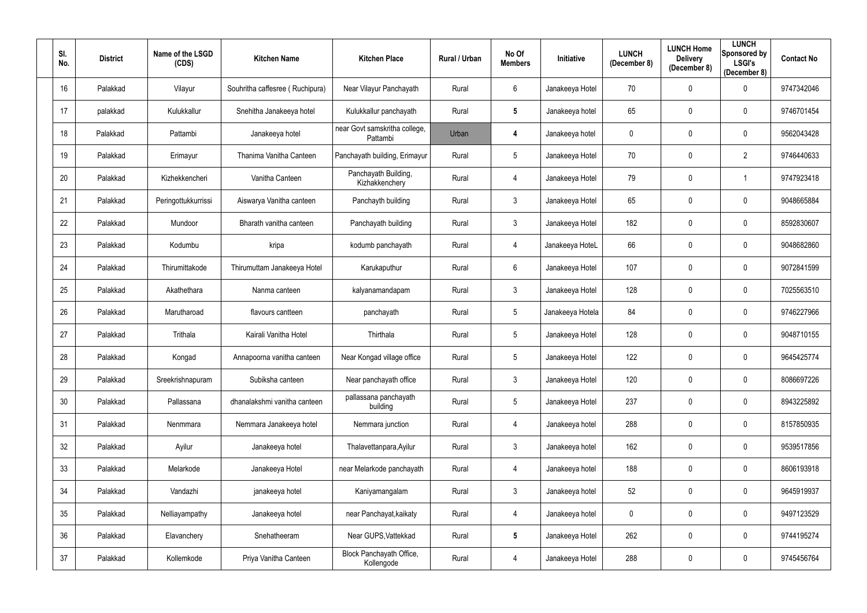| SI.<br>No. | <b>District</b> | Name of the LSGD<br>(CDS) | <b>Kitchen Name</b>             | <b>Kitchen Place</b>                      | <b>Rural / Urban</b> | No Of<br><b>Members</b> | Initiative       | <b>LUNCH</b><br>(December 8) | <b>LUNCH Home</b><br><b>Delivery</b><br>(December 8) | <b>LUNCH</b><br>Sponsored by<br><b>LSGI's</b><br>(December 8) | <b>Contact No</b> |
|------------|-----------------|---------------------------|---------------------------------|-------------------------------------------|----------------------|-------------------------|------------------|------------------------------|------------------------------------------------------|---------------------------------------------------------------|-------------------|
| 16         | Palakkad        | Vilayur                   | Souhritha caffesree (Ruchipura) | Near Vilayur Panchayath                   | Rural                | 6                       | Janakeeya Hotel  | 70                           | $\mathbf 0$                                          | $\mathbf 0$                                                   | 9747342046        |
| 17         | palakkad        | Kulukkallur               | Snehitha Janakeeya hotel        | Kulukkallur panchayath                    | Rural                | $5\phantom{.0}$         | Janakeeya hotel  | 65                           | $\mathbf 0$                                          | $\mathbf 0$                                                   | 9746701454        |
| 18         | Palakkad        | Pattambi                  | Janakeeya hotel                 | near Govt samskritha college,<br>Pattambi | Urban                | 4                       | Janakeeya hotel  | 0                            | $\pmb{0}$                                            | $\mathbf 0$                                                   | 9562043428        |
| 19         | Palakkad        | Erimayur                  | Thanima Vanitha Canteen         | Panchayath building, Erimayur             | Rural                | 5                       | Janakeeya Hotel  | 70                           | $\mathbf 0$                                          | $\overline{2}$                                                | 9746440633        |
| 20         | Palakkad        | Kizhekkencheri            | Vanitha Canteen                 | Panchayath Building,<br>Kizhakkenchery    | Rural                | 4                       | Janakeeya Hotel  | 79                           | $\mathbf 0$                                          |                                                               | 9747923418        |
| 21         | Palakkad        | Peringottukkurrissi       | Aiswarya Vanitha canteen        | Panchayth building                        | Rural                | $\mathfrak{Z}$          | Janakeeya Hotel  | 65                           | $\mathbf 0$                                          | $\boldsymbol{0}$                                              | 9048665884        |
| 22         | Palakkad        | Mundoor                   | Bharath vanitha canteen         | Panchayath building                       | Rural                | $\mathfrak{Z}$          | Janakeeya Hotel  | 182                          | $\mathbf 0$                                          | $\mathbf 0$                                                   | 8592830607        |
| 23         | Palakkad        | Kodumbu                   | kripa                           | kodumb panchayath                         | Rural                | 4                       | Janakeeya HoteL  | 66                           | $\mathbf 0$                                          | $\mathbf 0$                                                   | 9048682860        |
| 24         | Palakkad        | Thirumittakode            | Thirumuttam Janakeeya Hotel     | Karukaputhur                              | Rural                | 6                       | Janakeeya Hotel  | 107                          | $\mathbf 0$                                          | $\mathbf 0$                                                   | 9072841599        |
| 25         | Palakkad        | Akathethara               | Nanma canteen                   | kalyanamandapam                           | Rural                | $\mathfrak{Z}$          | Janakeeya Hotel  | 128                          | $\mathbf 0$                                          | $\mathbf 0$                                                   | 7025563510        |
| 26         | Palakkad        | Marutharoad               | flavours cantteen               | panchayath                                | Rural                | $5\phantom{.0}$         | Janakeeya Hotela | 84                           | $\mathbf 0$                                          | $\mathbf 0$                                                   | 9746227966        |
| 27         | Palakkad        | Trithala                  | Kairali Vanitha Hotel           | Thirthala                                 | Rural                | 5                       | Janakeeya Hotel  | 128                          | $\mathbf 0$                                          | $\mathbf 0$                                                   | 9048710155        |
| 28         | Palakkad        | Kongad                    | Annapoorna vanitha canteen      | Near Kongad village office                | Rural                | $5\overline{)}$         | Janakeeya Hotel  | 122                          | $\mathbf 0$                                          | 0                                                             | 9645425774        |
| 29         | Palakkad        | Sreekrishnapuram          | Subiksha canteen                | Near panchayath office                    | Rural                | $\mathfrak{Z}$          | Janakeeya Hotel  | 120                          | $\mathbf 0$                                          | $\mathbf 0$                                                   | 8086697226        |
| 30         | Palakkad        | Pallassana                | dhanalakshmi vanitha canteen    | pallassana panchayath<br>building         | Rural                | 5                       | Janakeeya Hotel  | 237                          | $\pmb{0}$                                            | $\overline{0}$                                                | 8943225892        |
| 31         | Palakkad        | Nenmmara                  | Nemmara Janakeeya hotel         | Nemmara junction                          | Rural                | $\overline{4}$          | Janakeeya hotel  | 288                          | $\mathbf 0$                                          | $\mathbf 0$                                                   | 8157850935        |
| 32         | Palakkad        | Ayilur                    | Janakeeya hotel                 | Thalavettanpara, Ayilur                   | Rural                | $\mathfrak{Z}$          | Janakeeya hotel  | 162                          | $\pmb{0}$                                            | $\overline{0}$                                                | 9539517856        |
| 33         | Palakkad        | Melarkode                 | Janakeeya Hotel                 | near Melarkode panchayath                 | Rural                | 4                       | Janakeeya hotel  | 188                          | $\pmb{0}$                                            | $\overline{0}$                                                | 8606193918        |
| 34         | Palakkad        | Vandazhi                  | janakeeya hotel                 | Kaniyamangalam                            | Rural                | $\mathfrak{Z}$          | Janakeeya hotel  | 52                           | $\pmb{0}$                                            | $\overline{0}$                                                | 9645919937        |
| 35         | Palakkad        | Nelliayampathy            | Janakeeya hotel                 | near Panchayat, kaikaty                   | Rural                | 4                       | Janakeeya hotel  | 0                            | $\pmb{0}$                                            | $\mathbf 0$                                                   | 9497123529        |
| 36         | Palakkad        | Elavanchery               | Snehatheeram                    | Near GUPS, Vattekkad                      | Rural                | $5\phantom{.0}$         | Janakeeya Hotel  | 262                          | $\boldsymbol{0}$                                     | $\overline{0}$                                                | 9744195274        |
| 37         | Palakkad        | Kollemkode                | Priya Vanitha Canteen           | Block Panchayath Office,<br>Kollengode    | Rural                | 4                       | Janakeeya Hotel  | 288                          | $\boldsymbol{0}$                                     | $\overline{0}$                                                | 9745456764        |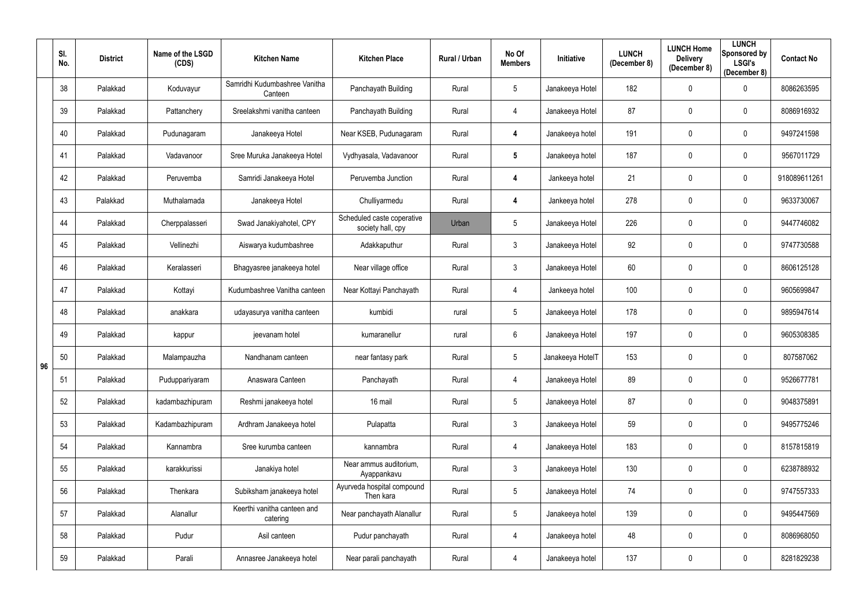|    | SI.<br>No. | <b>District</b> | Name of the LSGD<br>(CDS) | <b>Kitchen Name</b>                      | <b>Kitchen Place</b>                            | Rural / Urban | No Of<br><b>Members</b> | Initiative       | <b>LUNCH</b><br>(December 8) | <b>LUNCH Home</b><br><b>Delivery</b><br>(December 8) | <b>LUNCH</b><br>Sponsored by<br><b>LSGI's</b><br>(December 8) | <b>Contact No</b> |
|----|------------|-----------------|---------------------------|------------------------------------------|-------------------------------------------------|---------------|-------------------------|------------------|------------------------------|------------------------------------------------------|---------------------------------------------------------------|-------------------|
|    | 38         | Palakkad        | Koduvayur                 | Samridhi Kudumbashree Vanitha<br>Canteen | Panchayath Building                             | Rural         | 5                       | Janakeeya Hotel  | 182                          | $\mathbf 0$                                          | $\mathbf 0$                                                   | 8086263595        |
|    | 39         | Palakkad        | Pattanchery               | Sreelakshmi vanitha canteen              | Panchayath Building                             | Rural         | 4                       | Janakeeya Hotel  | 87                           | $\mathbf 0$                                          | $\mathbf 0$                                                   | 8086916932        |
|    | 40         | Palakkad        | Pudunagaram               | Janakeeya Hotel                          | Near KSEB, Pudunagaram                          | Rural         | 4                       | Janakeeya hotel  | 191                          | $\mathbf 0$                                          | $\overline{0}$                                                | 9497241598        |
|    | 41         | Palakkad        | Vadavanoor                | Sree Muruka Janakeeya Hotel              | Vydhyasala, Vadavanoor                          | Rural         | $5\phantom{.0}$         | Janakeeya hotel  | 187                          | $\mathbf 0$                                          | $\mathbf 0$                                                   | 9567011729        |
|    | 42         | Palakkad        | Peruvemba                 | Samridi Janakeeya Hotel                  | Peruvemba Junction                              | Rural         | 4                       | Jankeeya hotel   | 21                           | $\mathbf 0$                                          | $\boldsymbol{0}$                                              | 918089611261      |
|    | 43         | Palakkad        | Muthalamada               | Janakeeya Hotel                          | Chulliyarmedu                                   | Rural         | 4                       | Jankeeya hotel   | 278                          | $\mathbf 0$                                          | $\mathbf 0$                                                   | 9633730067        |
|    | 44         | Palakkad        | Cherppalasseri            | Swad Janakiyahotel, CPY                  | Scheduled caste coperative<br>society hall, cpy | Urban         | $5\phantom{.0}$         | Janakeeya Hotel  | 226                          | $\mathbf 0$                                          | $\mathbf 0$                                                   | 9447746082        |
|    | 45         | Palakkad        | Vellinezhi                | Aiswarya kudumbashree                    | Adakkaputhur                                    | Rural         | $\mathfrak{Z}$          | Janakeeya Hotel  | 92                           | $\mathbf 0$                                          | $\overline{0}$                                                | 9747730588        |
|    | 46         | Palakkad        | Keralasseri               | Bhagyasree janakeeya hotel               | Near village office                             | Rural         | $\mathfrak{Z}$          | Janakeeya Hotel  | 60                           | $\mathbf 0$                                          | $\mathbf 0$                                                   | 8606125128        |
|    | 47         | Palakkad        | Kottayi                   | Kudumbashree Vanitha canteen             | Near Kottayi Panchayath                         | Rural         | 4                       | Jankeeya hotel   | 100                          | $\mathbf 0$                                          | $\mathbf 0$                                                   | 9605699847        |
|    | 48         | Palakkad        | anakkara                  | udayasurya vanitha canteen               | kumbidi                                         | rural         | $5\phantom{.0}$         | Janakeeya Hotel  | 178                          | $\overline{0}$                                       | $\mathbf 0$                                                   | 9895947614        |
|    | 49         | Palakkad        | kappur                    | jeevanam hotel                           | kumaranellur                                    | rural         | $6\phantom{.}$          | Janakeeya Hotel  | 197                          | $\mathbf 0$                                          | $\mathbf 0$                                                   | 9605308385        |
| 96 | 50         | Palakkad        | Malampauzha               | Nandhanam canteen                        | near fantasy park                               | Rural         | $5\phantom{.0}$         | Janakeeya HotelT | 153                          | $\mathbf 0$                                          | 0                                                             | 807587062         |
|    | 51         | Palakkad        | Puduppariyaram            | Anaswara Canteen                         | Panchayath                                      | Rural         | 4                       | Janakeeya Hotel  | 89                           | $\mathbf 0$                                          | $\mathbf 0$                                                   | 9526677781        |
|    | 52         | Palakkad        | kadambazhipuram           | Reshmi janakeeya hotel                   | 16 mail                                         | Rural         | $5\phantom{.0}$         | Janakeeya Hotel  | 87                           | $\mathbf 0$                                          | $\overline{0}$                                                | 9048375891        |
|    | 53         | Palakkad        | Kadambazhipuram           | Ardhram Janakeeya hotel                  | Pulapatta                                       | Rural         | $\mathfrak{Z}$          | Janakeeya Hotel  | 59                           | $\mathbf 0$                                          | $\mathbf 0$                                                   | 9495775246        |
|    | 54         | Palakkad        | Kannambra                 | Sree kurumba canteen                     | kannambra                                       | Rural         | 4                       | Janakeeya Hotel  | 183                          | $\mathbf 0$                                          | $\mathbf 0$                                                   | 8157815819        |
|    | 55         | Palakkad        | karakkurissi              | Janakiya hotel                           | Near ammus auditorium,<br>Ayappankavu           | Rural         | $\mathfrak{Z}$          | Janakeeya Hotel  | 130                          | $\mathbf 0$                                          | $\mathbf 0$                                                   | 6238788932        |
|    | 56         | Palakkad        | Thenkara                  | Subiksham janakeeya hotel                | Ayurveda hospital compound<br>Then kara         | Rural         | $\overline{5}$          | Janakeeya Hotel  | 74                           | $\mathbf 0$                                          | $\overline{0}$                                                | 9747557333        |
|    | 57         | Palakkad        | Alanallur                 | Keerthi vanitha canteen and<br>catering  | Near panchayath Alanallur                       | Rural         | $5\phantom{.0}$         | Janakeeya hotel  | 139                          | $\mathbf 0$                                          | $\overline{0}$                                                | 9495447569        |
|    | 58         | Palakkad        | Pudur                     | Asil canteen                             | Pudur panchayath                                | Rural         | 4                       | Janakeeya hotel  | 48                           | $\mathbf 0$                                          | $\overline{0}$                                                | 8086968050        |
|    | 59         | Palakkad        | Parali                    | Annasree Janakeeya hotel                 | Near parali panchayath                          | Rural         | 4                       | Janakeeya hotel  | 137                          | $\boldsymbol{0}$                                     | $\overline{0}$                                                | 8281829238        |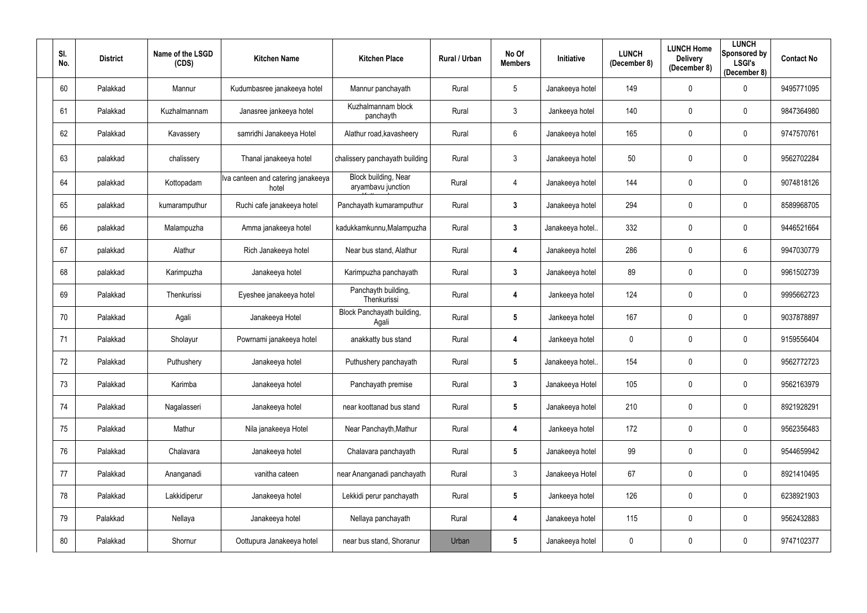| SI.<br>No. | <b>District</b> | Name of the LSGD<br>(CDS) | <b>Kitchen Name</b>                         | <b>Kitchen Place</b>                       | Rural / Urban | No Of<br><b>Members</b> | Initiative      | <b>LUNCH</b><br>(December 8) | <b>LUNCH Home</b><br><b>Delivery</b><br>(December 8) | <b>LUNCH</b><br>Sponsored by<br><b>LSGI's</b><br>(December 8) | <b>Contact No</b> |
|------------|-----------------|---------------------------|---------------------------------------------|--------------------------------------------|---------------|-------------------------|-----------------|------------------------------|------------------------------------------------------|---------------------------------------------------------------|-------------------|
| 60         | Palakkad        | Mannur                    | Kudumbasree janakeeya hotel                 | Mannur panchayath                          | Rural         | $5\phantom{.0}$         | Janakeeya hotel | 149                          | $\overline{0}$                                       | $\mathbf 0$                                                   | 9495771095        |
| 61         | Palakkad        | Kuzhalmannam              | Janasree jankeeya hotel                     | Kuzhalmannam block<br>panchayth            | Rural         | $\mathfrak{Z}$          | Jankeeya hotel  | 140                          | $\mathbf 0$                                          | $\mathbf 0$                                                   | 9847364980        |
| 62         | Palakkad        | Kavassery                 | samridhi Janakeeya Hotel                    | Alathur road, kavasheery                   | Rural         | $6\phantom{.0}$         | Janakeeya hotel | 165                          | $\pmb{0}$                                            | $\mathbf 0$                                                   | 9747570761        |
| 63         | palakkad        | chalissery                | Thanal janakeeya hotel                      | chalissery panchayath building             | Rural         | $\mathfrak{Z}$          | Janakeeya hotel | 50                           | $\pmb{0}$                                            | $\boldsymbol{0}$                                              | 9562702284        |
| 64         | palakkad        | Kottopadam                | Iva canteen and catering janakeeya<br>hotel | Block building, Near<br>aryambavu junction | Rural         | 4                       | Janakeeya hotel | 144                          | $\mathbf 0$                                          | $\mathbf 0$                                                   | 9074818126        |
| 65         | palakkad        | kumaramputhur             | Ruchi cafe janakeeya hotel                  | Panchayath kumaramputhur                   | Rural         | $3\phantom{a}$          | Janakeeya hotel | 294                          | $\mathbf 0$                                          | $\mathbf 0$                                                   | 8589968705        |
| 66         | palakkad        | Malampuzha                | Amma janakeeya hotel                        | kadukkamkunnu, Malampuzha                  | Rural         | $3\phantom{a}$          | Janakeeya hotel | 332                          | $\overline{0}$                                       | $\mathbf 0$                                                   | 9446521664        |
| 67         | palakkad        | Alathur                   | Rich Janakeeya hotel                        | Near bus stand, Alathur                    | Rural         | 4                       | Janakeeya hotel | 286                          | $\mathbf 0$                                          | $6\phantom{.}6$                                               | 9947030779        |
| 68         | palakkad        | Karimpuzha                | Janakeeya hotel                             | Karimpuzha panchayath                      | Rural         | $3\phantom{a}$          | Janakeeya hotel | 89                           | $\pmb{0}$                                            | $\mathbf 0$                                                   | 9961502739        |
| 69         | Palakkad        | Thenkurissi               | Eyeshee janakeeya hotel                     | Panchayth building,<br>Thenkurissi         | Rural         | 4                       | Jankeeya hotel  | 124                          | $\mathbf 0$                                          | $\mathbf 0$                                                   | 9995662723        |
| 70         | Palakkad        | Agali                     | Janakeeya Hotel                             | Block Panchayath building,<br>Agali        | Rural         | $5\phantom{.0}$         | Jankeeya hotel  | 167                          | $\overline{0}$                                       | $\overline{0}$                                                | 9037878897        |
| 71         | Palakkad        | Sholayur                  | Powrnami janakeeya hotel                    | anakkatty bus stand                        | Rural         | 4                       | Jankeeya hotel  | 0                            | $\overline{0}$                                       | $\overline{0}$                                                | 9159556404        |
| 72         | Palakkad        | Puthushery                | Janakeeya hotel                             | Puthushery panchayath                      | Rural         | 5                       | Janakeeya hotel | 154                          | $\mathbf 0$                                          | 0                                                             | 9562772723        |
| 73         | Palakkad        | Karimba                   | Janakeeya hotel                             | Panchayath premise                         | Rural         | $\mathbf{3}$            | Janakeeya Hotel | 105                          | $\mathbf 0$                                          | $\overline{0}$                                                | 9562163979        |
| 74         | Palakkad        | Nagalasseri               | Janakeeya hotel                             | near koottanad bus stand                   | Rural         | $5\phantom{.0}$         | Janakeeya hotel | 210                          | $\overline{0}$                                       | $\mathbf 0$                                                   | 8921928291        |
| 75         | Palakkad        | Mathur                    | Nila janakeeya Hotel                        | Near Panchayth, Mathur                     | Rural         | 4                       | Jankeeya hotel  | 172                          | $\mathbf 0$                                          | $\mathbf 0$                                                   | 9562356483        |
| 76         | Palakkad        | Chalavara                 | Janakeeya hotel                             | Chalavara panchayath                       | Rural         | $5\phantom{.0}$         | Janakeeya hotel | 99                           | $\mathbf 0$                                          | $\mathbf 0$                                                   | 9544659942        |
| 77         | Palakkad        | Ananganadi                | vanitha cateen                              | near Ananganadi panchayath                 | Rural         | $\mathfrak{Z}$          | Janakeeya Hotel | 67                           | $\mathbf 0$                                          | $\mathbf 0$                                                   | 8921410495        |
| 78         | Palakkad        | Lakkidiperur              | Janakeeya hotel                             | Lekkidi perur panchayath                   | Rural         | $5\phantom{.0}$         | Jankeeya hotel  | 126                          | $\overline{0}$                                       | $\mathbf 0$                                                   | 6238921903        |
| 79         | Palakkad        | Nellaya                   | Janakeeya hotel                             | Nellaya panchayath                         | Rural         | 4                       | Janakeeya hotel | 115                          | $\overline{0}$                                       | $\mathbf 0$                                                   | 9562432883        |
| 80         | Palakkad        | Shornur                   | Oottupura Janakeeya hotel                   | near bus stand, Shoranur                   | Urban         | $5\phantom{.0}$         | Janakeeya hotel | 0                            | 0                                                    | $\mathbf 0$                                                   | 9747102377        |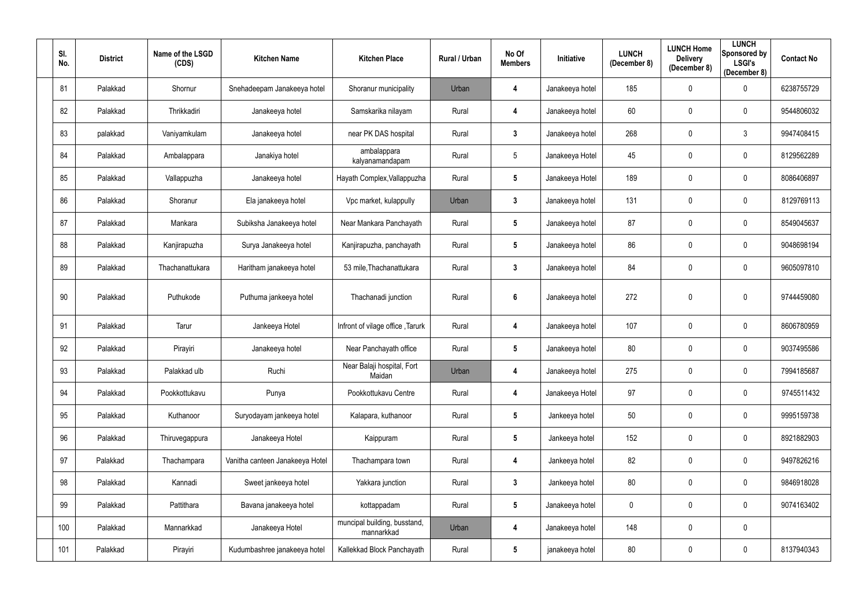| SI.<br>No. | <b>District</b> | Name of the LSGD<br>(CDS) | <b>Kitchen Name</b>             | <b>Kitchen Place</b>                       | <b>Rural / Urban</b> | No Of<br><b>Members</b> | Initiative      | <b>LUNCH</b><br>(December 8) | <b>LUNCH Home</b><br><b>Delivery</b><br>(December 8) | <b>LUNCH</b><br>Sponsored by<br><b>LSGI's</b><br>(December 8) | <b>Contact No</b> |
|------------|-----------------|---------------------------|---------------------------------|--------------------------------------------|----------------------|-------------------------|-----------------|------------------------------|------------------------------------------------------|---------------------------------------------------------------|-------------------|
| 81         | Palakkad        | Shornur                   | Snehadeepam Janakeeya hotel     | Shoranur municipality                      | Urban                | 4                       | Janakeeya hotel | 185                          | $\mathbf 0$                                          | $\mathbf 0$                                                   | 6238755729        |
| 82         | Palakkad        | Thrikkadiri               | Janakeeya hotel                 | Samskarika nilayam                         | Rural                | 4                       | Janakeeya hotel | 60                           | $\mathbf 0$                                          | $\mathbf 0$                                                   | 9544806032        |
| 83         | palakkad        | Vaniyamkulam              | Janakeeya hotel                 | near PK DAS hospital                       | Rural                | $\mathbf{3}$            | Janakeeya hotel | 268                          | $\mathbf 0$                                          | $\mathbf{3}$                                                  | 9947408415        |
| 84         | Palakkad        | Ambalappara               | Janakiya hotel                  | ambalappara<br>kalyanamandapam             | Rural                | $5\phantom{.0}$         | Janakeeya Hotel | 45                           | $\mathbf 0$                                          | $\mathbf 0$                                                   | 8129562289        |
| 85         | Palakkad        | Vallappuzha               | Janakeeya hotel                 | Hayath Complex, Vallappuzha                | Rural                | $5\phantom{.0}$         | Janakeeya Hotel | 189                          | $\mathbf{0}$                                         | $\mathbf 0$                                                   | 8086406897        |
| 86         | Palakkad        | Shoranur                  | Ela janakeeya hotel             | Vpc market, kulappully                     | Urban                | $\mathbf{3}$            | Janakeeya hotel | 131                          | $\mathbf 0$                                          | $\mathbf 0$                                                   | 8129769113        |
| 87         | Palakkad        | Mankara                   | Subiksha Janakeeya hotel        | Near Mankara Panchayath                    | Rural                | $5\phantom{.0}$         | Janakeeya hotel | 87                           | $\mathbf 0$                                          | $\mathbf 0$                                                   | 8549045637        |
| 88         | Palakkad        | Kanjirapuzha              | Surya Janakeeya hotel           | Kanjirapuzha, panchayath                   | Rural                | $5\phantom{.0}$         | Janakeeya hotel | 86                           | $\mathbf 0$                                          | $\mathbf 0$                                                   | 9048698194        |
| 89         | Palakkad        | Thachanattukara           | Haritham janakeeya hotel        | 53 mile, Thachanattukara                   | Rural                | $\mathbf{3}$            | Janakeeya hotel | 84                           | $\mathbf 0$                                          | $\mathbf 0$                                                   | 9605097810        |
| 90         | Palakkad        | Puthukode                 | Puthuma jankeeya hotel          | Thachanadi junction                        | Rural                | $6\phantom{1}6$         | Janakeeya hotel | 272                          | $\mathbf 0$                                          | $\mathbf 0$                                                   | 9744459080        |
| 91         | Palakkad        | Tarur                     | Jankeeya Hotel                  | Infront of vilage office, Tarurk           | Rural                | 4                       | Janakeeya hotel | 107                          | $\mathbf 0$                                          | $\mathbf 0$                                                   | 8606780959        |
| 92         | Palakkad        | Pirayiri                  | Janakeeya hotel                 | Near Panchayath office                     | Rural                | $5\phantom{.0}$         | Janakeeya hotel | 80                           | $\mathbf 0$                                          | $\mathbf 0$                                                   | 9037495586        |
| 93         | Palakkad        | Palakkad ulb              | Ruchi                           | Near Balaji hospital, Fort<br>Maidan       | Urban                | 4                       | Janakeeya hotel | 275                          | $\boldsymbol{0}$                                     | $\pmb{0}$                                                     | 7994185687        |
| 94         | Palakkad        | Pookkottukavu             | Punya                           | Pookkottukavu Centre                       | Rural                | 4                       | Janakeeya Hotel | 97                           | $\mathbf 0$                                          | $\mathbf 0$                                                   | 9745511432        |
| 95         | Palakkad        | Kuthanoor                 | Suryodayam jankeeya hotel       | Kalapara, kuthanoor                        | Rural                | $5\phantom{.0}$         | Jankeeya hotel  | 50                           | $\boldsymbol{0}$                                     | $\mathbf 0$                                                   | 9995159738        |
| 96         | Palakkad        | Thiruvegappura            | Janakeeya Hotel                 | Kaippuram                                  | Rural                | $5\phantom{.0}$         | Jankeeya hotel  | 152                          | $\mathbf 0$                                          | $\mathbf 0$                                                   | 8921882903        |
| 97         | Palakkad        | Thachampara               | Vanitha canteen Janakeeya Hotel | Thachampara town                           | Rural                | 4                       | Jankeeya hotel  | 82                           | $\mathbf 0$                                          | $\mathbf 0$                                                   | 9497826216        |
| 98         | Palakkad        | Kannadi                   | Sweet jankeeya hotel            | Yakkara junction                           | Rural                | $\mathbf{3}$            | Jankeeya hotel  | 80                           | $\mathbf 0$                                          | $\mathbf 0$                                                   | 9846918028        |
| 99         | Palakkad        | Pattithara                | Bavana janakeeya hotel          | kottappadam                                | Rural                | $5\phantom{.0}$         | Janakeeya hotel | 0                            | $\mathbf 0$                                          | $\mathbf 0$                                                   | 9074163402        |
| 100        | Palakkad        | Mannarkkad                | Janakeeya Hotel                 | muncipal building, busstand,<br>mannarkkad | Urban                | $\overline{\mathbf{4}}$ | Janakeeya hotel | 148                          | $\mathbf 0$                                          | $\mathbf 0$                                                   |                   |
| 101        | Palakkad        | Pirayiri                  | Kudumbashree janakeeya hotel    | Kallekkad Block Panchayath                 | Rural                | $5\phantom{.0}$         | janakeeya hotel | 80                           | $\boldsymbol{0}$                                     | $\boldsymbol{0}$                                              | 8137940343        |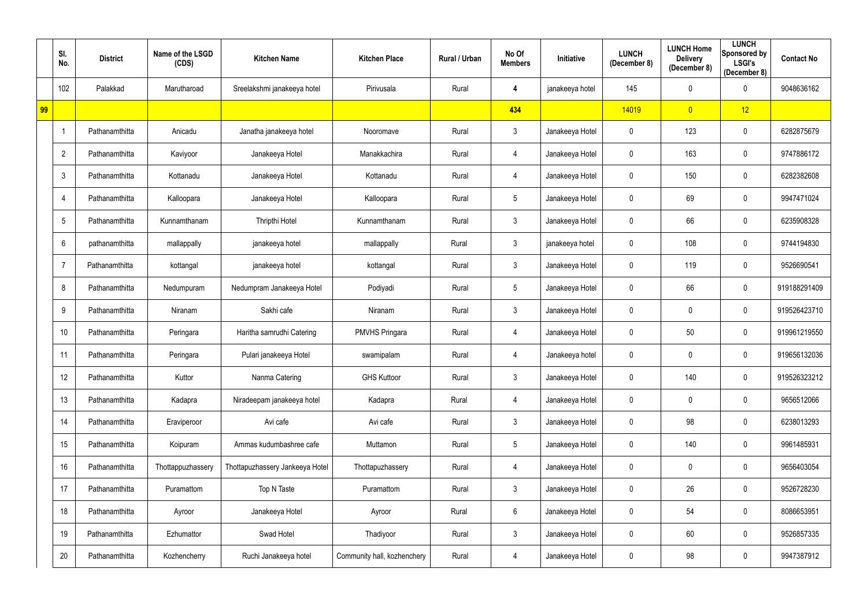|    | SI.<br>No.     | <b>District</b> | Name of the LSGD<br>(CDS) | <b>Kitchen Name</b>             | <b>Kitchen Place</b>        | Rural / Urban | No Of<br><b>Members</b> | Initiative      | <b>LUNCH</b><br>(December 8) | <b>LUNCH Home</b><br><b>Delivery</b><br>(December 8) | <b>LUNCH</b><br>Sponsored by<br><b>LSGI's</b><br>(December 8) | <b>Contact No</b> |
|----|----------------|-----------------|---------------------------|---------------------------------|-----------------------------|---------------|-------------------------|-----------------|------------------------------|------------------------------------------------------|---------------------------------------------------------------|-------------------|
|    | 102            | Palakkad        | Marutharoad               | Sreelakshmi janakeeya hotel     | Pirivusala                  | Rural         | 4                       | janakeeya hotel | 145                          | $\mathbf 0$                                          | $\mathbf 0$                                                   | 9048636162        |
| 99 |                |                 |                           |                                 |                             |               | 434                     |                 | 14019                        | $\overline{0}$                                       | 12                                                            |                   |
|    |                | Pathanamthitta  | Anicadu                   | Janatha janakeeya hotel         | Nooromave                   | Rural         | $\mathfrak{Z}$          | Janakeeya Hotel | $\boldsymbol{0}$             | 123                                                  | $\overline{0}$                                                | 6282875679        |
|    | $\overline{2}$ | Pathanamthitta  | Kaviyoor                  | Janakeeya Hotel                 | Manakkachira                | Rural         | 4                       | Janakeeya Hotel | 0                            | 163                                                  | $\overline{0}$                                                | 9747886172        |
|    | 3              | Pathanamthitta  | Kottanadu                 | Janakeeya Hotel                 | Kottanadu                   | Rural         | 4                       | Janakeeya Hotel | $\mathbf 0$                  | 150                                                  | $\mathbf 0$                                                   | 6282382608        |
|    | 4              | Pathanamthitta  | Kalloopara                | Janakeeya Hotel                 | Kalloopara                  | Rural         | $5\phantom{.0}$         | Janakeeya Hotel | $\mathbf 0$                  | 69                                                   | $\mathbf 0$                                                   | 9947471024        |
|    | 5              | Pathanamthitta  | Kunnamthanam              | Thripthi Hotel                  | Kunnamthanam                | Rural         | $\mathfrak{Z}$          | Janakeeya Hotel | $\mathbf 0$                  | 66                                                   | $\overline{0}$                                                | 6235908328        |
|    | 6              | pathanamthitta  | mallappally               | janakeeya hotel                 | mallappally                 | Rural         | $\mathfrak{Z}$          | janakeeya hotel | 0                            | 108                                                  | $\overline{0}$                                                | 9744194830        |
|    | 7              | Pathanamthitta  | kottangal                 | janakeeya hotel                 | kottangal                   | Rural         | $\mathfrak{Z}$          | Janakeeya Hotel | 0                            | 119                                                  | $\overline{0}$                                                | 9526690541        |
|    | 8              | Pathanamthitta  | Nedumpuram                | Nedumpram Janakeeya Hotel       | Podiyadi                    | Rural         | $5\phantom{.0}$         | Janakeeya Hotel | $\mathbf 0$                  | 66                                                   | $\overline{0}$                                                | 919188291409      |
|    | 9              | Pathanamthitta  | Niranam                   | Sakhi cafe                      | Niranam                     | Rural         | $\mathfrak{Z}$          | Janakeeya Hotel | 0                            | $\mathbf 0$                                          | $\overline{0}$                                                | 919526423710      |
|    | 10             | Pathanamthitta  | Peringara                 | Haritha samrudhi Catering       | <b>PMVHS Pringara</b>       | Rural         | 4                       | Janakeeya Hotel | 0                            | 50                                                   | $\mathbf 0$                                                   | 919961219550      |
|    | 11             | Pathanamthitta  | Peringara                 | Pulari janakeeya Hotel          | swamipalam                  | Rural         | 4                       | Janakeeya hotel | 0                            | $\mathbf 0$                                          | $\mathbf 0$                                                   | 919656132036      |
|    | 12             | Pathanamthitta  | Kuttor                    | Nanma Catering                  | <b>GHS Kuttoor</b>          | Rural         | $\mathfrak{Z}$          | Janakeeya Hotel | $\mathbf 0$                  | 140                                                  | $\mathbf 0$                                                   | 919526323212      |
|    | 13             | Pathanamthitta  | Kadapra                   | Niradeepam janakeeya hotel      | Kadapra                     | Rural         | 4                       | Janakeeya Hotel | $\mathbf 0$                  | $\mathbf 0$                                          | $\mathbf 0$                                                   | 9656512066        |
|    | 14             | Pathanamthitta  | Eraviperoor               | Avi cafe                        | Avi cafe                    | Rural         | $\mathfrak{Z}$          | Janakeeya Hotel | $\mathbf 0$                  | 98                                                   | $\mathbf 0$                                                   | 6238013293        |
|    | 15             | Pathanamthitta  | Koipuram                  | Ammas kudumbashree cafe         | Muttamon                    | Rural         | $5\phantom{.0}$         | Janakeeya Hotel | $\mathbf 0$                  | 140                                                  | $\mathbf 0$                                                   | 9961485931        |
|    | 16             | Pathanamthitta  | Thottappuzhassery         | Thottapuzhassery Jankeeya Hotel | Thottapuzhassery            | Rural         | 4                       | Janakeeya Hotel | $\mathbf 0$                  | $\pmb{0}$                                            | $\mathbf 0$                                                   | 9656403054        |
|    | 17             | Pathanamthitta  | Puramattom                | Top N Taste                     | Puramattom                  | Rural         | $\mathfrak{Z}$          | Janakeeya Hotel | 0                            | 26                                                   | $\mathbf 0$                                                   | 9526728230        |
|    | 18             | Pathanamthitta  | Ayroor                    | Janakeeya Hotel                 | Ayroor                      | Rural         | $6\,$                   | Janakeeya Hotel | $\mathbf 0$                  | 54                                                   | $\mathbf 0$                                                   | 8086653951        |
|    | 19             | Pathanamthitta  | Ezhumattor                | Swad Hotel                      | Thadiyoor                   | Rural         | $\mathfrak{Z}$          | Janakeeya Hotel | 0                            | 60                                                   | $\pmb{0}$                                                     | 9526857335        |
|    | 20             | Pathanamthitta  | Kozhencherry              | Ruchi Janakeeya hotel           | Community hall, kozhenchery | Rural         | 4                       | Janakeeya Hotel | $\mathbf 0$                  | 98                                                   | $\mathbf 0$                                                   | 9947387912        |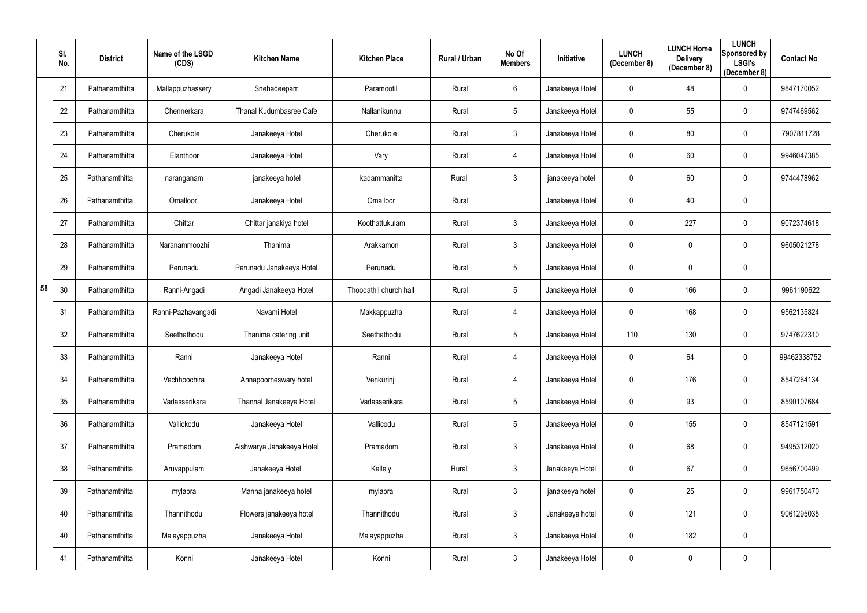|    | SI.<br>No. | <b>District</b> | Name of the LSGD<br>(CDS) | <b>Kitchen Name</b>            | <b>Kitchen Place</b>   | Rural / Urban | No Of<br><b>Members</b> | Initiative      | <b>LUNCH</b><br>(December 8) | <b>LUNCH Home</b><br><b>Delivery</b><br>(December 8) | <b>LUNCH</b><br>Sponsored by<br><b>LSGI's</b><br>(December 8) | <b>Contact No</b> |
|----|------------|-----------------|---------------------------|--------------------------------|------------------------|---------------|-------------------------|-----------------|------------------------------|------------------------------------------------------|---------------------------------------------------------------|-------------------|
|    | 21         | Pathanamthitta  | Mallappuzhassery          | Snehadeepam                    | Paramootil             | Rural         | 6                       | Janakeeya Hotel | 0                            | 48                                                   | $\mathbf 0$                                                   | 9847170052        |
|    | 22         | Pathanamthitta  | Chennerkara               | <b>Thanal Kudumbasree Cafe</b> | Nallanikunnu           | Rural         | 5                       | Janakeeya Hotel | 0                            | 55                                                   | $\mathbf 0$                                                   | 9747469562        |
|    | 23         | Pathanamthitta  | Cherukole                 | Janakeeya Hotel                | Cherukole              | Rural         | $\mathbf{3}$            | Janakeeya Hotel | $\mathbf 0$                  | 80                                                   | $\overline{0}$                                                | 7907811728        |
|    | 24         | Pathanamthitta  | Elanthoor                 | Janakeeya Hotel                | Vary                   | Rural         | 4                       | Janakeeya Hotel | 0                            | 60                                                   | $\overline{0}$                                                | 9946047385        |
|    | 25         | Pathanamthitta  | naranganam                | janakeeya hotel                | kadammanitta           | Rural         | $\mathfrak{Z}$          | janakeeya hotel | 0                            | 60                                                   | $\overline{0}$                                                | 9744478962        |
|    | 26         | Pathanamthitta  | Omalloor                  | Janakeeya Hotel                | Omalloor               | Rural         |                         | Janakeeya Hotel | 0                            | 40                                                   | $\overline{0}$                                                |                   |
|    | 27         | Pathanamthitta  | Chittar                   | Chittar janakiya hotel         | Koothattukulam         | Rural         | 3                       | Janakeeya Hotel | 0                            | 227                                                  | $\overline{0}$                                                | 9072374618        |
|    | 28         | Pathanamthitta  | Naranammoozhi             | Thanima                        | Arakkamon              | Rural         | $\mathfrak{Z}$          | Janakeeya Hotel | 0                            | $\mathbf 0$                                          | $\overline{0}$                                                | 9605021278        |
|    | 29         | Pathanamthitta  | Perunadu                  | Perunadu Janakeeya Hotel       | Perunadu               | Rural         | 5                       | Janakeeya Hotel | $\mathbf 0$                  | $\mathbf 0$                                          | $\overline{0}$                                                |                   |
| 58 | 30         | Pathanamthitta  | Ranni-Angadi              | Angadi Janakeeya Hotel         | Thoodathil church hall | Rural         | $5\phantom{.0}$         | Janakeeya Hotel | $\mathbf 0$                  | 166                                                  | $\overline{0}$                                                | 9961190622        |
|    | 31         | Pathanamthitta  | Ranni-Pazhavangadi        | Navami Hotel                   | Makkappuzha            | Rural         | 4                       | Janakeeya Hotel | 0                            | 168                                                  | $\overline{0}$                                                | 9562135824        |
|    | 32         | Pathanamthitta  | Seethathodu               | Thanima catering unit          | Seethathodu            | Rural         | 5                       | Janakeeya Hotel | 110                          | 130                                                  | $\overline{0}$                                                | 9747622310        |
|    | 33         | Pathanamthitta  | Ranni                     | Janakeeya Hotel                | Ranni                  | Rural         | 4                       | Janakeeya Hotel | 0                            | 64                                                   | $\mathbf 0$                                                   | 99462338752       |
|    | 34         | Pathanamthitta  | Vechhoochira              | Annapoorneswary hotel          | Venkurinji             | Rural         | 4                       | Janakeeya Hotel | 0                            | 176                                                  | $\overline{0}$                                                | 8547264134        |
|    | 35         | Pathanamthitta  | Vadasserikara             | Thannal Janakeeya Hotel        | Vadasserikara          | Rural         | $5\phantom{.0}$         | Janakeeya Hotel | $\mathbf 0$                  | 93                                                   | $\mathbf 0$                                                   | 8590107684        |
|    | 36         | Pathanamthitta  | Vallickodu                | Janakeeya Hotel                | Vallicodu              | Rural         | $5\phantom{.0}$         | Janakeeya Hotel | $\mathbf 0$                  | 155                                                  | $\mathbf 0$                                                   | 8547121591        |
|    | 37         | Pathanamthitta  | Pramadom                  | Aishwarya Janakeeya Hotel      | Pramadom               | Rural         | $\mathfrak{Z}$          | Janakeeya Hotel | 0                            | 68                                                   | $\mathbf 0$                                                   | 9495312020        |
|    | 38         | Pathanamthitta  | Aruvappulam               | Janakeeya Hotel                | Kallely                | Rural         | $\mathfrak{Z}$          | Janakeeya Hotel | $\mathbf 0$                  | 67                                                   | $\mathbf 0$                                                   | 9656700499        |
|    | 39         | Pathanamthitta  | mylapra                   | Manna janakeeya hotel          | mylapra                | Rural         | $\mathbf{3}$            | janakeeya hotel | $\mathbf 0$                  | 25                                                   | $\mathbf 0$                                                   | 9961750470        |
|    | 40         | Pathanamthitta  | Thannithodu               | Flowers janakeeya hotel        | Thannithodu            | Rural         | $\mathfrak{Z}$          | Janakeeya hotel | $\mathbf 0$                  | 121                                                  | $\mathbf 0$                                                   | 9061295035        |
|    | 40         | Pathanamthitta  | Malayappuzha              | Janakeeya Hotel                | Malayappuzha           | Rural         | $\mathfrak{Z}$          | Janakeeya Hotel | $\mathbf 0$                  | 182                                                  | $\mathbf 0$                                                   |                   |
|    | 41         | Pathanamthitta  | Konni                     | Janakeeya Hotel                | Konni                  | Rural         | $\mathfrak{Z}$          | Janakeeya Hotel | 0                            | $\pmb{0}$                                            | $\overline{0}$                                                |                   |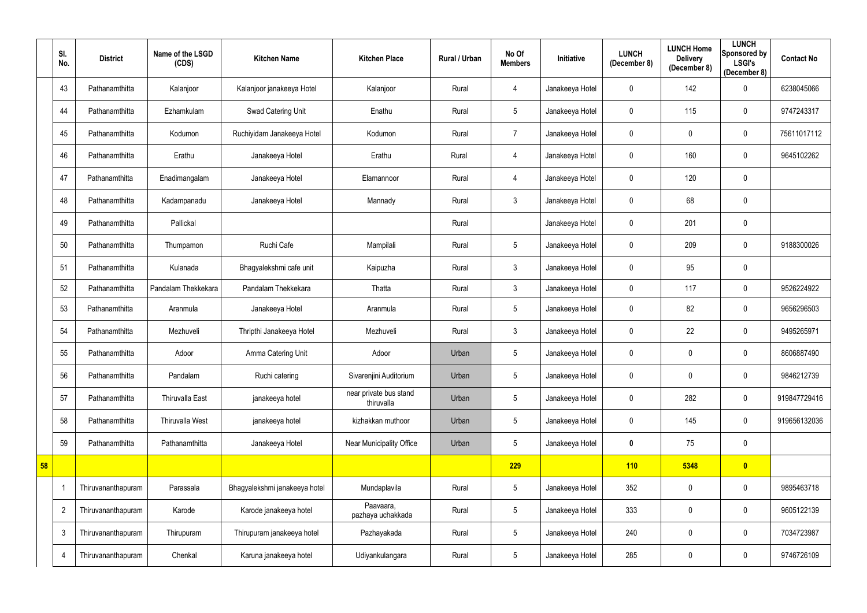|    | SI.<br>No.     | <b>District</b>    | Name of the LSGD<br>(CDS) | <b>Kitchen Name</b>           | <b>Kitchen Place</b>                 | Rural / Urban | No Of<br><b>Members</b> | <b>Initiative</b> | <b>LUNCH</b><br>(December 8) | <b>LUNCH Home</b><br><b>Delivery</b><br>(December 8) | <b>LUNCH</b><br>Sponsored by<br><b>LSGI's</b><br>(December 8) | <b>Contact No</b> |
|----|----------------|--------------------|---------------------------|-------------------------------|--------------------------------------|---------------|-------------------------|-------------------|------------------------------|------------------------------------------------------|---------------------------------------------------------------|-------------------|
|    | 43             | Pathanamthitta     | Kalanjoor                 | Kalanjoor janakeeya Hotel     | Kalanjoor                            | Rural         | 4                       | Janakeeya Hotel   | $\mathbf 0$                  | 142                                                  | $\overline{0}$                                                | 6238045066        |
|    | 44             | Pathanamthitta     | Ezhamkulam                | Swad Catering Unit            | Enathu                               | Rural         | 5                       | Janakeeya Hotel   | 0                            | 115                                                  | $\overline{0}$                                                | 9747243317        |
|    | 45             | Pathanamthitta     | Kodumon                   | Ruchiyidam Janakeeya Hotel    | Kodumon                              | Rural         | $\overline{7}$          | Janakeeya Hotel   | 0                            | $\mathbf 0$                                          | $\overline{0}$                                                | 75611017112       |
|    | 46             | Pathanamthitta     | Erathu                    | Janakeeya Hotel               | Erathu                               | Rural         | 4                       | Janakeeya Hotel   | 0                            | 160                                                  | $\overline{0}$                                                | 9645102262        |
|    | 47             | Pathanamthitta     | Enadimangalam             | Janakeeya Hotel               | Elamannoor                           | Rural         | 4                       | Janakeeya Hotel   | 0                            | 120                                                  | $\mathbf 0$                                                   |                   |
|    | 48             | Pathanamthitta     | Kadampanadu               | Janakeeya Hotel               | Mannady                              | Rural         | $\mathfrak{Z}$          | Janakeeya Hotel   | 0                            | 68                                                   | $\boldsymbol{0}$                                              |                   |
|    | 49             | Pathanamthitta     | Pallickal                 |                               |                                      | Rural         |                         | Janakeeya Hotel   | 0                            | 201                                                  | $\overline{0}$                                                |                   |
|    | 50             | Pathanamthitta     | Thumpamon                 | Ruchi Cafe                    | Mampilali                            | Rural         | $5\phantom{.0}$         | Janakeeya Hotel   | $\mathbf 0$                  | 209                                                  | $\mathbf 0$                                                   | 9188300026        |
|    | 51             | Pathanamthitta     | Kulanada                  | Bhagyalekshmi cafe unit       | Kaipuzha                             | Rural         | $\mathfrak{Z}$          | Janakeeya Hotel   | 0                            | 95                                                   | $\overline{0}$                                                |                   |
|    | 52             | Pathanamthitta     | Pandalam Thekkekara       | Pandalam Thekkekara           | Thatta                               | Rural         | $\mathfrak{Z}$          | Janakeeya Hotel   | 0                            | 117                                                  | $\mathbf 0$                                                   | 9526224922        |
|    | 53             | Pathanamthitta     | Aranmula                  | Janakeeya Hotel               | Aranmula                             | Rural         | 5                       | Janakeeya Hotel   | 0                            | 82                                                   | $\overline{0}$                                                | 9656296503        |
|    | 54             | Pathanamthitta     | Mezhuveli                 | Thripthi Janakeeya Hotel      | Mezhuveli                            | Rural         | $\mathfrak{Z}$          | Janakeeya Hotel   | 0                            | 22                                                   | $\mathbf 0$                                                   | 9495265971        |
|    | 55             | Pathanamthitta     | Adoor                     | Amma Catering Unit            | Adoor                                | Urban         | $5\phantom{.0}$         | Janakeeya Hotel   | 0                            | $\mathbf{0}$                                         | $\mathbf 0$                                                   | 8606887490        |
|    | 56             | Pathanamthitta     | Pandalam                  | Ruchi catering                | Sivarenjini Auditorium               | Urban         | 5                       | Janakeeya Hotel   | $\mathbf 0$                  | $\mathbf 0$                                          | $\overline{0}$                                                | 9846212739        |
|    | 57             | Pathanamthitta     | Thiruvalla East           | janakeeya hotel               | near private bus stand<br>thiruvalla | Urban         | $\sqrt{5}$              | Janakeeya Hotel   | $\mathbf 0$                  | 282                                                  | $\mathbf 0$                                                   | 919847729416      |
|    | 58             | Pathanamthitta     | <b>Thiruvalla West</b>    | janakeeya hotel               | kizhakkan muthoor                    | Urban         | $5\phantom{.0}$         | Janakeeya Hotel   | 0                            | 145                                                  | $\overline{0}$                                                | 919656132036      |
|    | 59             | Pathanamthitta     | Pathanamthitta            | Janakeeya Hotel               | Near Municipality Office             | Urban         | 5                       | Janakeeya Hotel   | $\mathbf 0$                  | 75                                                   | $\mathbf 0$                                                   |                   |
| 58 |                |                    |                           |                               |                                      |               | 229                     |                   | 110                          | 5348                                                 | $\bullet$                                                     |                   |
|    |                | Thiruvananthapuram | Parassala                 | Bhagyalekshmi janakeeya hotel | Mundaplavila                         | Rural         | $5\phantom{.0}$         | Janakeeya Hotel   | 352                          | $\mathbf 0$                                          | $\overline{0}$                                                | 9895463718        |
|    | $\overline{2}$ | Thiruvananthapuram | Karode                    | Karode janakeeya hotel        | Paavaara,<br>pazhaya uchakkada       | Rural         | $5\phantom{.0}$         | Janakeeya Hotel   | 333                          | $\mathbf 0$                                          | $\overline{0}$                                                | 9605122139        |
|    | $\mathfrak{Z}$ | Thiruvananthapuram | Thirupuram                | Thirupuram janakeeya hotel    | Pazhayakada                          | Rural         | $5\phantom{.0}$         | Janakeeya Hotel   | 240                          | $\mathbf 0$                                          | $\mathbf 0$                                                   | 7034723987        |
|    | 4              | Thiruvananthapuram | Chenkal                   | Karuna janakeeya hotel        | Udiyankulangara                      | Rural         | $\sqrt{5}$              | Janakeeya Hotel   | 285                          | $\pmb{0}$                                            | $\overline{0}$                                                | 9746726109        |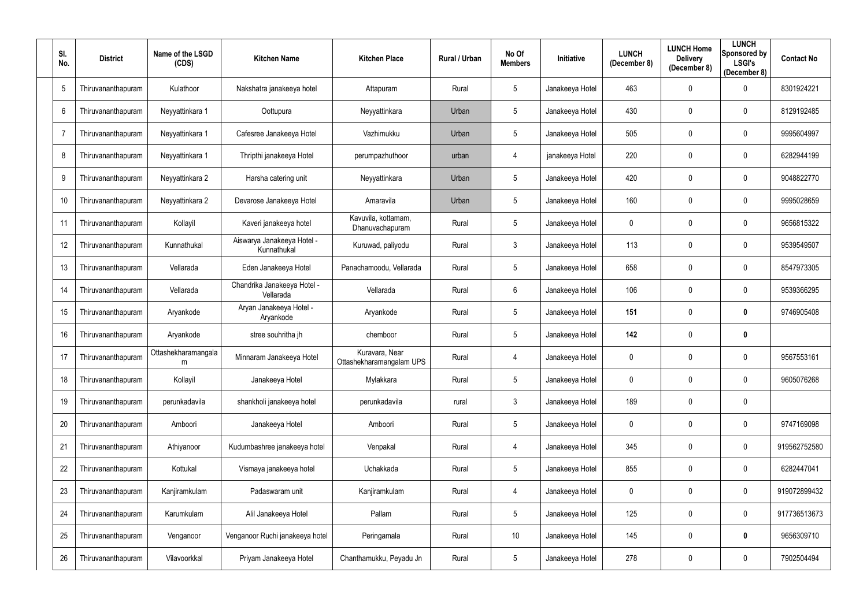| SI.<br>No.     | <b>District</b>    | Name of the LSGD<br>(CDS) | <b>Kitchen Name</b>                       | <b>Kitchen Place</b>                       | Rural / Urban | No Of<br><b>Members</b> | Initiative      | <b>LUNCH</b><br>(December 8) | <b>LUNCH Home</b><br><b>Delivery</b><br>(December 8) | <b>LUNCH</b><br><b>Sponsored by</b><br><b>LSGI's</b><br>(December 8) | <b>Contact No</b> |
|----------------|--------------------|---------------------------|-------------------------------------------|--------------------------------------------|---------------|-------------------------|-----------------|------------------------------|------------------------------------------------------|----------------------------------------------------------------------|-------------------|
| 5              | Thiruvananthapuram | Kulathoor                 | Nakshatra janakeeya hotel                 | Attapuram                                  | Rural         | 5                       | Janakeeya Hotel | 463                          | $\boldsymbol{0}$                                     | 0                                                                    | 8301924221        |
| 6              | Thiruvananthapuram | Neyyattinkara 1           | Oottupura                                 | Neyyattinkara                              | Urban         | 5                       | Janakeeya Hotel | 430                          | 0                                                    | 0                                                                    | 8129192485        |
| $\overline{7}$ | Thiruvananthapuram | Neyyattinkara 1           | Cafesree Janakeeya Hotel                  | Vazhimukku                                 | Urban         | $5\phantom{.0}$         | Janakeeya Hotel | 505                          | $\mathbf 0$                                          | $\mathbf 0$                                                          | 9995604997        |
| 8              | Thiruvananthapuram | Neyyattinkara 1           | Thripthi janakeeya Hotel                  | perumpazhuthoor                            | urban         | 4                       | janakeeya Hotel | 220                          | 0                                                    | $\mathbf 0$                                                          | 6282944199        |
| 9              | Thiruvananthapuram | Neyyattinkara 2           | Harsha catering unit                      | Neyyattinkara                              | Urban         | $5\phantom{.0}$         | Janakeeya Hotel | 420                          | $\mathbf 0$                                          | $\mathbf 0$                                                          | 9048822770        |
| 10             | Thiruvananthapuram | Neyyattinkara 2           | Devarose Janakeeya Hotel                  | Amaravila                                  | Urban         | $5\phantom{.0}$         | Janakeeya Hotel | 160                          | $\mathbf 0$                                          | 0                                                                    | 9995028659        |
| 11             | Thiruvananthapuram | Kollayil                  | Kaveri janakeeya hotel                    | Kavuvila, kottamam,<br>Dhanuvachapuram     | Rural         | 5 <sup>5</sup>          | Janakeeya Hotel | 0                            | $\mathbf 0$                                          | $\mathbf 0$                                                          | 9656815322        |
| 12             | Thiruvananthapuram | Kunnathukal               | Aiswarya Janakeeya Hotel -<br>Kunnathukal | Kuruwad, paliyodu                          | Rural         | 3                       | Janakeeya Hotel | 113                          | 0                                                    | $\mathbf 0$                                                          | 9539549507        |
| 13             | Thiruvananthapuram | Vellarada                 | Eden Janakeeya Hotel                      | Panachamoodu, Vellarada                    | Rural         | $5\phantom{.0}$         | Janakeeya Hotel | 658                          | $\mathbf 0$                                          | $\mathbf 0$                                                          | 8547973305        |
| 14             | Thiruvananthapuram | Vellarada                 | Chandrika Janakeeya Hotel -<br>Vellarada  | Vellarada                                  | Rural         | $6\phantom{.}$          | Janakeeya Hotel | 106                          | $\mathbf 0$                                          | $\mathbf 0$                                                          | 9539366295        |
| 15             | Thiruvananthapuram | Aryankode                 | Aryan Janakeeya Hotel -<br>Aryankode      | Aryankode                                  | Rural         | $5\phantom{.0}$         | Janakeeya Hotel | 151                          | $\boldsymbol{0}$                                     | 0                                                                    | 9746905408        |
| 16             | Thiruvananthapuram | Aryankode                 | stree souhritha jh                        | chemboor                                   | Rural         | 5                       | Janakeeya Hotel | 142                          | $\mathbf 0$                                          | 0                                                                    |                   |
| 17             | Thiruvananthapuram | Ottashekharamangala<br>m  | Minnaram Janakeeya Hotel                  | Kuravara, Near<br>Ottashekharamangalam UPS | Rural         | 4                       | Janakeeya Hotel | 0                            | $\mathbf 0$                                          | 0                                                                    | 9567553161        |
| 18             | Thiruvananthapuram | Kollayil                  | Janakeeya Hotel                           | Mylakkara                                  | Rural         | $5\phantom{.0}$         | Janakeeya Hotel | 0                            | 0                                                    | $\bf{0}$                                                             | 9605076268        |
| 19             | Thiruvananthapuram | perunkadavila             | shankholi janakeeya hotel                 | perunkadavila                              | rural         | $\mathbf{3}$            | Janakeeya Hotel | 189                          | $\boldsymbol{0}$                                     | $\overline{0}$                                                       |                   |
| 20             | Thiruvananthapuram | Amboori                   | Janakeeya Hotel                           | Amboori                                    | Rural         | $5\phantom{.0}$         | Janakeeya Hotel | 0                            | $\boldsymbol{0}$                                     | $\boldsymbol{0}$                                                     | 9747169098        |
| 21             | Thiruvananthapuram | Athiyanoor                | Kudumbashree janakeeya hotel              | Venpakal                                   | Rural         | 4                       | Janakeeya Hotel | 345                          | $\boldsymbol{0}$                                     | $\mathbf 0$                                                          | 919562752580      |
| 22             | Thiruvananthapuram | Kottukal                  | Vismaya janakeeya hotel                   | Uchakkada                                  | Rural         | $\overline{5}$          | Janakeeya Hotel | 855                          | $\boldsymbol{0}$                                     | $\mathbf 0$                                                          | 6282447041        |
| 23             | Thiruvananthapuram | Kanjiramkulam             | Padaswaram unit                           | Kanjiramkulam                              | Rural         | 4                       | Janakeeya Hotel | 0                            | $\boldsymbol{0}$                                     | $\mathbf 0$                                                          | 919072899432      |
| 24             | Thiruvananthapuram | Karumkulam                | Alil Janakeeya Hotel                      | Pallam                                     | Rural         | $5\phantom{.0}$         | Janakeeya Hotel | 125                          | $\boldsymbol{0}$                                     | $\mathbf{0}$                                                         | 917736513673      |
| 25             | Thiruvananthapuram | Venganoor                 | Venganoor Ruchi janakeeya hotel           | Peringamala                                | Rural         | 10                      | Janakeeya Hotel | 145                          | $\boldsymbol{0}$                                     | $\bm{0}$                                                             | 9656309710        |
| 26             | Thiruvananthapuram | Vilavoorkkal              | Priyam Janakeeya Hotel                    | Chanthamukku, Peyadu Jn                    | Rural         | $5\phantom{.0}$         | Janakeeya Hotel | 278                          | $\boldsymbol{0}$                                     | $\mathbf 0$                                                          | 7902504494        |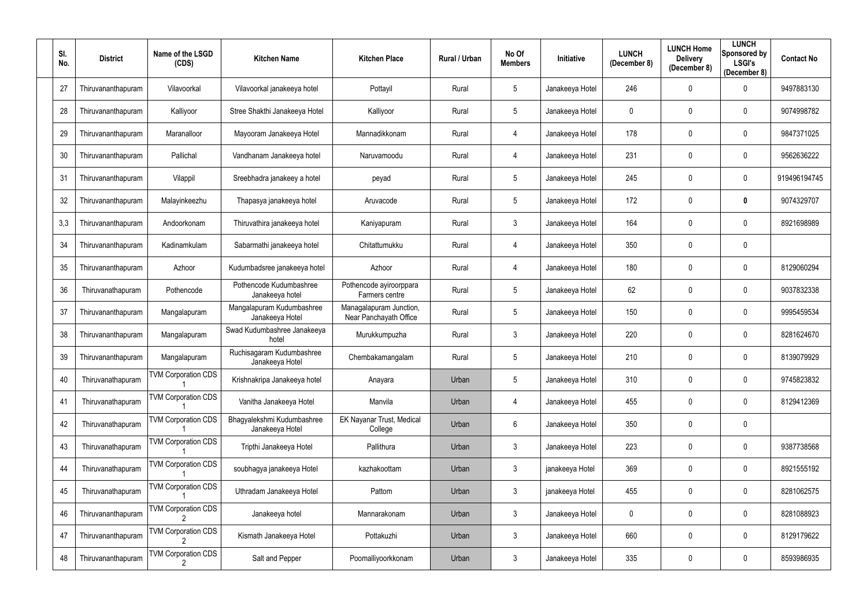| SI.<br>No. | <b>District</b>    | Name of the LSGD<br>(CDS)  | <b>Kitchen Name</b>                           | <b>Kitchen Place</b>                              | Rural / Urban | No Of<br><b>Members</b> | Initiative      | <b>LUNCH</b><br>(December 8) | <b>LUNCH Home</b><br><b>Delivery</b><br>(December 8) | <b>LUNCH</b><br>Sponsored by<br><b>LSGI's</b><br>(December 8) | <b>Contact No</b> |
|------------|--------------------|----------------------------|-----------------------------------------------|---------------------------------------------------|---------------|-------------------------|-----------------|------------------------------|------------------------------------------------------|---------------------------------------------------------------|-------------------|
| 27         | Thiruvananthapuram | Vilavoorkal                | Vilavoorkal janakeeya hotel                   | Pottayil                                          | Rural         | 5                       | Janakeeya Hotel | 246                          | $\mathbf 0$                                          | 0                                                             | 9497883130        |
| 28         | Thiruvananthapuram | Kalliyoor                  | Stree Shakthi Janakeeya Hotel                 | Kalliyoor                                         | Rural         | 5                       | Janakeeya Hotel | 0                            | $\mathbf 0$                                          | 0                                                             | 9074998782        |
| 29         | Thiruvananthapuram | Maranalloor                | Mayooram Janakeeya Hotel                      | Mannadikkonam                                     | Rural         | 4                       | Janakeeya Hotel | 178                          | $\mathbf 0$                                          | $\mathbf 0$                                                   | 9847371025        |
| 30         | Thiruvananthapuram | Pallichal                  | Vandhanam Janakeeya hotel                     | Naruvamoodu                                       | Rural         | 4                       | Janakeeya Hotel | 231                          | 0                                                    | $\mathbf 0$                                                   | 9562636222        |
| 31         | Thiruvananthapuram | Vilappil                   | Sreebhadra janakeey a hotel                   | peyad                                             | Rural         | $5\phantom{.0}$         | Janakeeya Hotel | 245                          | $\mathbf 0$                                          | $\mathbf 0$                                                   | 919496194745      |
| 32         | Thiruvananthapuram | Malayinkeezhu              | Thapasya janakeeya hotel                      | Aruvacode                                         | Rural         | 5                       | Janakeeya Hotel | 172                          | $\mathbf 0$                                          | 0                                                             | 9074329707        |
| 3,3        | Thiruvananthapuram | Andoorkonam                | Thiruvathira janakeeya hotel                  | Kaniyapuram                                       | Rural         | 3 <sup>1</sup>          | Janakeeya Hotel | 164                          | $\mathbf 0$                                          | 0                                                             | 8921698989        |
| 34         | Thiruvananthapuram | Kadinamkulam               | Sabarmathi janakeeya hotel                    | Chitattumukku                                     | Rural         | 4                       | Janakeeya Hotel | 350                          | 0                                                    | $\mathbf 0$                                                   |                   |
| 35         | Thiruvananthapuram | Azhoor                     | Kudumbadsree janakeeya hotel                  | Azhoor                                            | Rural         | 4                       | Janakeeya Hotel | 180                          | $\mathbf 0$                                          | $\mathbf 0$                                                   | 8129060294        |
| 36         | Thiruvanathapuram  | Pothencode                 | Pothencode Kudumbashree<br>Janakeeya hotel    | Pothencode ayiroorppara<br>Farmers centre         | Rural         | 5                       | Janakeeya Hotel | 62                           | $\mathbf 0$                                          | $\mathbf 0$                                                   | 9037832338        |
| 37         | Thiruvananthapuram | Mangalapuram               | Mangalapuram Kudumbashree<br>Janakeeya Hotel  | Managalapuram Junction,<br>Near Panchayath Office | Rural         | 5                       | Janakeeya Hotel | 150                          | $\mathbf 0$                                          | 0                                                             | 9995459534        |
| 38         | Thiruvananthapuram | Mangalapuram               | Swad Kudumbashree Janakeeya<br>hotel          | Murukkumpuzha                                     | Rural         | 3                       | Janakeeya Hotel | 220                          | 0                                                    | 0                                                             | 8281624670        |
| 39         | Thiruvananthapuram | Mangalapuram               | Ruchisagaram Kudumbashree<br>Janakeeya Hotel  | Chembakamangalam                                  | Rural         | 5                       | Janakeeya Hotel | 210                          | $\mathbf 0$                                          | 0                                                             | 8139079929        |
| 40         | Thiruvanathapuram  | <b>TVM Corporation CDS</b> | Krishnakripa Janakeeya hotel                  | Anayara                                           | Urban         | 5 <sup>5</sup>          | Janakeeya Hotel | 310                          | 0                                                    | $\boldsymbol{0}$                                              | 9745823832        |
| 41         | Thiruvanathapuram  | <b>TVM Corporation CDS</b> | Vanitha Janakeeya Hotel                       | Manvila                                           | Urban         | 4                       | Janakeeya Hotel | 455                          | $\mathbf 0$                                          | $\overline{0}$                                                | 8129412369        |
| 42         | Thiruvanathapuram  | <b>TVM Corporation CDS</b> | Bhagyalekshmi Kudumbashree<br>Janakeeya Hotel | EK Nayanar Trust, Medical<br>College              | Urban         | $6\overline{6}$         | Janakeeya Hotel | 350                          | $\boldsymbol{0}$                                     | $\mathbf 0$                                                   |                   |
| 43         | Thiruvanathapuram  | <b>TVM Corporation CDS</b> | Tripthi Janakeeya Hotel                       | Pallithura                                        | Urban         | $\mathfrak{Z}$          | Janakeeya Hotel | 223                          | $\boldsymbol{0}$                                     | $\mathbf 0$                                                   | 9387738568        |
| 44         | Thiruvanathapuram  | <b>TVM Corporation CDS</b> | soubhagya janakeeya Hotel                     | kazhakoottam                                      | Urban         | $\mathfrak{Z}$          | janakeeya Hotel | 369                          | $\boldsymbol{0}$                                     | $\mathbf 0$                                                   | 8921555192        |
| 45         | Thiruvanathapuram  | <b>TVM Corporation CDS</b> | Uthradam Janakeeya Hotel                      | Pattom                                            | Urban         | $\mathbf{3}$            | janakeeya Hotel | 455                          | $\boldsymbol{0}$                                     | $\mathbf 0$                                                   | 8281062575        |
| 46         | Thiruvananthapuram | <b>TVM Corporation CDS</b> | Janakeeya hotel                               | Mannarakonam                                      | Urban         | $\mathbf{3}$            | Janakeeya Hotel | 0                            | $\boldsymbol{0}$                                     | $\overline{0}$                                                | 8281088923        |
| 47         | Thiruvananthapuram | <b>TVM Corporation CDS</b> | Kismath Janakeeya Hotel                       | Pottakuzhi                                        | Urban         | $\mathfrak{Z}$          | Janakeeya Hotel | 660                          | $\boldsymbol{0}$                                     | $\mathbf 0$                                                   | 8129179622        |
| 48         | Thiruvananthapuram | <b>TVM Corporation CDS</b> | Salt and Pepper                               | Poomalliyoorkkonam                                | Urban         | $\mathfrak{Z}$          | Janakeeya Hotel | 335                          | $\boldsymbol{0}$                                     | $\mathbf 0$                                                   | 8593986935        |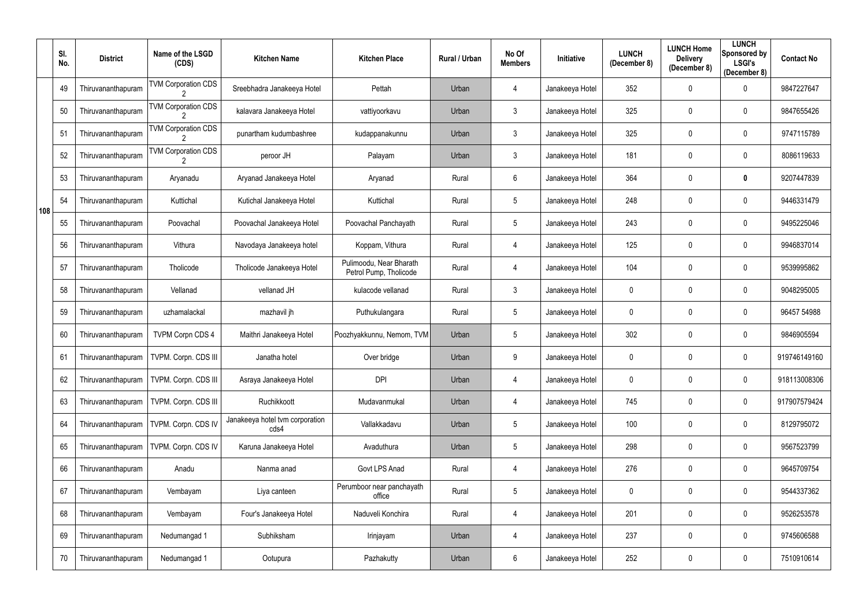|     | SI.<br>No. | <b>District</b>    | Name of the LSGD<br>(CDS)                   | <b>Kitchen Name</b>                     | <b>Kitchen Place</b>                              | Rural / Urban | No Of<br><b>Members</b> | Initiative      | <b>LUNCH</b><br>(December 8) | <b>LUNCH Home</b><br><b>Delivery</b><br>(December 8) | <b>LUNCH</b><br><b>Sponsored by</b><br><b>LSGI's</b><br>(December 8) | <b>Contact No</b> |
|-----|------------|--------------------|---------------------------------------------|-----------------------------------------|---------------------------------------------------|---------------|-------------------------|-----------------|------------------------------|------------------------------------------------------|----------------------------------------------------------------------|-------------------|
|     | 49         | Thiruvananthapuram | <b>TVM Corporation CDS</b>                  | Sreebhadra Janakeeya Hotel              | Pettah                                            | Urban         | 4                       | Janakeeya Hotel | 352                          | $\mathbf 0$                                          | $\mathbf 0$                                                          | 9847227647        |
|     | 50         | Thiruvananthapuram | <b>TVM Corporation CDS</b>                  | kalavara Janakeeya Hotel                | vattiyoorkavu                                     | Urban         | $\mathfrak{Z}$          | Janakeeya Hotel | 325                          | $\mathbf 0$                                          | $\mathbf 0$                                                          | 9847655426        |
|     | 51         | Thiruvananthapuram | <b>TVM Corporation CDS</b>                  | punartham kudumbashree                  | kudappanakunnu                                    | Urban         | $\mathfrak{Z}$          | Janakeeya Hotel | 325                          | $\pmb{0}$                                            | $\overline{0}$                                                       | 9747115789        |
|     | 52         | Thiruvananthapuram | <b>TVM Corporation CDS</b><br>$\mathcal{P}$ | peroor JH                               | Palayam                                           | Urban         | $\mathfrak{Z}$          | Janakeeya Hotel | 181                          | $\mathbf 0$                                          | $\mathbf 0$                                                          | 8086119633        |
|     | 53         | Thiruvananthapuram | Aryanadu                                    | Aryanad Janakeeya Hotel                 | Aryanad                                           | Rural         | 6                       | Janakeeya Hotel | 364                          | $\mathbf 0$                                          | $\boldsymbol{0}$                                                     | 9207447839        |
| 108 | 54         | Thiruvananthapuram | Kuttichal                                   | Kutichal Janakeeya Hotel                | Kuttichal                                         | Rural         | $5\phantom{.0}$         | Janakeeya Hotel | 248                          | $\mathbf 0$                                          | $\boldsymbol{0}$                                                     | 9446331479        |
|     | 55         | Thiruvananthapuram | Poovachal                                   | Poovachal Janakeeya Hotel               | Poovachal Panchayath                              | Rural         | $5\phantom{.0}$         | Janakeeya Hotel | 243                          | $\mathbf 0$                                          | $\mathbf 0$                                                          | 9495225046        |
|     | 56         | Thiruvananthapuram | Vithura                                     | Navodaya Janakeeya hotel                | Koppam, Vithura                                   | Rural         | 4                       | Janakeeya Hotel | 125                          | $\mathbf 0$                                          | $\mathbf 0$                                                          | 9946837014        |
|     | 57         | Thiruvananthapuram | Tholicode                                   | Tholicode Janakeeya Hotel               | Pulimoodu, Near Bharath<br>Petrol Pump, Tholicode | Rural         | 4                       | Janakeeya Hotel | 104                          | $\mathbf 0$                                          | $\mathbf 0$                                                          | 9539995862        |
|     | 58         | Thiruvananthapuram | Vellanad                                    | vellanad JH                             | kulacode vellanad                                 | Rural         | $\mathfrak{Z}$          | Janakeeya Hotel | $\mathbf 0$                  | $\mathbf 0$                                          | $\mathbf 0$                                                          | 9048295005        |
|     | 59         | Thiruvananthapuram | uzhamalackal                                | mazhavil jh                             | Puthukulangara                                    | Rural         | $5\phantom{.0}$         | Janakeeya Hotel | 0                            | $\mathbf 0$                                          | $\mathbf 0$                                                          | 96457 54988       |
|     | 60         | Thiruvananthapuram | <b>TVPM Corpn CDS 4</b>                     | Maithri Janakeeya Hotel                 | Poozhyakkunnu, Nemom, TVM                         | Urban         | 5                       | Janakeeya Hotel | 302                          | $\mathbf 0$                                          | $\overline{0}$                                                       | 9846905594        |
|     | 61         | Thiruvananthapuram | TVPM. Corpn. CDS III                        | Janatha hotel                           | Over bridge                                       | Urban         | 9                       | Janakeeya Hotel | 0                            | $\mathbf 0$                                          | $\mathbf 0$                                                          | 919746149160      |
|     | 62         | Thiruvananthapuram | TVPM. Corpn. CDS III                        | Asraya Janakeeya Hotel                  | <b>DPI</b>                                        | Urban         | 4                       | Janakeeya Hotel | 0                            | $\mathbf 0$                                          | $\mathbf 0$                                                          | 918113008306      |
|     | 63         | Thiruvananthapuram | TVPM. Corpn. CDS III                        | Ruchikkoott                             | Mudavanmukal                                      | Urban         | 4                       | Janakeeya Hotel | 745                          | $\mathbf 0$                                          | $\overline{0}$                                                       | 917907579424      |
|     | 64         | Thiruvananthapuram | TVPM. Corpn. CDS IV                         | Janakeeya hotel tvm corporation<br>cds4 | Vallakkadavu                                      | Urban         | $\overline{5}$          | Janakeeya Hotel | 100                          | $\pmb{0}$                                            | $\mathbf 0$                                                          | 8129795072        |
|     | 65         | Thiruvananthapuram | TVPM. Corpn. CDS IV                         | Karuna Janakeeya Hotel                  | Avaduthura                                        | Urban         | $5\phantom{.0}$         | Janakeeya Hotel | 298                          | $\mathbf 0$                                          | $\overline{0}$                                                       | 9567523799        |
|     | 66         | Thiruvananthapuram | Anadu                                       | Nanma anad                              | Govt LPS Anad                                     | Rural         | 4                       | Janakeeya Hotel | 276                          | $\pmb{0}$                                            | $\overline{0}$                                                       | 9645709754        |
|     | 67         | Thiruvananthapuram | Vembayam                                    | Liya canteen                            | Perumboor near panchayath<br>office               | Rural         | $5\phantom{.0}$         | Janakeeya Hotel | 0                            | $\mathbf 0$                                          | $\overline{0}$                                                       | 9544337362        |
|     | 68         | Thiruvananthapuram | Vembayam                                    | Four's Janakeeya Hotel                  | Naduveli Konchira                                 | Rural         | 4                       | Janakeeya Hotel | 201                          | $\pmb{0}$                                            | $\overline{0}$                                                       | 9526253578        |
|     | 69         | Thiruvananthapuram | Nedumangad 1                                | Subhiksham                              | Irinjayam                                         | Urban         | 4                       | Janakeeya Hotel | 237                          | $\mathbf 0$                                          | $\overline{0}$                                                       | 9745606588        |
|     | 70         | Thiruvananthapuram | Nedumangad 1                                | Ootupura                                | Pazhakutty                                        | Urban         | 6                       | Janakeeya Hotel | 252                          | $\boldsymbol{0}$                                     | $\overline{0}$                                                       | 7510910614        |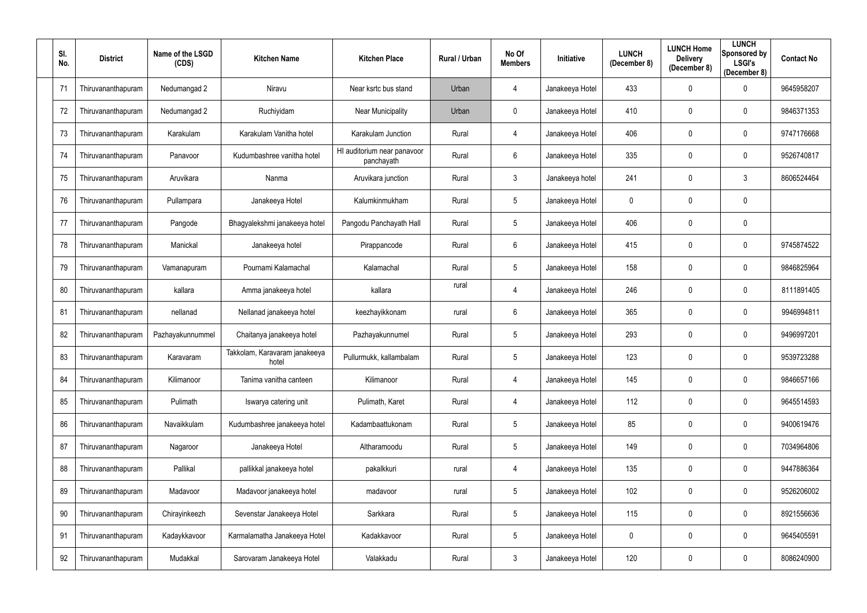| SI.<br>No. | <b>District</b>    | Name of the LSGD<br>(CDS) | <b>Kitchen Name</b>                    | <b>Kitchen Place</b>                      | Rural / Urban | No Of<br><b>Members</b> | Initiative      | <b>LUNCH</b><br>(December 8) | <b>LUNCH Home</b><br><b>Delivery</b><br>(December 8) | <b>LUNCH</b><br><b>Sponsored by</b><br><b>LSGI's</b><br>(December 8) | <b>Contact No</b> |
|------------|--------------------|---------------------------|----------------------------------------|-------------------------------------------|---------------|-------------------------|-----------------|------------------------------|------------------------------------------------------|----------------------------------------------------------------------|-------------------|
| 71         | Thiruvananthapuram | Nedumangad 2              | Niravu                                 | Near ksrtc bus stand                      | Urban         | 4                       | Janakeeya Hotel | 433                          | $\boldsymbol{0}$                                     | 0                                                                    | 9645958207        |
| 72         | Thiruvananthapuram | Nedumangad 2              | Ruchiyidam                             | <b>Near Municipality</b>                  | Urban         | 0                       | Janakeeya Hotel | 410                          | $\mathbf 0$                                          | 0                                                                    | 9846371353        |
| 73         | Thiruvananthapuram | Karakulam                 | Karakulam Vanitha hotel                | Karakulam Junction                        | Rural         | 4                       | Janakeeya Hotel | 406                          | $\mathbf 0$                                          | $\mathbf 0$                                                          | 9747176668        |
| 74         | Thiruvananthapuram | Panavoor                  | Kudumbashree vanitha hotel             | HI auditorium near panavoor<br>panchayath | Rural         | $6\phantom{.}$          | Janakeeya Hotel | 335                          | 0                                                    | $\mathbf 0$                                                          | 9526740817        |
| 75         | Thiruvananthapuram | Aruvikara                 | Nanma                                  | Aruvikara junction                        | Rural         | $\mathfrak{Z}$          | Janakeeya hotel | 241                          | $\mathbf 0$                                          | 3                                                                    | 8606524464        |
| 76         | Thiruvananthapuram | Pullampara                | Janakeeya Hotel                        | Kalumkinmukham                            | Rural         | 5 <sup>5</sup>          | Janakeeya Hotel | 0                            | $\mathbf 0$                                          | $\mathbf 0$                                                          |                   |
| 77         | Thiruvananthapuram | Pangode                   | Bhagyalekshmi janakeeya hotel          | Pangodu Panchayath Hall                   | Rural         | 5 <sup>5</sup>          | Janakeeya Hotel | 406                          | $\mathbf 0$                                          | $\boldsymbol{0}$                                                     |                   |
| 78         | Thiruvananthapuram | Manickal                  | Janakeeya hotel                        | Pirappancode                              | Rural         | 6                       | Janakeeya Hotel | 415                          | $\mathbf 0$                                          | $\mathbf 0$                                                          | 9745874522        |
| 79         | Thiruvananthapuram | Vamanapuram               | Pournami Kalamachal                    | Kalamachal                                | Rural         | $5\phantom{.0}$         | Janakeeya Hotel | 158                          | $\mathbf 0$                                          | $\mathbf 0$                                                          | 9846825964        |
| 80         | Thiruvananthapuram | kallara                   | Amma janakeeya hotel                   | kallara                                   | rural         | 4                       | Janakeeya Hotel | 246                          | $\mathbf 0$                                          | $\mathbf 0$                                                          | 8111891405        |
| 81         | Thiruvananthapuram | nellanad                  | Nellanad janakeeya hotel               | keezhayikkonam                            | rural         | 6                       | Janakeeya Hotel | 365                          | $\mathbf 0$                                          | 0                                                                    | 9946994811        |
| 82         | Thiruvananthapuram | Pazhayakunnummel          | Chaitanya janakeeya hotel              | Pazhayakunnumel                           | Rural         | 5                       | Janakeeya Hotel | 293                          | 0                                                    | $\mathbf 0$                                                          | 9496997201        |
| 83         | Thiruvananthapuram | Karavaram                 | Takkolam, Karavaram janakeeya<br>hotel | Pullurmukk, kallambalam                   | Rural         | 5                       | Janakeeya Hotel | 123                          | $\mathbf 0$                                          | 0                                                                    | 9539723288        |
| 84         | Thiruvananthapuram | Kilimanoor                | Tanima vanitha canteen                 | Kilimanoor                                | Rural         | 4                       | Janakeeya Hotel | 145                          | 0                                                    | $\mathbf 0$                                                          | 9846657166        |
| 85         | Thiruvananthapuram | Pulimath                  | Iswarya catering unit                  | Pulimath, Karet                           | Rural         | 4                       | Janakeeya Hotel | 112                          | $\boldsymbol{0}$                                     | $\mathbf 0$                                                          | 9645514593        |
| 86         | Thiruvananthapuram | Navaikkulam               | Kudumbashree janakeeya hotel           | Kadambaattukonam                          | Rural         | $5\phantom{.0}$         | Janakeeya Hotel | 85                           | $\boldsymbol{0}$                                     | $\mathbf 0$                                                          | 9400619476        |
| 87         | Thiruvananthapuram | Nagaroor                  | Janakeeya Hotel                        | Altharamoodu                              | Rural         | $5\phantom{.0}$         | Janakeeya Hotel | 149                          | $\pmb{0}$                                            | $\mathbf 0$                                                          | 7034964806        |
| 88         | Thiruvananthapuram | Pallikal                  | pallikkal janakeeya hotel              | pakalkkuri                                | rural         | 4                       | Janakeeya Hotel | 135                          | $\boldsymbol{0}$                                     | $\boldsymbol{0}$                                                     | 9447886364        |
| 89         | Thiruvananthapuram | Madavoor                  | Madavoor janakeeya hotel               | madavoor                                  | rural         | $5\phantom{.0}$         | Janakeeya Hotel | 102                          | $\boldsymbol{0}$                                     | $\mathbf 0$                                                          | 9526206002        |
| 90         | Thiruvananthapuram | Chirayinkeezh             | Sevenstar Janakeeya Hotel              | Sarkkara                                  | Rural         | $5\phantom{.0}$         | Janakeeya Hotel | 115                          | $\pmb{0}$                                            | $\overline{0}$                                                       | 8921556636        |
| 91         | Thiruvananthapuram | Kadaykkavoor              | Karmalamatha Janakeeya Hotel           | Kadakkavoor                               | Rural         | $5\phantom{.0}$         | Janakeeya Hotel | 0                            | $\boldsymbol{0}$                                     | $\bf{0}$                                                             | 9645405591        |
| 92         | Thiruvananthapuram | Mudakkal                  | Sarovaram Janakeeya Hotel              | Valakkadu                                 | Rural         | $\mathfrak{Z}$          | Janakeeya Hotel | 120                          | $\boldsymbol{0}$                                     | $\mathbf 0$                                                          | 8086240900        |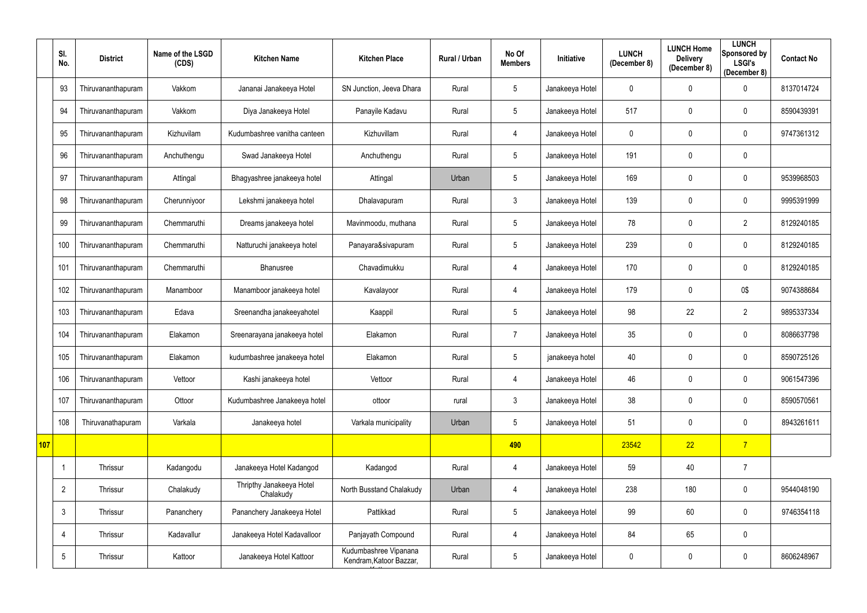|            | SI.<br>No.      | <b>District</b>    | Name of the LSGD<br>(CDS) | <b>Kitchen Name</b>                   | <b>Kitchen Place</b>                             | Rural / Urban | No Of<br><b>Members</b> | Initiative      | <b>LUNCH</b><br>(December 8) | <b>LUNCH Home</b><br><b>Delivery</b><br>(December 8) | <b>LUNCH</b><br>Sponsored by<br><b>LSGI's</b><br>(December 8) | <b>Contact No</b> |
|------------|-----------------|--------------------|---------------------------|---------------------------------------|--------------------------------------------------|---------------|-------------------------|-----------------|------------------------------|------------------------------------------------------|---------------------------------------------------------------|-------------------|
|            | 93              | Thiruvananthapuram | Vakkom                    | Jananai Janakeeya Hotel               | SN Junction, Jeeva Dhara                         | Rural         | 5                       | Janakeeya Hotel | $\mathbf 0$                  | $\mathbf{0}$                                         | $\mathbf 0$                                                   | 8137014724        |
|            | 94              | Thiruvananthapuram | Vakkom                    | Diya Janakeeya Hotel                  | Panayile Kadavu                                  | Rural         | 5                       | Janakeeya Hotel | 517                          | $\mathbf 0$                                          | $\mathbf 0$                                                   | 8590439391        |
|            | 95              | Thiruvananthapuram | Kizhuvilam                | Kudumbashree vanitha canteen          | Kizhuvillam                                      | Rural         | 4                       | Janakeeya Hotel | 0                            | $\mathbf 0$                                          | $\mathbf 0$                                                   | 9747361312        |
|            | 96              | Thiruvananthapuram | Anchuthengu               | Swad Janakeeya Hotel                  | Anchuthengu                                      | Rural         | $\overline{5}$          | Janakeeya Hotel | 191                          | $\mathbf 0$                                          | $\mathbf 0$                                                   |                   |
|            | 97              | Thiruvananthapuram | Attingal                  | Bhagyashree janakeeya hotel           | Attingal                                         | Urban         | $5\phantom{.0}$         | Janakeeya Hotel | 169                          | $\mathbf{0}$                                         | $\mathbf 0$                                                   | 9539968503        |
|            | 98              | Thiruvananthapuram | Cherunniyoor              | Lekshmi janakeeya hotel               | Dhalavapuram                                     | Rural         | $\mathfrak{Z}$          | Janakeeya Hotel | 139                          | $\mathbf 0$                                          | $\mathbf 0$                                                   | 9995391999        |
|            | 99              | Thiruvananthapuram | Chemmaruthi               | Dreams janakeeya hotel                | Mavinmoodu, muthana                              | Rural         | $\overline{5}$          | Janakeeya Hotel | 78                           | $\Omega$                                             | $\overline{2}$                                                | 8129240185        |
|            | 100             | Thiruvananthapuram | Chemmaruthi               | Natturuchi janakeeya hotel            | Panayara&sivapuram                               | Rural         | $5\,$                   | Janakeeya Hotel | 239                          | $\mathbf 0$                                          | $\mathbf 0$                                                   | 8129240185        |
|            | 101             | Thiruvananthapuram | Chemmaruthi               | Bhanusree                             | Chavadimukku                                     | Rural         | 4                       | Janakeeya Hotel | 170                          | $\mathbf 0$                                          | $\mathbf 0$                                                   | 8129240185        |
|            | 102             | Thiruvananthapuram | Manamboor                 | Manamboor janakeeya hotel             | Kavalayoor                                       | Rural         | $\overline{4}$          | Janakeeya Hotel | 179                          | $\mathbf 0$                                          | 0\$                                                           | 9074388684        |
|            | 103             | Thiruvananthapuram | Edava                     | Sreenandha janakeeyahotel             | Kaappil                                          | Rural         | $5\phantom{.0}$         | Janakeeya Hotel | 98                           | 22                                                   | $\overline{2}$                                                | 9895337334        |
|            | 104             | Thiruvananthapuram | Elakamon                  | Sreenarayana janakeeya hotel          | Elakamon                                         | Rural         | $\overline{7}$          | Janakeeya Hotel | 35                           | $\mathbf 0$                                          | $\mathbf 0$                                                   | 8086637798        |
|            | 105             | Thiruvananthapuram | Elakamon                  | kudumbashree janakeeya hotel          | Elakamon                                         | Rural         | 5                       | janakeeya hotel | 40                           | $\mathbf{0}$                                         | $\mathbf 0$                                                   | 8590725126        |
|            | 106             | Thiruvananthapuram | Vettoor                   | Kashi janakeeya hotel                 | Vettoor                                          | Rural         | 4                       | Janakeeya Hotel | 46                           | $\mathbf 0$                                          | $\mathbf 0$                                                   | 9061547396        |
|            | 107             | Thiruvananthapuram | Ottoor                    | Kudumbashree Janakeeya hotel          | ottoor                                           | rural         | $\mathfrak{Z}$          | Janakeeya Hotel | 38                           | $\mathbf 0$                                          | $\mathbf 0$                                                   | 8590570561        |
|            | 108             | Thiruvanathapuram  | Varkala                   | Janakeeya hotel                       | Varkala municipality                             | Urban         | $5\,$                   | Janakeeya Hotel | 51                           | $\mathbf 0$                                          | $\mathbf 0$                                                   | 8943261611        |
| <b>107</b> |                 |                    |                           |                                       |                                                  |               | 490                     |                 | 23542                        | 22                                                   | $\overline{7}$                                                |                   |
|            |                 | Thrissur           | Kadangodu                 | Janakeeya Hotel Kadangod              | Kadangod                                         | Rural         | $\overline{4}$          | Janakeeya Hotel | 59                           | 40                                                   | $\overline{7}$                                                |                   |
|            | $\overline{2}$  | Thrissur           | Chalakudy                 | Thripthy Janakeeya Hotel<br>Chalakudy | North Busstand Chalakudy                         | Urban         | $\overline{4}$          | Janakeeya Hotel | 238                          | 180                                                  | $\mathbf 0$                                                   | 9544048190        |
|            | $\mathfrak{Z}$  | Thrissur           | Pananchery                | Pananchery Janakeeya Hotel            | Pattikkad                                        | Rural         | $\sqrt{5}$              | Janakeeya Hotel | 99                           | 60                                                   | $\mathbf 0$                                                   | 9746354118        |
|            | 4               | Thrissur           | Kadavallur                | Janakeeya Hotel Kadavalloor           | Panjayath Compound                               | Rural         | $\overline{4}$          | Janakeeya Hotel | 84                           | 65                                                   | $\mathbf 0$                                                   |                   |
|            | $5\phantom{.0}$ | Thrissur           | Kattoor                   | Janakeeya Hotel Kattoor               | Kudumbashree Vipanana<br>Kendram, Katoor Bazzar, | Rural         | $\overline{5}$          | Janakeeya Hotel | 0                            | $\mathbf 0$                                          | $\mathbf 0$                                                   | 8606248967        |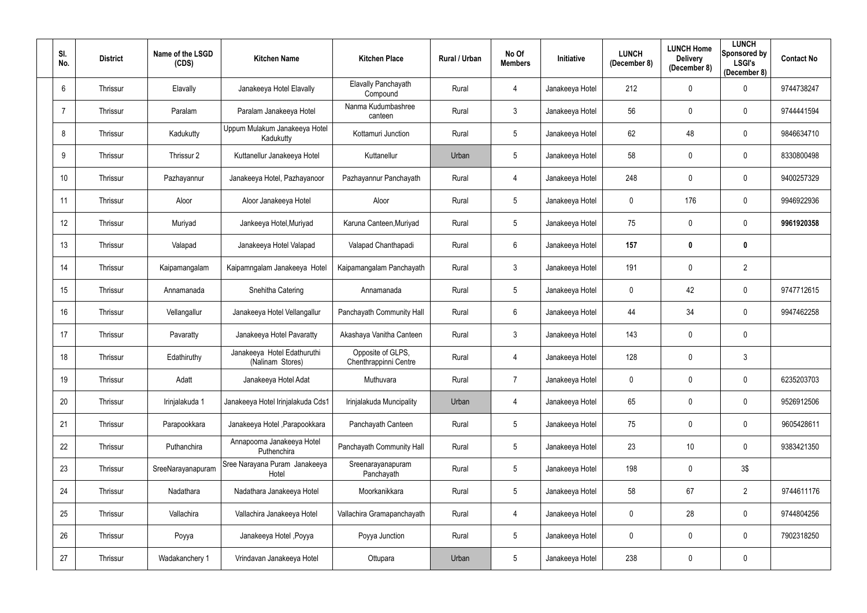| SI.<br>No.      | <b>District</b> | Name of the LSGD<br>(CDS) | <b>Kitchen Name</b>                             | <b>Kitchen Place</b>                       | <b>Rural / Urban</b> | No Of<br><b>Members</b> | Initiative      | <b>LUNCH</b><br>(December 8) | <b>LUNCH Home</b><br><b>Delivery</b><br>(December 8) | <b>LUNCH</b><br>Sponsored by<br><b>LSGI's</b><br>(December 8) | <b>Contact No</b> |
|-----------------|-----------------|---------------------------|-------------------------------------------------|--------------------------------------------|----------------------|-------------------------|-----------------|------------------------------|------------------------------------------------------|---------------------------------------------------------------|-------------------|
| $6\overline{6}$ | Thrissur        | Elavally                  | Janakeeya Hotel Elavally                        | Elavally Panchayath<br>Compound            | Rural                | 4                       | Janakeeya Hotel | 212                          | $\mathbf 0$                                          | $\mathbf 0$                                                   | 9744738247        |
|                 | Thrissur        | Paralam                   | Paralam Janakeeya Hotel                         | Nanma Kudumbashree<br>canteen              | Rural                | $\mathfrak{Z}$          | Janakeeya Hotel | 56                           | $\mathbf 0$                                          | $\mathbf 0$                                                   | 9744441594        |
| 8               | Thrissur        | Kadukutty                 | Uppum Mulakum Janakeeya Hotel<br>Kadukutty      | Kottamuri Junction                         | Rural                | $5\phantom{.0}$         | Janakeeya Hotel | 62                           | 48                                                   | $\mathbf 0$                                                   | 9846634710        |
| 9               | Thrissur        | Thrissur 2                | Kuttanellur Janakeeya Hotel                     | Kuttanellur                                | Urban                | $5\overline{)}$         | Janakeeya Hotel | 58                           | $\mathbf 0$                                          | $\mathbf 0$                                                   | 8330800498        |
| 10              | Thrissur        | Pazhayannur               | Janakeeya Hotel, Pazhayanoor                    | Pazhayannur Panchayath                     | Rural                | 4                       | Janakeeya Hotel | 248                          | $\mathbf 0$                                          | $\mathbf 0$                                                   | 9400257329        |
| 11              | Thrissur        | Aloor                     | Aloor Janakeeya Hotel                           | Aloor                                      | Rural                | 5                       | Janakeeya Hotel | 0                            | 176                                                  | $\mathbf 0$                                                   | 9946922936        |
| 12              | Thrissur        | Muriyad                   | Jankeeya Hotel, Muriyad                         | Karuna Canteen, Muriyad                    | Rural                | $5\phantom{.0}$         | Janakeeya Hotel | 75                           | $\mathbf 0$                                          | $\mathbf 0$                                                   | 9961920358        |
| 13              | Thrissur        | Valapad                   | Janakeeya Hotel Valapad                         | Valapad Chanthapadi                        | Rural                | 6                       | Janakeeya Hotel | 157                          | $\boldsymbol{0}$                                     | $\mathbf 0$                                                   |                   |
| 14              | Thrissur        | Kaipamangalam             | Kaipamngalam Janakeeya Hotel                    | Kaipamangalam Panchayath                   | Rural                | $\mathfrak{Z}$          | Janakeeya Hotel | 191                          | $\mathbf 0$                                          | $\overline{2}$                                                |                   |
| 15              | Thrissur        | Annamanada                | Snehitha Catering                               | Annamanada                                 | Rural                | $5\overline{)}$         | Janakeeya Hotel | $\mathbf 0$                  | 42                                                   | $\mathbf 0$                                                   | 9747712615        |
| 16              | Thrissur        | Vellangallur              | Janakeeya Hotel Vellangallur                    | Panchayath Community Hall                  | Rural                | 6                       | Janakeeya Hotel | 44                           | 34                                                   | $\mathbf 0$                                                   | 9947462258        |
| 17              | Thrissur        | Pavaratty                 | Janakeeya Hotel Pavaratty                       | Akashaya Vanitha Canteen                   | Rural                | $\mathfrak{Z}$          | Janakeeya Hotel | 143                          | $\mathbf 0$                                          | $\mathbf 0$                                                   |                   |
| 18              | Thrissur        | Edathiruthy               | Janakeeya Hotel Edathuruthi<br>(Nalinam Stores) | Opposite of GLPS,<br>Chenthrappinni Centre | Rural                | 4                       | Janakeeya Hotel | 128                          | $\mathbf 0$                                          | 3                                                             |                   |
| 19              | Thrissur        | Adatt                     | Janakeeya Hotel Adat                            | Muthuvara                                  | Rural                | $\overline{7}$          | Janakeeya Hotel | $\mathbf 0$                  | $\mathbf 0$                                          | $\bf{0}$                                                      | 6235203703        |
| 20              | Thrissur        | Irinjalakuda 1            | Janakeeya Hotel Irinjalakuda Cds1               | Irinjalakuda Muncipality                   | Urban                | 4                       | Janakeeya Hotel | 65                           | $\pmb{0}$                                            | $\mathbf 0$                                                   | 9526912506        |
| 21              | Thrissur        | Parapookkara              | Janakeeya Hotel , Parapookkara                  | Panchayath Canteen                         | Rural                | $5\phantom{.0}$         | Janakeeya Hotel | 75                           | $\boldsymbol{0}$                                     | $\mathbf 0$                                                   | 9605428611        |
| 22              | Thrissur        | Puthanchira               | Annapoorna Janakeeya Hotel<br>Puthenchira       | Panchayath Community Hall                  | Rural                | $5\phantom{.0}$         | Janakeeya Hotel | 23                           | $10$                                                 | $\mathbf 0$                                                   | 9383421350        |
| 23              | Thrissur        | SreeNarayanapuram         | Sree Narayana Puram Janakeeya<br>Hotel          | Sreenarayanapuram<br>Panchayath            | Rural                | $5\phantom{.0}$         | Janakeeya Hotel | 198                          | $\pmb{0}$                                            | 3\$                                                           |                   |
| 24              | Thrissur        | Nadathara                 | Nadathara Janakeeya Hotel                       | Moorkanikkara                              | Rural                | $5\phantom{.0}$         | Janakeeya Hotel | 58                           | 67                                                   | $\overline{2}$                                                | 9744611176        |
| 25              | Thrissur        | Vallachira                | Vallachira Janakeeya Hotel                      | Vallachira Gramapanchayath                 | Rural                | 4                       | Janakeeya Hotel | $\mathbf 0$                  | 28                                                   | $\mathbf 0$                                                   | 9744804256        |
| 26              | Thrissur        | Poyya                     | Janakeeya Hotel, Poyya                          | Poyya Junction                             | Rural                | $5\phantom{.0}$         | Janakeeya Hotel | $\mathbf 0$                  | $\pmb{0}$                                            | $\mathbf 0$                                                   | 7902318250        |
| 27              | Thrissur        | Wadakanchery 1            | Vrindavan Janakeeya Hotel                       | Ottupara                                   | Urban                | $5\phantom{.0}$         | Janakeeya Hotel | 238                          | $\boldsymbol{0}$                                     | $\overline{0}$                                                |                   |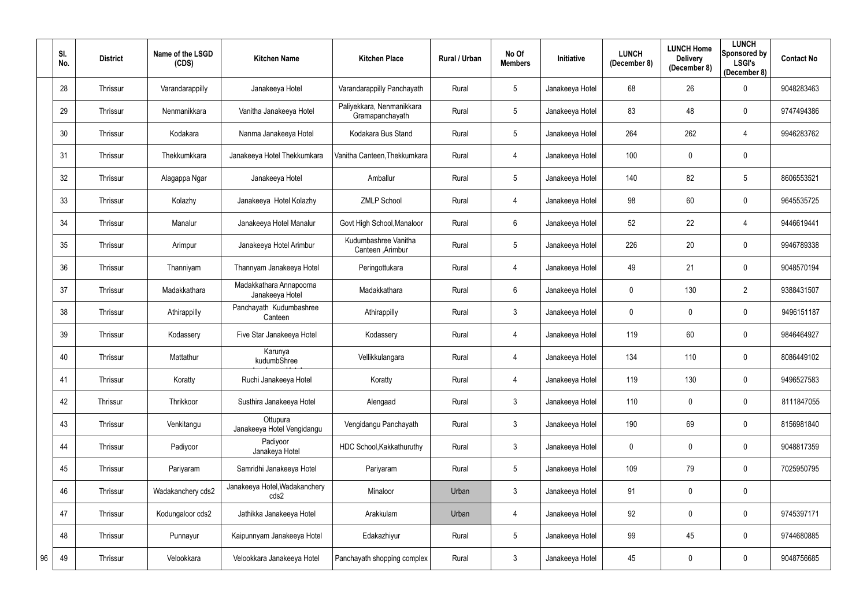|    | SI.<br>No. | <b>District</b> | Name of the LSGD<br>(CDS) | <b>Kitchen Name</b>                        | <b>Kitchen Place</b>                         | Rural / Urban | No Of<br><b>Members</b> | <b>Initiative</b> | <b>LUNCH</b><br>(December 8) | <b>LUNCH Home</b><br><b>Delivery</b><br>(December 8) | <b>LUNCH</b><br>Sponsored by<br><b>LSGI's</b><br>(December 8) | <b>Contact No</b> |
|----|------------|-----------------|---------------------------|--------------------------------------------|----------------------------------------------|---------------|-------------------------|-------------------|------------------------------|------------------------------------------------------|---------------------------------------------------------------|-------------------|
|    | 28         | Thrissur        | Varandarappilly           | Janakeeya Hotel                            | Varandarappilly Panchayath                   | Rural         | $5\phantom{.0}$         | Janakeeya Hotel   | 68                           | 26                                                   | $\mathbf 0$                                                   | 9048283463        |
|    | 29         | Thrissur        | Nenmanikkara              | Vanitha Janakeeya Hotel                    | Paliyekkara, Nenmanikkara<br>Gramapanchayath | Rural         | $5\phantom{.0}$         | Janakeeya Hotel   | 83                           | 48                                                   | $\mathbf 0$                                                   | 9747494386        |
|    | 30         | Thrissur        | Kodakara                  | Nanma Janakeeya Hotel                      | Kodakara Bus Stand                           | Rural         | $5\phantom{.0}$         | Janakeeya Hotel   | 264                          | 262                                                  | 4                                                             | 9946283762        |
|    | 31         | Thrissur        | Thekkumkkara              | Janakeeya Hotel Thekkumkara                | Vanitha Canteen, Thekkumkara                 | Rural         | 4                       | Janakeeya Hotel   | 100                          | $\mathbf 0$                                          | $\mathbf 0$                                                   |                   |
|    | 32         | Thrissur        | Alagappa Ngar             | Janakeeya Hotel                            | Amballur                                     | Rural         | $5\phantom{.0}$         | Janakeeya Hotel   | 140                          | 82                                                   | 5                                                             | 8606553521        |
|    | 33         | Thrissur        | Kolazhy                   | Janakeeya Hotel Kolazhy                    | <b>ZMLP School</b>                           | Rural         | 4                       | Janakeeya Hotel   | 98                           | 60                                                   | $\mathbf 0$                                                   | 9645535725        |
|    | 34         | Thrissur        | Manalur                   | Janakeeya Hotel Manalur                    | Govt High School, Manaloor                   | Rural         | $6\phantom{.}$          | Janakeeya Hotel   | 52                           | 22                                                   | 4                                                             | 9446619441        |
|    | 35         | Thrissur        | Arimpur                   | Janakeeya Hotel Arimbur                    | Kudumbashree Vanitha<br>Canteen , Arimbur    | Rural         | $5\phantom{.0}$         | Janakeeya Hotel   | 226                          | 20                                                   | $\mathbf 0$                                                   | 9946789338        |
|    | 36         | Thrissur        | Thanniyam                 | Thannyam Janakeeya Hotel                   | Peringottukara                               | Rural         | 4                       | Janakeeya Hotel   | 49                           | 21                                                   | $\mathbf 0$                                                   | 9048570194        |
|    | 37         | Thrissur        | Madakkathara              | Madakkathara Annapoorna<br>Janakeeya Hotel | Madakkathara                                 | Rural         | $6\phantom{.}$          | Janakeeya Hotel   | 0                            | 130                                                  | $\overline{2}$                                                | 9388431507        |
|    | 38         | Thrissur        | Athirappilly              | Panchayath Kudumbashree<br>Canteen         | Athirappilly                                 | Rural         | $\mathbf{3}$            | Janakeeya Hotel   | 0                            | $\mathbf 0$                                          | $\mathbf 0$                                                   | 9496151187        |
|    | 39         | Thrissur        | Kodassery                 | Five Star Janakeeya Hotel                  | Kodassery                                    | Rural         | 4                       | Janakeeya Hotel   | 119                          | 60                                                   | $\mathbf 0$                                                   | 9846464927        |
|    | 40         | Thrissur        | Mattathur                 | Karunya<br>kudumbShree                     | Vellikkulangara                              | Rural         | 4                       | Janakeeya Hotel   | 134                          | 110                                                  | $\mathbf 0$                                                   | 8086449102        |
|    | 41         | Thrissur        | Koratty                   | Ruchi Janakeeya Hotel                      | Koratty                                      | Rural         | 4                       | Janakeeya Hotel   | 119                          | 130                                                  | $\mathbf 0$                                                   | 9496527583        |
|    | 42         | Thrissur        | Thrikkoor                 | Susthira Janakeeya Hotel                   | Alengaad                                     | Rural         | $\mathfrak{Z}$          | Janakeeya Hotel   | 110                          | $\mathbf 0$                                          | $\mathbf 0$                                                   | 8111847055        |
|    | 43         | Thrissur        | Venkitangu                | Ottupura<br>Janakeeya Hotel Vengidangu     | Vengidangu Panchayath                        | Rural         | $\mathfrak{Z}$          | Janakeeya Hotel   | 190                          | 69                                                   | $\mathbf 0$                                                   | 8156981840        |
|    | 44         | Thrissur        | Padiyoor                  | Padiyoor<br>Janakeya Hotel                 | HDC School, Kakkathuruthy                    | Rural         | $\mathfrak{Z}$          | Janakeeya Hotel   | 0                            | $\mathbf 0$                                          | $\mathbf 0$                                                   | 9048817359        |
|    | 45         | Thrissur        | Pariyaram                 | Samridhi Janakeeya Hotel                   | Pariyaram                                    | Rural         | $5\phantom{.0}$         | Janakeeya Hotel   | 109                          | 79                                                   | $\mathbf 0$                                                   | 7025950795        |
|    | 46         | Thrissur        | Wadakanchery cds2         | Janakeeya Hotel, Wadakanchery<br>cds2      | Minaloor                                     | Urban         | $\mathfrak{Z}$          | Janakeeya Hotel   | 91                           | $\mathbf 0$                                          | $\mathbf 0$                                                   |                   |
|    | 47         | Thrissur        | Kodungaloor cds2          | Jathikka Janakeeya Hotel                   | Arakkulam                                    | Urban         | 4                       | Janakeeya Hotel   | 92                           | $\mathbf 0$                                          | $\mathbf 0$                                                   | 9745397171        |
|    | 48         | Thrissur        | Punnayur                  | Kaipunnyam Janakeeya Hotel                 | Edakazhiyur                                  | Rural         | $5\,$                   | Janakeeya Hotel   | 99                           | 45                                                   | $\mathbf 0$                                                   | 9744680885        |
| 96 | 49         | Thrissur        | Velookkara                | Velookkara Janakeeya Hotel                 | Panchayath shopping complex                  | Rural         | $\mathfrak{Z}$          | Janakeeya Hotel   | 45                           | $\boldsymbol{0}$                                     | $\mathbf 0$                                                   | 9048756685        |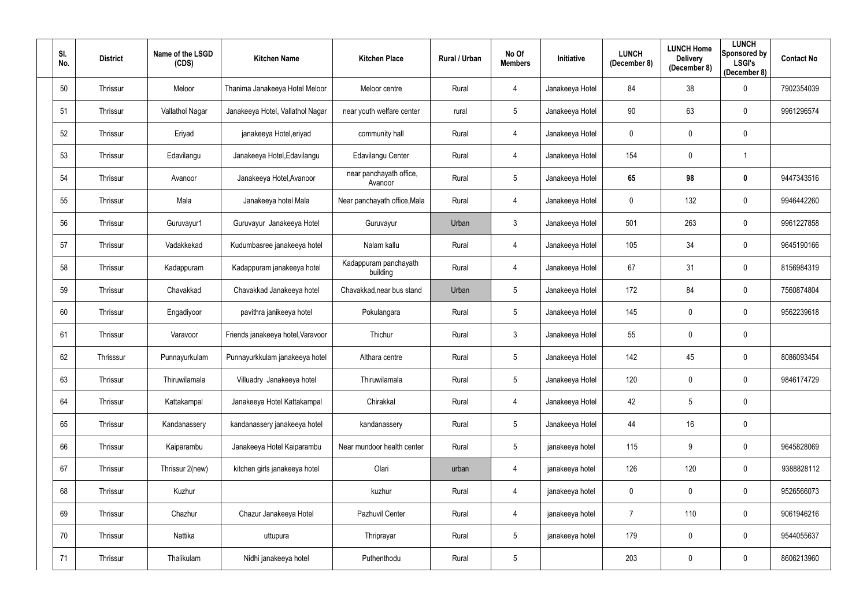| SI.<br>No. | <b>District</b> | Name of the LSGD<br>(CDS) | <b>Kitchen Name</b>               | <b>Kitchen Place</b>               | Rural / Urban | No Of<br><b>Members</b> | Initiative      | <b>LUNCH</b><br>(December 8) | <b>LUNCH Home</b><br><b>Delivery</b><br>(December 8) | <b>LUNCH</b><br>Sponsored by<br><b>LSGI's</b><br>(December 8) | <b>Contact No</b> |
|------------|-----------------|---------------------------|-----------------------------------|------------------------------------|---------------|-------------------------|-----------------|------------------------------|------------------------------------------------------|---------------------------------------------------------------|-------------------|
| 50         | Thrissur        | Meloor                    | Thanima Janakeeya Hotel Meloor    | Meloor centre                      | Rural         | 4                       | Janakeeya Hotel | 84                           | 38                                                   | $\mathbf 0$                                                   | 7902354039        |
| 51         | Thrissur        | Vallathol Nagar           | Janakeeya Hotel, Vallathol Nagar  | near youth welfare center          | rural         | $5\overline{)}$         | Janakeeya Hotel | 90                           | 63                                                   | $\mathbf 0$                                                   | 9961296574        |
| 52         | Thrissur        | Eriyad                    | janakeeya Hotel, eriyad           | community hall                     | Rural         | 4                       | Janakeeya Hotel | $\mathbf 0$                  | $\mathbf 0$                                          | $\overline{0}$                                                |                   |
| 53         | Thrissur        | Edavilangu                | Janakeeya Hotel, Edavilangu       | Edavilangu Center                  | Rural         | 4                       | Janakeeya Hotel | 154                          | $\mathbf 0$                                          |                                                               |                   |
| 54         | Thrissur        | Avanoor                   | Janakeeya Hotel, Avanoor          | near panchayath office,<br>Avanoor | Rural         | $5\phantom{.0}$         | Janakeeya Hotel | 65                           | 98                                                   | $\mathbf 0$                                                   | 9447343516        |
| 55         | Thrissur        | Mala                      | Janakeeya hotel Mala              | Near panchayath office, Mala       | Rural         | 4                       | Janakeeya Hotel | 0                            | 132                                                  | $\mathbf 0$                                                   | 9946442260        |
| 56         | Thrissur        | Guruvayur1                | Guruvayur Janakeeya Hotel         | Guruvayur                          | Urban         | $\mathbf{3}$            | Janakeeya Hotel | 501                          | 263                                                  | $\mathbf 0$                                                   | 9961227858        |
| 57         | Thrissur        | Vadakkekad                | Kudumbasree janakeeya hotel       | Nalam kallu                        | Rural         | 4                       | Janakeeya Hotel | 105                          | 34                                                   | $\overline{0}$                                                | 9645190166        |
| 58         | Thrissur        | Kadappuram                | Kadappuram janakeeya hotel        | Kadappuram panchayath<br>building  | Rural         | 4                       | Janakeeya Hotel | 67                           | 31                                                   | $\mathbf 0$                                                   | 8156984319        |
| 59         | Thrissur        | Chavakkad                 | Chavakkad Janakeeya hotel         | Chavakkad, near bus stand          | Urban         | $5\phantom{.0}$         | Janakeeya Hotel | 172                          | 84                                                   | $\overline{0}$                                                | 7560874804        |
| 60         | Thrissur        | Engadiyoor                | pavithra janikeeya hotel          | Pokulangara                        | Rural         | $5\phantom{.0}$         | Janakeeya Hotel | 145                          | $\mathbf 0$                                          | $\mathbf 0$                                                   | 9562239618        |
| 61         | Thrissur        | Varavoor                  | Friends janakeeya hotel, Varavoor | Thichur                            | Rural         | $\mathfrak{Z}$          | Janakeeya Hotel | 55                           | $\mathbf 0$                                          | $\mathbf 0$                                                   |                   |
| 62         | Thrisssur       | Punnayurkulam             | Punnayurkkulam janakeeya hotel    | Althara centre                     | Rural         | $5\phantom{.0}$         | Janakeeya Hotel | 142                          | 45                                                   | $\mathbf 0$                                                   | 8086093454        |
| 63         | Thrissur        | Thiruwilamala             | Villuadry Janakeeya hotel         | Thiruwilamala                      | Rural         | $5\phantom{.0}$         | Janakeeya Hotel | 120                          | $\mathbf 0$                                          | $\overline{0}$                                                | 9846174729        |
| 64         | Thrissur        | Kattakampal               | Janakeeya Hotel Kattakampal       | Chirakkal                          | Rural         | 4                       | Janakeeya Hotel | 42                           | 5                                                    | $\mathbf 0$                                                   |                   |
| 65         | Thrissur        | Kandanassery              | kandanassery janakeeya hotel      | kandanassery                       | Rural         | $\sqrt{5}$              | Janakeeya Hotel | 44                           | 16                                                   | $\overline{0}$                                                |                   |
| 66         | Thrissur        | Kaiparambu                | Janakeeya Hotel Kaiparambu        | Near mundoor health center         | Rural         | $5\phantom{.0}$         | janakeeya hotel | 115                          | 9                                                    | $\mathbf 0$                                                   | 9645828069        |
| 67         | Thrissur        | Thrissur 2(new)           | kitchen girls janakeeya hotel     | Olari                              | urban         | 4                       | janakeeya hotel | 126                          | 120                                                  | $\mathbf 0$                                                   | 9388828112        |
| 68         | Thrissur        | Kuzhur                    |                                   | kuzhur                             | Rural         | 4                       | janakeeya hotel | $\mathbf 0$                  | $\mathbf 0$                                          | $\mathbf 0$                                                   | 9526566073        |
| 69         | Thrissur        | Chazhur                   | Chazur Janakeeya Hotel            | Pazhuvil Center                    | Rural         | 4                       | janakeeya hotel | $\overline{7}$               | 110                                                  | $\overline{0}$                                                | 9061946216        |
| 70         | Thrissur        | Nattika                   | uttupura                          | Thriprayar                         | Rural         | $\overline{5}$          | janakeeya hotel | 179                          | $\overline{0}$                                       | $\mathbf 0$                                                   | 9544055637        |
| 71         | Thrissur        | Thalikulam                | Nidhi janakeeya hotel             | Puthenthodu                        | Rural         | $\overline{5}$          |                 | 203                          | $\mathbf 0$                                          | $\mathbf 0$                                                   | 8606213960        |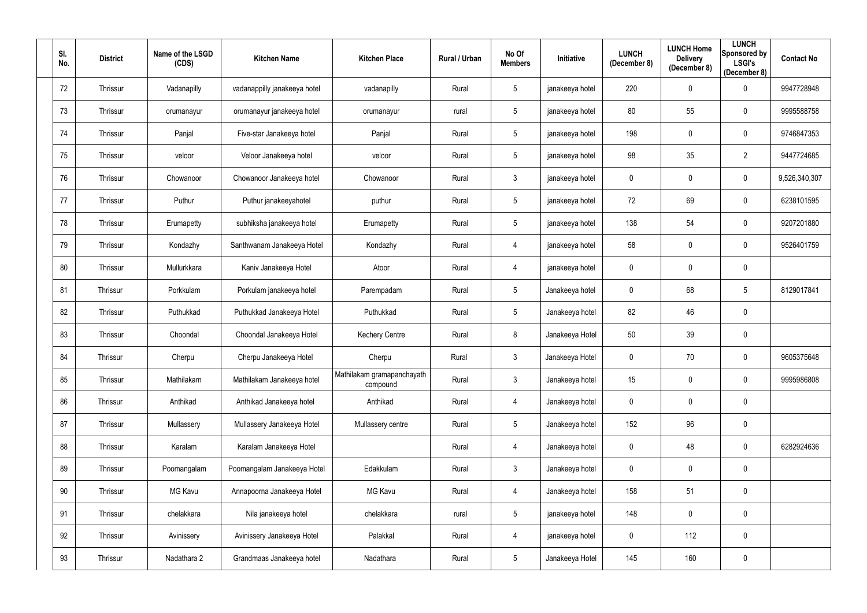| SI.<br>No. | <b>District</b> | Name of the LSGD<br>(CDS) | <b>Kitchen Name</b>          | <b>Kitchen Place</b>                   | Rural / Urban | No Of<br><b>Members</b> | <b>Initiative</b> | <b>LUNCH</b><br>(December 8) | <b>LUNCH Home</b><br><b>Delivery</b><br>(December 8) | <b>LUNCH</b><br>Sponsored by<br><b>LSGI's</b><br>(December 8) | <b>Contact No</b> |
|------------|-----------------|---------------------------|------------------------------|----------------------------------------|---------------|-------------------------|-------------------|------------------------------|------------------------------------------------------|---------------------------------------------------------------|-------------------|
| 72         | Thrissur        | Vadanapilly               | vadanappilly janakeeya hotel | vadanapilly                            | Rural         | $5\phantom{.0}$         | janakeeya hotel   | 220                          | $\mathbf 0$                                          | $\mathbf 0$                                                   | 9947728948        |
| 73         | Thrissur        | orumanayur                | orumanayur janakeeya hotel   | orumanayur                             | rural         | $5\phantom{.0}$         | janakeeya hotel   | 80                           | 55                                                   | $\mathbf 0$                                                   | 9995588758        |
| 74         | Thrissur        | Panjal                    | Five-star Janakeeya hotel    | Panjal                                 | Rural         | $5\phantom{.0}$         | janakeeya hotel   | 198                          | $\mathbf 0$                                          | $\overline{0}$                                                | 9746847353        |
| 75         | Thrissur        | veloor                    | Veloor Janakeeya hotel       | veloor                                 | Rural         | $5\phantom{.0}$         | janakeeya hotel   | 98                           | 35                                                   | $\overline{2}$                                                | 9447724685        |
| 76         | Thrissur        | Chowanoor                 | Chowanoor Janakeeya hotel    | Chowanoor                              | Rural         | $\mathfrak{Z}$          | janakeeya hotel   | $\mathbf 0$                  | $\mathbf 0$                                          | $\overline{0}$                                                | 9,526,340,307     |
| 77         | Thrissur        | Puthur                    | Puthur janakeeyahotel        | puthur                                 | Rural         | $5\phantom{.0}$         | janakeeya hotel   | 72                           | 69                                                   | $\overline{0}$                                                | 6238101595        |
| 78         | Thrissur        | Erumapetty                | subhiksha janakeeya hotel    | Erumapetty                             | Rural         | $5\phantom{.0}$         | janakeeya hotel   | 138                          | 54                                                   | $\mathbf 0$                                                   | 9207201880        |
| 79         | Thrissur        | Kondazhy                  | Santhwanam Janakeeya Hotel   | Kondazhy                               | Rural         | 4                       | janakeeya hotel   | 58                           | $\mathbf 0$                                          | $\overline{0}$                                                | 9526401759        |
| 80         | Thrissur        | Mullurkkara               | Kaniv Janakeeya Hotel        | Atoor                                  | Rural         | 4                       | janakeeya hotel   | 0                            | $\mathbf 0$                                          | $\overline{0}$                                                |                   |
| 81         | Thrissur        | Porkkulam                 | Porkulam janakeeya hotel     | Parempadam                             | Rural         | $5\phantom{.0}$         | Janakeeya hotel   | $\mathbf 0$                  | 68                                                   | $5\phantom{.0}$                                               | 8129017841        |
| 82         | Thrissur        | Puthukkad                 | Puthukkad Janakeeya Hotel    | Puthukkad                              | Rural         | $5\phantom{.0}$         | Janakeeya hotel   | 82                           | 46                                                   | $\overline{0}$                                                |                   |
| 83         | Thrissur        | Choondal                  | Choondal Janakeeya Hotel     | <b>Kechery Centre</b>                  | Rural         | 8                       | Janakeeya Hotel   | 50                           | 39                                                   | $\overline{0}$                                                |                   |
| 84         | Thrissur        | Cherpu                    | Cherpu Janakeeya Hotel       | Cherpu                                 | Rural         | $\mathfrak{Z}$          | Janakeeya Hotel   | 0                            | 70                                                   | $\mathbf 0$                                                   | 9605375648        |
| 85         | Thrissur        | Mathilakam                | Mathilakam Janakeeya hotel   | Mathilakam gramapanchayath<br>compound | Rural         | $\mathfrak{Z}$          | Janakeeya hotel   | 15                           | $\mathbf 0$                                          | $\mathbf 0$                                                   | 9995986808        |
| 86         | Thrissur        | Anthikad                  | Anthikad Janakeeya hotel     | Anthikad                               | Rural         | 4                       | Janakeeya hotel   | $\mathbf 0$                  | $\mathbf 0$                                          | $\mathbf 0$                                                   |                   |
| 87         | Thrissur        | Mullassery                | Mullassery Janakeeya Hotel   | Mullassery centre                      | Rural         | $5\phantom{.0}$         | Janakeeya hotel   | 152                          | 96                                                   | $\overline{0}$                                                |                   |
| 88         | Thrissur        | Karalam                   | Karalam Janakeeya Hotel      |                                        | Rural         | 4                       | Janakeeya hotel   | $\mathbf 0$                  | 48                                                   | $\mathbf 0$                                                   | 6282924636        |
| 89         | Thrissur        | Poomangalam               | Poomangalam Janakeeya Hotel  | Edakkulam                              | Rural         | $\mathfrak{Z}$          | Janakeeya hotel   | $\mathbf 0$                  | $\mathbf 0$                                          | $\mathbf 0$                                                   |                   |
| 90         | Thrissur        | MG Kavu                   | Annapoorna Janakeeya Hotel   | MG Kavu                                | Rural         | 4                       | Janakeeya hotel   | 158                          | 51                                                   | $\overline{0}$                                                |                   |
| 91         | Thrissur        | chelakkara                | Nila janakeeya hotel         | chelakkara                             | rural         | $\overline{5}$          | janakeeya hotel   | 148                          | $\mathbf 0$                                          | $\overline{0}$                                                |                   |
| 92         | Thrissur        | Avinissery                | Avinissery Janakeeya Hotel   | Palakkal                               | Rural         | 4                       | janakeeya hotel   | $\boldsymbol{0}$             | 112                                                  | $\mathbf 0$                                                   |                   |
| 93         | Thrissur        | Nadathara 2               | Grandmaas Janakeeya hotel    | Nadathara                              | Rural         | $\overline{5}$          | Janakeeya Hotel   | 145                          | 160                                                  | $\mathbf 0$                                                   |                   |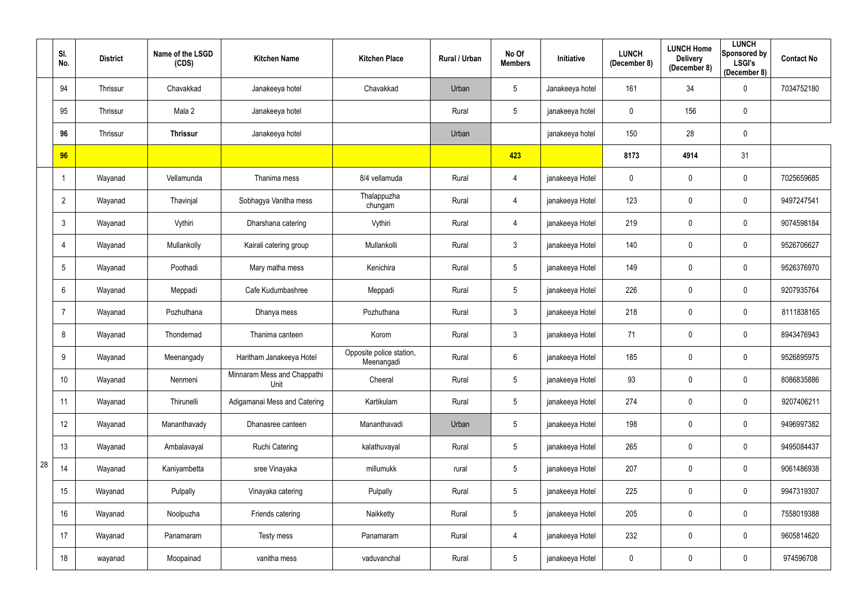|    | SI.<br>No.      | <b>District</b> | Name of the LSGD<br>(CDS) | <b>Kitchen Name</b>                 | <b>Kitchen Place</b>                   | Rural / Urban | No Of<br><b>Members</b> | <b>Initiative</b> | <b>LUNCH</b><br>(December 8) | <b>LUNCH Home</b><br><b>Delivery</b><br>(December 8) | <b>LUNCH</b><br>Sponsored by<br><b>LSGI's</b><br>(December 8) | <b>Contact No</b> |
|----|-----------------|-----------------|---------------------------|-------------------------------------|----------------------------------------|---------------|-------------------------|-------------------|------------------------------|------------------------------------------------------|---------------------------------------------------------------|-------------------|
|    | 94              | Thrissur        | Chavakkad                 | Janakeeya hotel                     | Chavakkad                              | Urban         | $5\,$                   | Janakeeya hotel   | 161                          | 34                                                   | $\mathbf 0$                                                   | 7034752180        |
|    | 95              | Thrissur        | Mala 2                    | Janakeeya hotel                     |                                        | Rural         | $5\,$                   | janakeeya hotel   | 0                            | 156                                                  | $\pmb{0}$                                                     |                   |
|    | 96              | Thrissur        | <b>Thrissur</b>           | Janakeeya hotel                     |                                        | Urban         |                         | janakeeya hotel   | 150                          | 28                                                   | $\mathbf 0$                                                   |                   |
|    | 96              |                 |                           |                                     |                                        |               | 423                     |                   | 8173                         | 4914                                                 | 31                                                            |                   |
|    |                 | Wayanad         | Vellamunda                | Thanima mess                        | 8/4 vellamuda                          | Rural         | 4                       | janakeeya Hotel   | $\mathbf 0$                  | $\mathbf 0$                                          | $\overline{0}$                                                | 7025659685        |
|    | $\overline{2}$  | Wayanad         | Thavinjal                 | Sobhagya Vanitha mess               | Thalappuzha<br>chungam                 | Rural         | $\overline{4}$          | janakeeya Hotel   | 123                          | $\overline{0}$                                       | $\pmb{0}$                                                     | 9497247541        |
|    | $\mathbf{3}$    | Wayanad         | Vythiri                   | Dharshana catering                  | Vythiri                                | Rural         | $\overline{4}$          | janakeeya Hotel   | 219                          | $\mathbf 0$                                          | $\mathbf 0$                                                   | 9074598184        |
|    | 4               | Wayanad         | Mullankolly               | Kairali catering group              | Mullankolli                            | Rural         | $\mathfrak{Z}$          | janakeeya Hotel   | 140                          | $\overline{0}$                                       | $\boldsymbol{0}$                                              | 9526706627        |
|    | $5\phantom{.0}$ | Wayanad         | Poothadi                  | Mary matha mess                     | Kenichira                              | Rural         | $5\,$                   | janakeeya Hotel   | 149                          | $\overline{0}$                                       | $\mathbf 0$                                                   | 9526376970        |
|    | $6\phantom{1}$  | Wayanad         | Meppadi                   | Cafe Kudumbashree                   | Meppadi                                | Rural         | $5\,$                   | janakeeya Hotel   | 226                          | $\pmb{0}$                                            | $\pmb{0}$                                                     | 9207935764        |
|    | $\overline{7}$  | Wayanad         | Pozhuthana                | Dhanya mess                         | Pozhuthana                             | Rural         | $\mathfrak{Z}$          | janakeeya Hotel   | 218                          | $\mathbf 0$                                          | $\mathbf 0$                                                   | 8111838165        |
|    | 8               | Wayanad         | Thondernad                | Thanima canteen                     | Korom                                  | Rural         | $\mathfrak{Z}$          | janakeeya Hotel   | 71                           | $\mathbf 0$                                          | $\mathbf 0$                                                   | 8943476943        |
|    | 9               | Wayanad         | Meenangady                | Haritham Janakeeya Hotel            | Opposite police station,<br>Meenangadi | Rural         | $6\phantom{.}6$         | janakeeya Hotel   | 185                          | $\overline{0}$                                       | $\mathbf 0$                                                   | 9526895975        |
|    | 10 <sup>°</sup> | Wayanad         | Nenmeni                   | Minnaram Mess and Chappathi<br>Unit | Cheeral                                | Rural         | $5\,$                   | janakeeya Hotel   | 93                           | $\mathbf 0$                                          | $\mathbf 0$                                                   | 8086835886        |
|    | 11              | Wayanad         | Thirunelli                | Adigamanai Mess and Catering        | Kartikulam                             | Rural         | $5\phantom{.0}$         | janakeeya Hotel   | 274                          | $\mathbf 0$                                          | $\overline{0}$                                                | 9207406211        |
|    | 12              | Wayanad         | Mananthavady              | Dhanasree canteen                   | Mananthavadi                           | Urban         | $\sqrt{5}$              | janakeeya Hotel   | 198                          | $\mathbf 0$                                          | $\overline{0}$                                                | 9496997382        |
|    | 13              | Wayanad         | Ambalavayal               | <b>Ruchi Catering</b>               | kalathuvayal                           | Rural         | $5\phantom{.0}$         | janakeeya Hotel   | 265                          | $\pmb{0}$                                            | $\mathbf 0$                                                   | 9495084437        |
| 28 | 14              | Wayanad         | Kaniyambetta              | sree Vinayaka                       | millumukk                              | rural         | $\sqrt{5}$              | janakeeya Hotel   | 207                          | $\pmb{0}$                                            | $\mathbf 0$                                                   | 9061486938        |
|    | 15              | Wayanad         | Pulpally                  | Vinayaka catering                   | Pulpally                               | Rural         | $5\,$                   | janakeeya Hotel   | 225                          | $\mathbf 0$                                          | $\mathbf 0$                                                   | 9947319307        |
|    | 16              | Wayanad         | Noolpuzha                 | Friends catering                    | Naikketty                              | Rural         | $\sqrt{5}$              | janakeeya Hotel   | 205                          | $\mathbf 0$                                          | $\mathbf 0$                                                   | 7558019388        |
|    | 17              | Wayanad         | Panamaram                 | Testy mess                          | Panamaram                              | Rural         | $\overline{4}$          | janakeeya Hotel   | 232                          | $\boldsymbol{0}$                                     | $\overline{0}$                                                | 9605814620        |
|    | 18              | wayanad         | Moopainad                 | vanitha mess                        | vaduvanchal                            | Rural         | $\sqrt{5}$              | janakeeya Hotel   | $\pmb{0}$                    | $\pmb{0}$                                            | $\overline{0}$                                                | 974596708         |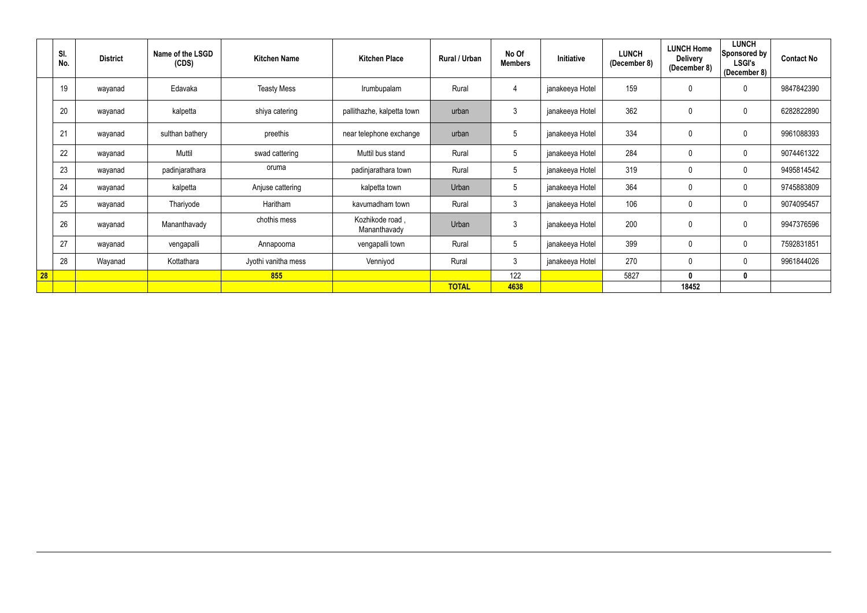|    | SI.<br>No. | <b>District</b> | Name of the LSGD<br>(CDS) | <b>Kitchen Name</b> | <b>Kitchen Place</b>            | Rural / Urban | No Of<br><b>Members</b> | Initiative      | <b>LUNCH</b><br>(December 8) | <b>LUNCH Home</b><br><b>Delivery</b><br>(December 8) | <b>LUNCH</b><br>Sponsored by<br><b>LSGI's</b><br>(December 8) | <b>Contact No</b> |
|----|------------|-----------------|---------------------------|---------------------|---------------------------------|---------------|-------------------------|-----------------|------------------------------|------------------------------------------------------|---------------------------------------------------------------|-------------------|
|    | 19         | wayanad         | Edavaka                   | <b>Teasty Mess</b>  | Irumbupalam                     | Rural         | 4                       | janakeeya Hotel | 159                          | $\mathbf 0$                                          | $\mathbf 0$                                                   | 9847842390        |
|    | 20         | wayanad         | kalpetta                  | shiya catering      | pallithazhe, kalpetta town      | urban         | 3                       | janakeeya Hotel | 362                          | $\mathbf 0$                                          | 0                                                             | 6282822890        |
|    | 21         | wayanad         | sulthan bathery           | preethis            | near telephone exchange         | urban         | .5                      | janakeeya Hotel | 334                          | $\mathbf 0$                                          | $\mathbf 0$                                                   | 9961088393        |
|    | 22         | wayanad         | Muttil                    | swad cattering      | Muttil bus stand                | Rural         | $5\phantom{.0}$         | janakeeya Hotel | 284                          | $\mathbf 0$                                          | $\mathbf 0$                                                   | 9074461322        |
|    | 23         | wayanad         | padinjarathara            | oruma               | padinjarathara town             | Rural         | $5\phantom{.0}$         | janakeeya Hotel | 319                          | $\pmb{0}$                                            | $\mathbf 0$                                                   | 9495814542        |
|    | 24         | wayanad         | kalpetta                  | Anjuse cattering    | kalpetta town                   | Urban         | $5\phantom{.0}$         | janakeeya Hotel | 364                          | $\pmb{0}$                                            | $\boldsymbol{0}$                                              | 9745883809        |
|    | 25         | wayanad         | Thariyode                 | Haritham            | kavumadham town                 | Rural         | $\mathbf{3}$            | janakeeya Hotel | 106                          | $\mathbf 0$                                          | $\mathbf 0$                                                   | 9074095457        |
|    | 26         | wayanad         | Mananthavady              | chothis mess        | Kozhikode road,<br>Mananthavady | Urban         | 3                       | janakeeya Hotel | 200                          | $\pmb{0}$                                            | $\mathbf 0$                                                   | 9947376596        |
|    | 27         | wayanad         | vengapalli                | Annapoorna          | vengapalli town                 | Rural         | 5                       | janakeeya Hotel | 399                          | $\mathbf 0$                                          | $\mathbf 0$                                                   | 7592831851        |
|    | 28         | Wayanad         | Kottathara                | Jyothi vanitha mess | Venniyod                        | Rural         | $\mathbf{3}$            | janakeeya Hotel | 270                          | $\mathbf 0$                                          | $\mathbf 0$                                                   | 9961844026        |
| 28 |            |                 |                           | 855                 |                                 |               | 122                     |                 | 5827                         | $\mathbf 0$                                          | 0                                                             |                   |
|    |            |                 |                           |                     |                                 | <b>TOTAL</b>  | 4638                    |                 |                              | 18452                                                |                                                               |                   |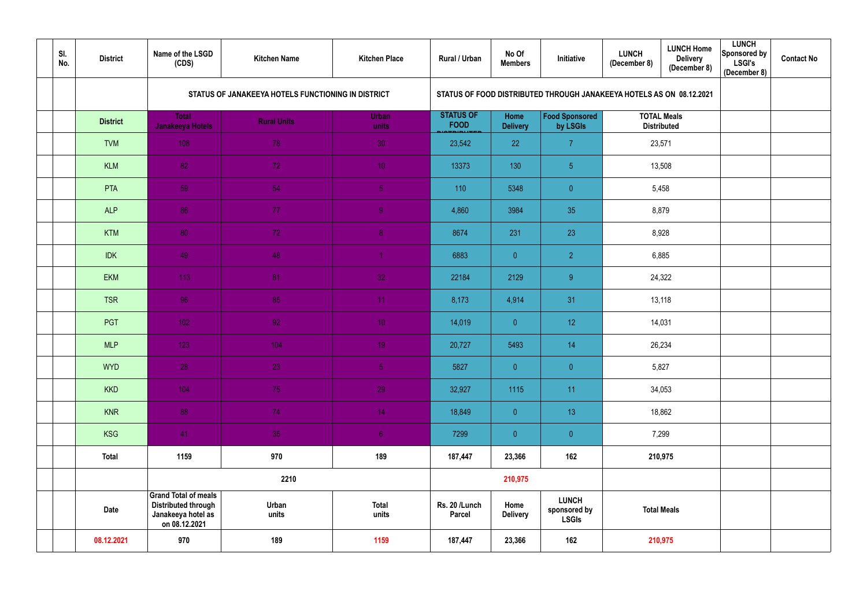| SI.<br>No. | <b>District</b> | Name of the LSGD<br>(CDS)                                                                        | <b>Kitchen Name</b>                                | <b>Kitchen Place</b>  | Rural / Urban                   | No Of<br><b>Members</b> | Initiative                                                           | <b>LUNCH</b><br>(December 8)             | <b>LUNCH Home</b><br><b>Delivery</b><br>(December 8) | <b>LUNCH</b><br>Sponsored by<br><b>LSGI's</b><br>(December 8) | <b>Contact No</b> |
|------------|-----------------|--------------------------------------------------------------------------------------------------|----------------------------------------------------|-----------------------|---------------------------------|-------------------------|----------------------------------------------------------------------|------------------------------------------|------------------------------------------------------|---------------------------------------------------------------|-------------------|
|            |                 |                                                                                                  | STATUS OF JANAKEEYA HOTELS FUNCTIONING IN DISTRICT |                       |                                 |                         | STATUS OF FOOD DISTRIBUTED THROUGH JANAKEEYA HOTELS AS ON 08.12.2021 |                                          |                                                      |                                                               |                   |
|            | <b>District</b> | <b>Total</b><br><b>Janakeeya Hotels</b>                                                          | <b>Rural Units</b>                                 | <b>Urban</b><br>units | <b>STATUS OF</b><br><b>FOOD</b> | Home<br><b>Delivery</b> | <b>Food Sponsored</b><br>by LSGIs                                    | <b>TOTAL Meals</b><br><b>Distributed</b> |                                                      |                                                               |                   |
|            | <b>TVM</b>      | 108                                                                                              | 78                                                 | 30                    | 23,542                          | 22                      | $\overline{7}$                                                       | 23,571                                   |                                                      |                                                               |                   |
|            | <b>KLM</b>      | 82                                                                                               | 72                                                 | 10 <sub>1</sub>       | 13373                           | 130                     | 5 <sub>5</sub>                                                       |                                          | 13,508                                               |                                                               |                   |
|            | PTA             | 59                                                                                               | 54                                                 | $\overline{5}$        | 110                             | 5348                    | $\overline{0}$                                                       | 5,458                                    |                                                      |                                                               |                   |
|            | <b>ALP</b>      | 86                                                                                               | 77                                                 | $\overline{9}$        | 4,860                           | 3984                    | 35                                                                   | 8,879                                    |                                                      |                                                               |                   |
|            | <b>KTM</b>      | 80                                                                                               | 72                                                 | 8 <sub>1</sub>        | 8674                            | 231                     | 23                                                                   | 8,928                                    |                                                      |                                                               |                   |
|            | <b>IDK</b>      | 49                                                                                               | 48                                                 | $\overline{1}$        | 6883                            | $\overline{0}$          | $\overline{2}$                                                       | 6,885                                    |                                                      |                                                               |                   |
|            | <b>EKM</b>      | 113                                                                                              | 81                                                 | 32                    | 22184                           | 2129                    | 9                                                                    | 24,322                                   |                                                      |                                                               |                   |
|            | <b>TSR</b>      | 96                                                                                               | 85                                                 | 11                    | 8,173                           | 4,914                   | 31                                                                   | 13,118                                   |                                                      |                                                               |                   |
|            | PGT             | 102                                                                                              | 92                                                 | 10 <sup>°</sup>       | 14,019                          | $\overline{0}$          | 12 <sub>2</sub>                                                      |                                          | 14,031                                               |                                                               |                   |
|            | <b>MLP</b>      | 123                                                                                              | 104                                                | 19 <sup>°</sup>       | 20,727                          | 5493                    | 14                                                                   |                                          | 26,234                                               |                                                               |                   |
|            | <b>WYD</b>      | 28                                                                                               | 23                                                 | 5 <sub>1</sub>        | 5827                            | $\overline{0}$          | $\overline{0}$                                                       | 5,827                                    |                                                      |                                                               |                   |
|            | <b>KKD</b>      | 104                                                                                              | 75                                                 | 29                    | 32,927                          | 1115                    | 11                                                                   |                                          | 34,053                                               |                                                               |                   |
|            | <b>KNR</b>      | 88                                                                                               | 74                                                 | 14                    | 18,849                          | $\overline{0}$          | 13                                                                   |                                          | 18,862                                               |                                                               |                   |
|            | <b>KSG</b>      | 41                                                                                               | 35                                                 | 6 <sup>1</sup>        | 7299                            | $\overline{0}$          | $\overline{0}$                                                       | 7,299                                    |                                                      |                                                               |                   |
|            | <b>Total</b>    | 1159                                                                                             | 970                                                | 189                   | 187,447                         | 23,366                  | 162                                                                  | 210,975                                  |                                                      |                                                               |                   |
|            |                 | 2210                                                                                             |                                                    |                       | 210,975                         |                         |                                                                      |                                          |                                                      |                                                               |                   |
|            | Date            | <b>Grand Total of meals</b><br><b>Distributed through</b><br>Janakeeya hotel as<br>on 08.12.2021 | Urban<br>units                                     | <b>Total</b><br>units | Rs. 20 /Lunch<br><b>Parcel</b>  | Home<br><b>Delivery</b> | <b>LUNCH</b><br>sponsored by<br><b>LSGIs</b>                         | <b>Total Meals</b>                       |                                                      |                                                               |                   |
|            | 08.12.2021      | 970                                                                                              | 189                                                | 1159                  | 187,447                         | 23,366                  | 162                                                                  |                                          | 210,975                                              |                                                               |                   |